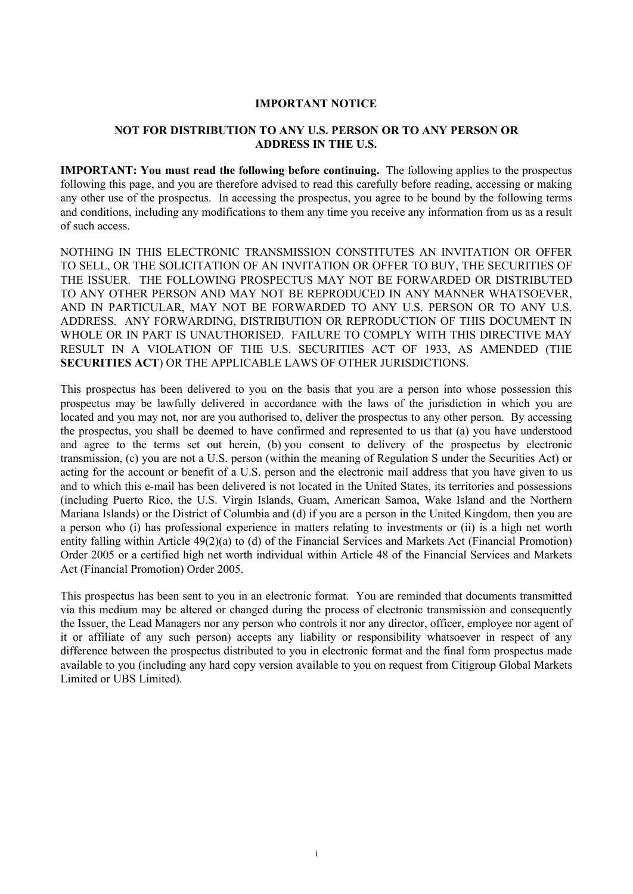#### **IMPORTANT NOTICE**

### **NOT FOR DISTRIBUTION TO ANY U.S. PERSON OR TO ANY PERSON OR ADDRESS IN THE U.S.**

**IMPORTANT: You must read the following before continuing.** The following applies to the prospectus following this page, and you are therefore advised to read this carefully before reading, accessing or making any other use of the prospectus. In accessing the prospectus, you agree to be bound by the following terms and conditions, including any modifications to them any time you receive any information from us as a result of such access.

NOTHING IN THIS ELECTRONIC TRANSMISSION CONSTITUTES AN INVITATION OR OFFER TO SELL, OR THE SOLICITATION OF AN INVITATION OR OFFER TO BUY, THE SECURITIES OF THE ISSUER. THE FOLLOWING PROSPECTUS MAY NOT BE FORWARDED OR DISTRIBUTED TO ANY OTHER PERSON AND MAY NOT BE REPRODUCED IN ANY MANNER WHATSOEVER, AND IN PARTICULAR, MAY NOT BE FORWARDED TO ANY U.S. PERSON OR TO ANY U.S. ADDRESS. ANY FORWARDING, DISTRIBUTION OR REPRODUCTION OF THIS DOCUMENT IN WHOLE OR IN PART IS UNAUTHORISED. FAILURE TO COMPLY WITH THIS DIRECTIVE MAY RESULT IN A VIOLATION OF THE U.S. SECURITIES ACT OF 1933, AS AMENDED (THE **SECURITIES ACT**) OR THE APPLICABLE LAWS OF OTHER JURISDICTIONS.

This prospectus has been delivered to you on the basis that you are a person into whose possession this prospectus may be lawfully delivered in accordance with the laws of the jurisdiction in which you are located and you may not, nor are you authorised to, deliver the prospectus to any other person. By accessing the prospectus, you shall be deemed to have confirmed and represented to us that (a) you have understood and agree to the terms set out herein, (b) you consent to delivery of the prospectus by electronic transmission, (c) you are not a U.S. person (within the meaning of Regulation S under the Securities Act) or acting for the account or benefit of a U.S. person and the electronic mail address that you have given to us and to which this e-mail has been delivered is not located in the United States, its territories and possessions (including Puerto Rico, the U.S. Virgin Islands, Guam, American Samoa, Wake Island and the Northern Mariana Islands) or the District of Columbia and (d) if you are a person in the United Kingdom, then you are a person who (i) has professional experience in matters relating to investments or (ii) is a high net worth entity falling within Article 49(2)(a) to (d) of the Financial Services and Markets Act (Financial Promotion) Order 2005 or a certified high net worth individual within Article 48 of the Financial Services and Markets Act (Financial Promotion) Order 2005.

This prospectus has been sent to you in an electronic format. You are reminded that documents transmitted via this medium may be altered or changed during the process of electronic transmission and consequently the Issuer, the Lead Managers nor any person who controls it nor any director, officer, employee nor agent of it or affiliate of any such person) accepts any liability or responsibility whatsoever in respect of any difference between the prospectus distributed to you in electronic format and the final form prospectus made available to you (including any hard copy version available to you on request from Citigroup Global Markets Limited or UBS Limited).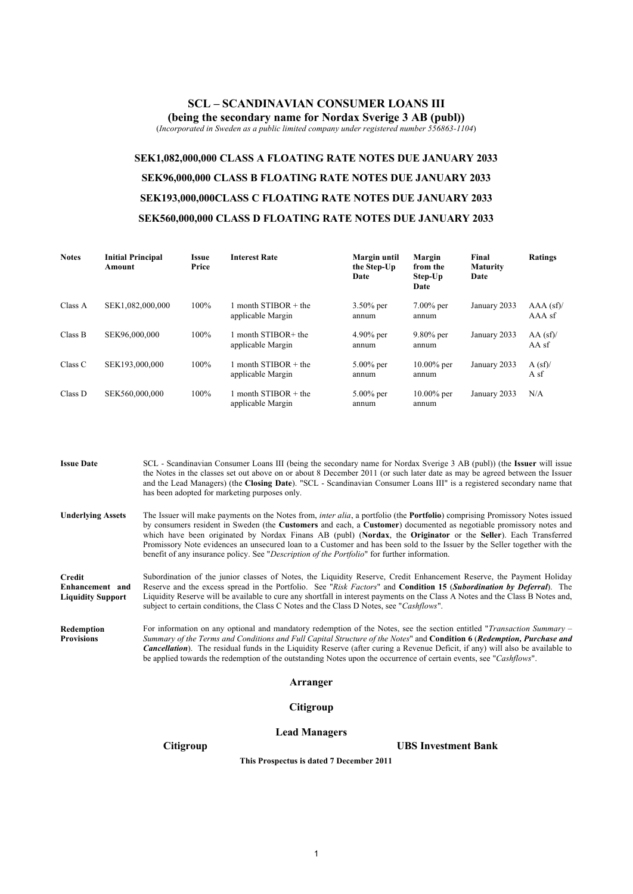#### **SCL** *–* **SCANDINAVIAN CONSUMER LOANS III (being the secondary name for Nordax Sverige 3 AB (publ))**

(*Incorporated in Sweden as a public limited company under registered number 556863-1104*)

# **SEK1,082,000,000 CLASS A FLOATING RATE NOTES DUE JANUARY 2033 SEK96,000,000 CLASS B FLOATING RATE NOTES DUE JANUARY 2033 SEK193,000,000CLASS C FLOATING RATE NOTES DUE JANUARY 2033 SEK560,000,000 CLASS D FLOATING RATE NOTES DUE JANUARY 2033**

| <b>Notes</b> | <b>Initial Principal</b><br>Amount | Issue<br>Price | <b>Interest Rate</b>                        | Margin until<br>the Step-Up<br>Date | Margin<br>from the<br>Step-Up<br>Date | Final<br><b>Maturity</b><br>Date | Ratings               |
|--------------|------------------------------------|----------------|---------------------------------------------|-------------------------------------|---------------------------------------|----------------------------------|-----------------------|
| Class A      | SEK1,082,000,000                   | 100%           | 1 month $STIBOR + the$<br>applicable Margin | $3.50\%$ per<br>annum               | $7.00\%$ per<br>annum                 | January 2033                     | $AAA$ (sf)/<br>AAA sf |
| Class B      | SEK96,000,000                      | 100%           | 1 month STIBOR+ the<br>applicable Margin    | $4.90\%$ per<br>annum               | $9.80\%$ per<br>annum                 | January 2033                     | $AA$ (sf)/<br>AA sf   |
| Class C      | SEK193,000,000                     | 100%           | 1 month $STIBOR + the$<br>applicable Margin | $5.00\%$ per<br>annum               | $10.00\%$ per<br>annum                | January 2033                     | A(sf)<br>A sf         |
| Class D      | SEK560,000,000                     | 100%           | 1 month $STIBOR + the$<br>applicable Margin | $5.00\%$ per<br>annum               | $10.00\%$ per<br>annum                | January 2033                     | N/A                   |

**Issue Date** SCL - Scandinavian Consumer Loans III (being the secondary name for Nordax Sverige 3 AB (publ)) (the **Issuer** will issue the Notes in the classes set out above on or about 8 December 2011 (or such later date as may be agreed between the Issuer and the Lead Managers) (the **Closing Date**). "SCL - Scandinavian Consumer Loans III" is a registered secondary name that has been adopted for marketing purposes only.

**Underlying Assets** The Issuer will make payments on the Notes from, *inter alia*, a portfolio (the **Portfolio**) comprising Promissory Notes issued by consumers resident in Sweden (the **Customers** and each, a **Customer**) documented as negotiable promissory notes and which have been originated by Nordax Finans AB (publ) (**Nordax**, the **Originator** or the **Seller**). Each Transferred Promissory Note evidences an unsecured loan to a Customer and has been sold to the Issuer by the Seller together with the benefit of any insurance policy. See "*Description of the Portfolio*" for further information.

**Credit Enhancement and Liquidity Support** Subordination of the junior classes of Notes, the Liquidity Reserve, Credit Enhancement Reserve, the Payment Holiday Reserve and the excess spread in the Portfolio. See "*Risk Factors*" and **Condition 15** (*Subordination by Deferral*). The Liquidity Reserve will be available to cure any shortfall in interest payments on the Class A Notes and the Class B Notes and, subject to certain conditions, the Class C Notes and the Class D Notes, see "*Cashflows*".

**Redemption Provisions** For information on any optional and mandatory redemption of the Notes, see the section entitled "*Transaction Summary – Summary of the Terms and Conditions and Full Capital Structure of the Notes*" and **Condition 6** (*Redemption, Purchase and Cancellation*). The residual funds in the Liquidity Reserve (after curing a Revenue Deficit, if any) will also be available to be applied towards the redemption of the outstanding Notes upon the occurrence of certain events, see "*Cashflows*".

#### **Arranger**

#### **Citigroup**

#### **Lead Managers**

**Citigroup UBS Investment Bank**

**This Prospectus is dated 7 December 2011**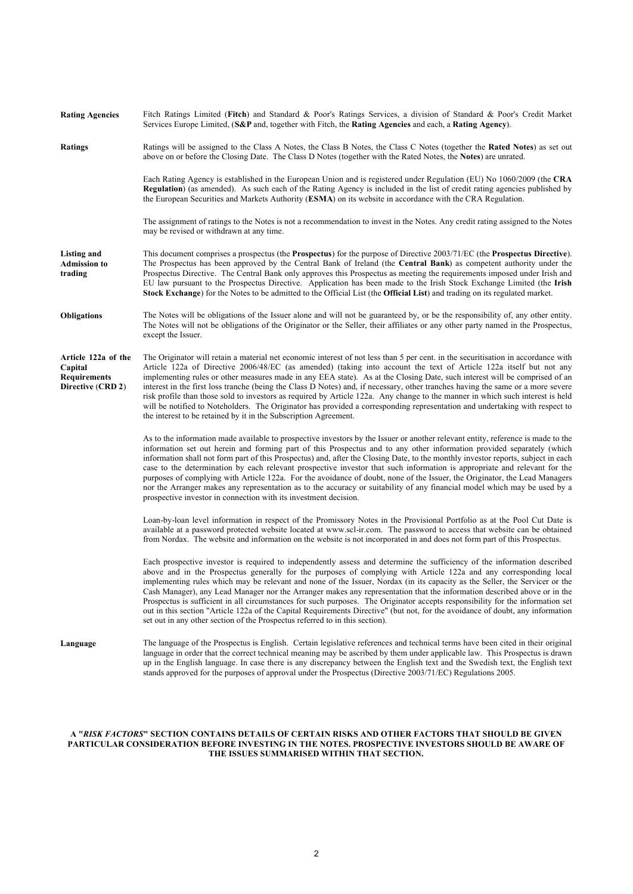| <b>Rating Agencies</b>                                                     | Fitch Ratings Limited (Fitch) and Standard & Poor's Ratings Services, a division of Standard & Poor's Credit Market<br>Services Europe Limited, $(S\&P)$ and, together with Fitch, the <b>Rating Agencies</b> and each, a <b>Rating Agency</b> ).                                                                                                                                                                                                                                                                                                                                                                                                                                                                                                                                                                                                             |
|----------------------------------------------------------------------------|---------------------------------------------------------------------------------------------------------------------------------------------------------------------------------------------------------------------------------------------------------------------------------------------------------------------------------------------------------------------------------------------------------------------------------------------------------------------------------------------------------------------------------------------------------------------------------------------------------------------------------------------------------------------------------------------------------------------------------------------------------------------------------------------------------------------------------------------------------------|
| <b>Ratings</b>                                                             | Ratings will be assigned to the Class A Notes, the Class B Notes, the Class C Notes (together the Rated Notes) as set out<br>above on or before the Closing Date. The Class D Notes (together with the Rated Notes, the Notes) are unrated.                                                                                                                                                                                                                                                                                                                                                                                                                                                                                                                                                                                                                   |
|                                                                            | Each Rating Agency is established in the European Union and is registered under Regulation (EU) No 1060/2009 (the CRA<br><b>Regulation</b> ) (as amended). As such each of the Rating Agency is included in the list of credit rating agencies published by<br>the European Securities and Markets Authority (ESMA) on its website in accordance with the CRA Regulation.                                                                                                                                                                                                                                                                                                                                                                                                                                                                                     |
|                                                                            | The assignment of ratings to the Notes is not a recommendation to invest in the Notes. Any credit rating assigned to the Notes<br>may be revised or withdrawn at any time.                                                                                                                                                                                                                                                                                                                                                                                                                                                                                                                                                                                                                                                                                    |
| Listing and<br><b>Admission to</b><br>trading                              | This document comprises a prospectus (the <b>Prospectus</b> ) for the purpose of Directive 2003/71/EC (the <b>Prospectus Directive</b> ).<br>The Prospectus has been approved by the Central Bank of Ireland (the Central Bank) as competent authority under the<br>Prospectus Directive. The Central Bank only approves this Prospectus as meeting the requirements imposed under Irish and<br>EU law pursuant to the Prospectus Directive. Application has been made to the Irish Stock Exchange Limited (the Irish<br>Stock Exchange) for the Notes to be admitted to the Official List (the Official List) and trading on its regulated market.                                                                                                                                                                                                           |
| <b>Obligations</b>                                                         | The Notes will be obligations of the Issuer alone and will not be guaranteed by, or be the responsibility of, any other entity.<br>The Notes will not be obligations of the Originator or the Seller, their affiliates or any other party named in the Prospectus,<br>except the Issuer.                                                                                                                                                                                                                                                                                                                                                                                                                                                                                                                                                                      |
| Article 122a of the<br>Capital<br><b>Requirements</b><br>Directive (CRD 2) | The Originator will retain a material net economic interest of not less than 5 per cent. in the securitisation in accordance with<br>Article 122a of Directive 2006/48/EC (as amended) (taking into account the text of Article 122a itself but not any<br>implementing rules or other measures made in any EEA state). As at the Closing Date, such interest will be comprised of an<br>interest in the first loss tranche (being the Class D Notes) and, if necessary, other tranches having the same or a more severe<br>risk profile than those sold to investors as required by Article 122a. Any change to the manner in which such interest is held<br>will be notified to Noteholders. The Originator has provided a corresponding representation and undertaking with respect to<br>the interest to be retained by it in the Subscription Agreement. |
|                                                                            | As to the information made available to prospective investors by the Issuer or another relevant entity, reference is made to the<br>information set out herein and forming part of this Prospectus and to any other information provided separately (which<br>information shall not form part of this Prospectus) and, after the Closing Date, to the monthly investor reports, subject in each<br>case to the determination by each relevant prospective investor that such information is appropriate and relevant for the<br>purposes of complying with Article 122a. For the avoidance of doubt, none of the Issuer, the Originator, the Lead Managers<br>nor the Arranger makes any representation as to the accuracy or suitability of any financial model which may be used by a<br>prospective investor in connection with its investment decision.   |
|                                                                            | Loan-by-loan level information in respect of the Promissory Notes in the Provisional Portfolio as at the Pool Cut Date is<br>available at a password protected website located at www.scl-ir.com. The password to access that website can be obtained<br>from Nordax. The website and information on the website is not incorporated in and does not form part of this Prospectus.                                                                                                                                                                                                                                                                                                                                                                                                                                                                            |
|                                                                            | Each prospective investor is required to independently assess and determine the sufficiency of the information described<br>above and in the Prospectus generally for the purposes of complying with Article 122a and any corresponding local<br>implementing rules which may be relevant and none of the Issuer, Nordax (in its capacity as the Seller, the Servicer or the<br>Cash Manager), any Lead Manager nor the Arranger makes any representation that the information described above or in the<br>Prospectus is sufficient in all circumstances for such purposes. The Originator accepts responsibility for the information set<br>out in this section "Article 122a of the Capital Requirements Directive" (but not, for the avoidance of doubt, any information<br>set out in any other section of the Prospectus referred to in this section).  |
| Language                                                                   | The language of the Prospectus is English. Certain legislative references and technical terms have been cited in their original<br>language in order that the correct technical meaning may be ascribed by them under applicable law. This Prospectus is drawn<br>up in the English language. In case there is any discrepancy between the English text and the Swedish text, the English text<br>stands approved for the purposes of approval under the Prospectus (Directive 2003/71/EC) Regulations 2005.                                                                                                                                                                                                                                                                                                                                                  |

#### **A "***RISK FACTORS***" SECTION CONTAINS DETAILS OF CERTAIN RISKS AND OTHER FACTORS THAT SHOULD BE GIVEN PARTICULAR CONSIDERATION BEFORE INVESTING IN THE NOTES. PROSPECTIVE INVESTORS SHOULD BE AWARE OF THE ISSUES SUMMARISED WITHIN THAT SECTION.**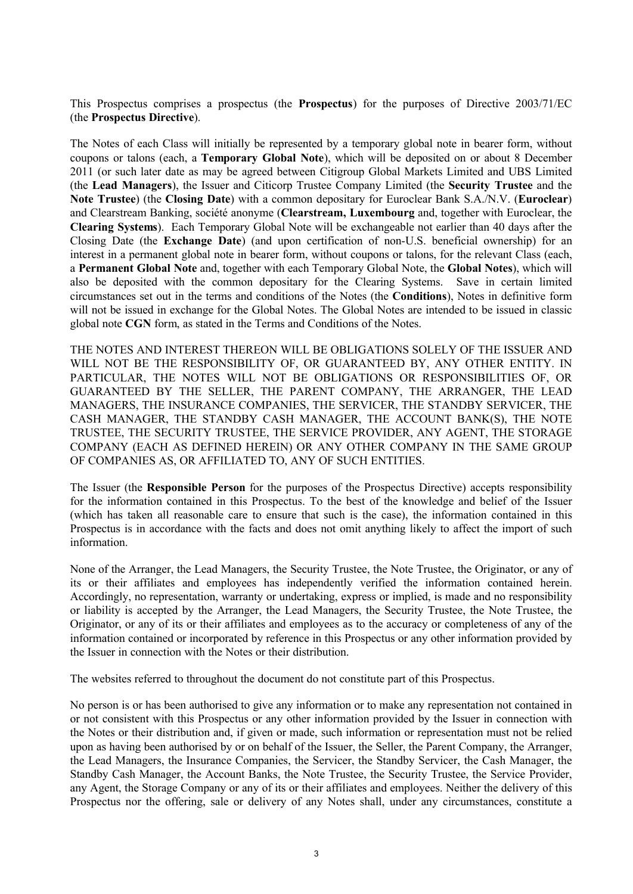This Prospectus comprises a prospectus (the **Prospectus**) for the purposes of Directive 2003/71/EC (the **Prospectus Directive**).

The Notes of each Class will initially be represented by a temporary global note in bearer form, without coupons or talons (each, a **Temporary Global Note**), which will be deposited on or about 8 December 2011 (or such later date as may be agreed between Citigroup Global Markets Limited and UBS Limited (the **Lead Managers**), the Issuer and Citicorp Trustee Company Limited (the **Security Trustee** and the **Note Trustee**) (the **Closing Date**) with a common depositary for Euroclear Bank S.A./N.V. (**Euroclear**) and Clearstream Banking, société anonyme (**Clearstream, Luxembourg** and, together with Euroclear, the **Clearing Systems**). Each Temporary Global Note will be exchangeable not earlier than 40 days after the Closing Date (the **Exchange Date**) (and upon certification of non-U.S. beneficial ownership) for an interest in a permanent global note in bearer form, without coupons or talons, for the relevant Class (each, a **Permanent Global Note** and, together with each Temporary Global Note, the **Global Notes**), which will also be deposited with the common depositary for the Clearing Systems. Save in certain limited circumstances set out in the terms and conditions of the Notes (the **Conditions**), Notes in definitive form will not be issued in exchange for the Global Notes. The Global Notes are intended to be issued in classic global note **CGN** form, as stated in the Terms and Conditions of the Notes.

THE NOTES AND INTEREST THEREON WILL BE OBLIGATIONS SOLELY OF THE ISSUER AND WILL NOT BE THE RESPONSIBILITY OF, OR GUARANTEED BY, ANY OTHER ENTITY. IN PARTICULAR, THE NOTES WILL NOT BE OBLIGATIONS OR RESPONSIBILITIES OF, OR GUARANTEED BY THE SELLER, THE PARENT COMPANY, THE ARRANGER, THE LEAD MANAGERS, THE INSURANCE COMPANIES, THE SERVICER, THE STANDBY SERVICER, THE CASH MANAGER, THE STANDBY CASH MANAGER, THE ACCOUNT BANK(S), THE NOTE TRUSTEE, THE SECURITY TRUSTEE, THE SERVICE PROVIDER, ANY AGENT, THE STORAGE COMPANY (EACH AS DEFINED HEREIN) OR ANY OTHER COMPANY IN THE SAME GROUP OF COMPANIES AS, OR AFFILIATED TO, ANY OF SUCH ENTITIES.

The Issuer (the **Responsible Person** for the purposes of the Prospectus Directive) accepts responsibility for the information contained in this Prospectus. To the best of the knowledge and belief of the Issuer (which has taken all reasonable care to ensure that such is the case), the information contained in this Prospectus is in accordance with the facts and does not omit anything likely to affect the import of such information.

None of the Arranger, the Lead Managers, the Security Trustee, the Note Trustee, the Originator, or any of its or their affiliates and employees has independently verified the information contained herein. Accordingly, no representation, warranty or undertaking, express or implied, is made and no responsibility or liability is accepted by the Arranger, the Lead Managers, the Security Trustee, the Note Trustee, the Originator, or any of its or their affiliates and employees as to the accuracy or completeness of any of the information contained or incorporated by reference in this Prospectus or any other information provided by the Issuer in connection with the Notes or their distribution.

The websites referred to throughout the document do not constitute part of this Prospectus.

No person is or has been authorised to give any information or to make any representation not contained in or not consistent with this Prospectus or any other information provided by the Issuer in connection with the Notes or their distribution and, if given or made, such information or representation must not be relied upon as having been authorised by or on behalf of the Issuer, the Seller, the Parent Company, the Arranger, the Lead Managers, the Insurance Companies, the Servicer, the Standby Servicer, the Cash Manager, the Standby Cash Manager, the Account Banks, the Note Trustee, the Security Trustee, the Service Provider, any Agent, the Storage Company or any of its or their affiliates and employees. Neither the delivery of this Prospectus nor the offering, sale or delivery of any Notes shall, under any circumstances, constitute a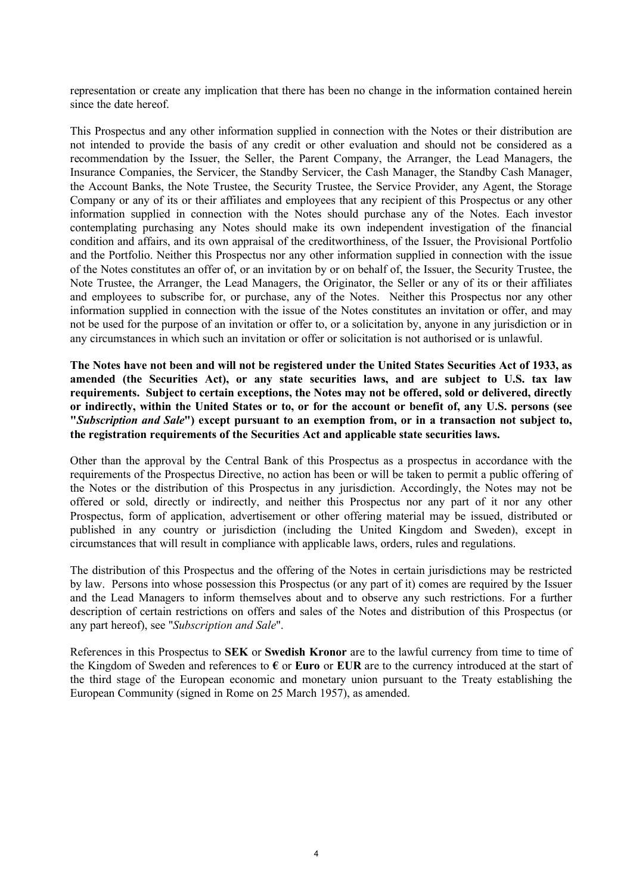representation or create any implication that there has been no change in the information contained herein since the date hereof.

This Prospectus and any other information supplied in connection with the Notes or their distribution are not intended to provide the basis of any credit or other evaluation and should not be considered as a recommendation by the Issuer, the Seller, the Parent Company, the Arranger, the Lead Managers, the Insurance Companies, the Servicer, the Standby Servicer, the Cash Manager, the Standby Cash Manager, the Account Banks, the Note Trustee, the Security Trustee, the Service Provider, any Agent, the Storage Company or any of its or their affiliates and employees that any recipient of this Prospectus or any other information supplied in connection with the Notes should purchase any of the Notes. Each investor contemplating purchasing any Notes should make its own independent investigation of the financial condition and affairs, and its own appraisal of the creditworthiness, of the Issuer, the Provisional Portfolio and the Portfolio. Neither this Prospectus nor any other information supplied in connection with the issue of the Notes constitutes an offer of, or an invitation by or on behalf of, the Issuer, the Security Trustee, the Note Trustee, the Arranger, the Lead Managers, the Originator, the Seller or any of its or their affiliates and employees to subscribe for, or purchase, any of the Notes. Neither this Prospectus nor any other information supplied in connection with the issue of the Notes constitutes an invitation or offer, and may not be used for the purpose of an invitation or offer to, or a solicitation by, anyone in any jurisdiction or in any circumstances in which such an invitation or offer or solicitation is not authorised or is unlawful.

**The Notes have not been and will not be registered under the United States Securities Act of 1933, as amended (the Securities Act), or any state securities laws, and are subject to U.S. tax law requirements. Subject to certain exceptions, the Notes may not be offered, sold or delivered, directly or indirectly, within the United States or to, or for the account or benefit of, any U.S. persons (see "***Subscription and Sale***") except pursuant to an exemption from, or in a transaction not subject to, the registration requirements of the Securities Act and applicable state securities laws.**

Other than the approval by the Central Bank of this Prospectus as a prospectus in accordance with the requirements of the Prospectus Directive, no action has been or will be taken to permit a public offering of the Notes or the distribution of this Prospectus in any jurisdiction. Accordingly, the Notes may not be offered or sold, directly or indirectly, and neither this Prospectus nor any part of it nor any other Prospectus, form of application, advertisement or other offering material may be issued, distributed or published in any country or jurisdiction (including the United Kingdom and Sweden), except in circumstances that will result in compliance with applicable laws, orders, rules and regulations.

The distribution of this Prospectus and the offering of the Notes in certain jurisdictions may be restricted by law. Persons into whose possession this Prospectus (or any part of it) comes are required by the Issuer and the Lead Managers to inform themselves about and to observe any such restrictions. For a further description of certain restrictions on offers and sales of the Notes and distribution of this Prospectus (or any part hereof), see "*Subscription and Sale*".

References in this Prospectus to **SEK** or **Swedish Kronor** are to the lawful currency from time to time of the Kingdom of Sweden and references to **€** or **Euro** or **EUR** are to the currency introduced at the start of the third stage of the European economic and monetary union pursuant to the Treaty establishing the European Community (signed in Rome on 25 March 1957), as amended.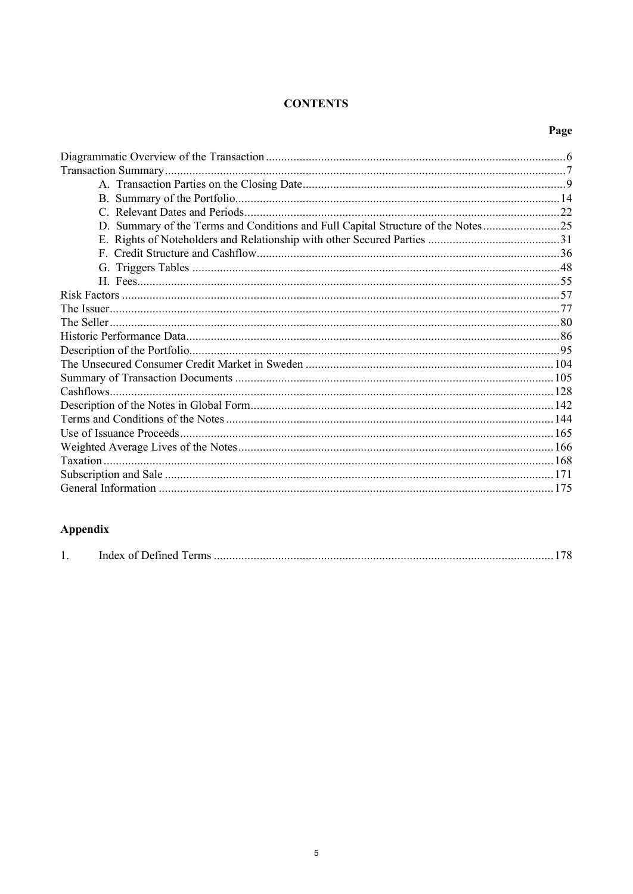## **CONTENTS**

| ۰.<br>٦<br>v.<br>v |
|--------------------|
|--------------------|

| D. Summary of the Terms and Conditions and Full Capital Structure of the Notes25 |  |
|----------------------------------------------------------------------------------|--|
|                                                                                  |  |
|                                                                                  |  |
|                                                                                  |  |
|                                                                                  |  |
|                                                                                  |  |
|                                                                                  |  |
|                                                                                  |  |
|                                                                                  |  |
|                                                                                  |  |
|                                                                                  |  |
|                                                                                  |  |
|                                                                                  |  |
|                                                                                  |  |
|                                                                                  |  |
|                                                                                  |  |
|                                                                                  |  |
|                                                                                  |  |
|                                                                                  |  |
|                                                                                  |  |

# Appendix

| ., |  |  |  |
|----|--|--|--|
|----|--|--|--|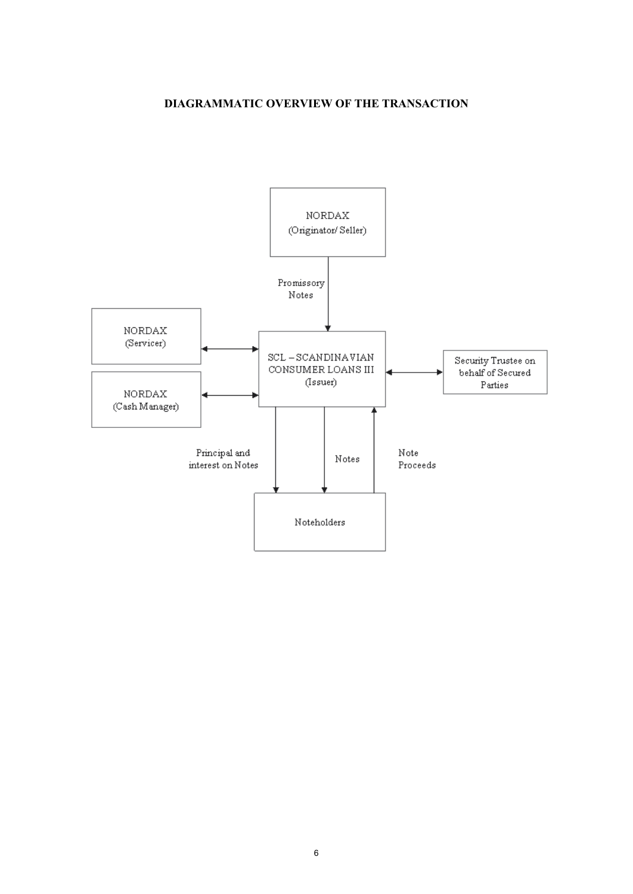## **DIAGRAMMATIC OVERVIEW OF THE TRANSACTION**

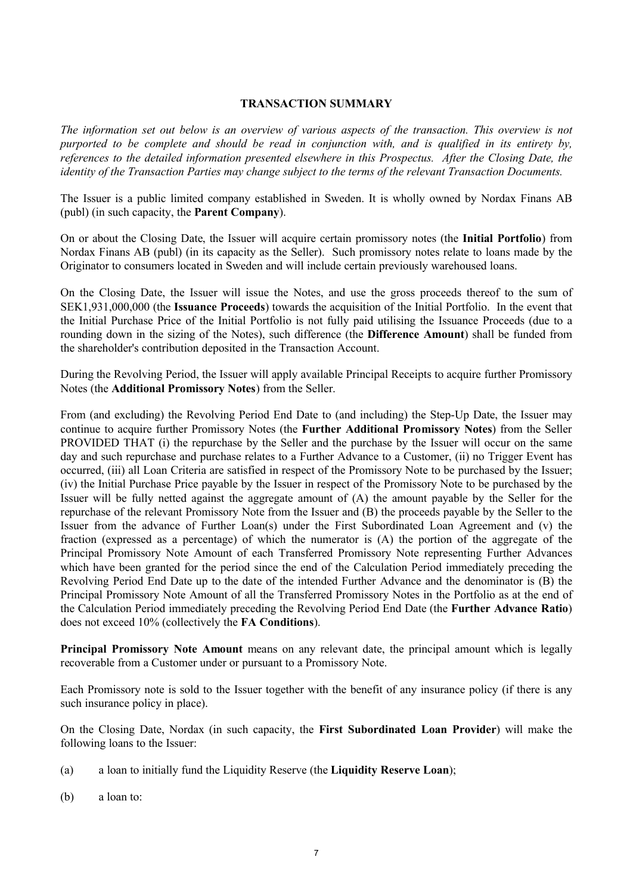#### **TRANSACTION SUMMARY**

*The information set out below is an overview of various aspects of the transaction. This overview is not purported to be complete and should be read in conjunction with, and is qualified in its entirety by, references to the detailed information presented elsewhere in this Prospectus. After the Closing Date, the identity of the Transaction Parties may change subject to the terms of the relevant Transaction Documents.*

The Issuer is a public limited company established in Sweden. It is wholly owned by Nordax Finans AB (publ) (in such capacity, the **Parent Company**).

On or about the Closing Date, the Issuer will acquire certain promissory notes (the **Initial Portfolio**) from Nordax Finans AB (publ) (in its capacity as the Seller). Such promissory notes relate to loans made by the Originator to consumers located in Sweden and will include certain previously warehoused loans.

On the Closing Date, the Issuer will issue the Notes, and use the gross proceeds thereof to the sum of SEK1,931,000,000 (the **Issuance Proceeds**) towards the acquisition of the Initial Portfolio. In the event that the Initial Purchase Price of the Initial Portfolio is not fully paid utilising the Issuance Proceeds (due to a rounding down in the sizing of the Notes), such difference (the **Difference Amount**) shall be funded from the shareholder's contribution deposited in the Transaction Account.

During the Revolving Period, the Issuer will apply available Principal Receipts to acquire further Promissory Notes (the **Additional Promissory Notes**) from the Seller.

From (and excluding) the Revolving Period End Date to (and including) the Step-Up Date, the Issuer may continue to acquire further Promissory Notes (the **Further Additional Promissory Notes**) from the Seller PROVIDED THAT (i) the repurchase by the Seller and the purchase by the Issuer will occur on the same day and such repurchase and purchase relates to a Further Advance to a Customer, (ii) no Trigger Event has occurred, (iii) all Loan Criteria are satisfied in respect of the Promissory Note to be purchased by the Issuer; (iv) the Initial Purchase Price payable by the Issuer in respect of the Promissory Note to be purchased by the Issuer will be fully netted against the aggregate amount of (A) the amount payable by the Seller for the repurchase of the relevant Promissory Note from the Issuer and (B) the proceeds payable by the Seller to the Issuer from the advance of Further Loan(s) under the First Subordinated Loan Agreement and (v) the fraction (expressed as a percentage) of which the numerator is (A) the portion of the aggregate of the Principal Promissory Note Amount of each Transferred Promissory Note representing Further Advances which have been granted for the period since the end of the Calculation Period immediately preceding the Revolving Period End Date up to the date of the intended Further Advance and the denominator is (B) the Principal Promissory Note Amount of all the Transferred Promissory Notes in the Portfolio as at the end of the Calculation Period immediately preceding the Revolving Period End Date (the **Further Advance Ratio**) does not exceed 10% (collectively the **FA Conditions**).

**Principal Promissory Note Amount** means on any relevant date, the principal amount which is legally recoverable from a Customer under or pursuant to a Promissory Note.

Each Promissory note is sold to the Issuer together with the benefit of any insurance policy (if there is any such insurance policy in place).

On the Closing Date, Nordax (in such capacity, the **First Subordinated Loan Provider**) will make the following loans to the Issuer:

- (a) a loan to initially fund the Liquidity Reserve (the **Liquidity Reserve Loan**);
- (b) a loan to: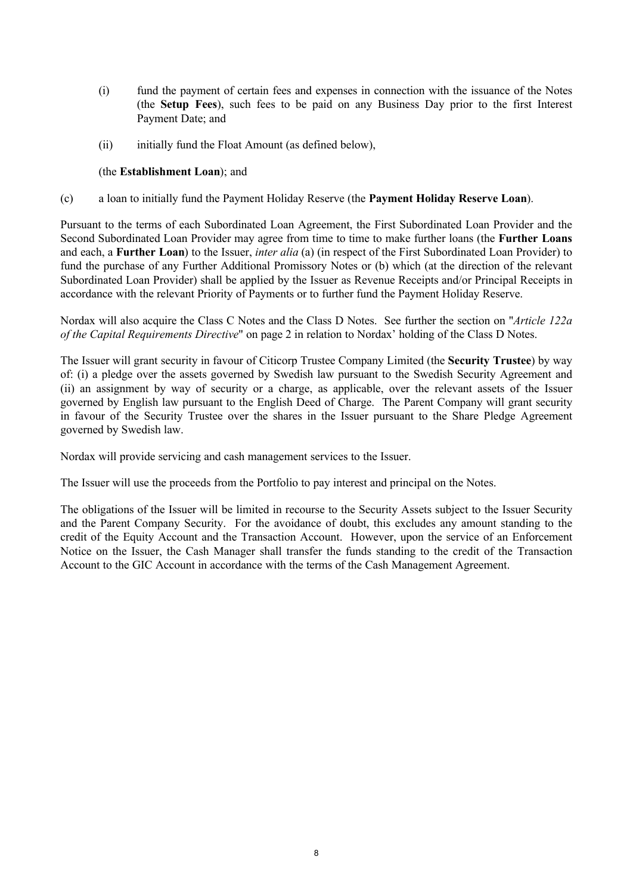- (i) fund the payment of certain fees and expenses in connection with the issuance of the Notes (the **Setup Fees**), such fees to be paid on any Business Day prior to the first Interest Payment Date; and
- (ii) initially fund the Float Amount (as defined below),

### (the **Establishment Loan**); and

(c) a loan to initially fund the Payment Holiday Reserve (the **Payment Holiday Reserve Loan**).

Pursuant to the terms of each Subordinated Loan Agreement, the First Subordinated Loan Provider and the Second Subordinated Loan Provider may agree from time to time to make further loans (the **Further Loans** and each, a **Further Loan**) to the Issuer, *inter alia* (a) (in respect of the First Subordinated Loan Provider) to fund the purchase of any Further Additional Promissory Notes or (b) which (at the direction of the relevant Subordinated Loan Provider) shall be applied by the Issuer as Revenue Receipts and/or Principal Receipts in accordance with the relevant Priority of Payments or to further fund the Payment Holiday Reserve.

Nordax will also acquire the Class C Notes and the Class D Notes. See further the section on "*Article 122a of the Capital Requirements Directive*" on page 2 in relation to Nordax' holding of the Class D Notes.

The Issuer will grant security in favour of Citicorp Trustee Company Limited (the **Security Trustee**) by way of: (i) a pledge over the assets governed by Swedish law pursuant to the Swedish Security Agreement and (ii) an assignment by way of security or a charge, as applicable, over the relevant assets of the Issuer governed by English law pursuant to the English Deed of Charge. The Parent Company will grant security in favour of the Security Trustee over the shares in the Issuer pursuant to the Share Pledge Agreement governed by Swedish law.

Nordax will provide servicing and cash management services to the Issuer.

The Issuer will use the proceeds from the Portfolio to pay interest and principal on the Notes.

The obligations of the Issuer will be limited in recourse to the Security Assets subject to the Issuer Security and the Parent Company Security. For the avoidance of doubt, this excludes any amount standing to the credit of the Equity Account and the Transaction Account. However, upon the service of an Enforcement Notice on the Issuer, the Cash Manager shall transfer the funds standing to the credit of the Transaction Account to the GIC Account in accordance with the terms of the Cash Management Agreement.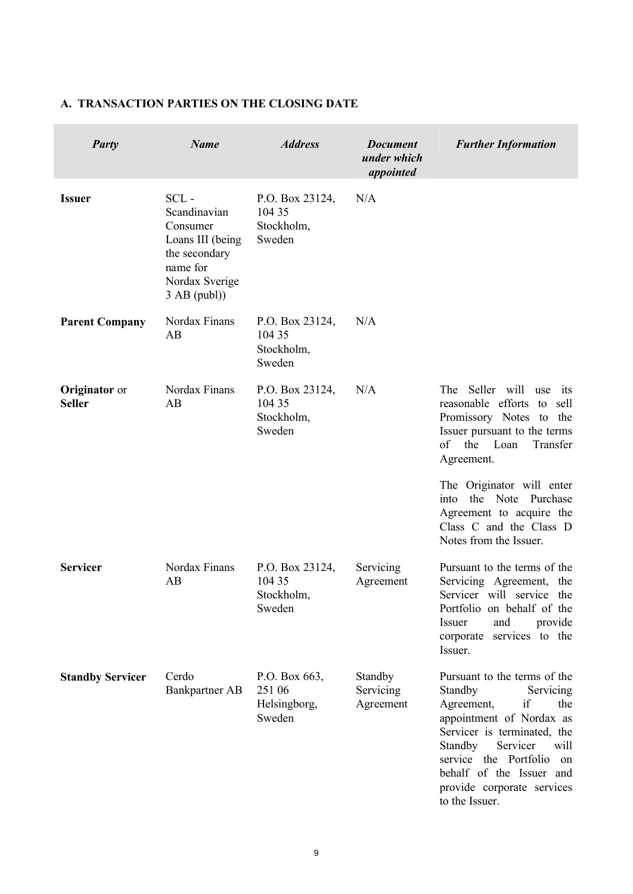| <b>Party</b>                          | <b>Name</b>                                                                                                              | <b>Address</b>                                    | <b>Document</b><br>under which<br>appointed | <b>Further Information</b>                                                                                                                                                                                                                                                           |
|---------------------------------------|--------------------------------------------------------------------------------------------------------------------------|---------------------------------------------------|---------------------------------------------|--------------------------------------------------------------------------------------------------------------------------------------------------------------------------------------------------------------------------------------------------------------------------------------|
| <b>Issuer</b>                         | $SCL -$<br>Scandinavian<br>Consumer<br>Loans III (being<br>the secondary<br>name for<br>Nordax Sverige<br>$3$ AB (publ)) | P.O. Box 23124,<br>104 35<br>Stockholm,<br>Sweden | N/A                                         |                                                                                                                                                                                                                                                                                      |
| <b>Parent Company</b>                 | Nordax Finans<br>AB                                                                                                      | P.O. Box 23124,<br>104 35<br>Stockholm,<br>Sweden | N/A                                         |                                                                                                                                                                                                                                                                                      |
| <b>Originator</b> or<br><b>Seller</b> | Nordax Finans<br>AB                                                                                                      | P.O. Box 23124,<br>104 35<br>Stockholm,<br>Sweden | N/A                                         | The Seller will<br>use<br>its<br>reasonable efforts<br>to<br>sell<br>Promissory Notes to<br>the<br>Issuer pursuant to the terms<br>of<br>the<br>Loan<br>Transfer<br>Agreement.                                                                                                       |
|                                       |                                                                                                                          |                                                   |                                             | The Originator will enter<br>Note<br>the<br>Purchase<br>into.<br>Agreement to acquire the<br>Class C and the Class D<br>Notes from the Issuer.                                                                                                                                       |
| <b>Servicer</b>                       | Nordax Finans<br>AB                                                                                                      | P.O. Box 23124,<br>104 35<br>Stockholm,<br>Sweden | Servicing<br>Agreement                      | Pursuant to the terms of the<br>Servicing Agreement, the<br>Servicer will service the<br>Portfolio on behalf of the<br>and<br>Issuer<br>provide<br>corporate services to the<br>Issuer.                                                                                              |
| <b>Standby Servicer</b>               | Cerdo<br>Bankpartner AB                                                                                                  | P.O. Box 663,<br>251 06<br>Helsingborg,<br>Sweden | Standby<br>Servicing<br>Agreement           | Pursuant to the terms of the<br>Standby<br>Servicing<br>Agreement,<br>if<br>the<br>appointment of Nordax as<br>Servicer is terminated, the<br>Servicer<br>Standby<br>will<br>service the Portfolio<br>on<br>behalf of the Issuer and<br>provide corporate services<br>to the Issuer. |

## **A. TRANSACTION PARTIES ON THE CLOSING DATE**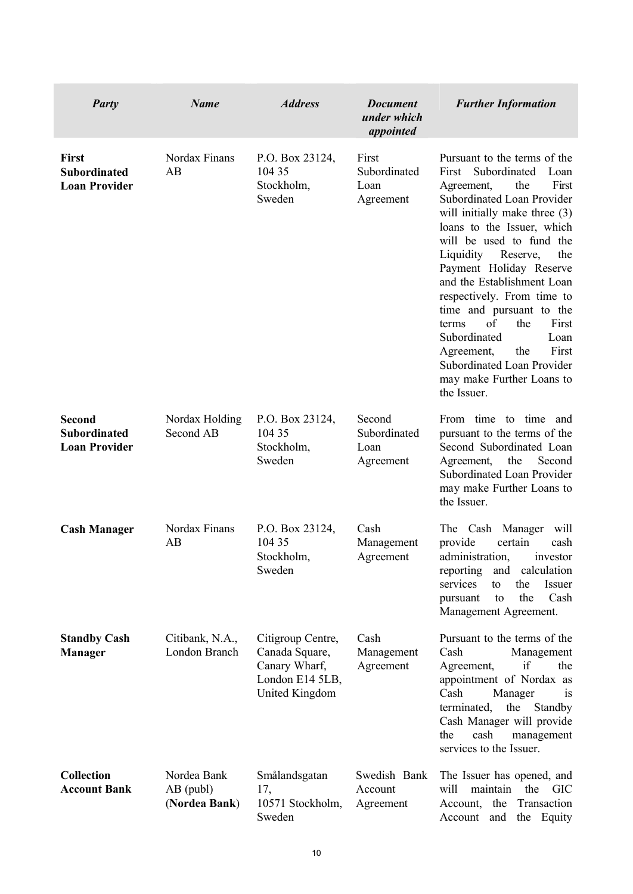| <b>Party</b>                                                 | <b>Name</b>                                 | <b>Address</b>                                                                                   | <b>Document</b><br>under which<br>appointed | <b>Further Information</b>                                                                                                                                                                                                                                                                                                                                                                                                                                                                                                             |
|--------------------------------------------------------------|---------------------------------------------|--------------------------------------------------------------------------------------------------|---------------------------------------------|----------------------------------------------------------------------------------------------------------------------------------------------------------------------------------------------------------------------------------------------------------------------------------------------------------------------------------------------------------------------------------------------------------------------------------------------------------------------------------------------------------------------------------------|
| First<br><b>Subordinated</b><br><b>Loan Provider</b>         | Nordax Finans<br>AB                         | P.O. Box 23124,<br>104 35<br>Stockholm,<br>Sweden                                                | First<br>Subordinated<br>Loan<br>Agreement  | Pursuant to the terms of the<br>Subordinated<br>First<br>Loan<br>First<br>Agreement,<br>the<br>Subordinated Loan Provider<br>will initially make three (3)<br>loans to the Issuer, which<br>will be used to fund the<br>Liquidity<br>Reserve,<br>the<br>Payment Holiday Reserve<br>and the Establishment Loan<br>respectively. From time to<br>time and pursuant to the<br>the<br>First<br>of<br>terms<br>Subordinated<br>Loan<br>First<br>Agreement,<br>the<br>Subordinated Loan Provider<br>may make Further Loans to<br>the Issuer. |
| <b>Second</b><br><b>Subordinated</b><br><b>Loan Provider</b> | Nordax Holding<br>Second AB                 | P.O. Box 23124,<br>104 35<br>Stockholm,<br>Sweden                                                | Second<br>Subordinated<br>Loan<br>Agreement | From time to time and<br>pursuant to the terms of the<br>Second Subordinated Loan<br>Agreement,<br>the<br>Second<br>Subordinated Loan Provider<br>may make Further Loans to<br>the Issuer.                                                                                                                                                                                                                                                                                                                                             |
| <b>Cash Manager</b>                                          | Nordax Finans<br>AB                         | P.O. Box 23124,<br>104 35<br>Stockholm,<br>Sweden                                                | Cash<br>Management<br>Agreement             | The Cash Manager<br>will<br>provide<br>certain<br>cash<br>administration,<br>investor<br>calculation<br>reporting<br>and<br>services<br>the<br>Issuer<br>to<br>the<br>Cash<br>to<br>pursuant<br>Management Agreement.                                                                                                                                                                                                                                                                                                                  |
| <b>Standby Cash</b><br><b>Manager</b>                        | Citibank, N.A.,<br>London Branch            | Citigroup Centre,<br>Canada Square,<br>Canary Wharf,<br>London E14 5LB,<br><b>United Kingdom</b> | Cash<br>Management<br>Agreement             | Pursuant to the terms of the<br>Cash<br>Management<br>if<br>the<br>Agreement,<br>appointment of Nordax as<br>Cash<br>Manager<br><sub>1</sub> S<br>terminated,<br>the<br>Standby<br>Cash Manager will provide<br>the<br>cash<br>management<br>services to the Issuer.                                                                                                                                                                                                                                                                   |
| <b>Collection</b><br><b>Account Bank</b>                     | Nordea Bank<br>$AB$ (publ)<br>(Nordea Bank) | Smålandsgatan<br>17,<br>10571 Stockholm,<br>Sweden                                               | Swedish Bank<br>Account<br>Agreement        | The Issuer has opened, and<br>maintain<br>the<br>will<br><b>GIC</b><br>Account,<br>the<br>Transaction<br>Account<br>and<br>the Equity                                                                                                                                                                                                                                                                                                                                                                                                  |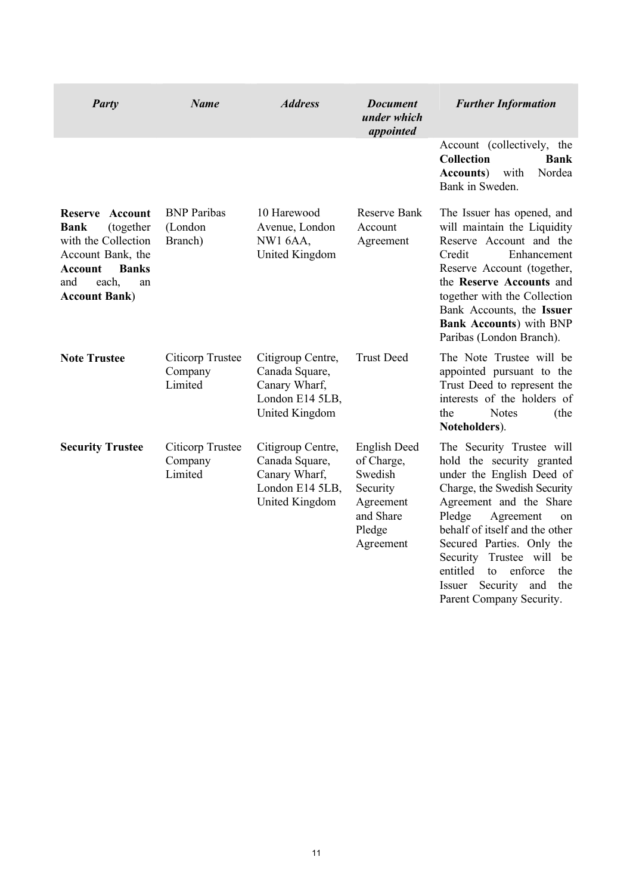| <b>Party</b>                                                                                                                                                               | <b>Name</b>                                   | <i><b>Address</b></i>                                                                     | <b>Document</b><br>under which<br>appointed                                                        | <b>Further Information</b>                                                                                                                                                                                                                                                                                                                                                 |
|----------------------------------------------------------------------------------------------------------------------------------------------------------------------------|-----------------------------------------------|-------------------------------------------------------------------------------------------|----------------------------------------------------------------------------------------------------|----------------------------------------------------------------------------------------------------------------------------------------------------------------------------------------------------------------------------------------------------------------------------------------------------------------------------------------------------------------------------|
|                                                                                                                                                                            |                                               |                                                                                           |                                                                                                    | Account (collectively, the<br><b>Collection</b><br><b>Bank</b><br><b>Accounts</b> )<br>with<br>Nordea<br>Bank in Sweden.                                                                                                                                                                                                                                                   |
| Account<br><b>Reserve</b><br><b>Bank</b><br>(together<br>with the Collection<br>Account Bank, the<br><b>Banks</b><br>Account<br>each,<br>and<br>an<br><b>Account Bank)</b> | <b>BNP</b> Paribas<br>(London<br>Branch)      | 10 Harewood<br>Avenue, London<br><b>NW1 6AA,</b><br>United Kingdom                        | Reserve Bank<br>Account<br>Agreement                                                               | The Issuer has opened, and<br>will maintain the Liquidity<br>Reserve Account and the<br>Credit<br>Enhancement<br>Reserve Account (together,<br>the Reserve Accounts and<br>together with the Collection<br>Bank Accounts, the Issuer<br><b>Bank Accounts)</b> with BNP<br>Paribas (London Branch).                                                                         |
| <b>Note Trustee</b>                                                                                                                                                        | Citicorp Trustee<br>Company<br>Limited        | Citigroup Centre,<br>Canada Square,<br>Canary Wharf,<br>London E14 5LB,<br>United Kingdom | <b>Trust Deed</b>                                                                                  | The Note Trustee will be<br>appointed pursuant to the<br>Trust Deed to represent the<br>interests of the holders of<br><b>Notes</b><br>the<br>(the<br>Noteholders).                                                                                                                                                                                                        |
| <b>Security Trustee</b>                                                                                                                                                    | <b>Citicorp Trustee</b><br>Company<br>Limited | Citigroup Centre,<br>Canada Square,<br>Canary Wharf,<br>London E14 5LB,<br>United Kingdom | English Deed<br>of Charge,<br>Swedish<br>Security<br>Agreement<br>and Share<br>Pledge<br>Agreement | The Security Trustee will<br>hold the security granted<br>under the English Deed of<br>Charge, the Swedish Security<br>Agreement and the Share<br>Pledge<br>Agreement<br>on<br>behalf of itself and the other<br>Secured Parties. Only the<br>Security Trustee will<br>be<br>entitled<br>enforce<br>to<br>the<br>Security and<br>Issuer<br>the<br>Parent Company Security. |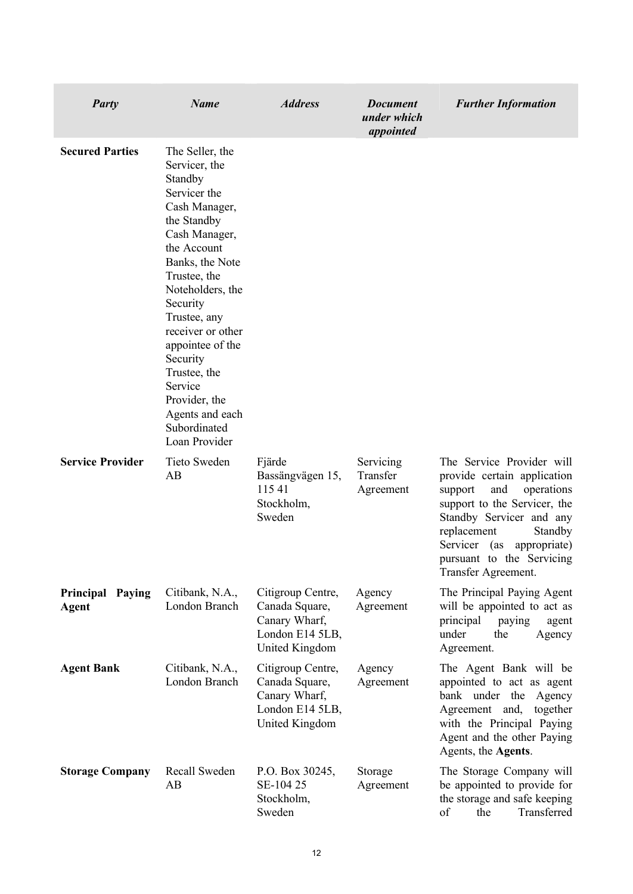| <b>Party</b>                        | <b>Name</b>                                                                                                                                                                                                                                                                                                                                                         | <b>Address</b>                                                                            | <b>Document</b><br>under which<br>appointed | <b>Further Information</b>                                                                                                                                                                                                                                            |
|-------------------------------------|---------------------------------------------------------------------------------------------------------------------------------------------------------------------------------------------------------------------------------------------------------------------------------------------------------------------------------------------------------------------|-------------------------------------------------------------------------------------------|---------------------------------------------|-----------------------------------------------------------------------------------------------------------------------------------------------------------------------------------------------------------------------------------------------------------------------|
| <b>Secured Parties</b>              | The Seller, the<br>Servicer, the<br>Standby<br>Servicer the<br>Cash Manager,<br>the Standby<br>Cash Manager,<br>the Account<br>Banks, the Note<br>Trustee, the<br>Noteholders, the<br>Security<br>Trustee, any<br>receiver or other<br>appointee of the<br>Security<br>Trustee, the<br>Service<br>Provider, the<br>Agents and each<br>Subordinated<br>Loan Provider |                                                                                           |                                             |                                                                                                                                                                                                                                                                       |
| <b>Service Provider</b>             | Tieto Sweden<br>AB                                                                                                                                                                                                                                                                                                                                                  | Fjärde<br>Bassängvägen 15,<br>11541<br>Stockholm,<br>Sweden                               | Servicing<br>Transfer<br>Agreement          | The Service Provider will<br>provide certain application<br>and<br>operations<br>support<br>support to the Servicer, the<br>Standby Servicer and any<br>replacement<br>Standby<br>Servicer<br>(as<br>appropriate)<br>pursuant to the Servicing<br>Transfer Agreement. |
| Principal<br>Paying<br><b>Agent</b> | Citibank, N.A.,<br>London Branch                                                                                                                                                                                                                                                                                                                                    | Citigroup Centre,<br>Canada Square,<br>Canary Wharf,<br>London E14 5LB,<br>United Kingdom | Agency<br>Agreement                         | The Principal Paying Agent<br>will be appointed to act as<br>principal<br>paying<br>agent<br>under<br>the<br>Agency<br>Agreement.                                                                                                                                     |
| <b>Agent Bank</b>                   | Citibank, N.A.,<br>London Branch                                                                                                                                                                                                                                                                                                                                    | Citigroup Centre,<br>Canada Square,<br>Canary Wharf,<br>London E14 5LB,<br>United Kingdom | Agency<br>Agreement                         | The Agent Bank will be<br>appointed to act as agent<br>bank under the Agency<br>Agreement and,<br>together<br>with the Principal Paying<br>Agent and the other Paying<br>Agents, the Agents.                                                                          |
| <b>Storage Company</b>              | Recall Sweden<br>AB                                                                                                                                                                                                                                                                                                                                                 | P.O. Box 30245,<br>SE-104 25<br>Stockholm,<br>Sweden                                      | Storage<br>Agreement                        | The Storage Company will<br>be appointed to provide for<br>the storage and safe keeping<br>of<br>Transferred<br>the                                                                                                                                                   |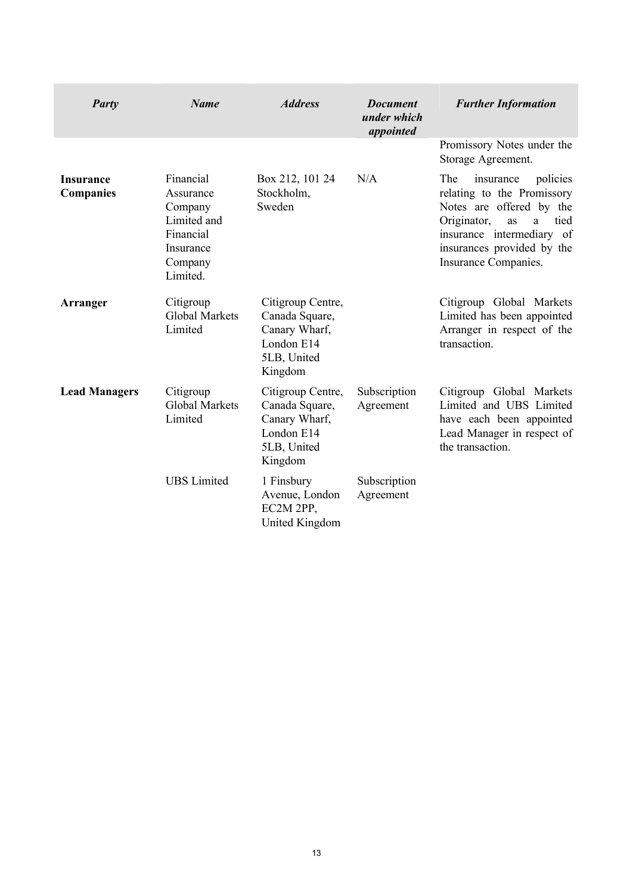| <b>Party</b>                         | <b>Name</b>                                                                                       | <b>Address</b>                                                                               | <b>Document</b><br>under which<br>appointed | <b>Further Information</b>                                                                                                                                                                                  |
|--------------------------------------|---------------------------------------------------------------------------------------------------|----------------------------------------------------------------------------------------------|---------------------------------------------|-------------------------------------------------------------------------------------------------------------------------------------------------------------------------------------------------------------|
|                                      |                                                                                                   |                                                                                              |                                             | Promissory Notes under the<br>Storage Agreement.                                                                                                                                                            |
| <b>Insurance</b><br><b>Companies</b> | Financial<br>Assurance<br>Company<br>Limited and<br>Financial<br>Insurance<br>Company<br>Limited. | Box 212, 101 24<br>Stockholm,<br>Sweden                                                      | N/A                                         | policies<br>The<br>insurance<br>relating to the Promissory<br>Notes are offered by the<br>Originator,<br>tied<br>as<br>a<br>insurance intermediary of<br>insurances provided by the<br>Insurance Companies. |
| <b>Arranger</b>                      | Citigroup<br><b>Global Markets</b><br>Limited                                                     | Citigroup Centre,<br>Canada Square,<br>Canary Wharf,<br>London E14<br>5LB, United<br>Kingdom |                                             | Citigroup Global Markets<br>Limited has been appointed<br>Arranger in respect of the<br>transaction.                                                                                                        |
| <b>Lead Managers</b>                 | Citigroup<br><b>Global Markets</b><br>Limited                                                     | Citigroup Centre,<br>Canada Square,<br>Canary Wharf,<br>London E14<br>5LB, United<br>Kingdom | Subscription<br>Agreement                   | Citigroup Global Markets<br>Limited and UBS Limited<br>have each been appointed<br>Lead Manager in respect of<br>the transaction.                                                                           |
|                                      | <b>UBS</b> Limited                                                                                | 1 Finsbury<br>Avenue, London<br>EC2M 2PP,<br><b>United Kingdom</b>                           | Subscription<br>Agreement                   |                                                                                                                                                                                                             |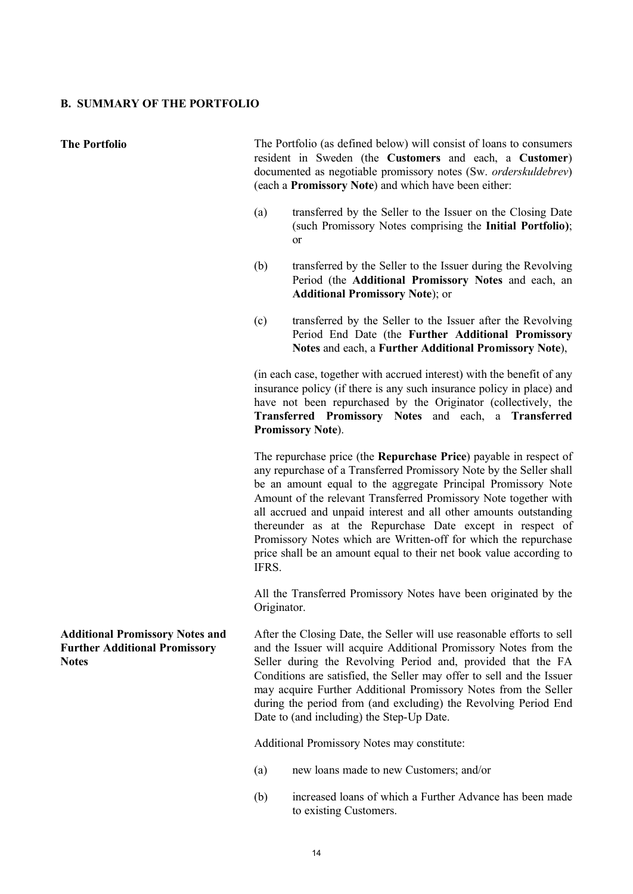#### **B. SUMMARY OF THE PORTFOLIO**

**The Portfolio** The Portfolio (as defined below) will consist of loans to consumers resident in Sweden (the **Customers** and each, a **Customer**) documented as negotiable promissory notes (Sw. *orderskuldebrev*) (each a **Promissory Note**) and which have been either:

- (a) transferred by the Seller to the Issuer on the Closing Date (such Promissory Notes comprising the **Initial Portfolio)**; or
- (b) transferred by the Seller to the Issuer during the Revolving Period (the **Additional Promissory Notes** and each, an **Additional Promissory Note**); or
- (c) transferred by the Seller to the Issuer after the Revolving Period End Date (the **Further Additional Promissory Notes** and each, a **Further Additional Promissory Note**),

(in each case, together with accrued interest) with the benefit of any insurance policy (if there is any such insurance policy in place) and have not been repurchased by the Originator (collectively, the **Transferred Promissory Notes** and each, a **Transferred Promissory Note**).

The repurchase price (the **Repurchase Price**) payable in respect of any repurchase of a Transferred Promissory Note by the Seller shall be an amount equal to the aggregate Principal Promissory Note Amount of the relevant Transferred Promissory Note together with all accrued and unpaid interest and all other amounts outstanding thereunder as at the Repurchase Date except in respect of Promissory Notes which are Written-off for which the repurchase price shall be an amount equal to their net book value according to IFRS.

All the Transferred Promissory Notes have been originated by the Originator.

After the Closing Date, the Seller will use reasonable efforts to sell and the Issuer will acquire Additional Promissory Notes from the Seller during the Revolving Period and, provided that the FA Conditions are satisfied, the Seller may offer to sell and the Issuer may acquire Further Additional Promissory Notes from the Seller during the period from (and excluding) the Revolving Period End Date to (and including) the Step-Up Date.

Additional Promissory Notes may constitute:

- (a) new loans made to new Customers; and/or
- (b) increased loans of which a Further Advance has been made to existing Customers.

**Additional Promissory Notes and Further Additional Promissory Notes**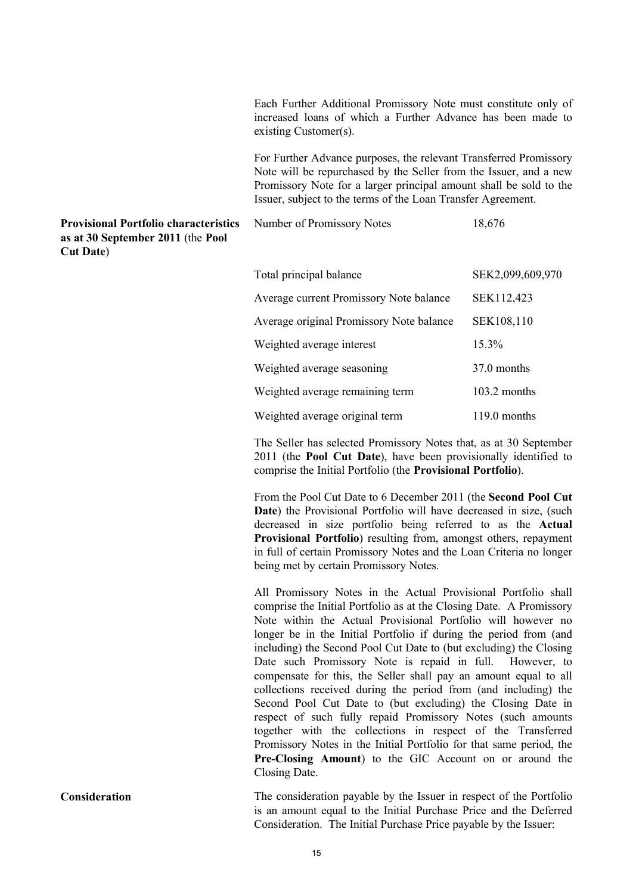Each Further Additional Promissory Note must constitute only of increased loans of which a Further Advance has been made to existing Customer(s).

For Further Advance purposes, the relevant Transferred Promissory Note will be repurchased by the Seller from the Issuer, and a new Promissory Note for a larger principal amount shall be sold to the Issuer, subject to the terms of the Loan Transfer Agreement.

Number of Promissory Notes 18,676

### **Provisional Portfolio characteristics as at 30 September 2011** (the **Pool Cut Date**)

| Total principal balance                        | SEK2,099,609,970 |
|------------------------------------------------|------------------|
| <b>Average current Promissory Note balance</b> | SEK112,423       |
| Average original Promissory Note balance       | SEK108,110       |
| Weighted average interest                      | 15.3%            |
| Weighted average seasoning                     | 37.0 months      |
| Weighted average remaining term                | 103.2 months     |
| Weighted average original term                 | 119.0 months     |

The Seller has selected Promissory Notes that, as at 30 September 2011 (the **Pool Cut Date**), have been provisionally identified to comprise the Initial Portfolio (the **Provisional Portfolio**).

From the Pool Cut Date to 6 December 2011 (the **Second Pool Cut Date**) the Provisional Portfolio will have decreased in size, (such decreased in size portfolio being referred to as the **Actual Provisional Portfolio**) resulting from, amongst others, repayment in full of certain Promissory Notes and the Loan Criteria no longer being met by certain Promissory Notes.

All Promissory Notes in the Actual Provisional Portfolio shall comprise the Initial Portfolio as at the Closing Date. A Promissory Note within the Actual Provisional Portfolio will however no longer be in the Initial Portfolio if during the period from (and including) the Second Pool Cut Date to (but excluding) the Closing Date such Promissory Note is repaid in full. However, to compensate for this, the Seller shall pay an amount equal to all collections received during the period from (and including) the Second Pool Cut Date to (but excluding) the Closing Date in respect of such fully repaid Promissory Notes (such amounts together with the collections in respect of the Transferred Promissory Notes in the Initial Portfolio for that same period, the **Pre-Closing Amount**) to the GIC Account on or around the Closing Date.

**Consideration** The consideration payable by the Issuer in respect of the Portfolio is an amount equal to the Initial Purchase Price and the Deferred Consideration. The Initial Purchase Price payable by the Issuer: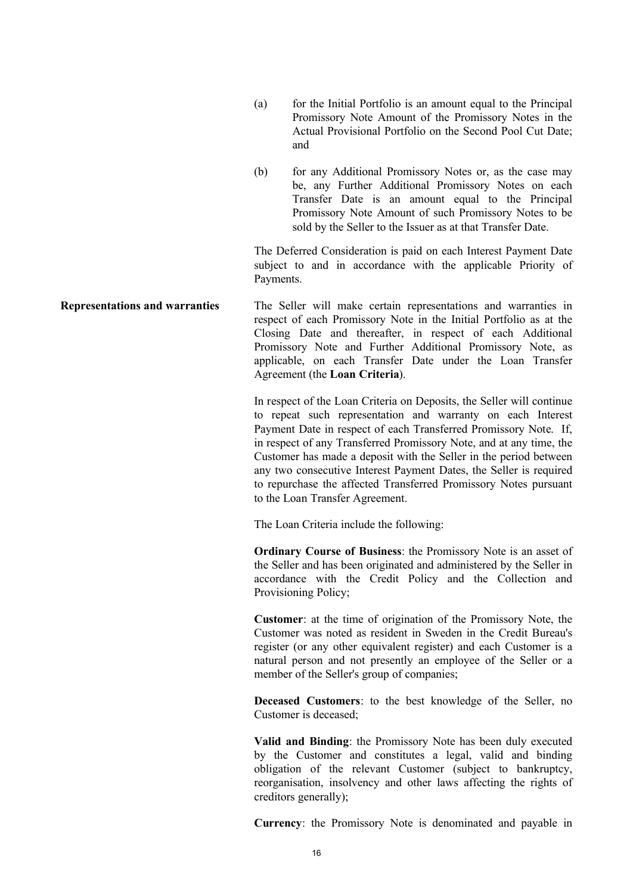- (a) for the Initial Portfolio is an amount equal to the Principal Promissory Note Amount of the Promissory Notes in the Actual Provisional Portfolio on the Second Pool Cut Date; and
- (b) for any Additional Promissory Notes or, as the case may be, any Further Additional Promissory Notes on each Transfer Date is an amount equal to the Principal Promissory Note Amount of such Promissory Notes to be sold by the Seller to the Issuer as at that Transfer Date.

The Deferred Consideration is paid on each Interest Payment Date subject to and in accordance with the applicable Priority of Payments.

**Representations and warranties** The Seller will make certain representations and warranties in respect of each Promissory Note in the Initial Portfolio as at the Closing Date and thereafter, in respect of each Additional Promissory Note and Further Additional Promissory Note, as applicable, on each Transfer Date under the Loan Transfer Agreement (the **Loan Criteria**).

> In respect of the Loan Criteria on Deposits, the Seller will continue to repeat such representation and warranty on each Interest Payment Date in respect of each Transferred Promissory Note. If, in respect of any Transferred Promissory Note, and at any time, the Customer has made a deposit with the Seller in the period between any two consecutive Interest Payment Dates, the Seller is required to repurchase the affected Transferred Promissory Notes pursuant to the Loan Transfer Agreement.

The Loan Criteria include the following:

**Ordinary Course of Business**: the Promissory Note is an asset of the Seller and has been originated and administered by the Seller in accordance with the Credit Policy and the Collection and Provisioning Policy;

**Customer**: at the time of origination of the Promissory Note, the Customer was noted as resident in Sweden in the Credit Bureau's register (or any other equivalent register) and each Customer is a natural person and not presently an employee of the Seller or a member of the Seller's group of companies;

**Deceased Customers**: to the best knowledge of the Seller, no Customer is deceased;

**Valid and Binding**: the Promissory Note has been duly executed by the Customer and constitutes a legal, valid and binding obligation of the relevant Customer (subject to bankruptcy, reorganisation, insolvency and other laws affecting the rights of creditors generally);

**Currency**: the Promissory Note is denominated and payable in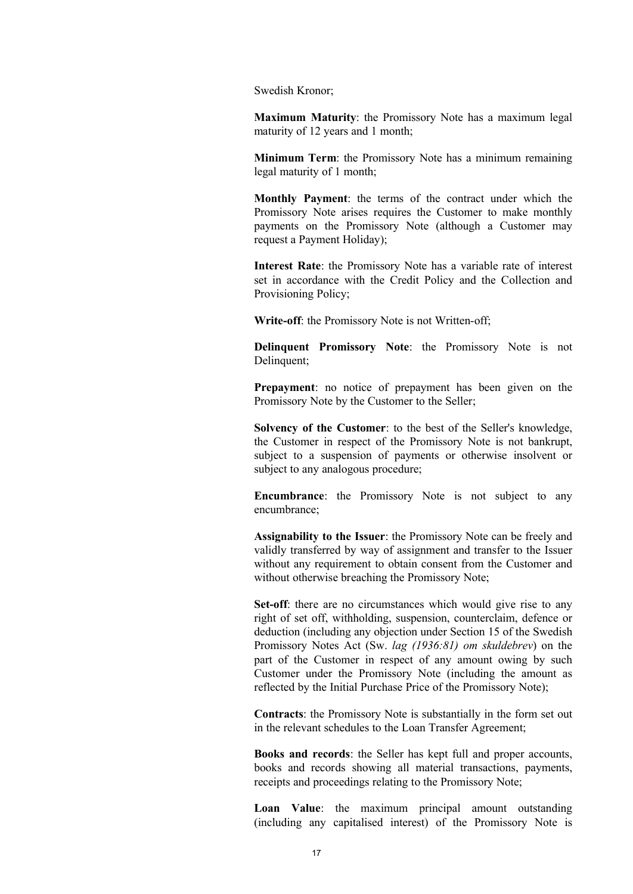Swedish Kronor;

**Maximum Maturity**: the Promissory Note has a maximum legal maturity of 12 years and 1 month;

**Minimum Term**: the Promissory Note has a minimum remaining legal maturity of 1 month;

**Monthly Payment**: the terms of the contract under which the Promissory Note arises requires the Customer to make monthly payments on the Promissory Note (although a Customer may request a Payment Holiday);

**Interest Rate**: the Promissory Note has a variable rate of interest set in accordance with the Credit Policy and the Collection and Provisioning Policy;

**Write-off**: the Promissory Note is not Written-off;

**Delinquent Promissory Note**: the Promissory Note is not Delinquent;

**Prepayment**: no notice of prepayment has been given on the Promissory Note by the Customer to the Seller;

**Solvency of the Customer**: to the best of the Seller's knowledge, the Customer in respect of the Promissory Note is not bankrupt, subject to a suspension of payments or otherwise insolvent or subject to any analogous procedure;

**Encumbrance**: the Promissory Note is not subject to any encumbrance;

**Assignability to the Issuer**: the Promissory Note can be freely and validly transferred by way of assignment and transfer to the Issuer without any requirement to obtain consent from the Customer and without otherwise breaching the Promissory Note;

**Set-off**: there are no circumstances which would give rise to any right of set off, withholding, suspension, counterclaim, defence or deduction (including any objection under Section 15 of the Swedish Promissory Notes Act (Sw. *lag (1936:81) om skuldebrev*) on the part of the Customer in respect of any amount owing by such Customer under the Promissory Note (including the amount as reflected by the Initial Purchase Price of the Promissory Note);

**Contracts**: the Promissory Note is substantially in the form set out in the relevant schedules to the Loan Transfer Agreement;

**Books and records**: the Seller has kept full and proper accounts, books and records showing all material transactions, payments, receipts and proceedings relating to the Promissory Note;

**Loan Value**: the maximum principal amount outstanding (including any capitalised interest) of the Promissory Note is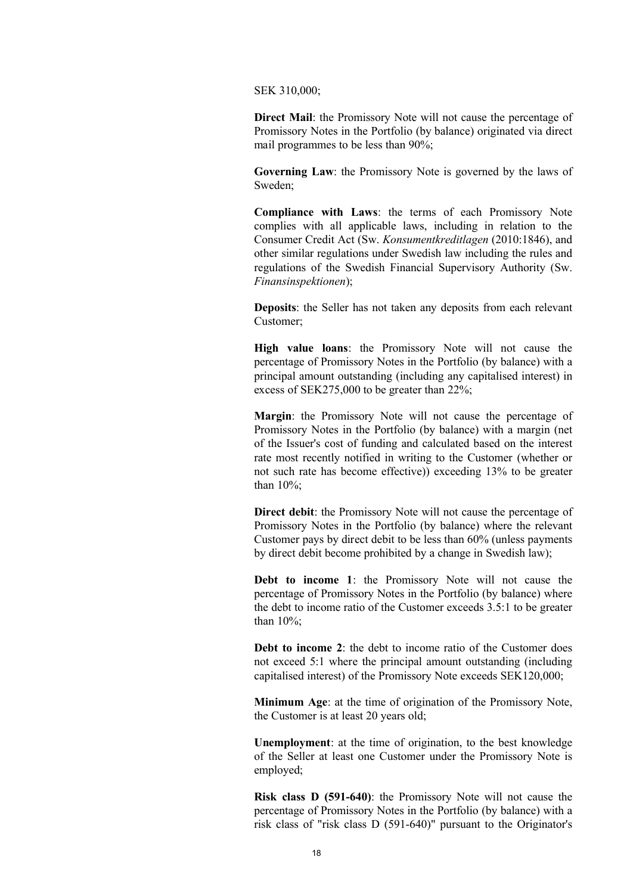SEK 310,000;

**Direct Mail**: the Promissory Note will not cause the percentage of Promissory Notes in the Portfolio (by balance) originated via direct mail programmes to be less than 90%;

**Governing Law**: the Promissory Note is governed by the laws of Sweden;

**Compliance with Laws**: the terms of each Promissory Note complies with all applicable laws, including in relation to the Consumer Credit Act (Sw. *Konsumentkreditlagen* (2010:1846), and other similar regulations under Swedish law including the rules and regulations of the Swedish Financial Supervisory Authority (Sw. *Finansinspektionen*);

**Deposits**: the Seller has not taken any deposits from each relevant Customer;

**High value loans**: the Promissory Note will not cause the percentage of Promissory Notes in the Portfolio (by balance) with a principal amount outstanding (including any capitalised interest) in excess of SEK275,000 to be greater than 22%;

**Margin**: the Promissory Note will not cause the percentage of Promissory Notes in the Portfolio (by balance) with a margin (net of the Issuer's cost of funding and calculated based on the interest rate most recently notified in writing to the Customer (whether or not such rate has become effective)) exceeding 13% to be greater than 10%;

**Direct debit:** the Promissory Note will not cause the percentage of Promissory Notes in the Portfolio (by balance) where the relevant Customer pays by direct debit to be less than 60% (unless payments by direct debit become prohibited by a change in Swedish law);

**Debt to income 1**: the Promissory Note will not cause the percentage of Promissory Notes in the Portfolio (by balance) where the debt to income ratio of the Customer exceeds 3.5:1 to be greater than 10%;

**Debt to income 2**: the debt to income ratio of the Customer does not exceed 5:1 where the principal amount outstanding (including capitalised interest) of the Promissory Note exceeds SEK120,000;

**Minimum Age**: at the time of origination of the Promissory Note, the Customer is at least 20 years old;

**Unemployment**: at the time of origination, to the best knowledge of the Seller at least one Customer under the Promissory Note is employed;

**Risk class D (591-640)**: the Promissory Note will not cause the percentage of Promissory Notes in the Portfolio (by balance) with a risk class of "risk class D (591-640)" pursuant to the Originator's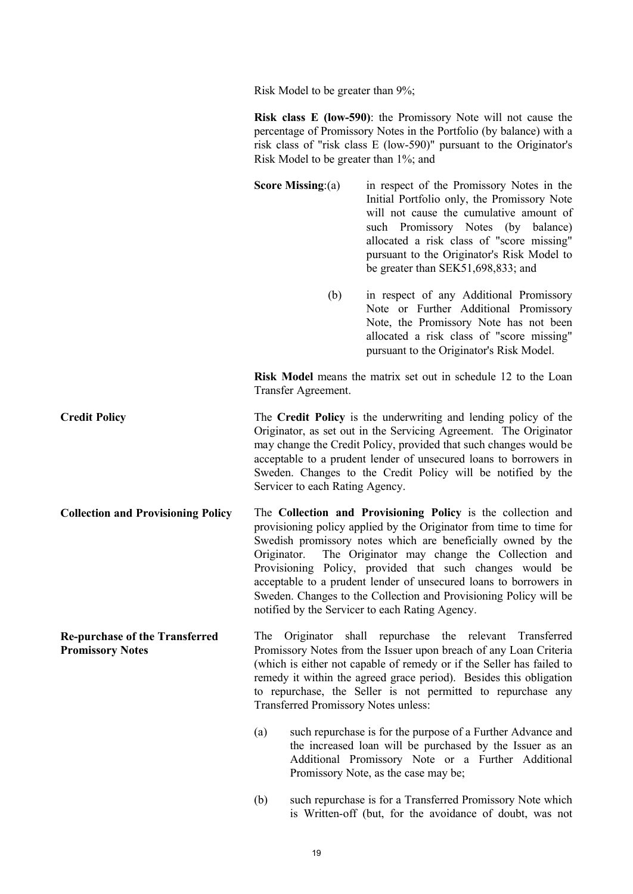Risk Model to be greater than 9%;

|                                                                  | <b>Risk class E (low-590)</b> : the Promissory Note will not cause the<br>percentage of Promissory Notes in the Portfolio (by balance) with a<br>risk class of "risk class E (low-590)" pursuant to the Originator's<br>Risk Model to be greater than 1%; and                                                                                                                                                                                                                                                               |                                                                                                                                                                                                                                                                                                                                     |  |
|------------------------------------------------------------------|-----------------------------------------------------------------------------------------------------------------------------------------------------------------------------------------------------------------------------------------------------------------------------------------------------------------------------------------------------------------------------------------------------------------------------------------------------------------------------------------------------------------------------|-------------------------------------------------------------------------------------------------------------------------------------------------------------------------------------------------------------------------------------------------------------------------------------------------------------------------------------|--|
|                                                                  | Score Missing: $(a)$                                                                                                                                                                                                                                                                                                                                                                                                                                                                                                        | in respect of the Promissory Notes in the<br>Initial Portfolio only, the Promissory Note<br>will not cause the cumulative amount of<br>such Promissory Notes (by<br>balance)<br>allocated a risk class of "score missing"<br>pursuant to the Originator's Risk Model to<br>be greater than SEK51,698,833; and                       |  |
|                                                                  | (b)                                                                                                                                                                                                                                                                                                                                                                                                                                                                                                                         | in respect of any Additional Promissory<br>Note or Further Additional Promissory<br>Note, the Promissory Note has not been<br>allocated a risk class of "score missing"<br>pursuant to the Originator's Risk Model.                                                                                                                 |  |
|                                                                  | Transfer Agreement.                                                                                                                                                                                                                                                                                                                                                                                                                                                                                                         | <b>Risk Model</b> means the matrix set out in schedule 12 to the Loan                                                                                                                                                                                                                                                               |  |
| <b>Credit Policy</b>                                             | The Credit Policy is the underwriting and lending policy of the<br>Originator, as set out in the Servicing Agreement. The Originator<br>may change the Credit Policy, provided that such changes would be<br>acceptable to a prudent lender of unsecured loans to borrowers in<br>Sweden. Changes to the Credit Policy will be notified by the<br>Servicer to each Rating Agency.                                                                                                                                           |                                                                                                                                                                                                                                                                                                                                     |  |
| <b>Collection and Provisioning Policy</b>                        | The Collection and Provisioning Policy is the collection and<br>provisioning policy applied by the Originator from time to time for<br>Swedish promissory notes which are beneficially owned by the<br>The Originator may change the Collection and<br>Originator.<br>Provisioning Policy, provided that such changes would be<br>acceptable to a prudent lender of unsecured loans to borrowers in<br>Sweden. Changes to the Collection and Provisioning Policy will be<br>notified by the Servicer to each Rating Agency. |                                                                                                                                                                                                                                                                                                                                     |  |
| <b>Re-purchase of the Transferred</b><br><b>Promissory Notes</b> | The<br>Originator<br>Transferred Promissory Notes unless:                                                                                                                                                                                                                                                                                                                                                                                                                                                                   | shall<br>repurchase the relevant<br>Transferred<br>Promissory Notes from the Issuer upon breach of any Loan Criteria<br>(which is either not capable of remedy or if the Seller has failed to<br>remedy it within the agreed grace period). Besides this obligation<br>to repurchase, the Seller is not permitted to repurchase any |  |
|                                                                  | (a)                                                                                                                                                                                                                                                                                                                                                                                                                                                                                                                         | such repurchase is for the purpose of a Further Advance and<br>the increased loan will be purchased by the Issuer as an<br>Additional Promissory Note or a Further Additional<br>Promissory Note, as the case may be;                                                                                                               |  |

(b) such repurchase is for a Transferred Promissory Note which is Written-off (but, for the avoidance of doubt, was not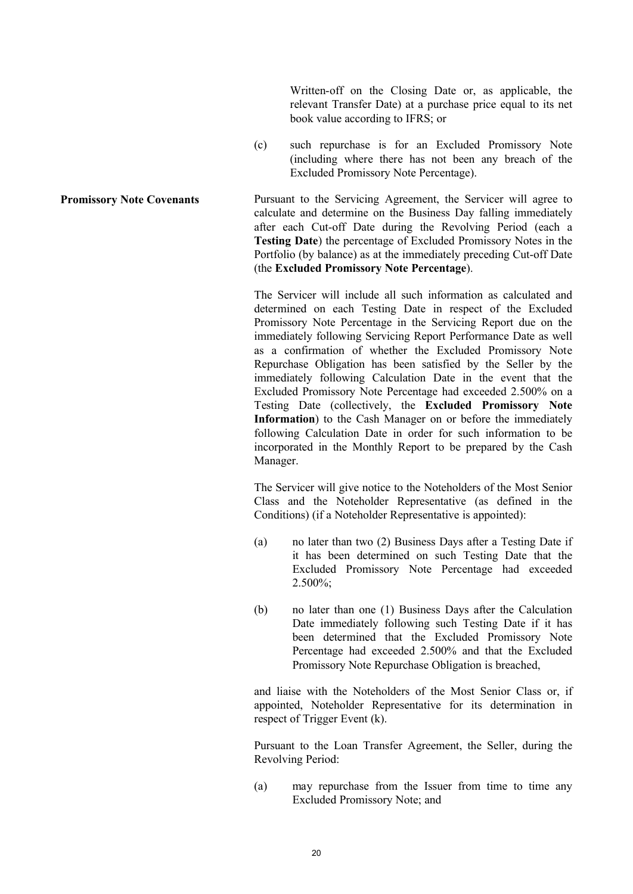Written-off on the Closing Date or, as applicable, the relevant Transfer Date) at a purchase price equal to its net book value according to IFRS; or

(c) such repurchase is for an Excluded Promissory Note (including where there has not been any breach of the Excluded Promissory Note Percentage).

**Promissory Note Covenants** Pursuant to the Servicing Agreement, the Servicer will agree to calculate and determine on the Business Day falling immediately after each Cut-off Date during the Revolving Period (each a **Testing Date**) the percentage of Excluded Promissory Notes in the Portfolio (by balance) as at the immediately preceding Cut-off Date (the **Excluded Promissory Note Percentage**).

> The Servicer will include all such information as calculated and determined on each Testing Date in respect of the Excluded Promissory Note Percentage in the Servicing Report due on the immediately following Servicing Report Performance Date as well as a confirmation of whether the Excluded Promissory Note Repurchase Obligation has been satisfied by the Seller by the immediately following Calculation Date in the event that the Excluded Promissory Note Percentage had exceeded 2.500% on a Testing Date (collectively, the **Excluded Promissory Note Information**) to the Cash Manager on or before the immediately following Calculation Date in order for such information to be incorporated in the Monthly Report to be prepared by the Cash Manager.

> The Servicer will give notice to the Noteholders of the Most Senior Class and the Noteholder Representative (as defined in the Conditions) (if a Noteholder Representative is appointed):

- (a) no later than two (2) Business Days after a Testing Date if it has been determined on such Testing Date that the Excluded Promissory Note Percentage had exceeded  $2.500\%$ ;
- (b) no later than one (1) Business Days after the Calculation Date immediately following such Testing Date if it has been determined that the Excluded Promissory Note Percentage had exceeded 2.500% and that the Excluded Promissory Note Repurchase Obligation is breached,

and liaise with the Noteholders of the Most Senior Class or, if appointed, Noteholder Representative for its determination in respect of Trigger Event (k).

Pursuant to the Loan Transfer Agreement, the Seller, during the Revolving Period:

(a) may repurchase from the Issuer from time to time any Excluded Promissory Note; and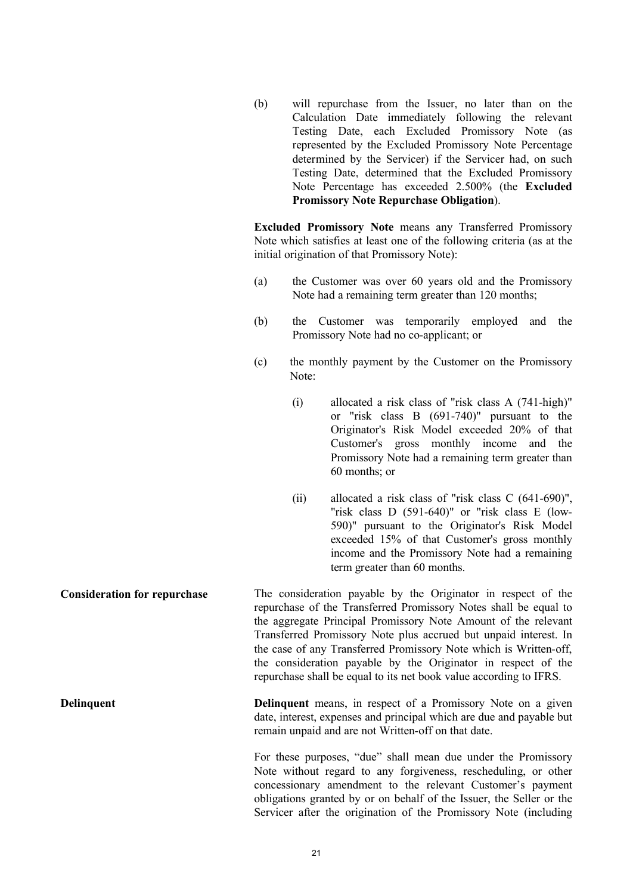(b) will repurchase from the Issuer, no later than on the Calculation Date immediately following the relevant Testing Date, each Excluded Promissory Note (as represented by the Excluded Promissory Note Percentage determined by the Servicer) if the Servicer had, on such Testing Date, determined that the Excluded Promissory Note Percentage has exceeded 2.500% (the **Excluded Promissory Note Repurchase Obligation**).

**Excluded Promissory Note** means any Transferred Promissory Note which satisfies at least one of the following criteria (as at the initial origination of that Promissory Note):

- (a) the Customer was over 60 years old and the Promissory Note had a remaining term greater than 120 months;
- (b) the Customer was temporarily employed and the Promissory Note had no co-applicant; or
- (c) the monthly payment by the Customer on the Promissory Note:
	- (i) allocated a risk class of "risk class A (741-high)" or "risk class B (691-740)" pursuant to the Originator's Risk Model exceeded 20% of that Customer's gross monthly income and the Promissory Note had a remaining term greater than 60 months; or
	- (ii) allocated a risk class of "risk class C (641-690)", "risk class D (591-640)" or "risk class E (low-590)" pursuant to the Originator's Risk Model exceeded 15% of that Customer's gross monthly income and the Promissory Note had a remaining term greater than 60 months.

**Consideration for repurchase** The consideration payable by the Originator in respect of the repurchase of the Transferred Promissory Notes shall be equal to the aggregate Principal Promissory Note Amount of the relevant Transferred Promissory Note plus accrued but unpaid interest. In the case of any Transferred Promissory Note which is Written-off, the consideration payable by the Originator in respect of the repurchase shall be equal to its net book value according to IFRS.

**Delinquent Delinquent** means, in respect of a Promissory Note on a given date, interest, expenses and principal which are due and payable but remain unpaid and are not Written-off on that date.

> For these purposes, "due" shall mean due under the Promissory Note without regard to any forgiveness, rescheduling, or other concessionary amendment to the relevant Customer's payment obligations granted by or on behalf of the Issuer, the Seller or the Servicer after the origination of the Promissory Note (including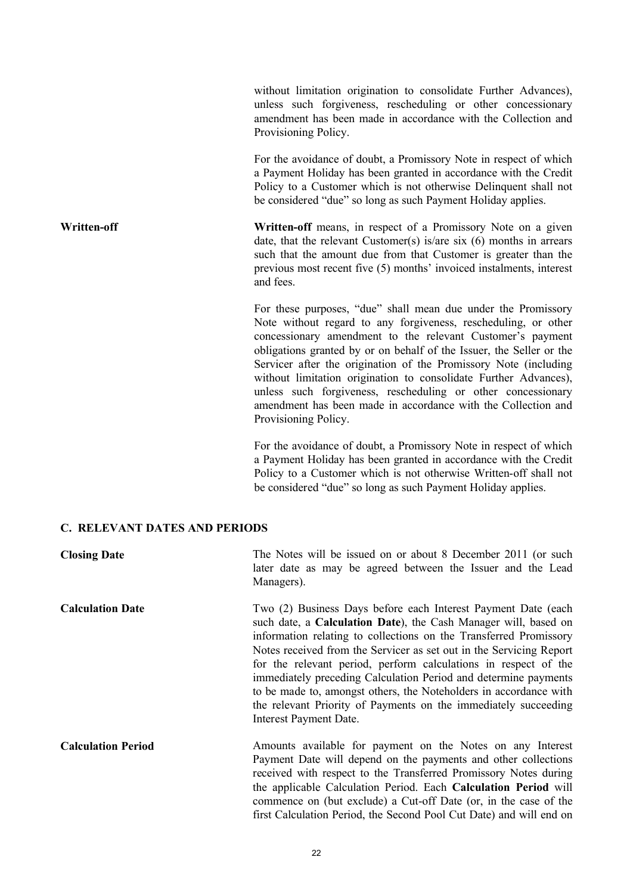without limitation origination to consolidate Further Advances), unless such forgiveness, rescheduling or other concessionary amendment has been made in accordance with the Collection and Provisioning Policy.

For the avoidance of doubt, a Promissory Note in respect of which a Payment Holiday has been granted in accordance with the Credit Policy to a Customer which is not otherwise Delinquent shall not be considered "due" so long as such Payment Holiday applies.

**Written-off Written-off** means, in respect of a Promissory Note on a given date, that the relevant Customer(s) is/are six (6) months in arrears such that the amount due from that Customer is greater than the previous most recent five (5) months' invoiced instalments, interest and fees.

> For these purposes, "due" shall mean due under the Promissory Note without regard to any forgiveness, rescheduling, or other concessionary amendment to the relevant Customer's payment obligations granted by or on behalf of the Issuer, the Seller or the Servicer after the origination of the Promissory Note (including without limitation origination to consolidate Further Advances), unless such forgiveness, rescheduling or other concessionary amendment has been made in accordance with the Collection and Provisioning Policy.

> For the avoidance of doubt, a Promissory Note in respect of which a Payment Holiday has been granted in accordance with the Credit Policy to a Customer which is not otherwise Written-off shall not be considered "due" so long as such Payment Holiday applies.

### **C. RELEVANT DATES AND PERIODS**

| <b>Closing Date</b>       | The Notes will be issued on or about 8 December 2011 (or such<br>later date as may be agreed between the Issuer and the Lead<br>Managers).                                                                                                                                                                                                                                                                                                                                                                                                                                           |
|---------------------------|--------------------------------------------------------------------------------------------------------------------------------------------------------------------------------------------------------------------------------------------------------------------------------------------------------------------------------------------------------------------------------------------------------------------------------------------------------------------------------------------------------------------------------------------------------------------------------------|
| <b>Calculation Date</b>   | Two (2) Business Days before each Interest Payment Date (each<br>such date, a Calculation Date), the Cash Manager will, based on<br>information relating to collections on the Transferred Promissory<br>Notes received from the Servicer as set out in the Servicing Report<br>for the relevant period, perform calculations in respect of the<br>immediately preceding Calculation Period and determine payments<br>to be made to, amongst others, the Noteholders in accordance with<br>the relevant Priority of Payments on the immediately succeeding<br>Interest Payment Date. |
| <b>Calculation Period</b> | Amounts available for payment on the Notes on any Interest<br>Payment Date will depend on the payments and other collections<br>received with respect to the Transferred Promissory Notes during<br>the applicable Calculation Period. Each Calculation Period will<br>commence on (but exclude) a Cut-off Date (or, in the case of the<br>first Calculation Period, the Second Pool Cut Date) and will end on                                                                                                                                                                       |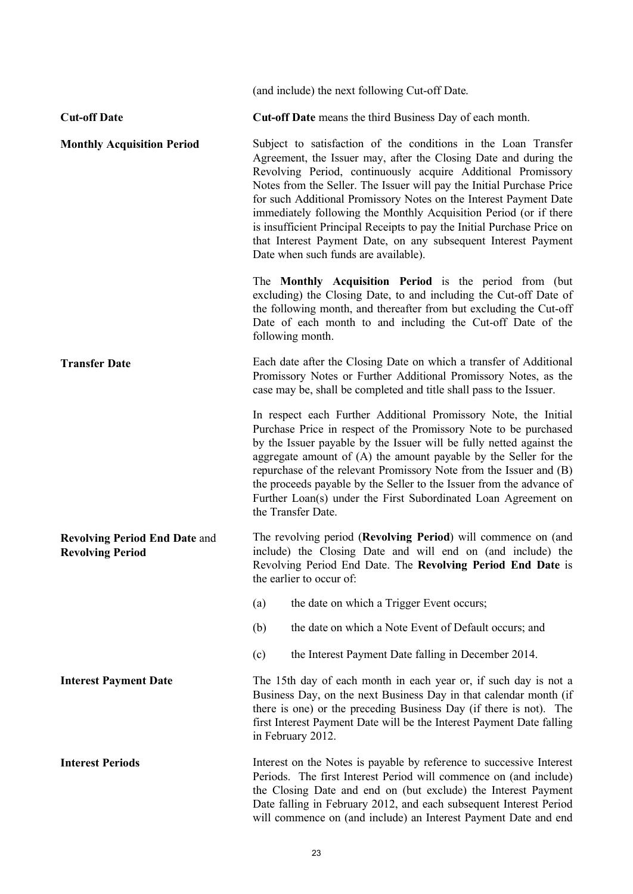|                                                                 | (and include) the next following Cut-off Date.                                                                                                                                                                                                                                                                                                                                                                                                                                                                                                                                                             |
|-----------------------------------------------------------------|------------------------------------------------------------------------------------------------------------------------------------------------------------------------------------------------------------------------------------------------------------------------------------------------------------------------------------------------------------------------------------------------------------------------------------------------------------------------------------------------------------------------------------------------------------------------------------------------------------|
| <b>Cut-off Date</b>                                             | Cut-off Date means the third Business Day of each month.                                                                                                                                                                                                                                                                                                                                                                                                                                                                                                                                                   |
| <b>Monthly Acquisition Period</b>                               | Subject to satisfaction of the conditions in the Loan Transfer<br>Agreement, the Issuer may, after the Closing Date and during the<br>Revolving Period, continuously acquire Additional Promissory<br>Notes from the Seller. The Issuer will pay the Initial Purchase Price<br>for such Additional Promissory Notes on the Interest Payment Date<br>immediately following the Monthly Acquisition Period (or if there<br>is insufficient Principal Receipts to pay the Initial Purchase Price on<br>that Interest Payment Date, on any subsequent Interest Payment<br>Date when such funds are available). |
|                                                                 | The Monthly Acquisition Period is the period from (but<br>excluding) the Closing Date, to and including the Cut-off Date of<br>the following month, and thereafter from but excluding the Cut-off<br>Date of each month to and including the Cut-off Date of the<br>following month.                                                                                                                                                                                                                                                                                                                       |
| <b>Transfer Date</b>                                            | Each date after the Closing Date on which a transfer of Additional<br>Promissory Notes or Further Additional Promissory Notes, as the<br>case may be, shall be completed and title shall pass to the Issuer.                                                                                                                                                                                                                                                                                                                                                                                               |
|                                                                 | In respect each Further Additional Promissory Note, the Initial<br>Purchase Price in respect of the Promissory Note to be purchased<br>by the Issuer payable by the Issuer will be fully netted against the<br>aggregate amount of $(A)$ the amount payable by the Seller for the<br>repurchase of the relevant Promissory Note from the Issuer and (B)<br>the proceeds payable by the Seller to the Issuer from the advance of<br>Further Loan(s) under the First Subordinated Loan Agreement on<br>the Transfer Date.                                                                                    |
| <b>Revolving Period End Date and</b><br><b>Revolving Period</b> | The revolving period (Revolving Period) will commence on (and<br>include) the Closing Date and will end on (and include) the<br>Revolving Period End Date. The Revolving Period End Date is<br>the earlier to occur of:                                                                                                                                                                                                                                                                                                                                                                                    |
|                                                                 | (a)<br>the date on which a Trigger Event occurs;                                                                                                                                                                                                                                                                                                                                                                                                                                                                                                                                                           |
|                                                                 | the date on which a Note Event of Default occurs; and<br>(b)                                                                                                                                                                                                                                                                                                                                                                                                                                                                                                                                               |
|                                                                 | (c)<br>the Interest Payment Date falling in December 2014.                                                                                                                                                                                                                                                                                                                                                                                                                                                                                                                                                 |
| <b>Interest Payment Date</b>                                    | The 15th day of each month in each year or, if such day is not a<br>Business Day, on the next Business Day in that calendar month (if<br>there is one) or the preceding Business Day (if there is not). The<br>first Interest Payment Date will be the Interest Payment Date falling<br>in February 2012.                                                                                                                                                                                                                                                                                                  |
| <b>Interest Periods</b>                                         | Interest on the Notes is payable by reference to successive Interest<br>Periods. The first Interest Period will commence on (and include)<br>the Closing Date and end on (but exclude) the Interest Payment<br>Date falling in February 2012, and each subsequent Interest Period<br>will commence on (and include) an Interest Payment Date and end                                                                                                                                                                                                                                                       |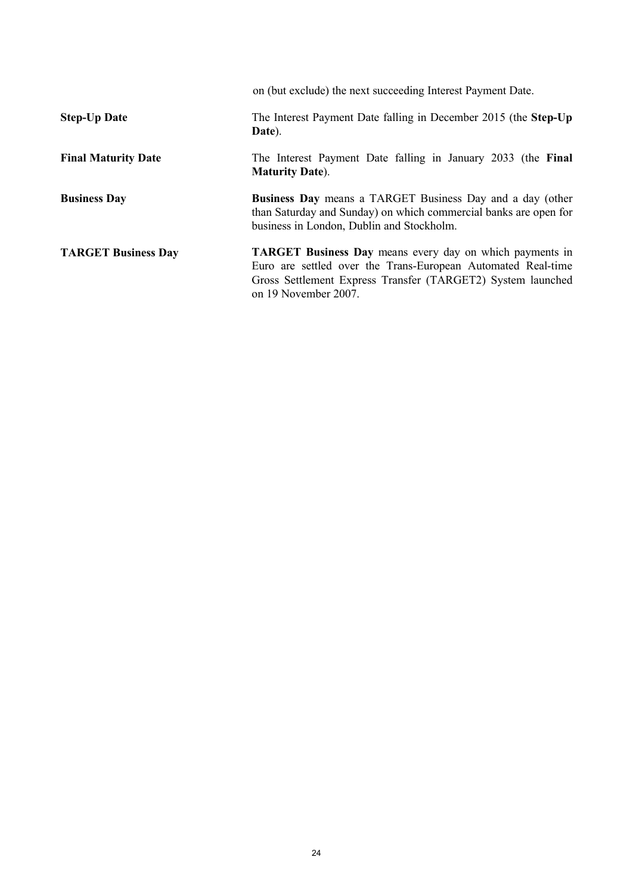|                            | on (but exclude) the next succeeding Interest Payment Date.                                                                                                                                                            |
|----------------------------|------------------------------------------------------------------------------------------------------------------------------------------------------------------------------------------------------------------------|
| <b>Step-Up Date</b>        | The Interest Payment Date falling in December 2015 (the Step-Up<br>Date).                                                                                                                                              |
| <b>Final Maturity Date</b> | The Interest Payment Date falling in January 2033 (the Final<br><b>Maturity Date).</b>                                                                                                                                 |
| <b>Business Day</b>        | <b>Business Day</b> means a TARGET Business Day and a day (other<br>than Saturday and Sunday) on which commercial banks are open for<br>business in London, Dublin and Stockholm.                                      |
| <b>TARGET Business Day</b> | <b>TARGET Business Day</b> means every day on which payments in<br>Euro are settled over the Trans-European Automated Real-time<br>Gross Settlement Express Transfer (TARGET2) System launched<br>on 19 November 2007. |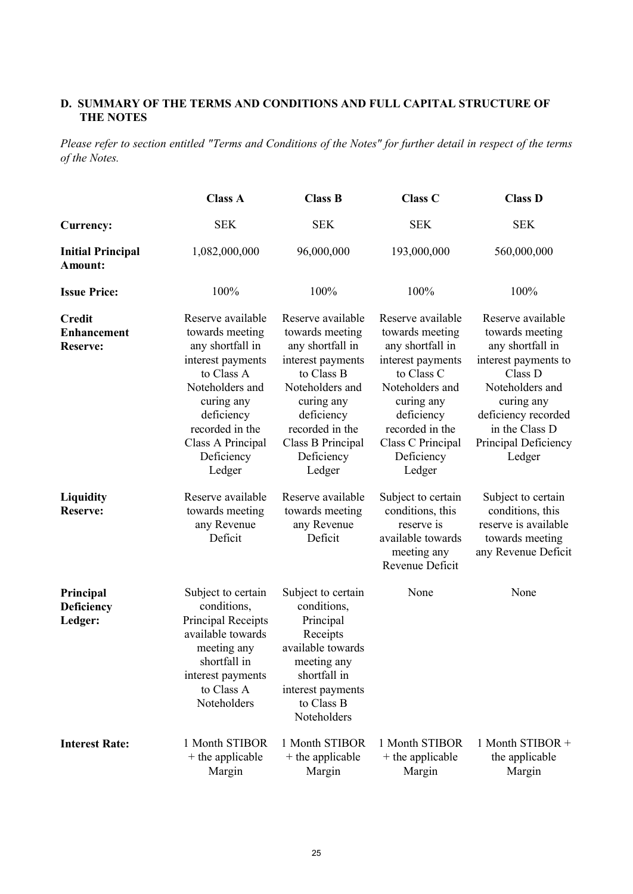## **D. SUMMARY OF THE TERMS AND CONDITIONS AND FULL CAPITAL STRUCTURE OF THE NOTES**

*Please refer to section entitled "Terms and Conditions of the Notes" for further detail in respect of the terms of the Notes.*

|                                                        | <b>Class A</b>                                                                                                                                                                                             | <b>Class B</b>                                                                                                                                                                                             | Class C                                                                                                                                                                                                    | <b>Class D</b>                                                                                                                                                                                          |
|--------------------------------------------------------|------------------------------------------------------------------------------------------------------------------------------------------------------------------------------------------------------------|------------------------------------------------------------------------------------------------------------------------------------------------------------------------------------------------------------|------------------------------------------------------------------------------------------------------------------------------------------------------------------------------------------------------------|---------------------------------------------------------------------------------------------------------------------------------------------------------------------------------------------------------|
| <b>Currency:</b>                                       | <b>SEK</b>                                                                                                                                                                                                 | <b>SEK</b>                                                                                                                                                                                                 | <b>SEK</b>                                                                                                                                                                                                 | <b>SEK</b>                                                                                                                                                                                              |
| <b>Initial Principal</b><br>Amount:                    | 1,082,000,000                                                                                                                                                                                              | 96,000,000                                                                                                                                                                                                 | 193,000,000                                                                                                                                                                                                | 560,000,000                                                                                                                                                                                             |
| <b>Issue Price:</b>                                    | 100%                                                                                                                                                                                                       | 100%                                                                                                                                                                                                       | 100%                                                                                                                                                                                                       | 100%                                                                                                                                                                                                    |
| <b>Credit</b><br><b>Enhancement</b><br><b>Reserve:</b> | Reserve available<br>towards meeting<br>any shortfall in<br>interest payments<br>to Class A<br>Noteholders and<br>curing any<br>deficiency<br>recorded in the<br>Class A Principal<br>Deficiency<br>Ledger | Reserve available<br>towards meeting<br>any shortfall in<br>interest payments<br>to Class B<br>Noteholders and<br>curing any<br>deficiency<br>recorded in the<br>Class B Principal<br>Deficiency<br>Ledger | Reserve available<br>towards meeting<br>any shortfall in<br>interest payments<br>to Class C<br>Noteholders and<br>curing any<br>deficiency<br>recorded in the<br>Class C Principal<br>Deficiency<br>Ledger | Reserve available<br>towards meeting<br>any shortfall in<br>interest payments to<br>Class D<br>Noteholders and<br>curing any<br>deficiency recorded<br>in the Class D<br>Principal Deficiency<br>Ledger |
| <b>Liquidity</b><br><b>Reserve:</b>                    | Reserve available<br>towards meeting<br>any Revenue<br>Deficit                                                                                                                                             | Reserve available<br>towards meeting<br>any Revenue<br>Deficit                                                                                                                                             | Subject to certain<br>conditions, this<br>reserve is<br>available towards<br>meeting any<br>Revenue Deficit                                                                                                | Subject to certain<br>conditions, this<br>reserve is available<br>towards meeting<br>any Revenue Deficit                                                                                                |
| Principal<br>Deficiency<br>Ledger:                     | Subject to certain<br>conditions,<br><b>Principal Receipts</b><br>available towards<br>meeting any<br>shortfall in<br>interest payments<br>to Class A<br>Noteholders                                       | Subject to certain<br>conditions,<br>Principal<br>Receipts<br>available towards<br>meeting any<br>shortfall in<br>interest payments<br>to Class B<br>Noteholders                                           | None                                                                                                                                                                                                       | None                                                                                                                                                                                                    |
| <b>Interest Rate:</b>                                  | 1 Month STIBOR<br>+ the applicable<br>Margin                                                                                                                                                               | 1 Month STIBOR<br>+ the applicable<br>Margin                                                                                                                                                               | 1 Month STIBOR<br>+ the applicable<br>Margin                                                                                                                                                               | 1 Month STIBOR +<br>the applicable<br>Margin                                                                                                                                                            |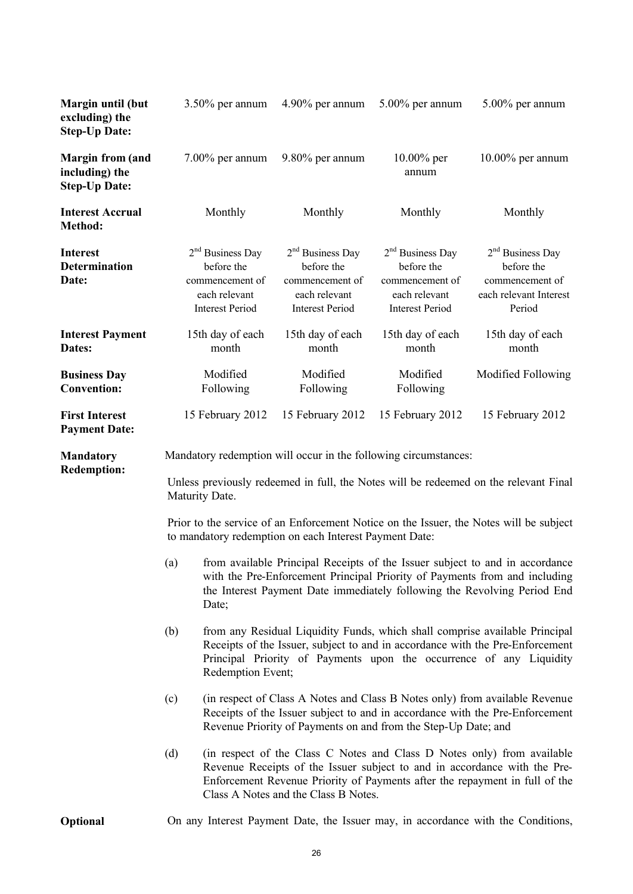| Margin until (but<br>excluding) the<br><b>Step-Up Date:</b>       | $3.50\%$ per annum                                                                                                                                                                                                                                                                 | 4.90% per annum                                                                                | $5.00\%$ per annum                                                                             | 5.00% per annum                                                                                                                                                                                                                        |  |
|-------------------------------------------------------------------|------------------------------------------------------------------------------------------------------------------------------------------------------------------------------------------------------------------------------------------------------------------------------------|------------------------------------------------------------------------------------------------|------------------------------------------------------------------------------------------------|----------------------------------------------------------------------------------------------------------------------------------------------------------------------------------------------------------------------------------------|--|
| <b>Margin from (and</b><br>including) the<br><b>Step-Up Date:</b> | $7.00\%$ per annum                                                                                                                                                                                                                                                                 | 9.80% per annum                                                                                | $10.00\%$ per<br>annum                                                                         | $10.00\%$ per annum                                                                                                                                                                                                                    |  |
| <b>Interest Accrual</b><br>Method:                                | Monthly                                                                                                                                                                                                                                                                            | Monthly                                                                                        | Monthly                                                                                        | Monthly                                                                                                                                                                                                                                |  |
| <b>Interest</b><br><b>Determination</b><br>Date:                  | $2nd$ Business Day<br>before the<br>commencement of<br>each relevant<br><b>Interest Period</b>                                                                                                                                                                                     | $2nd$ Business Day<br>before the<br>commencement of<br>each relevant<br><b>Interest Period</b> | $2nd$ Business Day<br>before the<br>commencement of<br>each relevant<br><b>Interest Period</b> | $2nd$ Business Day<br>before the<br>commencement of<br>each relevant Interest<br>Period                                                                                                                                                |  |
| <b>Interest Payment</b><br>Dates:                                 | 15th day of each<br>month                                                                                                                                                                                                                                                          | 15th day of each<br>month                                                                      | 15th day of each<br>month                                                                      | 15th day of each<br>month                                                                                                                                                                                                              |  |
| <b>Business Day</b><br><b>Convention:</b>                         | Modified<br>Following                                                                                                                                                                                                                                                              | Modified<br>Following                                                                          | Modified<br>Following                                                                          | Modified Following                                                                                                                                                                                                                     |  |
| <b>First Interest</b><br><b>Payment Date:</b>                     | 15 February 2012                                                                                                                                                                                                                                                                   | 15 February 2012                                                                               | 15 February 2012                                                                               | 15 February 2012                                                                                                                                                                                                                       |  |
| <b>Mandatory</b>                                                  | Mandatory redemption will occur in the following circumstances:                                                                                                                                                                                                                    |                                                                                                |                                                                                                |                                                                                                                                                                                                                                        |  |
| <b>Redemption:</b>                                                | Unless previously redeemed in full, the Notes will be redeemed on the relevant Final<br>Maturity Date.                                                                                                                                                                             |                                                                                                |                                                                                                |                                                                                                                                                                                                                                        |  |
|                                                                   | Prior to the service of an Enforcement Notice on the Issuer, the Notes will be subject<br>to mandatory redemption on each Interest Payment Date:                                                                                                                                   |                                                                                                |                                                                                                |                                                                                                                                                                                                                                        |  |
|                                                                   | (a)<br>Date;                                                                                                                                                                                                                                                                       |                                                                                                |                                                                                                | from available Principal Receipts of the Issuer subject to and in accordance<br>with the Pre-Enforcement Principal Priority of Payments from and including<br>the Interest Payment Date immediately following the Revolving Period End |  |
|                                                                   | from any Residual Liquidity Funds, which shall comprise available Principal<br>(b)<br>Receipts of the Issuer, subject to and in accordance with the Pre-Enforcement<br>Principal Priority of Payments upon the occurrence of any Liquidity<br>Redemption Event;                    |                                                                                                |                                                                                                |                                                                                                                                                                                                                                        |  |
|                                                                   | (in respect of Class A Notes and Class B Notes only) from available Revenue<br>(c)<br>Receipts of the Issuer subject to and in accordance with the Pre-Enforcement<br>Revenue Priority of Payments on and from the Step-Up Date; and                                               |                                                                                                |                                                                                                |                                                                                                                                                                                                                                        |  |
|                                                                   | (in respect of the Class C Notes and Class D Notes only) from available<br>(d)<br>Revenue Receipts of the Issuer subject to and in accordance with the Pre-<br>Enforcement Revenue Priority of Payments after the repayment in full of the<br>Class A Notes and the Class B Notes. |                                                                                                |                                                                                                |                                                                                                                                                                                                                                        |  |
| Optional                                                          |                                                                                                                                                                                                                                                                                    |                                                                                                |                                                                                                | On any Interest Payment Date, the Issuer may, in accordance with the Conditions,                                                                                                                                                       |  |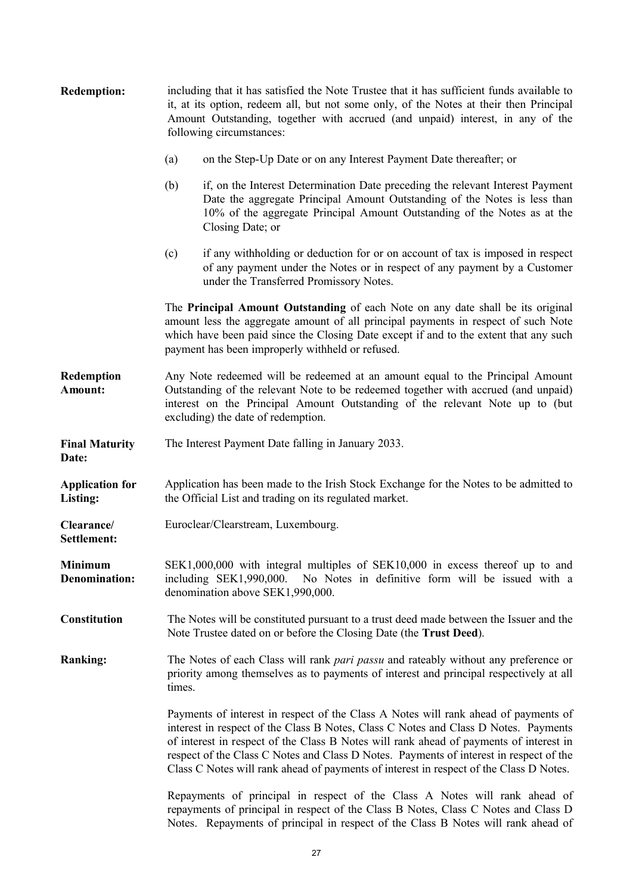| <b>Redemption:</b>                     | including that it has satisfied the Note Trustee that it has sufficient funds available to<br>it, at its option, redeem all, but not some only, of the Notes at their then Principal<br>Amount Outstanding, together with accrued (and unpaid) interest, in any of the<br>following circumstances:                                                                                                                                                       |  |  |
|----------------------------------------|----------------------------------------------------------------------------------------------------------------------------------------------------------------------------------------------------------------------------------------------------------------------------------------------------------------------------------------------------------------------------------------------------------------------------------------------------------|--|--|
|                                        | (a)<br>on the Step-Up Date or on any Interest Payment Date thereafter; or                                                                                                                                                                                                                                                                                                                                                                                |  |  |
|                                        | (b)<br>if, on the Interest Determination Date preceding the relevant Interest Payment<br>Date the aggregate Principal Amount Outstanding of the Notes is less than<br>10% of the aggregate Principal Amount Outstanding of the Notes as at the<br>Closing Date; or                                                                                                                                                                                       |  |  |
|                                        | if any withholding or deduction for or on account of tax is imposed in respect<br>(c)<br>of any payment under the Notes or in respect of any payment by a Customer<br>under the Transferred Promissory Notes.                                                                                                                                                                                                                                            |  |  |
|                                        | The Principal Amount Outstanding of each Note on any date shall be its original<br>amount less the aggregate amount of all principal payments in respect of such Note<br>which have been paid since the Closing Date except if and to the extent that any such<br>payment has been improperly withheld or refused.                                                                                                                                       |  |  |
| Redemption<br>Amount:                  | Any Note redeemed will be redeemed at an amount equal to the Principal Amount<br>Outstanding of the relevant Note to be redeemed together with accrued (and unpaid)<br>interest on the Principal Amount Outstanding of the relevant Note up to (but<br>excluding) the date of redemption.                                                                                                                                                                |  |  |
| <b>Final Maturity</b><br>Date:         | The Interest Payment Date falling in January 2033.                                                                                                                                                                                                                                                                                                                                                                                                       |  |  |
| <b>Application for</b><br>Listing:     | Application has been made to the Irish Stock Exchange for the Notes to be admitted to<br>the Official List and trading on its regulated market.                                                                                                                                                                                                                                                                                                          |  |  |
| Clearance/<br>Settlement:              | Euroclear/Clearstream, Luxembourg.                                                                                                                                                                                                                                                                                                                                                                                                                       |  |  |
| <b>Minimum</b><br><b>Denomination:</b> | SEK1,000,000 with integral multiples of SEK10,000 in excess thereof up to and<br>including SEK1,990,000. No Notes in definitive form will be issued with a<br>denomination above SEK1,990,000.                                                                                                                                                                                                                                                           |  |  |
| <b>Constitution</b>                    | The Notes will be constituted pursuant to a trust deed made between the Issuer and the<br>Note Trustee dated on or before the Closing Date (the Trust Deed).                                                                                                                                                                                                                                                                                             |  |  |
| <b>Ranking:</b>                        | The Notes of each Class will rank <i>pari passu</i> and rateably without any preference or<br>priority among themselves as to payments of interest and principal respectively at all<br>times.                                                                                                                                                                                                                                                           |  |  |
|                                        | Payments of interest in respect of the Class A Notes will rank ahead of payments of<br>interest in respect of the Class B Notes, Class C Notes and Class D Notes. Payments<br>of interest in respect of the Class B Notes will rank ahead of payments of interest in<br>respect of the Class C Notes and Class D Notes. Payments of interest in respect of the<br>Class C Notes will rank ahead of payments of interest in respect of the Class D Notes. |  |  |
|                                        | Repayments of principal in respect of the Class A Notes will rank ahead of<br>repayments of principal in respect of the Class B Notes, Class C Notes and Class D<br>Notes. Repayments of principal in respect of the Class B Notes will rank ahead of                                                                                                                                                                                                    |  |  |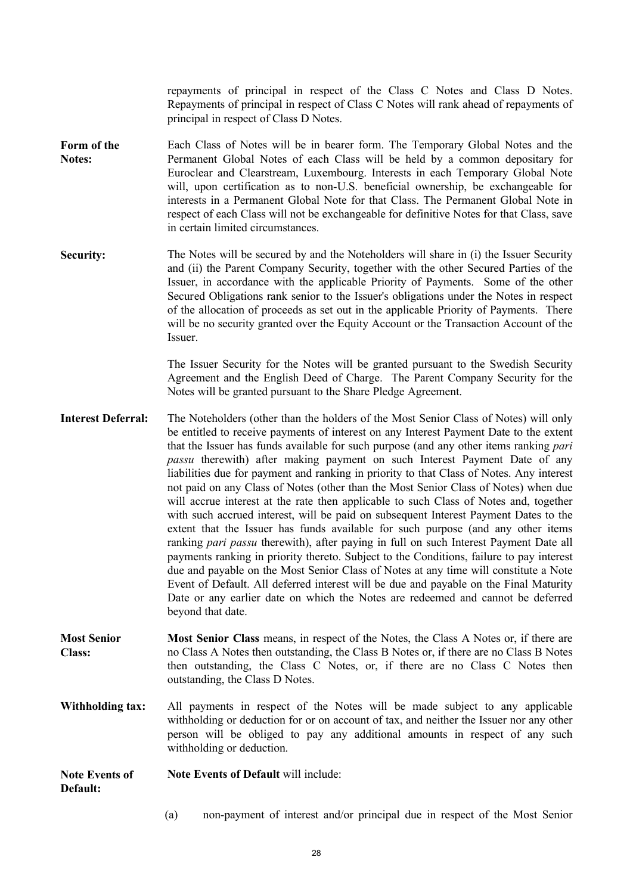repayments of principal in respect of the Class C Notes and Class D Notes. Repayments of principal in respect of Class C Notes will rank ahead of repayments of principal in respect of Class D Notes.

- **Form of the Notes:** Each Class of Notes will be in bearer form. The Temporary Global Notes and the Permanent Global Notes of each Class will be held by a common depositary for Euroclear and Clearstream, Luxembourg. Interests in each Temporary Global Note will, upon certification as to non-U.S. beneficial ownership, be exchangeable for interests in a Permanent Global Note for that Class. The Permanent Global Note in respect of each Class will not be exchangeable for definitive Notes for that Class, save in certain limited circumstances.
- **Security:** The Notes will be secured by and the Noteholders will share in (i) the Issuer Security and (ii) the Parent Company Security, together with the other Secured Parties of the Issuer, in accordance with the applicable Priority of Payments. Some of the other Secured Obligations rank senior to the Issuer's obligations under the Notes in respect of the allocation of proceeds as set out in the applicable Priority of Payments. There will be no security granted over the Equity Account or the Transaction Account of the Issuer.

The Issuer Security for the Notes will be granted pursuant to the Swedish Security Agreement and the English Deed of Charge. The Parent Company Security for the Notes will be granted pursuant to the Share Pledge Agreement.

- **Interest Deferral:** The Noteholders (other than the holders of the Most Senior Class of Notes) will only be entitled to receive payments of interest on any Interest Payment Date to the extent that the Issuer has funds available for such purpose (and any other items ranking *pari passu* therewith) after making payment on such Interest Payment Date of any liabilities due for payment and ranking in priority to that Class of Notes. Any interest not paid on any Class of Notes (other than the Most Senior Class of Notes) when due will accrue interest at the rate then applicable to such Class of Notes and, together with such accrued interest, will be paid on subsequent Interest Payment Dates to the extent that the Issuer has funds available for such purpose (and any other items ranking *pari passu* therewith), after paying in full on such Interest Payment Date all payments ranking in priority thereto. Subject to the Conditions, failure to pay interest due and payable on the Most Senior Class of Notes at any time will constitute a Note Event of Default. All deferred interest will be due and payable on the Final Maturity Date or any earlier date on which the Notes are redeemed and cannot be deferred beyond that date.
- **Most Senior Class: Most Senior Class** means, in respect of the Notes, the Class A Notes or, if there are no Class A Notes then outstanding, the Class B Notes or, if there are no Class B Notes then outstanding, the Class C Notes, or, if there are no Class C Notes then outstanding, the Class D Notes.
- **Withholding tax:** All payments in respect of the Notes will be made subject to any applicable withholding or deduction for or on account of tax, and neither the Issuer nor any other person will be obliged to pay any additional amounts in respect of any such withholding or deduction.

**Note Events of Default: Note Events of Default** will include:

(a) non-payment of interest and/or principal due in respect of the Most Senior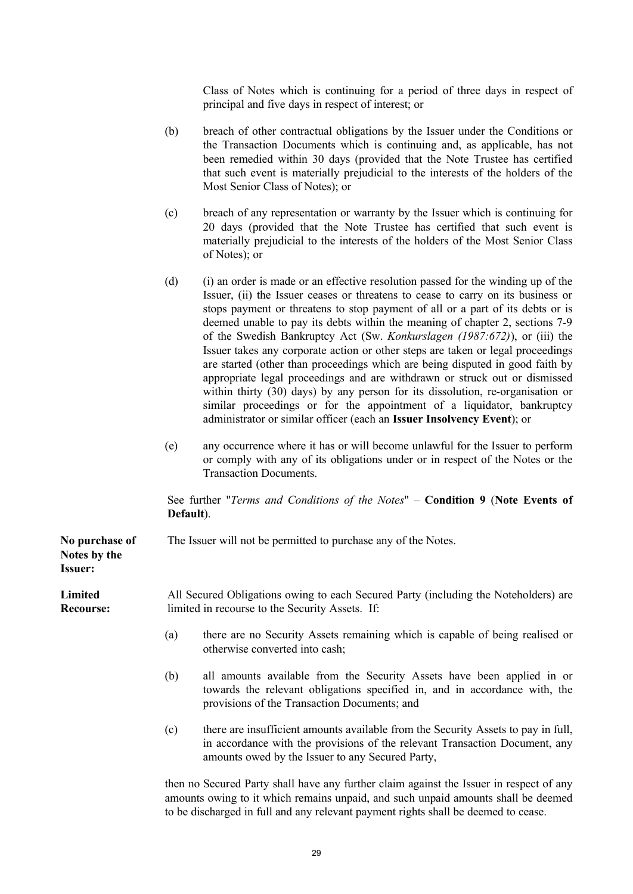Class of Notes which is continuing for a period of three days in respect of principal and five days in respect of interest; or

- (b) breach of other contractual obligations by the Issuer under the Conditions or the Transaction Documents which is continuing and, as applicable, has not been remedied within 30 days (provided that the Note Trustee has certified that such event is materially prejudicial to the interests of the holders of the Most Senior Class of Notes); or
- (c) breach of any representation or warranty by the Issuer which is continuing for 20 days (provided that the Note Trustee has certified that such event is materially prejudicial to the interests of the holders of the Most Senior Class of Notes); or
- (d) (i) an order is made or an effective resolution passed for the winding up of the Issuer, (ii) the Issuer ceases or threatens to cease to carry on its business or stops payment or threatens to stop payment of all or a part of its debts or is deemed unable to pay its debts within the meaning of chapter 2, sections 7-9 of the Swedish Bankruptcy Act (Sw. *Konkurslagen (1987:672)*), or (iii) the Issuer takes any corporate action or other steps are taken or legal proceedings are started (other than proceedings which are being disputed in good faith by appropriate legal proceedings and are withdrawn or struck out or dismissed within thirty (30) days) by any person for its dissolution, re-organisation or similar proceedings or for the appointment of a liquidator, bankruptcy administrator or similar officer (each an **Issuer Insolvency Event**); or
- (e) any occurrence where it has or will become unlawful for the Issuer to perform or comply with any of its obligations under or in respect of the Notes or the Transaction Documents.

See further "*Terms and Conditions of the Notes*" – **Condition 9** (**Note Events of Default**).

**No purchase of Notes by the Issuer:** The Issuer will not be permitted to purchase any of the Notes. **Limited Recourse:** All Secured Obligations owing to each Secured Party (including the Noteholders) are limited in recourse to the Security Assets. If: (a) there are no Security Assets remaining which is capable of being realised or otherwise converted into cash; (b) all amounts available from the Security Assets have been applied in or towards the relevant obligations specified in, and in accordance with, the provisions of the Transaction Documents; and (c) there are insufficient amounts available from the Security Assets to pay in full, in accordance with the provisions of the relevant Transaction Document, any amounts owed by the Issuer to any Secured Party,

> then no Secured Party shall have any further claim against the Issuer in respect of any amounts owing to it which remains unpaid, and such unpaid amounts shall be deemed to be discharged in full and any relevant payment rights shall be deemed to cease.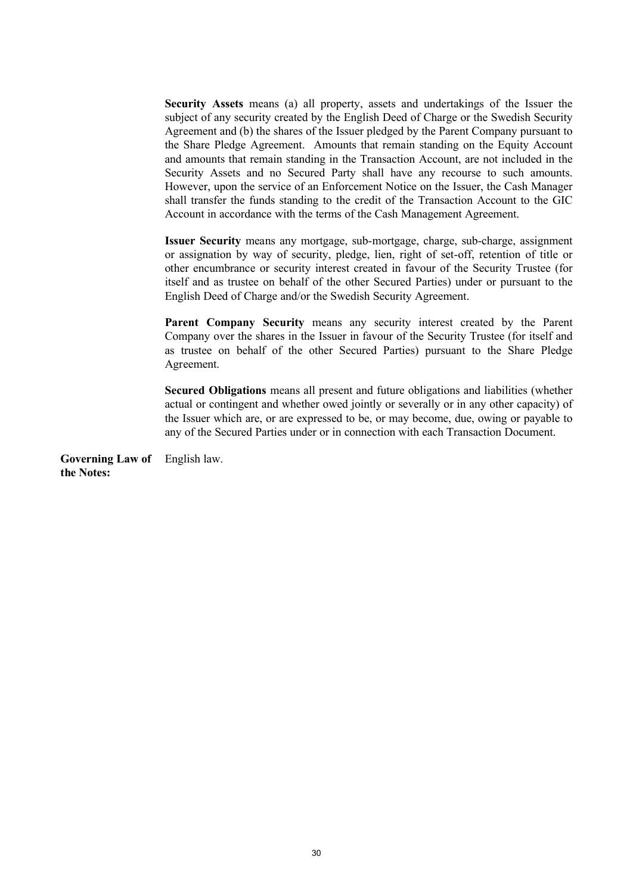**Security Assets** means (a) all property, assets and undertakings of the Issuer the subject of any security created by the English Deed of Charge or the Swedish Security Agreement and (b) the shares of the Issuer pledged by the Parent Company pursuant to the Share Pledge Agreement. Amounts that remain standing on the Equity Account and amounts that remain standing in the Transaction Account, are not included in the Security Assets and no Secured Party shall have any recourse to such amounts. However, upon the service of an Enforcement Notice on the Issuer, the Cash Manager shall transfer the funds standing to the credit of the Transaction Account to the GIC Account in accordance with the terms of the Cash Management Agreement.

**Issuer Security** means any mortgage, sub-mortgage, charge, sub-charge, assignment or assignation by way of security, pledge, lien, right of set-off, retention of title or other encumbrance or security interest created in favour of the Security Trustee (for itself and as trustee on behalf of the other Secured Parties) under or pursuant to the English Deed of Charge and/or the Swedish Security Agreement.

**Parent Company Security** means any security interest created by the Parent Company over the shares in the Issuer in favour of the Security Trustee (for itself and as trustee on behalf of the other Secured Parties) pursuant to the Share Pledge Agreement.

**Secured Obligations** means all present and future obligations and liabilities (whether actual or contingent and whether owed jointly or severally or in any other capacity) of the Issuer which are, or are expressed to be, or may become, due, owing or payable to any of the Secured Parties under or in connection with each Transaction Document.

**Governing Law of**  English law.**the Notes:**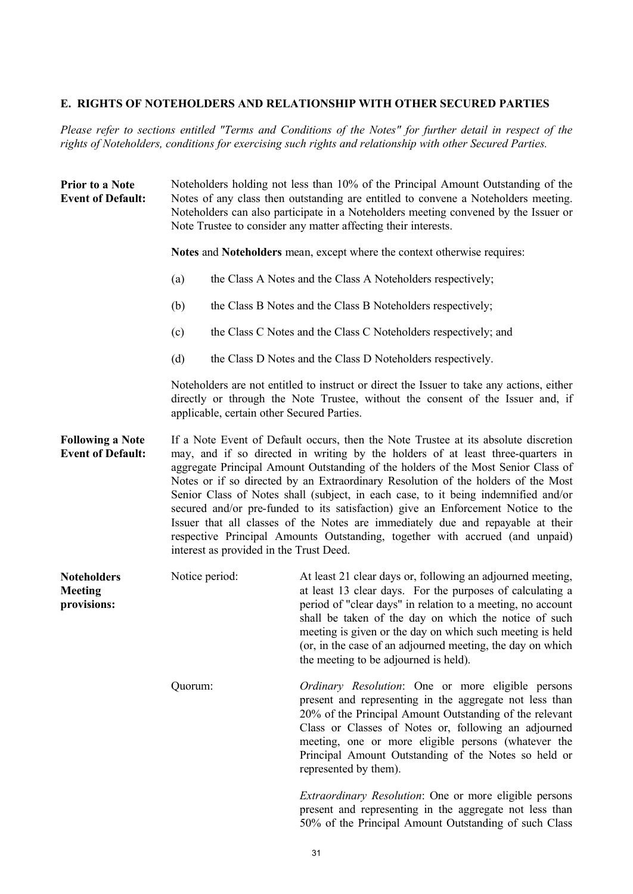## **E. RIGHTS OF NOTEHOLDERS AND RELATIONSHIP WITH OTHER SECURED PARTIES**

*Please refer to sections entitled "Terms and Conditions of the Notes" for further detail in respect of the rights of Noteholders, conditions for exercising such rights and relationship with other Secured Parties.*

| <b>Prior to a Note</b><br><b>Event of Default:</b>  | Noteholders holding not less than 10% of the Principal Amount Outstanding of the<br>Notes of any class then outstanding are entitled to convene a Noteholders meeting.<br>Noteholders can also participate in a Noteholders meeting convened by the Issuer or<br>Note Trustee to consider any matter affecting their interests.                                                                                                                                                                                                                                                                                                                                                                                                          |                |                                                                                                                                                                                                                                                                                                                                                                                                                     |
|-----------------------------------------------------|------------------------------------------------------------------------------------------------------------------------------------------------------------------------------------------------------------------------------------------------------------------------------------------------------------------------------------------------------------------------------------------------------------------------------------------------------------------------------------------------------------------------------------------------------------------------------------------------------------------------------------------------------------------------------------------------------------------------------------------|----------------|---------------------------------------------------------------------------------------------------------------------------------------------------------------------------------------------------------------------------------------------------------------------------------------------------------------------------------------------------------------------------------------------------------------------|
|                                                     | Notes and Noteholders mean, except where the context otherwise requires:                                                                                                                                                                                                                                                                                                                                                                                                                                                                                                                                                                                                                                                                 |                |                                                                                                                                                                                                                                                                                                                                                                                                                     |
|                                                     | (a)                                                                                                                                                                                                                                                                                                                                                                                                                                                                                                                                                                                                                                                                                                                                      |                | the Class A Notes and the Class A Noteholders respectively;                                                                                                                                                                                                                                                                                                                                                         |
|                                                     | (b)                                                                                                                                                                                                                                                                                                                                                                                                                                                                                                                                                                                                                                                                                                                                      |                | the Class B Notes and the Class B Noteholders respectively;                                                                                                                                                                                                                                                                                                                                                         |
|                                                     | (c)                                                                                                                                                                                                                                                                                                                                                                                                                                                                                                                                                                                                                                                                                                                                      |                | the Class C Notes and the Class C Noteholders respectively; and                                                                                                                                                                                                                                                                                                                                                     |
|                                                     | (d)                                                                                                                                                                                                                                                                                                                                                                                                                                                                                                                                                                                                                                                                                                                                      |                | the Class D Notes and the Class D Noteholders respectively.                                                                                                                                                                                                                                                                                                                                                         |
|                                                     | Noteholders are not entitled to instruct or direct the Issuer to take any actions, either<br>directly or through the Note Trustee, without the consent of the Issuer and, if<br>applicable, certain other Secured Parties.                                                                                                                                                                                                                                                                                                                                                                                                                                                                                                               |                |                                                                                                                                                                                                                                                                                                                                                                                                                     |
| <b>Following a Note</b><br><b>Event of Default:</b> | If a Note Event of Default occurs, then the Note Trustee at its absolute discretion<br>may, and if so directed in writing by the holders of at least three-quarters in<br>aggregate Principal Amount Outstanding of the holders of the Most Senior Class of<br>Notes or if so directed by an Extraordinary Resolution of the holders of the Most<br>Senior Class of Notes shall (subject, in each case, to it being indemnified and/or<br>secured and/or pre-funded to its satisfaction) give an Enforcement Notice to the<br>Issuer that all classes of the Notes are immediately due and repayable at their<br>respective Principal Amounts Outstanding, together with accrued (and unpaid)<br>interest as provided in the Trust Deed. |                |                                                                                                                                                                                                                                                                                                                                                                                                                     |
| <b>Noteholders</b><br><b>Meeting</b><br>provisions: |                                                                                                                                                                                                                                                                                                                                                                                                                                                                                                                                                                                                                                                                                                                                          | Notice period: | At least 21 clear days or, following an adjourned meeting,<br>at least 13 clear days. For the purposes of calculating a<br>period of "clear days" in relation to a meeting, no account<br>shall be taken of the day on which the notice of such<br>meeting is given or the day on which such meeting is held<br>(or, in the case of an adjourned meeting, the day on which<br>the meeting to be adjourned is held). |
|                                                     | Quorum:                                                                                                                                                                                                                                                                                                                                                                                                                                                                                                                                                                                                                                                                                                                                  |                | Ordinary Resolution: One or more eligible persons<br>present and representing in the aggregate not less than<br>20% of the Principal Amount Outstanding of the relevant<br>Class or Classes of Notes or, following an adjourned<br>meeting, one or more eligible persons (whatever the<br>Principal Amount Outstanding of the Notes so held or<br>represented by them).                                             |
|                                                     |                                                                                                                                                                                                                                                                                                                                                                                                                                                                                                                                                                                                                                                                                                                                          |                | <i>Extraordinary Resolution:</i> One or more eligible persons<br>present and representing in the aggregate not less than                                                                                                                                                                                                                                                                                            |

50% of the Principal Amount Outstanding of such Class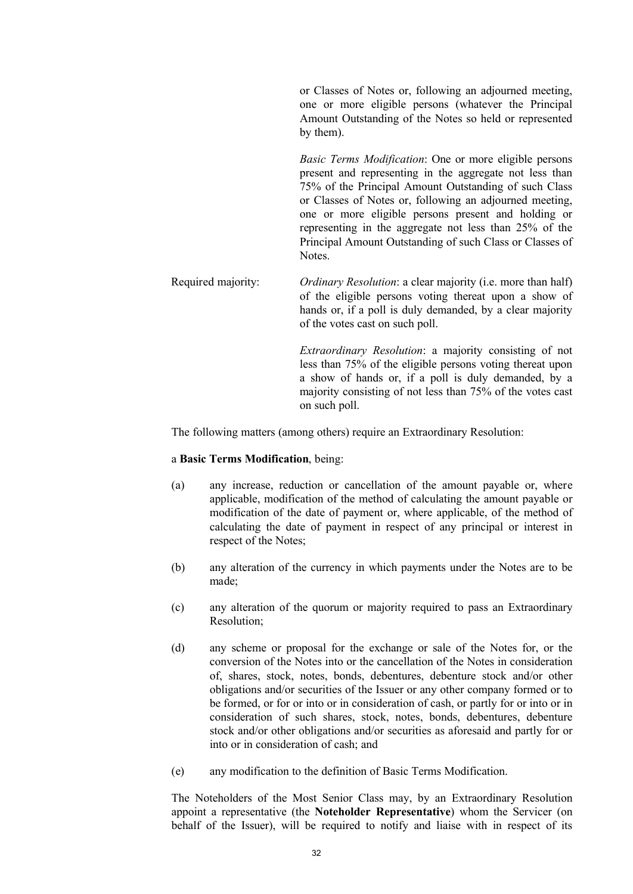or Classes of Notes or, following an adjourned meeting, one or more eligible persons (whatever the Principal Amount Outstanding of the Notes so held or represented by them).

*Basic Terms Modification*: One or more eligible persons present and representing in the aggregate not less than 75% of the Principal Amount Outstanding of such Class or Classes of Notes or, following an adjourned meeting, one or more eligible persons present and holding or representing in the aggregate not less than 25% of the Principal Amount Outstanding of such Class or Classes of Notes.

Required majority: *Ordinary Resolution*: a clear majority (i.e. more than half) of the eligible persons voting thereat upon a show of hands or, if a poll is duly demanded, by a clear majority of the votes cast on such poll.

> *Extraordinary Resolution*: a majority consisting of not less than 75% of the eligible persons voting thereat upon a show of hands or, if a poll is duly demanded, by a majority consisting of not less than 75% of the votes cast on such poll.

The following matters (among others) require an Extraordinary Resolution:

#### a **Basic Terms Modification**, being:

- (a) any increase, reduction or cancellation of the amount payable or, where applicable, modification of the method of calculating the amount payable or modification of the date of payment or, where applicable, of the method of calculating the date of payment in respect of any principal or interest in respect of the Notes;
- (b) any alteration of the currency in which payments under the Notes are to be made;
- (c) any alteration of the quorum or majority required to pass an Extraordinary Resolution;
- (d) any scheme or proposal for the exchange or sale of the Notes for, or the conversion of the Notes into or the cancellation of the Notes in consideration of, shares, stock, notes, bonds, debentures, debenture stock and/or other obligations and/or securities of the Issuer or any other company formed or to be formed, or for or into or in consideration of cash, or partly for or into or in consideration of such shares, stock, notes, bonds, debentures, debenture stock and/or other obligations and/or securities as aforesaid and partly for or into or in consideration of cash; and
- (e) any modification to the definition of Basic Terms Modification.

The Noteholders of the Most Senior Class may, by an Extraordinary Resolution appoint a representative (the **Noteholder Representative**) whom the Servicer (on behalf of the Issuer), will be required to notify and liaise with in respect of its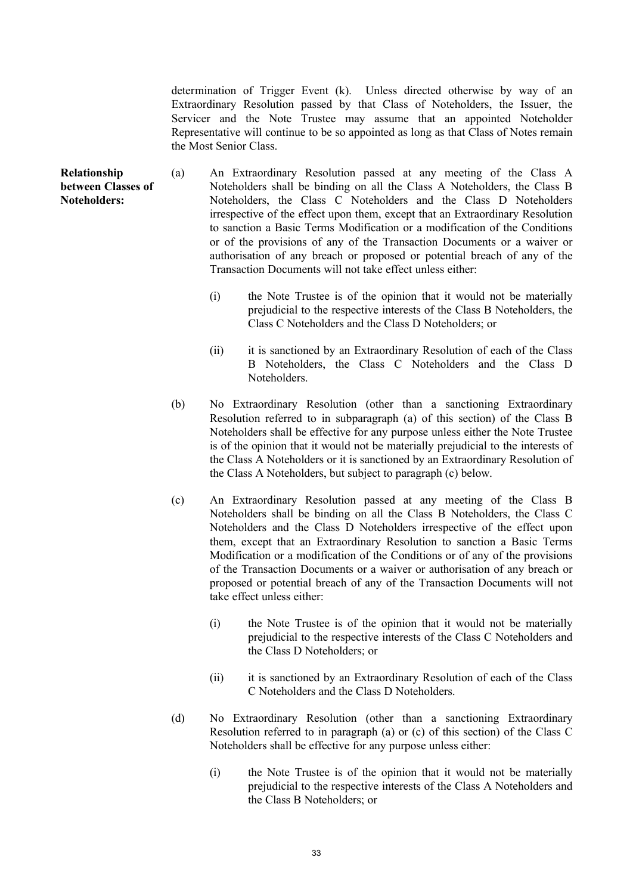determination of Trigger Event (k). Unless directed otherwise by way of an Extraordinary Resolution passed by that Class of Noteholders, the Issuer, the Servicer and the Note Trustee may assume that an appointed Noteholder Representative will continue to be so appointed as long as that Class of Notes remain the Most Senior Class.

- **Relationship between Classes of Noteholders:** (a) An Extraordinary Resolution passed at any meeting of the Class A Noteholders shall be binding on all the Class A Noteholders, the Class B Noteholders, the Class C Noteholders and the Class D Noteholders irrespective of the effect upon them, except that an Extraordinary Resolution to sanction a Basic Terms Modification or a modification of the Conditions or of the provisions of any of the Transaction Documents or a waiver or authorisation of any breach or proposed or potential breach of any of the Transaction Documents will not take effect unless either:
	- (i) the Note Trustee is of the opinion that it would not be materially prejudicial to the respective interests of the Class B Noteholders, the Class C Noteholders and the Class D Noteholders; or
	- (ii) it is sanctioned by an Extraordinary Resolution of each of the Class B Noteholders, the Class C Noteholders and the Class D Noteholders.
	- (b) No Extraordinary Resolution (other than a sanctioning Extraordinary Resolution referred to in subparagraph (a) of this section) of the Class B Noteholders shall be effective for any purpose unless either the Note Trustee is of the opinion that it would not be materially prejudicial to the interests of the Class A Noteholders or it is sanctioned by an Extraordinary Resolution of the Class A Noteholders, but subject to paragraph (c) below.
	- (c) An Extraordinary Resolution passed at any meeting of the Class B Noteholders shall be binding on all the Class B Noteholders, the Class C Noteholders and the Class D Noteholders irrespective of the effect upon them, except that an Extraordinary Resolution to sanction a Basic Terms Modification or a modification of the Conditions or of any of the provisions of the Transaction Documents or a waiver or authorisation of any breach or proposed or potential breach of any of the Transaction Documents will not take effect unless either:
		- (i) the Note Trustee is of the opinion that it would not be materially prejudicial to the respective interests of the Class C Noteholders and the Class D Noteholders; or
		- (ii) it is sanctioned by an Extraordinary Resolution of each of the Class C Noteholders and the Class D Noteholders.
	- (d) No Extraordinary Resolution (other than a sanctioning Extraordinary Resolution referred to in paragraph (a) or (c) of this section) of the Class C Noteholders shall be effective for any purpose unless either:
		- (i) the Note Trustee is of the opinion that it would not be materially prejudicial to the respective interests of the Class A Noteholders and the Class B Noteholders; or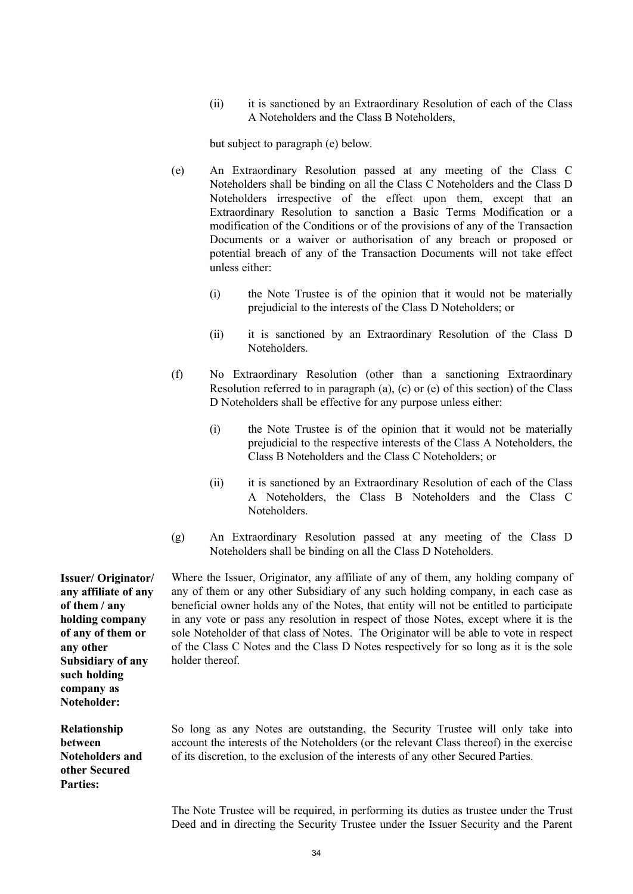(ii) it is sanctioned by an Extraordinary Resolution of each of the Class A Noteholders and the Class B Noteholders,

but subject to paragraph (e) below.

- (e) An Extraordinary Resolution passed at any meeting of the Class C Noteholders shall be binding on all the Class C Noteholders and the Class D Noteholders irrespective of the effect upon them, except that an Extraordinary Resolution to sanction a Basic Terms Modification or a modification of the Conditions or of the provisions of any of the Transaction Documents or a waiver or authorisation of any breach or proposed or potential breach of any of the Transaction Documents will not take effect unless either:
	- (i) the Note Trustee is of the opinion that it would not be materially prejudicial to the interests of the Class D Noteholders; or
	- (ii) it is sanctioned by an Extraordinary Resolution of the Class D Noteholders.
- (f) No Extraordinary Resolution (other than a sanctioning Extraordinary Resolution referred to in paragraph (a), (c) or (e) of this section) of the Class D Noteholders shall be effective for any purpose unless either:
	- (i) the Note Trustee is of the opinion that it would not be materially prejudicial to the respective interests of the Class A Noteholders, the Class B Noteholders and the Class C Noteholders; or
	- (ii) it is sanctioned by an Extraordinary Resolution of each of the Class A Noteholders, the Class B Noteholders and the Class C Noteholders.
- (g) An Extraordinary Resolution passed at any meeting of the Class D Noteholders shall be binding on all the Class D Noteholders.

**Issuer/ Originator/ any affiliate of any of them / any holding company of any of them or any other Subsidiary of any such holding company as Noteholder:**

**Relationship between Noteholders and other Secured Parties:**

Where the Issuer, Originator, any affiliate of any of them, any holding company of any of them or any other Subsidiary of any such holding company, in each case as beneficial owner holds any of the Notes, that entity will not be entitled to participate in any vote or pass any resolution in respect of those Notes, except where it is the sole Noteholder of that class of Notes. The Originator will be able to vote in respect of the Class C Notes and the Class D Notes respectively for so long as it is the sole holder thereof.

So long as any Notes are outstanding, the Security Trustee will only take into account the interests of the Noteholders (or the relevant Class thereof) in the exercise of its discretion, to the exclusion of the interests of any other Secured Parties.

The Note Trustee will be required, in performing its duties as trustee under the Trust Deed and in directing the Security Trustee under the Issuer Security and the Parent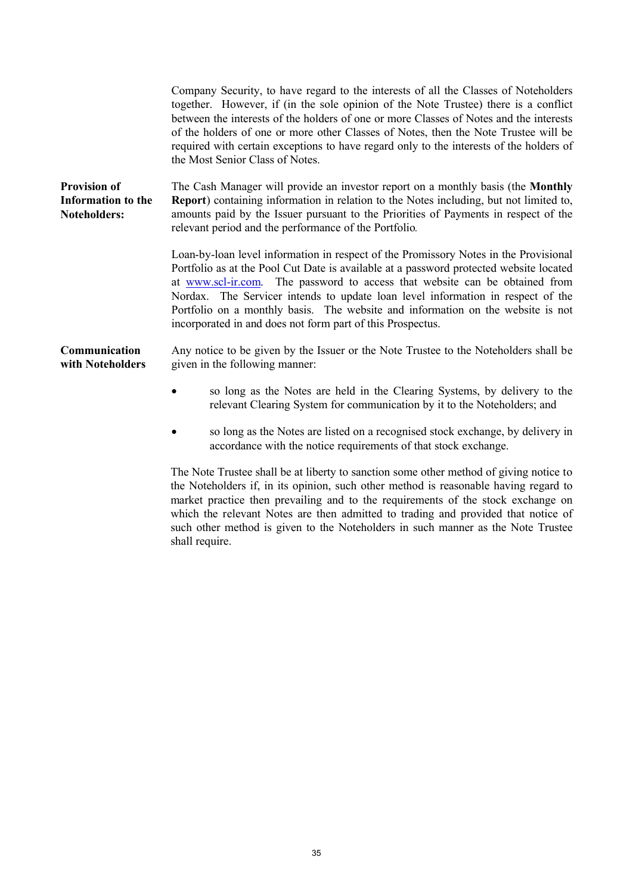|                                                                         | Company Security, to have regard to the interests of all the Classes of Noteholders<br>together. However, if (in the sole opinion of the Note Trustee) there is a conflict<br>between the interests of the holders of one or more Classes of Notes and the interests<br>of the holders of one or more other Classes of Notes, then the Note Trustee will be<br>required with certain exceptions to have regard only to the interests of the holders of<br>the Most Senior Class of Notes.         |
|-------------------------------------------------------------------------|---------------------------------------------------------------------------------------------------------------------------------------------------------------------------------------------------------------------------------------------------------------------------------------------------------------------------------------------------------------------------------------------------------------------------------------------------------------------------------------------------|
| <b>Provision of</b><br><b>Information to the</b><br><b>Noteholders:</b> | The Cash Manager will provide an investor report on a monthly basis (the <b>Monthly</b><br><b>Report</b> ) containing information in relation to the Notes including, but not limited to,<br>amounts paid by the Issuer pursuant to the Priorities of Payments in respect of the<br>relevant period and the performance of the Portfolio.                                                                                                                                                         |
|                                                                         | Loan-by-loan level information in respect of the Promissory Notes in the Provisional<br>Portfolio as at the Pool Cut Date is available at a password protected website located<br>at www.scl-ir.com. The password to access that website can be obtained from<br>Nordax. The Servicer intends to update loan level information in respect of the<br>Portfolio on a monthly basis. The website and information on the website is not<br>incorporated in and does not form part of this Prospectus. |
| Communication<br>with Noteholders                                       | Any notice to be given by the Issuer or the Note Trustee to the Noteholders shall be<br>given in the following manner:                                                                                                                                                                                                                                                                                                                                                                            |
|                                                                         | so long as the Notes are held in the Clearing Systems, by delivery to the<br>relevant Clearing System for communication by it to the Noteholders; and                                                                                                                                                                                                                                                                                                                                             |
|                                                                         | so long as the Notes are listed on a recognised stock exchange, by delivery in<br>accordance with the notice requirements of that stock exchange.                                                                                                                                                                                                                                                                                                                                                 |
|                                                                         | The Note Trustee shall be at liberty to sanction some other method of giving notice to                                                                                                                                                                                                                                                                                                                                                                                                            |

the Noteholders if, in its opinion, such other method is reasonable having regard to market practice then prevailing and to the requirements of the stock exchange on which the relevant Notes are then admitted to trading and provided that notice of such other method is given to the Noteholders in such manner as the Note Trustee shall require.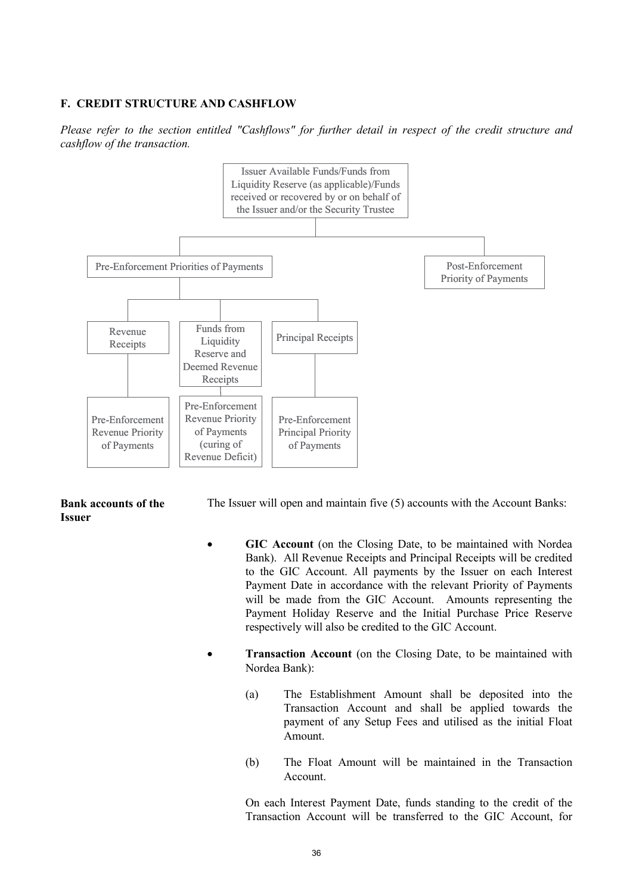# **F. CREDIT STRUCTURE AND CASHFLOW**

*Please refer to the section entitled "Cashflows" for further detail in respect of the credit structure and cashflow of the transaction.*



#### **Bank accounts of the Issuer**

The Issuer will open and maintain five (5) accounts with the Account Banks:

- GIC Account (on the Closing Date, to be maintained with Nordea Bank). All Revenue Receipts and Principal Receipts will be credited to the GIC Account. All payments by the Issuer on each Interest Payment Date in accordance with the relevant Priority of Payments will be made from the GIC Account. Amounts representing the Payment Holiday Reserve and the Initial Purchase Price Reserve respectively will also be credited to the GIC Account.
- · **Transaction Account** (on the Closing Date, to be maintained with Nordea Bank):
	- (a) The Establishment Amount shall be deposited into the Transaction Account and shall be applied towards the payment of any Setup Fees and utilised as the initial Float Amount.
	- (b) The Float Amount will be maintained in the Transaction Account.

On each Interest Payment Date, funds standing to the credit of the Transaction Account will be transferred to the GIC Account, for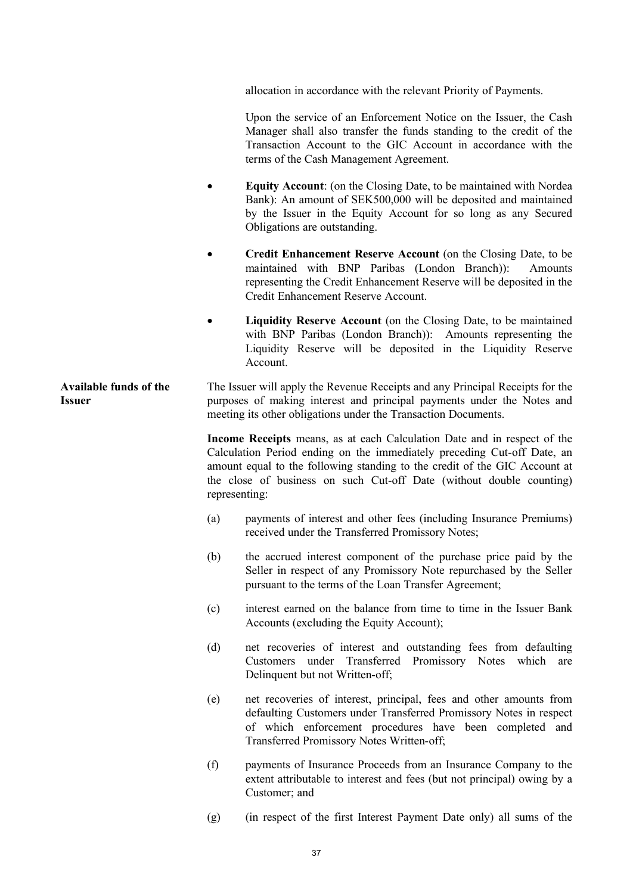allocation in accordance with the relevant Priority of Payments.

Upon the service of an Enforcement Notice on the Issuer, the Cash Manager shall also transfer the funds standing to the credit of the Transaction Account to the GIC Account in accordance with the terms of the Cash Management Agreement.

- **Equity Account:** (on the Closing Date, to be maintained with Nordea Bank): An amount of SEK500,000 will be deposited and maintained by the Issuer in the Equity Account for so long as any Secured Obligations are outstanding.
- · **Credit Enhancement Reserve Account** (on the Closing Date, to be maintained with BNP Paribas (London Branch)): Amounts representing the Credit Enhancement Reserve will be deposited in the Credit Enhancement Reserve Account.
- **Liquidity Reserve Account** (on the Closing Date, to be maintained with BNP Paribas (London Branch)): Amounts representing the Liquidity Reserve will be deposited in the Liquidity Reserve Account.

**Available funds of the Issuer** The Issuer will apply the Revenue Receipts and any Principal Receipts for the purposes of making interest and principal payments under the Notes and meeting its other obligations under the Transaction Documents.

> **Income Receipts** means, as at each Calculation Date and in respect of the Calculation Period ending on the immediately preceding Cut-off Date, an amount equal to the following standing to the credit of the GIC Account at the close of business on such Cut-off Date (without double counting) representing:

- (a) payments of interest and other fees (including Insurance Premiums) received under the Transferred Promissory Notes;
- (b) the accrued interest component of the purchase price paid by the Seller in respect of any Promissory Note repurchased by the Seller pursuant to the terms of the Loan Transfer Agreement;
- (c) interest earned on the balance from time to time in the Issuer Bank Accounts (excluding the Equity Account);
- (d) net recoveries of interest and outstanding fees from defaulting Customers under Transferred Promissory Notes which are Delinquent but not Written-off;
- (e) net recoveries of interest, principal, fees and other amounts from defaulting Customers under Transferred Promissory Notes in respect of which enforcement procedures have been completed and Transferred Promissory Notes Written-off;
- (f) payments of Insurance Proceeds from an Insurance Company to the extent attributable to interest and fees (but not principal) owing by a Customer; and
- (g) (in respect of the first Interest Payment Date only) all sums of the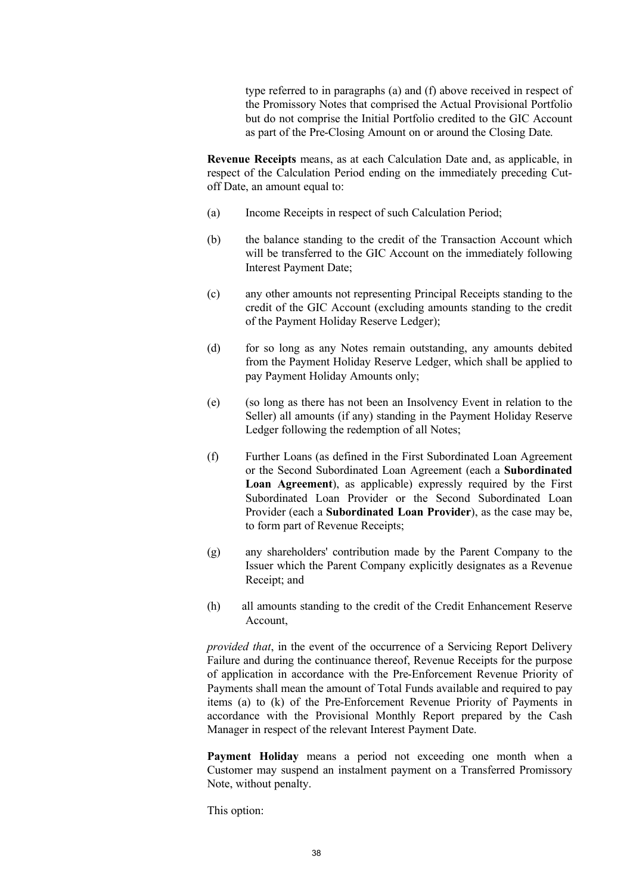type referred to in paragraphs (a) and (f) above received in respect of the Promissory Notes that comprised the Actual Provisional Portfolio but do not comprise the Initial Portfolio credited to the GIC Account as part of the Pre-Closing Amount on or around the Closing Date.

**Revenue Receipts** means, as at each Calculation Date and, as applicable, in respect of the Calculation Period ending on the immediately preceding Cutoff Date, an amount equal to:

- (a) Income Receipts in respect of such Calculation Period;
- (b) the balance standing to the credit of the Transaction Account which will be transferred to the GIC Account on the immediately following Interest Payment Date;
- (c) any other amounts not representing Principal Receipts standing to the credit of the GIC Account (excluding amounts standing to the credit of the Payment Holiday Reserve Ledger);
- (d) for so long as any Notes remain outstanding, any amounts debited from the Payment Holiday Reserve Ledger, which shall be applied to pay Payment Holiday Amounts only;
- (e) (so long as there has not been an Insolvency Event in relation to the Seller) all amounts (if any) standing in the Payment Holiday Reserve Ledger following the redemption of all Notes;
- (f) Further Loans (as defined in the First Subordinated Loan Agreement or the Second Subordinated Loan Agreement (each a **Subordinated Loan Agreement**), as applicable) expressly required by the First Subordinated Loan Provider or the Second Subordinated Loan Provider (each a **Subordinated Loan Provider**), as the case may be, to form part of Revenue Receipts;
- (g) any shareholders' contribution made by the Parent Company to the Issuer which the Parent Company explicitly designates as a Revenue Receipt; and
- (h) all amounts standing to the credit of the Credit Enhancement Reserve Account,

*provided that*, in the event of the occurrence of a Servicing Report Delivery Failure and during the continuance thereof, Revenue Receipts for the purpose of application in accordance with the Pre-Enforcement Revenue Priority of Payments shall mean the amount of Total Funds available and required to pay items (a) to (k) of the Pre-Enforcement Revenue Priority of Payments in accordance with the Provisional Monthly Report prepared by the Cash Manager in respect of the relevant Interest Payment Date.

**Payment Holiday** means a period not exceeding one month when a Customer may suspend an instalment payment on a Transferred Promissory Note, without penalty.

This option: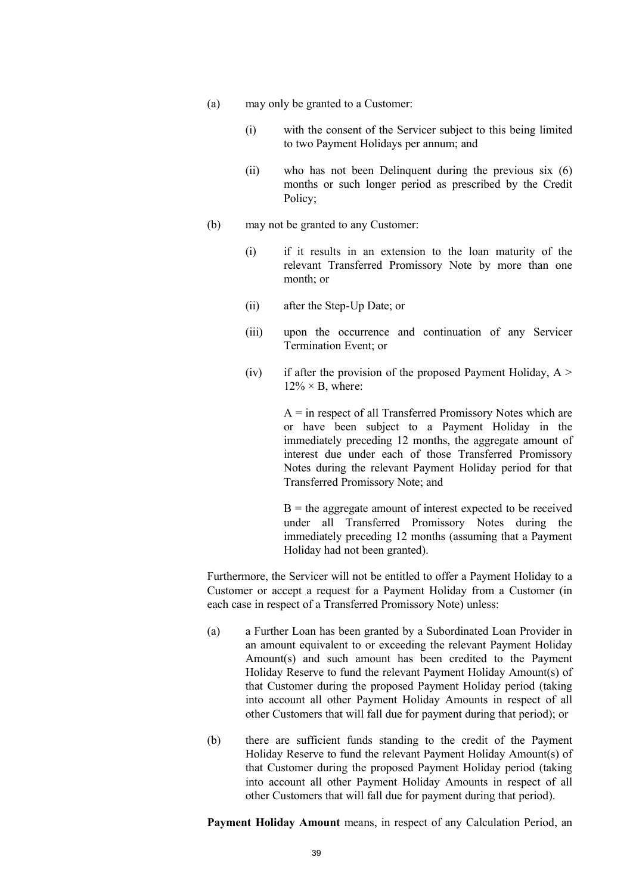- (a) may only be granted to a Customer:
	- (i) with the consent of the Servicer subject to this being limited to two Payment Holidays per annum; and
	- (ii) who has not been Delinquent during the previous six (6) months or such longer period as prescribed by the Credit Policy;
- (b) may not be granted to any Customer:
	- (i) if it results in an extension to the loan maturity of the relevant Transferred Promissory Note by more than one month; or
	- (ii) after the Step-Up Date; or
	- (iii) upon the occurrence and continuation of any Servicer Termination Event; or
	- (iv) if after the provision of the proposed Payment Holiday,  $A >$  $12\% \times B$ , where:

 $A =$  in respect of all Transferred Promissory Notes which are or have been subject to a Payment Holiday in the immediately preceding 12 months, the aggregate amount of interest due under each of those Transferred Promissory Notes during the relevant Payment Holiday period for that Transferred Promissory Note; and

 $B =$  the aggregate amount of interest expected to be received under all Transferred Promissory Notes during the immediately preceding 12 months (assuming that a Payment Holiday had not been granted).

Furthermore, the Servicer will not be entitled to offer a Payment Holiday to a Customer or accept a request for a Payment Holiday from a Customer (in each case in respect of a Transferred Promissory Note) unless:

- (a) a Further Loan has been granted by a Subordinated Loan Provider in an amount equivalent to or exceeding the relevant Payment Holiday Amount(s) and such amount has been credited to the Payment Holiday Reserve to fund the relevant Payment Holiday Amount(s) of that Customer during the proposed Payment Holiday period (taking into account all other Payment Holiday Amounts in respect of all other Customers that will fall due for payment during that period); or
- (b) there are sufficient funds standing to the credit of the Payment Holiday Reserve to fund the relevant Payment Holiday Amount(s) of that Customer during the proposed Payment Holiday period (taking into account all other Payment Holiday Amounts in respect of all other Customers that will fall due for payment during that period).

**Payment Holiday Amount** means, in respect of any Calculation Period, an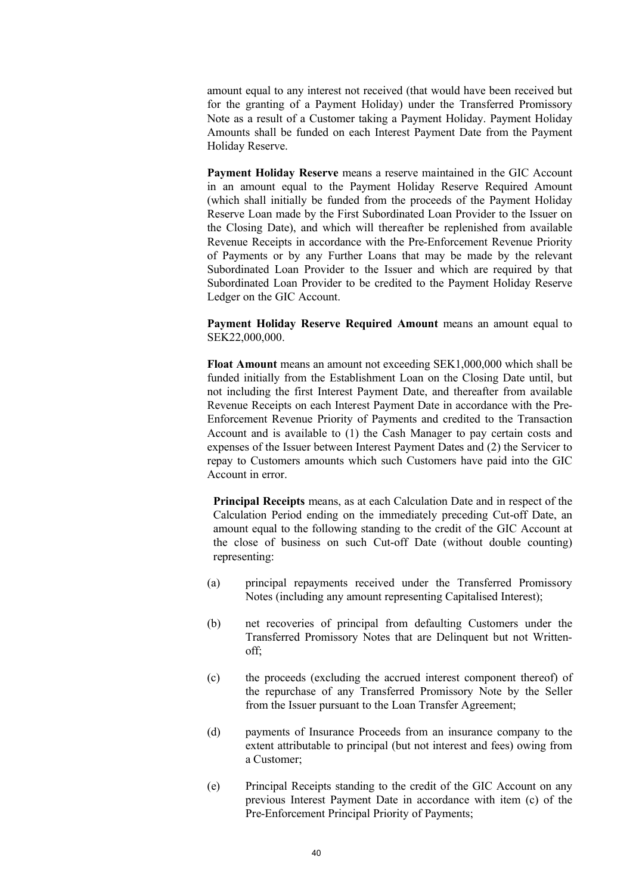amount equal to any interest not received (that would have been received but for the granting of a Payment Holiday) under the Transferred Promissory Note as a result of a Customer taking a Payment Holiday. Payment Holiday Amounts shall be funded on each Interest Payment Date from the Payment Holiday Reserve.

**Payment Holiday Reserve** means a reserve maintained in the GIC Account in an amount equal to the Payment Holiday Reserve Required Amount (which shall initially be funded from the proceeds of the Payment Holiday Reserve Loan made by the First Subordinated Loan Provider to the Issuer on the Closing Date), and which will thereafter be replenished from available Revenue Receipts in accordance with the Pre-Enforcement Revenue Priority of Payments or by any Further Loans that may be made by the relevant Subordinated Loan Provider to the Issuer and which are required by that Subordinated Loan Provider to be credited to the Payment Holiday Reserve Ledger on the GIC Account.

**Payment Holiday Reserve Required Amount** means an amount equal to SEK22,000,000.

**Float Amount** means an amount not exceeding SEK1,000,000 which shall be funded initially from the Establishment Loan on the Closing Date until, but not including the first Interest Payment Date, and thereafter from available Revenue Receipts on each Interest Payment Date in accordance with the Pre-Enforcement Revenue Priority of Payments and credited to the Transaction Account and is available to (1) the Cash Manager to pay certain costs and expenses of the Issuer between Interest Payment Dates and (2) the Servicer to repay to Customers amounts which such Customers have paid into the GIC Account in error.

**Principal Receipts** means, as at each Calculation Date and in respect of the Calculation Period ending on the immediately preceding Cut-off Date, an amount equal to the following standing to the credit of the GIC Account at the close of business on such Cut-off Date (without double counting) representing:

- (a) principal repayments received under the Transferred Promissory Notes (including any amount representing Capitalised Interest);
- (b) net recoveries of principal from defaulting Customers under the Transferred Promissory Notes that are Delinquent but not Writtenoff;
- (c) the proceeds (excluding the accrued interest component thereof) of the repurchase of any Transferred Promissory Note by the Seller from the Issuer pursuant to the Loan Transfer Agreement;
- (d) payments of Insurance Proceeds from an insurance company to the extent attributable to principal (but not interest and fees) owing from a Customer;
- (e) Principal Receipts standing to the credit of the GIC Account on any previous Interest Payment Date in accordance with item (c) of the Pre-Enforcement Principal Priority of Payments;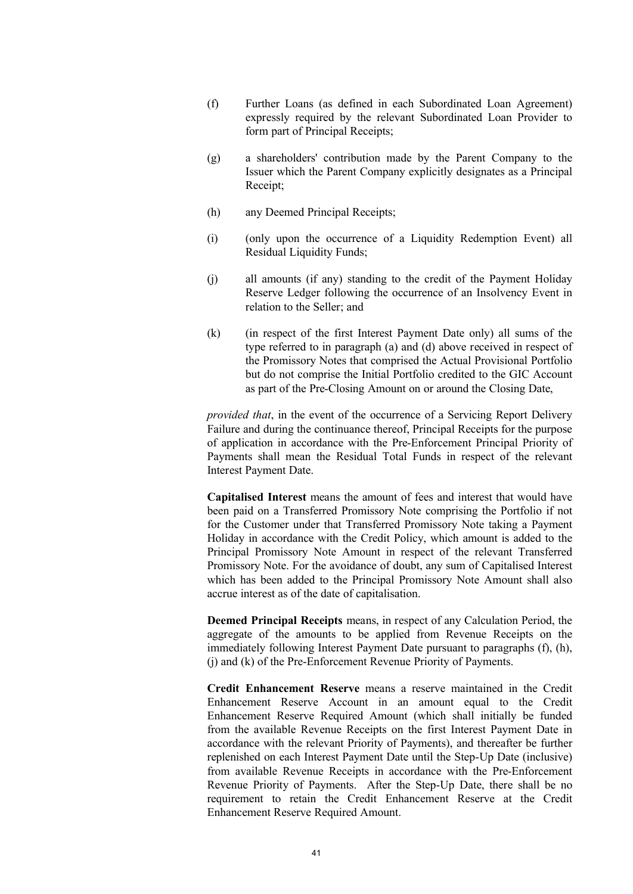- (f) Further Loans (as defined in each Subordinated Loan Agreement) expressly required by the relevant Subordinated Loan Provider to form part of Principal Receipts;
- (g) a shareholders' contribution made by the Parent Company to the Issuer which the Parent Company explicitly designates as a Principal Receipt;
- (h) any Deemed Principal Receipts;
- (i) (only upon the occurrence of a Liquidity Redemption Event) all Residual Liquidity Funds;
- (j) all amounts (if any) standing to the credit of the Payment Holiday Reserve Ledger following the occurrence of an Insolvency Event in relation to the Seller; and
- (k) (in respect of the first Interest Payment Date only) all sums of the type referred to in paragraph (a) and (d) above received in respect of the Promissory Notes that comprised the Actual Provisional Portfolio but do not comprise the Initial Portfolio credited to the GIC Account as part of the Pre-Closing Amount on or around the Closing Date,

*provided that*, in the event of the occurrence of a Servicing Report Delivery Failure and during the continuance thereof, Principal Receipts for the purpose of application in accordance with the Pre-Enforcement Principal Priority of Payments shall mean the Residual Total Funds in respect of the relevant Interest Payment Date.

**Capitalised Interest** means the amount of fees and interest that would have been paid on a Transferred Promissory Note comprising the Portfolio if not for the Customer under that Transferred Promissory Note taking a Payment Holiday in accordance with the Credit Policy, which amount is added to the Principal Promissory Note Amount in respect of the relevant Transferred Promissory Note. For the avoidance of doubt, any sum of Capitalised Interest which has been added to the Principal Promissory Note Amount shall also accrue interest as of the date of capitalisation.

**Deemed Principal Receipts** means, in respect of any Calculation Period, the aggregate of the amounts to be applied from Revenue Receipts on the immediately following Interest Payment Date pursuant to paragraphs (f), (h), (j) and (k) of the Pre-Enforcement Revenue Priority of Payments.

**Credit Enhancement Reserve** means a reserve maintained in the Credit Enhancement Reserve Account in an amount equal to the Credit Enhancement Reserve Required Amount (which shall initially be funded from the available Revenue Receipts on the first Interest Payment Date in accordance with the relevant Priority of Payments), and thereafter be further replenished on each Interest Payment Date until the Step-Up Date (inclusive) from available Revenue Receipts in accordance with the Pre-Enforcement Revenue Priority of Payments. After the Step-Up Date, there shall be no requirement to retain the Credit Enhancement Reserve at the Credit Enhancement Reserve Required Amount.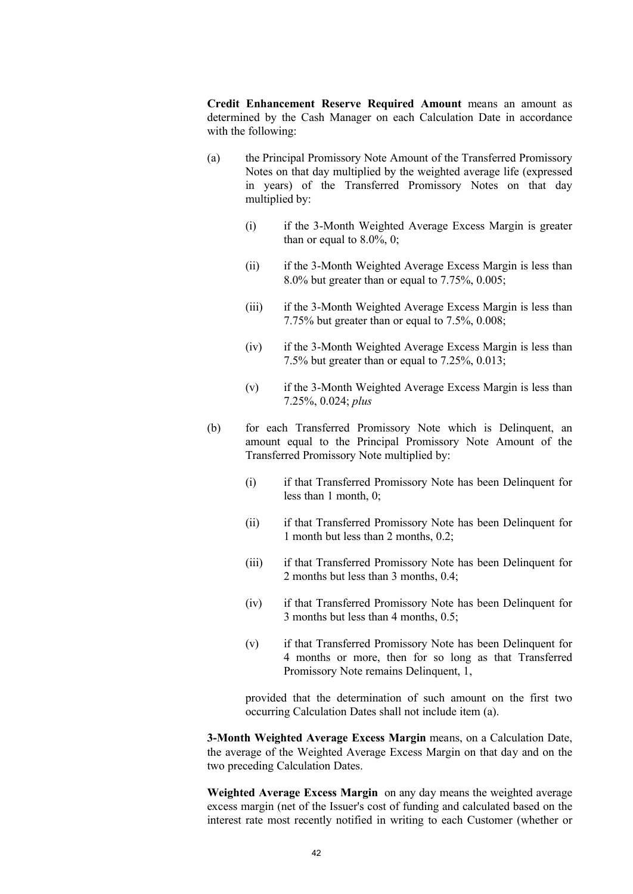**Credit Enhancement Reserve Required Amount** means an amount as determined by the Cash Manager on each Calculation Date in accordance with the following:

- (a) the Principal Promissory Note Amount of the Transferred Promissory Notes on that day multiplied by the weighted average life (expressed in years) of the Transferred Promissory Notes on that day multiplied by:
	- (i) if the 3-Month Weighted Average Excess Margin is greater than or equal to  $8.0\%$ , 0;
	- (ii) if the 3-Month Weighted Average Excess Margin is less than 8.0% but greater than or equal to 7.75%, 0.005;
	- (iii) if the 3-Month Weighted Average Excess Margin is less than 7.75% but greater than or equal to 7.5%, 0.008;
	- (iv) if the 3-Month Weighted Average Excess Margin is less than 7.5% but greater than or equal to 7.25%, 0.013;
	- (v) if the 3-Month Weighted Average Excess Margin is less than 7.25%, 0.024; *plus*
- (b) for each Transferred Promissory Note which is Delinquent, an amount equal to the Principal Promissory Note Amount of the Transferred Promissory Note multiplied by:
	- (i) if that Transferred Promissory Note has been Delinquent for less than 1 month, 0;
	- (ii) if that Transferred Promissory Note has been Delinquent for 1 month but less than 2 months, 0.2;
	- (iii) if that Transferred Promissory Note has been Delinquent for 2 months but less than 3 months, 0.4;
	- (iv) if that Transferred Promissory Note has been Delinquent for 3 months but less than 4 months, 0.5;
	- (v) if that Transferred Promissory Note has been Delinquent for 4 months or more, then for so long as that Transferred Promissory Note remains Delinquent, 1,

provided that the determination of such amount on the first two occurring Calculation Dates shall not include item (a).

**3-Month Weighted Average Excess Margin** means, on a Calculation Date, the average of the Weighted Average Excess Margin on that day and on the two preceding Calculation Dates.

**Weighted Average Excess Margin** on any day means the weighted average excess margin (net of the Issuer's cost of funding and calculated based on the interest rate most recently notified in writing to each Customer (whether or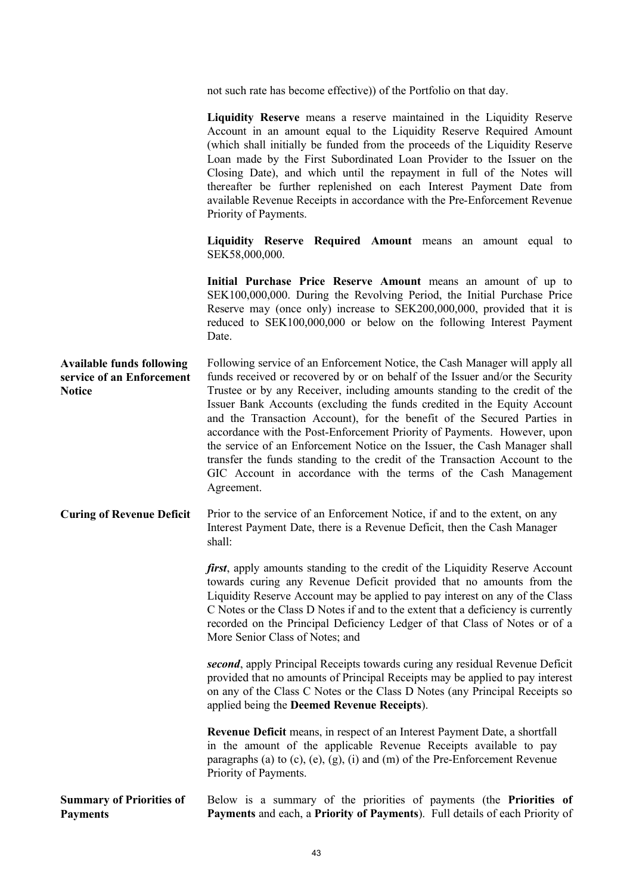not such rate has become effective)) of the Portfolio on that day.

|                                                                                | Liquidity Reserve means a reserve maintained in the Liquidity Reserve<br>Account in an amount equal to the Liquidity Reserve Required Amount<br>(which shall initially be funded from the proceeds of the Liquidity Reserve<br>Loan made by the First Subordinated Loan Provider to the Issuer on the<br>Closing Date), and which until the repayment in full of the Notes will<br>thereafter be further replenished on each Interest Payment Date from<br>available Revenue Receipts in accordance with the Pre-Enforcement Revenue<br>Priority of Payments.                                                                                                                                                                |
|--------------------------------------------------------------------------------|------------------------------------------------------------------------------------------------------------------------------------------------------------------------------------------------------------------------------------------------------------------------------------------------------------------------------------------------------------------------------------------------------------------------------------------------------------------------------------------------------------------------------------------------------------------------------------------------------------------------------------------------------------------------------------------------------------------------------|
|                                                                                | Liquidity Reserve Required Amount means an amount equal to<br>SEK58,000,000.                                                                                                                                                                                                                                                                                                                                                                                                                                                                                                                                                                                                                                                 |
|                                                                                | Initial Purchase Price Reserve Amount means an amount of up to<br>SEK100,000,000. During the Revolving Period, the Initial Purchase Price<br>Reserve may (once only) increase to SEK200,000,000, provided that it is<br>reduced to SEK100,000,000 or below on the following Interest Payment<br>Date.                                                                                                                                                                                                                                                                                                                                                                                                                        |
| <b>Available funds following</b><br>service of an Enforcement<br><b>Notice</b> | Following service of an Enforcement Notice, the Cash Manager will apply all<br>funds received or recovered by or on behalf of the Issuer and/or the Security<br>Trustee or by any Receiver, including amounts standing to the credit of the<br>Issuer Bank Accounts (excluding the funds credited in the Equity Account<br>and the Transaction Account), for the benefit of the Secured Parties in<br>accordance with the Post-Enforcement Priority of Payments. However, upon<br>the service of an Enforcement Notice on the Issuer, the Cash Manager shall<br>transfer the funds standing to the credit of the Transaction Account to the<br>GIC Account in accordance with the terms of the Cash Management<br>Agreement. |
| <b>Curing of Revenue Deficit</b>                                               | Prior to the service of an Enforcement Notice, if and to the extent, on any<br>Interest Payment Date, there is a Revenue Deficit, then the Cash Manager<br>shall:                                                                                                                                                                                                                                                                                                                                                                                                                                                                                                                                                            |
|                                                                                | <i>first</i> , apply amounts standing to the credit of the Liquidity Reserve Account<br>towards curing any Revenue Deficit provided that no amounts from the<br>Liquidity Reserve Account may be applied to pay interest on any of the Class<br>C Notes or the Class D Notes if and to the extent that a deficiency is currently<br>recorded on the Principal Deficiency Ledger of that Class of Notes or of a<br>More Senior Class of Notes; and                                                                                                                                                                                                                                                                            |
|                                                                                | second, apply Principal Receipts towards curing any residual Revenue Deficit<br>provided that no amounts of Principal Receipts may be applied to pay interest<br>on any of the Class C Notes or the Class D Notes (any Principal Receipts so<br>applied being the Deemed Revenue Receipts).                                                                                                                                                                                                                                                                                                                                                                                                                                  |
|                                                                                | Revenue Deficit means, in respect of an Interest Payment Date, a shortfall<br>in the amount of the applicable Revenue Receipts available to pay<br>paragraphs (a) to (c), (e), (g), (i) and (m) of the Pre-Enforcement Revenue<br>Priority of Payments.                                                                                                                                                                                                                                                                                                                                                                                                                                                                      |
| <b>Summary of Priorities of</b><br><b>Payments</b>                             | Below is a summary of the priorities of payments (the Priorities of<br>Payments and each, a Priority of Payments). Full details of each Priority of                                                                                                                                                                                                                                                                                                                                                                                                                                                                                                                                                                          |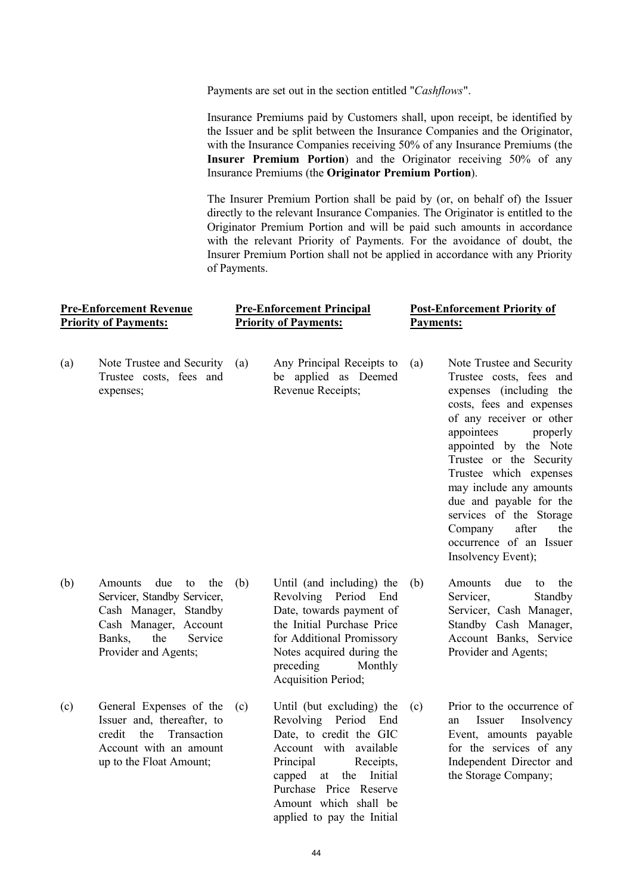Payments are set out in the section entitled "*Cashflows*".

Insurance Premiums paid by Customers shall, upon receipt, be identified by the Issuer and be split between the Insurance Companies and the Originator, with the Insurance Companies receiving 50% of any Insurance Premiums (the **Insurer Premium Portion**) and the Originator receiving 50% of any Insurance Premiums (the **Originator Premium Portion**).

The Insurer Premium Portion shall be paid by (or, on behalf of) the Issuer directly to the relevant Insurance Companies. The Originator is entitled to the Originator Premium Portion and will be paid such amounts in accordance with the relevant Priority of Payments. For the avoidance of doubt, the Insurer Premium Portion shall not be applied in accordance with any Priority of Payments.

| <b>Pre-Enforcement Revenue</b> | <b>Pre-Enforcement Principal</b> | <b>Post-Enforcement Priority of</b> |
|--------------------------------|----------------------------------|-------------------------------------|
| <b>Priority of Payments:</b>   | <b>Priority of Payments:</b>     | Payments:                           |
|                                |                                  |                                     |

- (a) Note Trustee and Security Trustee costs, fees and expenses;
- Any Principal Receipts to be applied as Deemed Revenue Receipts;
- (a) Note Trustee and Security Trustee costs, fees and expenses (including the costs, fees and expenses of any receiver or other appointees properly appointed by the Note Trustee or the Security Trustee which expenses may include any amounts due and payable for the services of the Storage Company after the occurrence of an Issuer Insolvency Event);

- (b) Amounts due to the Servicer, Standby Servicer, Cash Manager, Standby Cash Manager, Account Banks, the Service Provider and Agents;
- (c) General Expenses of the Issuer and, thereafter, to credit the Transaction Account with an amount up to the Float Amount;
- (b) Until (and including) the Revolving Period End Date, towards payment of the Initial Purchase Price for Additional Promissory Notes acquired during the preceding Monthly Acquisition Period; (b) Amounts due to the
	- Until (but excluding) the Revolving Period End Date, to credit the GIC Account with available Principal Receipts, capped at the Initial Purchase Price Reserve Amount which shall be applied to pay the Initial
- Provider and Agents; (c) Prior to the occurrence of an Issuer Insolvency Event, amounts payable for the services of any

Independent Director and the Storage Company;

Servicer, Standby Servicer, Cash Manager, Standby Cash Manager, Account Banks, Service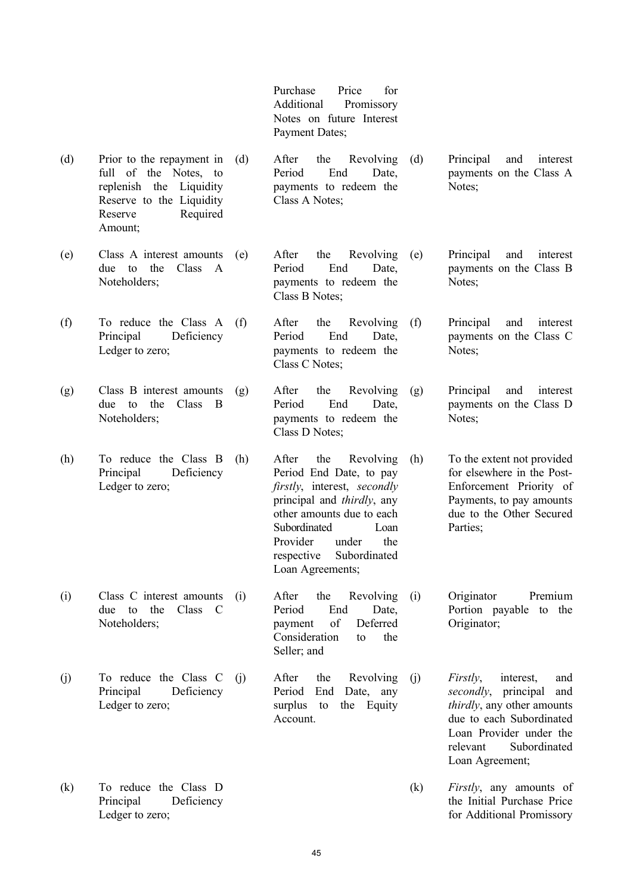Purchase Price for Additional Promissory Notes on future Interest Payment Dates;

- (d) Prior to the repayment in full of the Notes, to replenish the Liquidity Reserve to the Liquidity Reserve Required After the Revolving Period End Date, payments to redeem the Class A Notes; (d) Principal and interest payments on the Class A Notes;
- (e) Class A interest amounts due to the Class A Noteholders;
- (f) To reduce the Class A Principal Deficiency Ledger to zero;

Amount;

- (g) Class B interest amounts due to the Class B Noteholders;
- (h) To reduce the Class B Principal Deficiency Ledger to zero;

- (i) Class C interest amounts due to the Class C Noteholders;
- (j) To reduce the Class C Principal Deficiency Ledger to zero;
- (k) To reduce the Class D Principal Deficiency Ledger to zero;
- After the Revolving (e) Period End Date, payments to redeem the Class B Notes;
- After the Revolving Period End Date, payments to redeem the Class C Notes; (f) Principal and interest
- (g) After the Revolving Period End Date, payments to redeem the Class D Notes; (g) Principal and interest
- (h) After the Revolving Period End Date, to pay *firstly*, interest, *secondly* principal and *thirdly*, any other amounts due to each Subordinated Loan Provider under the respective Subordinated Loan Agreements; (h) To the extent not provided
	- (i) After the Revolving Period End Date, payment of Deferred Consideration to the Seller; and (i) Originator Premium
		- After the Revolving Period End Date, any surplus to the Equity Account.
- (j) *Firstly*, interest, and *secondly*, principal and *thirdly*, any other amounts due to each Subordinated Loan Provider under the relevant Subordinated Loan Agreement;

Portion payable to the

Principal and interest payments on the Class B

payments on the Class C

payments on the Class D

for elsewhere in the Post-Enforcement Priority of Payments, to pay amounts due to the Other Secured

Notes:

Notes;

Notes;

Parties;

Originator;

(k) *Firstly*, any amounts of the Initial Purchase Price for Additional Promissory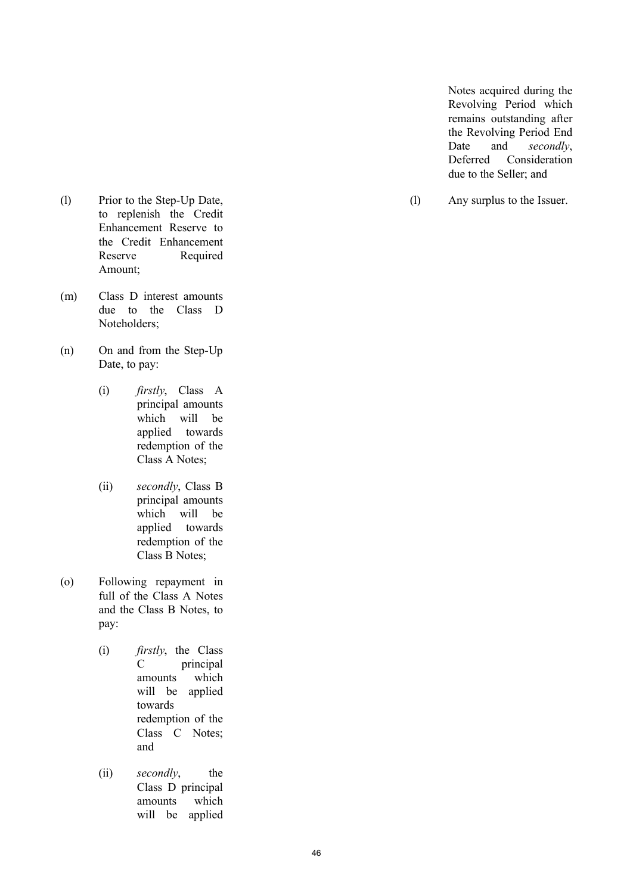Notes acquired during the Revolving Period which remains outstanding after the Revolving Period End Date and *secondly*, Deferred Consideration due to the Seller; and

(l) Any surplus to the Issuer.

- (l) Prior to the Step -Up Date, to replenish the Credit Enhancement Reserve to the Credit Enhancement Reserve Required Amount;
- (m) Class D interest amounts due to the Class D Noteholders;
- (n) On and from the Step -Up Date, to pay:
	- (i) *firstly*, Class A principal amounts which will be applied towards redemption of the Class A Notes;
	- (ii) *secondly*, Class B principal amounts which will be applied towards redemption of the Class B Notes;
- (o) Following repayment in full of the Class A Notes and the Class B Notes, to pay:
	- (i) *firstly*, the Class C principal amounts which will be applied towards redemption of the Class C Notes; and
	- (ii) *secondly*, the Class D principal amounts which will be applied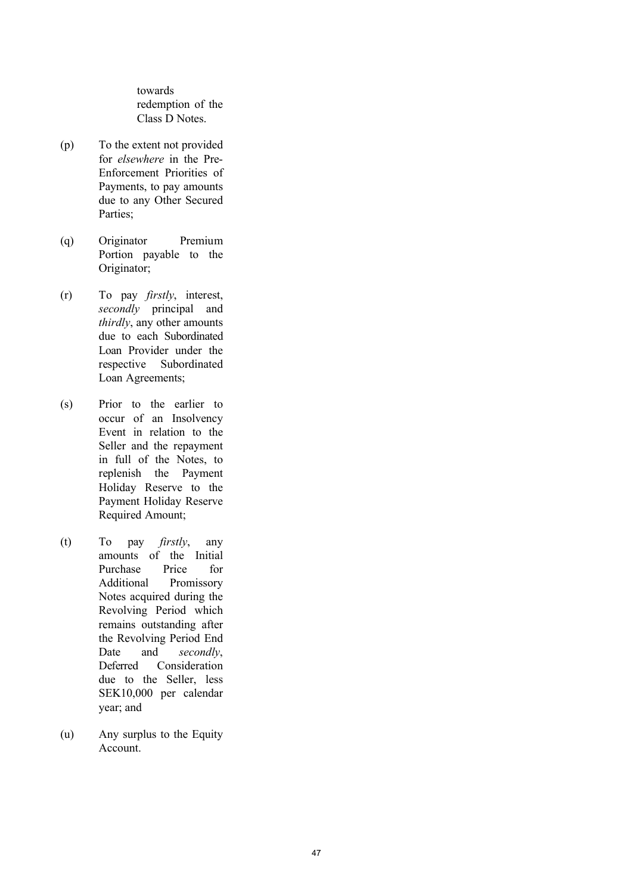towards redemption of the Class D Notes.

- (p) To the extent not provided for *elsewhere* in the Pre - Enforcement Priorities of Payments, to pay amounts due to any Other Secured Parties;
- (q) Originator Premium Portion payable to the Originator;
- $(r)$ To pay *firstly*, interest, *secondly* principal and *thirdly*, any other amounts due to each Subordinated Loan Provider under the respective Subordinated Loan Agreements;
- (s) Prior to the earlier to occur of an Insolvency Event in relation to the Seller and the repayment in full of the Notes, to replenish the Payment Holiday Reserve to the Payment Holiday Reserve Required Amount;
- (t) To pay *firstly*, any amounts of the Initial Purchase Price for Additional Promissory Notes acquired during the Revolving Period which remains outstanding after the Revolving Period End Date and *secondly*, Deferred Consideration due to the Seller, less SEK10,000 per calendar year; and
- (u) Any surplus to the Equity Account.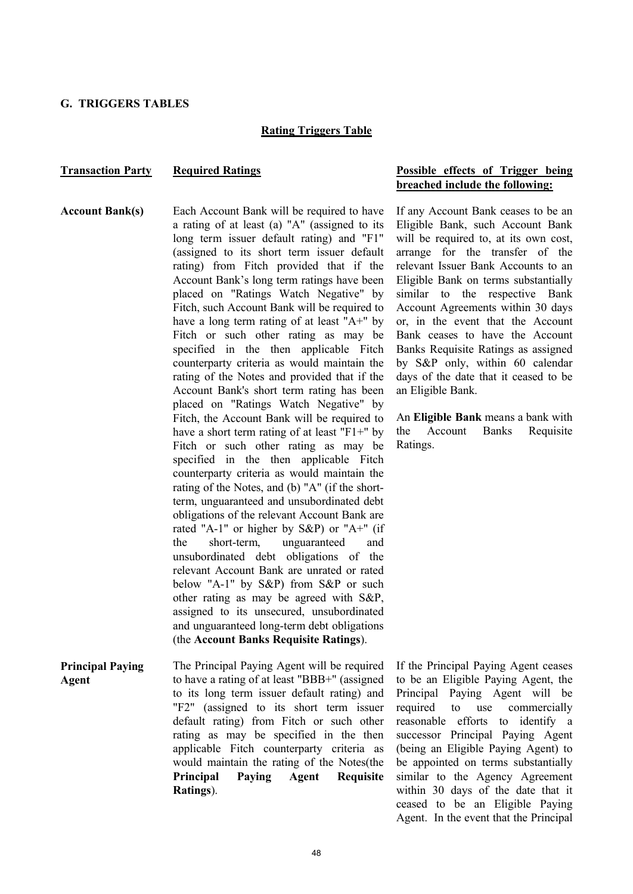#### **G. TRIGGERS TABLES**

#### **Rating Triggers Table**

#### **Transaction Party Required Ratings Possible effects of Trigger being Possible effects** of **Trigger** being

**Account Bank(s)** Each Account Bank will be required to have a rating of at least (a) "A" (assigned to its long term issuer default rating) and "F1" (assigned to its short term issuer default rating) from Fitch provided that if the Account Bank's long term ratings have been placed on "Ratings Watch Negative" by Fitch, such Account Bank will be required to have a long term rating of at least "A+" by Fitch or such other rating as may be specified in the then applicable Fitch counterparty criteria as would maintain the rating of the Notes and provided that if the Account Bank's short term rating has been placed on "Ratings Watch Negative" by Fitch, the Account Bank will be required to have a short term rating of at least "F1+" by Fitch or such other rating as may be specified in the then applicable Fitch counterparty criteria as would maintain the rating of the Notes, and (b) "A" (if the shortterm, unguaranteed and unsubordinated debt obligations of the relevant Account Bank are rated "A-1" or higher by S&P) or "A+" (if the short-term, unguaranteed and unsubordinated debt obligations of the relevant Account Bank are unrated or rated below "A-1" by S&P) from S&P or such other rating as may be agreed with S&P, assigned to its unsecured, unsubordinated and unguaranteed long-term debt obligations (the **Account Banks Requisite Ratings**).

**Principal Paying Agent** The Principal Paying Agent will be required to have a rating of at least "BBB+" (assigned to its long term issuer default rating) and "F2" (assigned to its short term issuer default rating) from Fitch or such other rating as may be specified in the then applicable Fitch counterparty criteria as would maintain the rating of the Notes(the **Principal Paying Agent Requisite Ratings**).

# **breached include the following:**

If any Account Bank ceases to be an Eligible Bank, such Account Bank will be required to, at its own cost, arrange for the transfer of the relevant Issuer Bank Accounts to an Eligible Bank on terms substantially similar to the respective Bank Account Agreements within 30 days or, in the event that the Account Bank ceases to have the Account Banks Requisite Ratings as assigned by S&P only, within 60 calendar days of the date that it ceased to be an Eligible Bank.

An **Eligible Bank** means a bank with the Account Banks Requisite Ratings.

If the Principal Paying Agent ceases to be an Eligible Paying Agent, the Principal Paying Agent will be required to use commercially reasonable efforts to identify a successor Principal Paying Agent (being an Eligible Paying Agent) to be appointed on terms substantially similar to the Agency Agreement within 30 days of the date that it ceased to be an Eligible Paying Agent. In the event that the Principal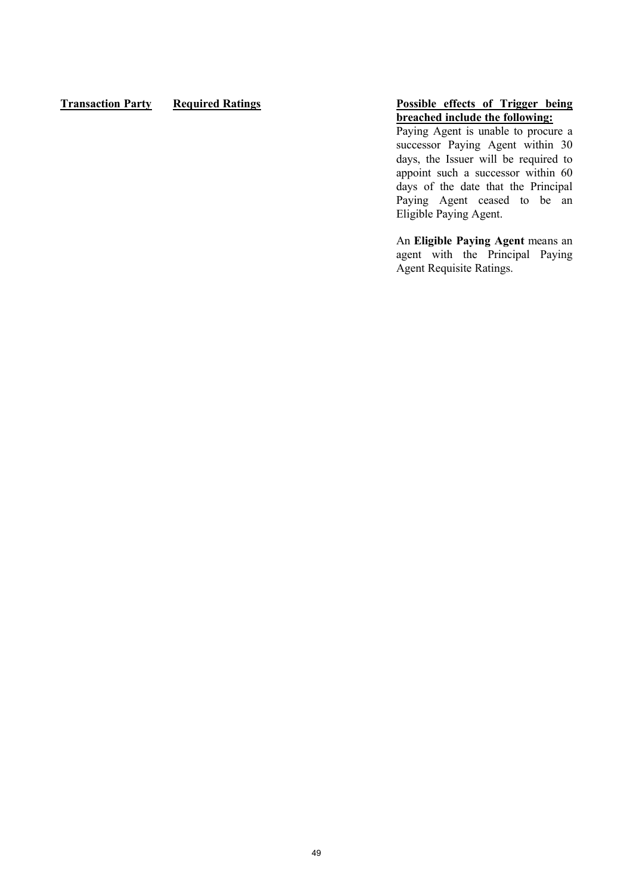## **Transaction Party Required Ratings Possible effects of Trigger being**

# **breached include the following:**

Paying Agent is unable to procure a successor Paying Agent within 30 days, the Issuer will be required to appoint such a successor within 60 days of the date that the Principal Paying Agent ceased to be an Eligible Paying Agent.

An **Eligible Paying Agent** means an agent with the Principal Paying Agent Requisite Ratings.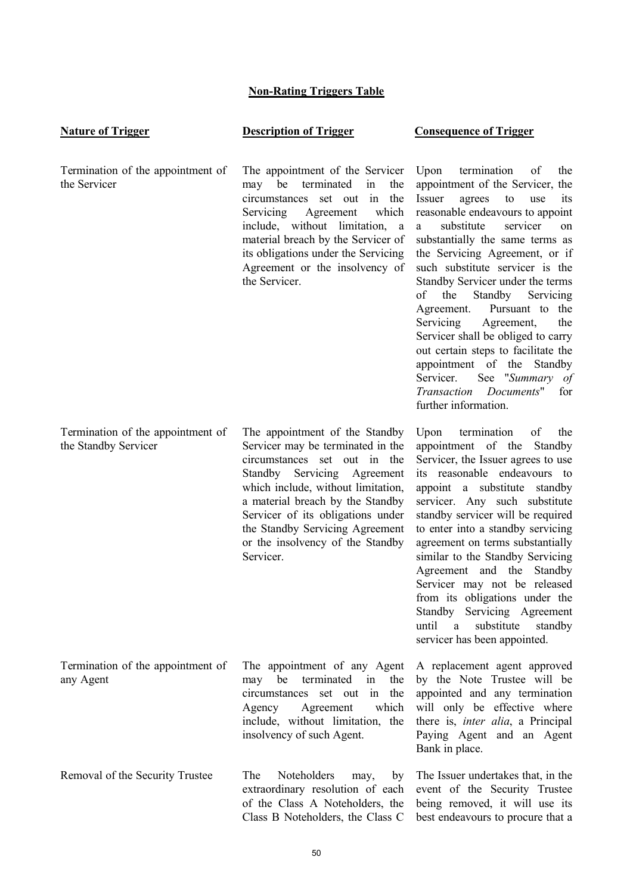# **Non-Rating Triggers Table**

| <b>Nature of Trigger</b>                                  | <b>Description of Trigger</b>                                                                                                                                                                                                                                                                                                         | <b>Consequence of Trigger</b>                                                                                                                                                                                                                                                                                                                                                                                                                                                                                                                                                                                                              |
|-----------------------------------------------------------|---------------------------------------------------------------------------------------------------------------------------------------------------------------------------------------------------------------------------------------------------------------------------------------------------------------------------------------|--------------------------------------------------------------------------------------------------------------------------------------------------------------------------------------------------------------------------------------------------------------------------------------------------------------------------------------------------------------------------------------------------------------------------------------------------------------------------------------------------------------------------------------------------------------------------------------------------------------------------------------------|
| Termination of the appointment of<br>the Servicer         | The appointment of the Servicer<br>terminated<br>be<br>in<br>the<br>may<br>circumstances<br>set out in<br>the<br>which<br>Servicing<br>Agreement<br>include, without limitation, a<br>material breach by the Servicer of<br>its obligations under the Servicing<br>Agreement or the insolvency of<br>the Servicer.                    | Upon<br>termination<br>of<br>the<br>appointment of the Servicer, the<br>Issuer<br>agrees<br>to<br>use<br>its<br>reasonable endeavours to appoint<br>substitute<br>servicer<br>a<br>on<br>substantially the same terms as<br>the Servicing Agreement, or if<br>such substitute servicer is the<br>Standby Servicer under the terms<br>the<br>Standby<br>οf<br>Servicing<br>Agreement. Pursuant to the<br>Servicing<br>Agreement,<br>the<br>Servicer shall be obliged to carry<br>out certain steps to facilitate the<br>appointment of the<br>Standby<br>See "Summary of<br>Servicer.<br>Transaction Documents" for<br>further information. |
| Termination of the appointment of<br>the Standby Servicer | The appointment of the Standby<br>Servicer may be terminated in the<br>circumstances set out in the<br>Standby Servicing Agreement<br>which include, without limitation,<br>a material breach by the Standby<br>Servicer of its obligations under<br>the Standby Servicing Agreement<br>or the insolvency of the Standby<br>Servicer. | Upon<br>termination<br>of<br>the<br>appointment of the Standby<br>Servicer, the Issuer agrees to use<br>its reasonable endeavours to<br>appoint a substitute standby<br>servicer. Any such substitute<br>standby servicer will be required<br>to enter into a standby servicing<br>agreement on terms substantially<br>similar to the Standby Servicing<br>Agreement and the Standby<br>Servicer may not be released<br>from its obligations under the<br>Standby<br>Servicing Agreement<br>until<br>substitute<br>standby<br>$\mathbf{a}$<br>servicer has been appointed.                                                                 |
| Termination of the appointment of<br>any Agent            | The appointment of any Agent<br>be<br>terminated<br>the<br>may<br>in<br>the<br>circumstances set out<br>in<br>which<br>Agreement<br>Agency<br>include, without limitation, the<br>insolvency of such Agent.                                                                                                                           | A replacement agent approved<br>by the Note Trustee will be<br>appointed and any termination<br>will only be effective where<br>there is, <i>inter alia</i> , a Principal<br>Paying Agent and an Agent<br>Bank in place.                                                                                                                                                                                                                                                                                                                                                                                                                   |
| Removal of the Security Trustee                           | The<br>Noteholders<br>may,<br>by<br>extraordinary resolution of each<br>of the Class A Noteholders, the<br>Class B Noteholders, the Class C                                                                                                                                                                                           | The Issuer undertakes that, in the<br>event of the Security Trustee<br>being removed, it will use its<br>best endeavours to procure that a                                                                                                                                                                                                                                                                                                                                                                                                                                                                                                 |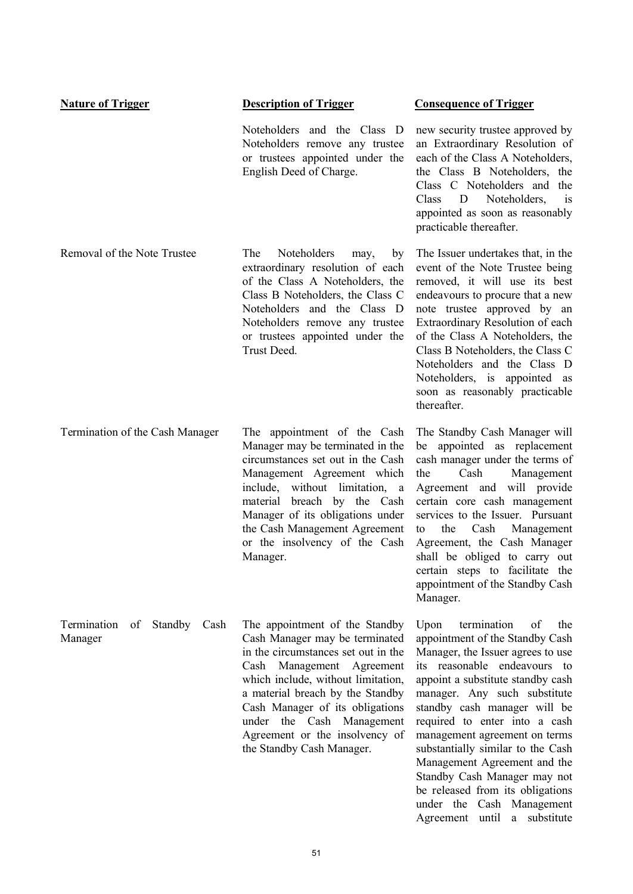| <b>Nature of Trigger</b>                        | <b>Description of Trigger</b>                                                                                                                                                                                                                                                                                                                 | <b>Consequence of Trigger</b>                                                                                                                                                                                                                                                                                                                                                                                                                                                                                            |
|-------------------------------------------------|-----------------------------------------------------------------------------------------------------------------------------------------------------------------------------------------------------------------------------------------------------------------------------------------------------------------------------------------------|--------------------------------------------------------------------------------------------------------------------------------------------------------------------------------------------------------------------------------------------------------------------------------------------------------------------------------------------------------------------------------------------------------------------------------------------------------------------------------------------------------------------------|
|                                                 | Noteholders and the Class D<br>Noteholders remove any trustee<br>or trustees appointed under the<br>English Deed of Charge.                                                                                                                                                                                                                   | new security trustee approved by<br>an Extraordinary Resolution of<br>each of the Class A Noteholders,<br>the Class B Noteholders, the<br>Class C Noteholders and<br>the<br>Noteholders,<br>Class<br>D<br>is<br>appointed as soon as reasonably<br>practicable thereafter.                                                                                                                                                                                                                                               |
| Removal of the Note Trustee                     | The<br>Noteholders<br>may,<br>by<br>extraordinary resolution of each<br>of the Class A Noteholders, the<br>Class B Noteholders, the Class C<br>Noteholders and the Class D<br>Noteholders remove any trustee<br>or trustees appointed under the<br>Trust Deed.                                                                                | The Issuer undertakes that, in the<br>event of the Note Trustee being<br>removed, it will use its best<br>endeavours to procure that a new<br>note trustee approved by an<br>Extraordinary Resolution of each<br>of the Class A Noteholders, the<br>Class B Noteholders, the Class C<br>Noteholders and the Class D<br>Noteholders, is appointed as<br>soon as reasonably practicable<br>thereafter.                                                                                                                     |
| Termination of the Cash Manager                 | The appointment of the Cash<br>Manager may be terminated in the<br>circumstances set out in the Cash<br>Management Agreement which<br>include, without limitation, a<br>material breach by the Cash<br>Manager of its obligations under<br>the Cash Management Agreement<br>or the insolvency of the Cash<br>Manager.                         | The Standby Cash Manager will<br>appointed as replacement<br>be<br>cash manager under the terms of<br>Cash<br>Management<br>the<br>Agreement and will provide<br>certain core cash management<br>services to the Issuer. Pursuant<br>the<br>Cash<br>Management<br>to<br>Agreement, the Cash Manager<br>shall be obliged to carry out<br>certain steps to facilitate the<br>appointment of the Standby Cash<br>Manager.                                                                                                   |
| Termination<br>Standby<br>of<br>Cash<br>Manager | The appointment of the Standby<br>Cash Manager may be terminated<br>in the circumstances set out in the<br>Cash Management Agreement<br>which include, without limitation,<br>a material breach by the Standby<br>Cash Manager of its obligations<br>under the Cash Management<br>Agreement or the insolvency of<br>the Standby Cash Manager. | termination<br>Upon<br>of<br>the<br>appointment of the Standby Cash<br>Manager, the Issuer agrees to use<br>its reasonable endeavours to<br>appoint a substitute standby cash<br>manager. Any such substitute<br>standby cash manager will be<br>required to enter into a cash<br>management agreement on terms<br>substantially similar to the Cash<br>Management Agreement and the<br>Standby Cash Manager may not<br>be released from its obligations<br>under the Cash Management<br>Agreement until<br>a substitute |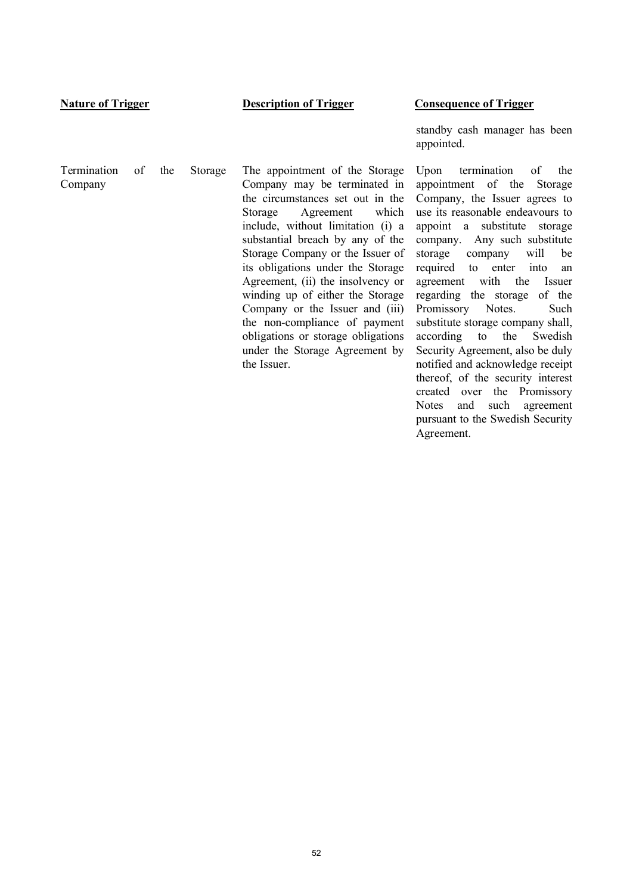#### **Nature of Trigger Description of Trigger Consequence of Trigger**

Termination of the Storage Company The appointment of the Storage Company may be terminated in the circumstances set out in the Storage Agreement which include, without limitation (i) a substantial breach by any of the Storage Company or the Issuer of its obligations under the Storage Agreement, (ii) the insolvency or winding up of either the Storage Company or the Issuer and (iii) the non-compliance of payment obligations or storage obligations under the Storage Agreement by

the Issuer.

standby cash manager has been appointed.

Upon termination of the appointment of the Storage Company, the Issuer agrees to use its reasonable endeavours to appoint a substitute storage company. Any such substitute storage company will be required to enter into an agreement with the Issuer regarding the storage of the Promissory Notes. Such substitute storage company shall, according to the Swedish Security Agreement, also be duly notified and acknowledge receipt thereof, of the security interest created over the Promissory Notes and such agreement pursuant to the Swedish Security Agreement.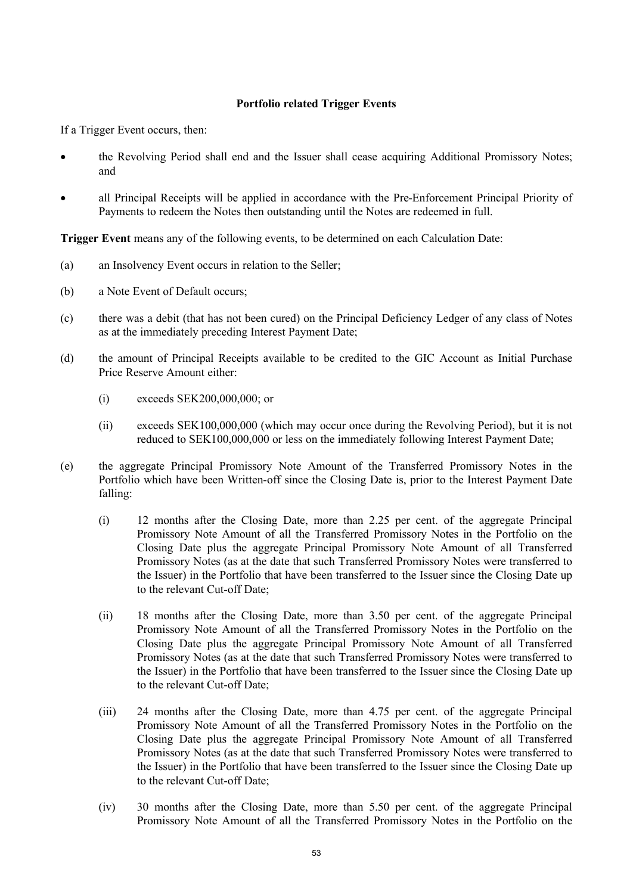### **Portfolio related Trigger Events**

If a Trigger Event occurs, then:

- · the Revolving Period shall end and the Issuer shall cease acquiring Additional Promissory Notes; and
- all Principal Receipts will be applied in accordance with the Pre-Enforcement Principal Priority of Payments to redeem the Notes then outstanding until the Notes are redeemed in full.

**Trigger Event** means any of the following events, to be determined on each Calculation Date:

- (a) an Insolvency Event occurs in relation to the Seller;
- (b) a Note Event of Default occurs;
- (c) there was a debit (that has not been cured) on the Principal Deficiency Ledger of any class of Notes as at the immediately preceding Interest Payment Date;
- (d) the amount of Principal Receipts available to be credited to the GIC Account as Initial Purchase Price Reserve Amount either:
	- (i) exceeds SEK200,000,000; or
	- (ii) exceeds SEK100,000,000 (which may occur once during the Revolving Period), but it is not reduced to SEK100,000,000 or less on the immediately following Interest Payment Date;
- (e) the aggregate Principal Promissory Note Amount of the Transferred Promissory Notes in the Portfolio which have been Written-off since the Closing Date is, prior to the Interest Payment Date falling:
	- (i) 12 months after the Closing Date, more than 2.25 per cent. of the aggregate Principal Promissory Note Amount of all the Transferred Promissory Notes in the Portfolio on the Closing Date plus the aggregate Principal Promissory Note Amount of all Transferred Promissory Notes (as at the date that such Transferred Promissory Notes were transferred to the Issuer) in the Portfolio that have been transferred to the Issuer since the Closing Date up to the relevant Cut-off Date;
	- (ii) 18 months after the Closing Date, more than 3.50 per cent. of the aggregate Principal Promissory Note Amount of all the Transferred Promissory Notes in the Portfolio on the Closing Date plus the aggregate Principal Promissory Note Amount of all Transferred Promissory Notes (as at the date that such Transferred Promissory Notes were transferred to the Issuer) in the Portfolio that have been transferred to the Issuer since the Closing Date up to the relevant Cut-off Date;
	- (iii) 24 months after the Closing Date, more than 4.75 per cent. of the aggregate Principal Promissory Note Amount of all the Transferred Promissory Notes in the Portfolio on the Closing Date plus the aggregate Principal Promissory Note Amount of all Transferred Promissory Notes (as at the date that such Transferred Promissory Notes were transferred to the Issuer) in the Portfolio that have been transferred to the Issuer since the Closing Date up to the relevant Cut-off Date;
	- (iv) 30 months after the Closing Date, more than 5.50 per cent. of the aggregate Principal Promissory Note Amount of all the Transferred Promissory Notes in the Portfolio on the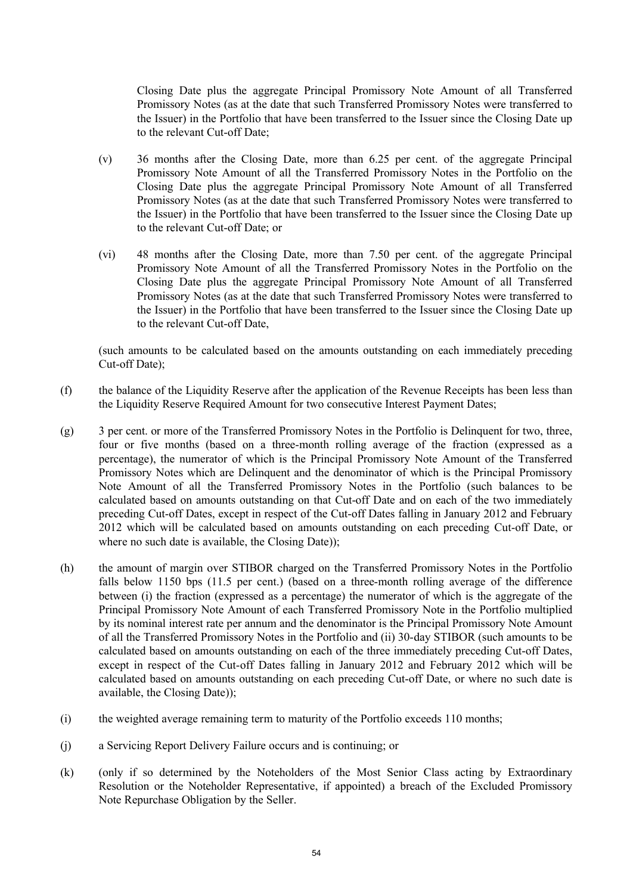Closing Date plus the aggregate Principal Promissory Note Amount of all Transferred Promissory Notes (as at the date that such Transferred Promissory Notes were transferred to the Issuer) in the Portfolio that have been transferred to the Issuer since the Closing Date up to the relevant Cut-off Date;

- (v) 36 months after the Closing Date, more than 6.25 per cent. of the aggregate Principal Promissory Note Amount of all the Transferred Promissory Notes in the Portfolio on the Closing Date plus the aggregate Principal Promissory Note Amount of all Transferred Promissory Notes (as at the date that such Transferred Promissory Notes were transferred to the Issuer) in the Portfolio that have been transferred to the Issuer since the Closing Date up to the relevant Cut-off Date; or
- (vi) 48 months after the Closing Date, more than 7.50 per cent. of the aggregate Principal Promissory Note Amount of all the Transferred Promissory Notes in the Portfolio on the Closing Date plus the aggregate Principal Promissory Note Amount of all Transferred Promissory Notes (as at the date that such Transferred Promissory Notes were transferred to the Issuer) in the Portfolio that have been transferred to the Issuer since the Closing Date up to the relevant Cut-off Date,

(such amounts to be calculated based on the amounts outstanding on each immediately preceding Cut-off Date);

- (f) the balance of the Liquidity Reserve after the application of the Revenue Receipts has been less than the Liquidity Reserve Required Amount for two consecutive Interest Payment Dates;
- (g) 3 per cent. or more of the Transferred Promissory Notes in the Portfolio is Delinquent for two, three, four or five months (based on a three-month rolling average of the fraction (expressed as a percentage), the numerator of which is the Principal Promissory Note Amount of the Transferred Promissory Notes which are Delinquent and the denominator of which is the Principal Promissory Note Amount of all the Transferred Promissory Notes in the Portfolio (such balances to be calculated based on amounts outstanding on that Cut-off Date and on each of the two immediately preceding Cut-off Dates, except in respect of the Cut-off Dates falling in January 2012 and February 2012 which will be calculated based on amounts outstanding on each preceding Cut-off Date, or where no such date is available, the Closing Date));
- (h) the amount of margin over STIBOR charged on the Transferred Promissory Notes in the Portfolio falls below 1150 bps (11.5 per cent.) (based on a three-month rolling average of the difference between (i) the fraction (expressed as a percentage) the numerator of which is the aggregate of the Principal Promissory Note Amount of each Transferred Promissory Note in the Portfolio multiplied by its nominal interest rate per annum and the denominator is the Principal Promissory Note Amount of all the Transferred Promissory Notes in the Portfolio and (ii) 30-day STIBOR (such amounts to be calculated based on amounts outstanding on each of the three immediately preceding Cut-off Dates, except in respect of the Cut-off Dates falling in January 2012 and February 2012 which will be calculated based on amounts outstanding on each preceding Cut-off Date, or where no such date is available, the Closing Date));
- (i) the weighted average remaining term to maturity of the Portfolio exceeds 110 months;
- (j) a Servicing Report Delivery Failure occurs and is continuing; or
- (k) (only if so determined by the Noteholders of the Most Senior Class acting by Extraordinary Resolution or the Noteholder Representative, if appointed) a breach of the Excluded Promissory Note Repurchase Obligation by the Seller.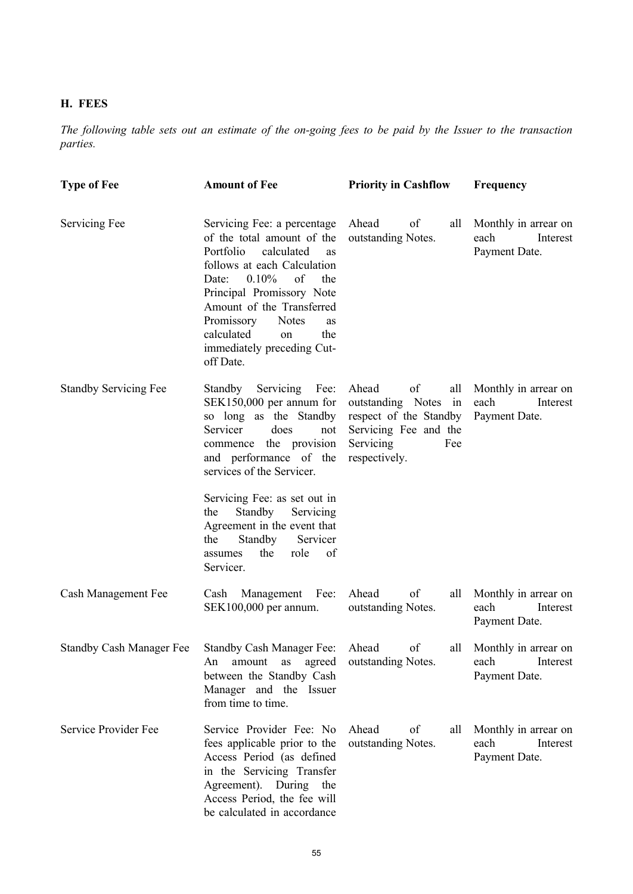# **H. FEES**

*The following table sets out an estimate of the on-going fees to be paid by the Issuer to the transaction parties.*

| <b>Type of Fee</b>           | <b>Amount of Fee</b>                                                                                                                                                                                                                                                                                                            | <b>Priority in Cashflow</b>                                                                                                           | Frequency                                                 |
|------------------------------|---------------------------------------------------------------------------------------------------------------------------------------------------------------------------------------------------------------------------------------------------------------------------------------------------------------------------------|---------------------------------------------------------------------------------------------------------------------------------------|-----------------------------------------------------------|
| Servicing Fee                | Servicing Fee: a percentage<br>of the total amount of the<br>Portfolio<br>calculated<br>as<br>follows at each Calculation<br>$0.10\%$<br>of<br>the<br>Date:<br>Principal Promissory Note<br>Amount of the Transferred<br>Promissory<br><b>Notes</b><br>as<br>calculated<br>the<br>on<br>immediately preceding Cut-<br>off Date. | Ahead<br>of<br>all<br>outstanding Notes.                                                                                              | Monthly in arrear on<br>each<br>Interest<br>Payment Date. |
| <b>Standby Servicing Fee</b> | Standby Servicing Fee:<br>SEK150,000 per annum for<br>so long as the Standby<br>Servicer<br>does<br>not<br>commence the provision<br>and performance of the<br>services of the Servicer.<br>Servicing Fee: as set out in<br>Standby<br>Servicing<br>the                                                                         | Ahead<br>of<br>all<br>outstanding Notes<br>in<br>respect of the Standby<br>Servicing Fee and the<br>Servicing<br>Fee<br>respectively. | Monthly in arrear on<br>each<br>Interest<br>Payment Date. |
|                              | Agreement in the event that<br>Standby<br>the<br>Servicer<br>the<br>role<br>of<br>assumes<br>Servicer.                                                                                                                                                                                                                          |                                                                                                                                       |                                                           |
| Cash Management Fee          | Cash Management Fee:<br>SEK100,000 per annum.                                                                                                                                                                                                                                                                                   | of<br>Ahead<br>all<br>outstanding Notes.                                                                                              | Monthly in arrear on<br>each<br>Interest<br>Payment Date. |
|                              | Standby Cash Manager Fee Standby Cash Manager Fee:<br>amount as agreed<br>An<br>between the Standby Cash<br>Manager and the Issuer<br>from time to time.                                                                                                                                                                        | Ahead<br>of<br>all<br>outstanding Notes.                                                                                              | Monthly in arrear on<br>each<br>Interest<br>Payment Date. |
| Service Provider Fee         | Service Provider Fee: No<br>fees applicable prior to the<br>Access Period (as defined<br>in the Servicing Transfer<br>Agreement). During the<br>Access Period, the fee will<br>be calculated in accordance                                                                                                                      | Ahead<br>of<br>all<br>outstanding Notes.                                                                                              | Monthly in arrear on<br>each<br>Interest<br>Payment Date. |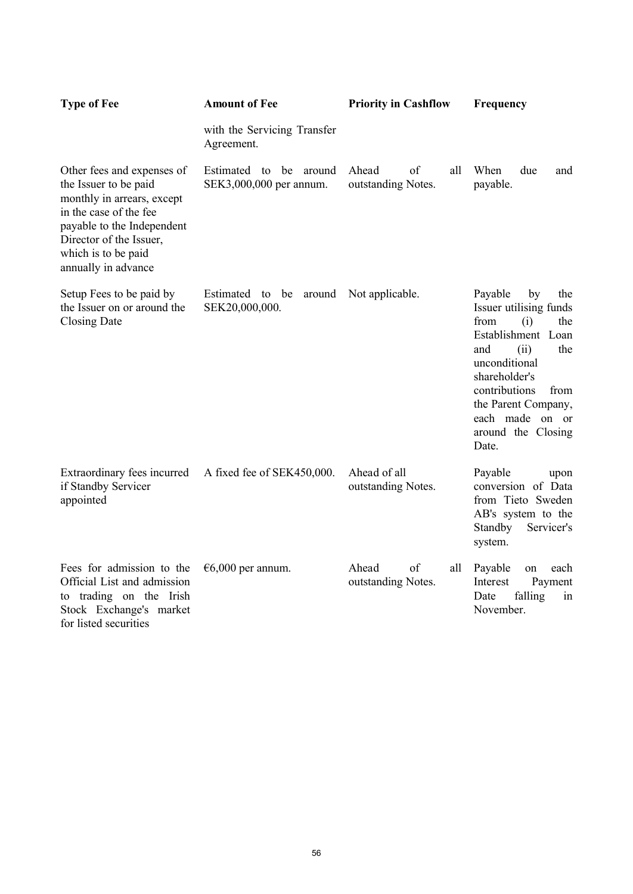| <b>Type of Fee</b>                                                                                                                                                                                                 | <b>Amount of Fee</b>                                 | <b>Priority in Cashflow</b>              | Frequency                                                                                                                                                                                                                                            |
|--------------------------------------------------------------------------------------------------------------------------------------------------------------------------------------------------------------------|------------------------------------------------------|------------------------------------------|------------------------------------------------------------------------------------------------------------------------------------------------------------------------------------------------------------------------------------------------------|
|                                                                                                                                                                                                                    | with the Servicing Transfer<br>Agreement.            |                                          |                                                                                                                                                                                                                                                      |
| Other fees and expenses of<br>the Issuer to be paid<br>monthly in arrears, except<br>in the case of the fee<br>payable to the Independent<br>Director of the Issuer,<br>which is to be paid<br>annually in advance | Estimated to be<br>around<br>SEK3,000,000 per annum. | Ahead<br>of<br>all<br>outstanding Notes. | When<br>due<br>and<br>payable.                                                                                                                                                                                                                       |
| Setup Fees to be paid by<br>the Issuer on or around the<br><b>Closing Date</b>                                                                                                                                     | Estimated to be<br>around<br>SEK20,000,000.          | Not applicable.                          | Payable<br>by<br>the<br>Issuer utilising funds<br>from<br>(i)<br>the<br>Establishment Loan<br>and<br>(ii)<br>the<br>unconditional<br>shareholder's<br>contributions<br>from<br>the Parent Company,<br>each made on or<br>around the Closing<br>Date. |
| Extraordinary fees incurred<br>if Standby Servicer<br>appointed                                                                                                                                                    | A fixed fee of SEK450,000.                           | Ahead of all<br>outstanding Notes.       | Payable<br>upon<br>conversion of Data<br>from Tieto Sweden<br>AB's system to the<br>Standby<br>Servicer's<br>system.                                                                                                                                 |
| Fees for admission to the<br>Official List and admission<br>to trading on the Irish<br>Stock Exchange's market<br>for listed securities                                                                            | $€6,000$ per annum.                                  | Ahead<br>of<br>all<br>outstanding Notes. | Payable<br>on<br>each<br>Interest<br>Payment<br>falling<br>Date<br>in<br>November.                                                                                                                                                                   |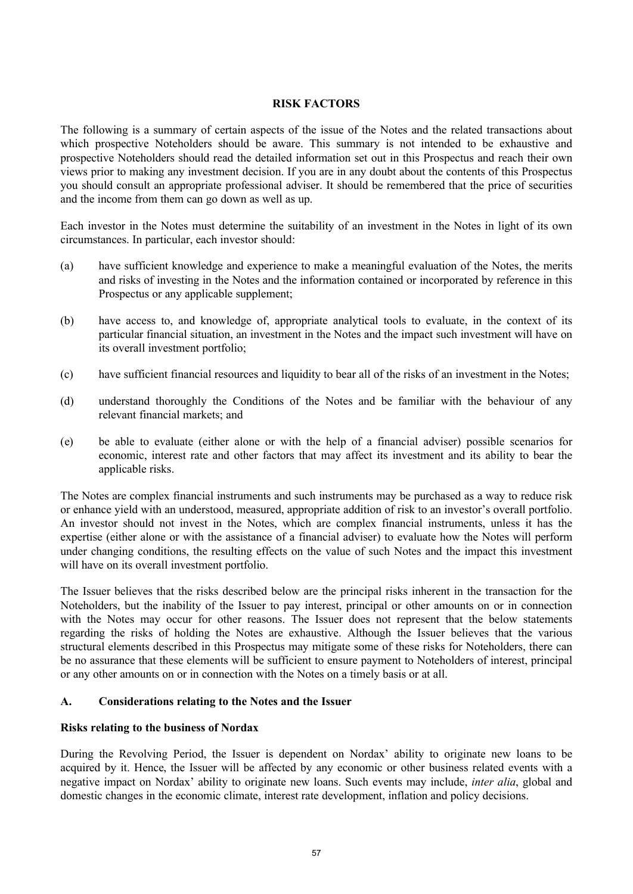### **RISK FACTORS**

The following is a summary of certain aspects of the issue of the Notes and the related transactions about which prospective Noteholders should be aware. This summary is not intended to be exhaustive and prospective Noteholders should read the detailed information set out in this Prospectus and reach their own views prior to making any investment decision. If you are in any doubt about the contents of this Prospectus you should consult an appropriate professional adviser. It should be remembered that the price of securities and the income from them can go down as well as up.

Each investor in the Notes must determine the suitability of an investment in the Notes in light of its own circumstances. In particular, each investor should:

- (a) have sufficient knowledge and experience to make a meaningful evaluation of the Notes, the merits and risks of investing in the Notes and the information contained or incorporated by reference in this Prospectus or any applicable supplement;
- (b) have access to, and knowledge of, appropriate analytical tools to evaluate, in the context of its particular financial situation, an investment in the Notes and the impact such investment will have on its overall investment portfolio;
- (c) have sufficient financial resources and liquidity to bear all of the risks of an investment in the Notes;
- (d) understand thoroughly the Conditions of the Notes and be familiar with the behaviour of any relevant financial markets; and
- (e) be able to evaluate (either alone or with the help of a financial adviser) possible scenarios for economic, interest rate and other factors that may affect its investment and its ability to bear the applicable risks.

The Notes are complex financial instruments and such instruments may be purchased as a way to reduce risk or enhance yield with an understood, measured, appropriate addition of risk to an investor's overall portfolio. An investor should not invest in the Notes, which are complex financial instruments, unless it has the expertise (either alone or with the assistance of a financial adviser) to evaluate how the Notes will perform under changing conditions, the resulting effects on the value of such Notes and the impact this investment will have on its overall investment portfolio.

The Issuer believes that the risks described below are the principal risks inherent in the transaction for the Noteholders, but the inability of the Issuer to pay interest, principal or other amounts on or in connection with the Notes may occur for other reasons. The Issuer does not represent that the below statements regarding the risks of holding the Notes are exhaustive. Although the Issuer believes that the various structural elements described in this Prospectus may mitigate some of these risks for Noteholders, there can be no assurance that these elements will be sufficient to ensure payment to Noteholders of interest, principal or any other amounts on or in connection with the Notes on a timely basis or at all.

# **A. Considerations relating to the Notes and the Issuer**

#### **Risks relating to the business of Nordax**

During the Revolving Period, the Issuer is dependent on Nordax' ability to originate new loans to be acquired by it. Hence, the Issuer will be affected by any economic or other business related events with a negative impact on Nordax' ability to originate new loans. Such events may include, *inter alia*, global and domestic changes in the economic climate, interest rate development, inflation and policy decisions.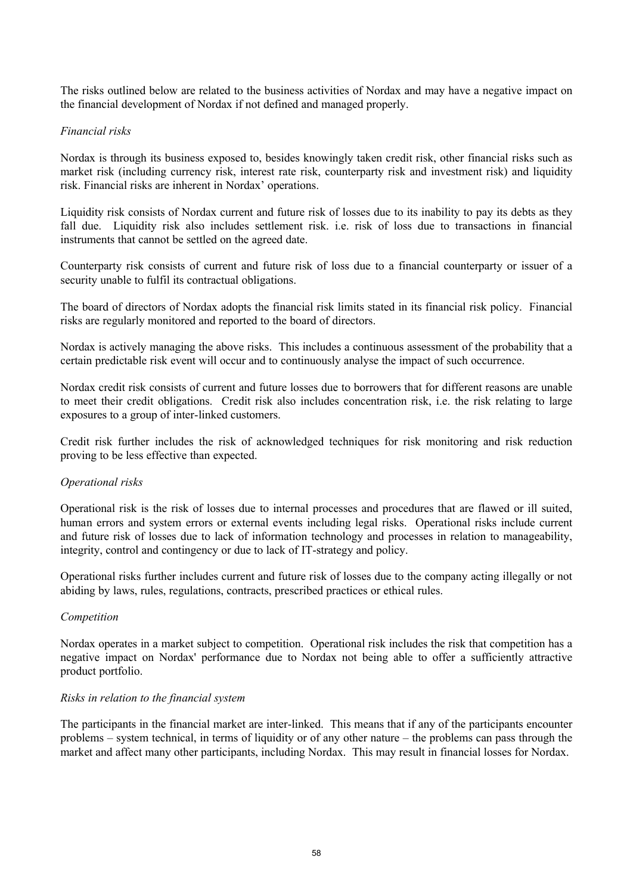The risks outlined below are related to the business activities of Nordax and may have a negative impact on the financial development of Nordax if not defined and managed properly.

#### *Financial risks*

Nordax is through its business exposed to, besides knowingly taken credit risk, other financial risks such as market risk (including currency risk, interest rate risk, counterparty risk and investment risk) and liquidity risk. Financial risks are inherent in Nordax' operations.

Liquidity risk consists of Nordax current and future risk of losses due to its inability to pay its debts as they fall due. Liquidity risk also includes settlement risk. i.e. risk of loss due to transactions in financial instruments that cannot be settled on the agreed date.

Counterparty risk consists of current and future risk of loss due to a financial counterparty or issuer of a security unable to fulfil its contractual obligations.

The board of directors of Nordax adopts the financial risk limits stated in its financial risk policy. Financial risks are regularly monitored and reported to the board of directors.

Nordax is actively managing the above risks. This includes a continuous assessment of the probability that a certain predictable risk event will occur and to continuously analyse the impact of such occurrence.

Nordax credit risk consists of current and future losses due to borrowers that for different reasons are unable to meet their credit obligations. Credit risk also includes concentration risk, i.e. the risk relating to large exposures to a group of inter-linked customers.

Credit risk further includes the risk of acknowledged techniques for risk monitoring and risk reduction proving to be less effective than expected.

#### *Operational risks*

Operational risk is the risk of losses due to internal processes and procedures that are flawed or ill suited, human errors and system errors or external events including legal risks. Operational risks include current and future risk of losses due to lack of information technology and processes in relation to manageability, integrity, control and contingency or due to lack of IT-strategy and policy.

Operational risks further includes current and future risk of losses due to the company acting illegally or not abiding by laws, rules, regulations, contracts, prescribed practices or ethical rules.

#### *Competition*

Nordax operates in a market subject to competition. Operational risk includes the risk that competition has a negative impact on Nordax' performance due to Nordax not being able to offer a sufficiently attractive product portfolio.

#### *Risks in relation to the financial system*

The participants in the financial market are inter-linked. This means that if any of the participants encounter problems – system technical, in terms of liquidity or of any other nature – the problems can pass through the market and affect many other participants, including Nordax. This may result in financial losses for Nordax.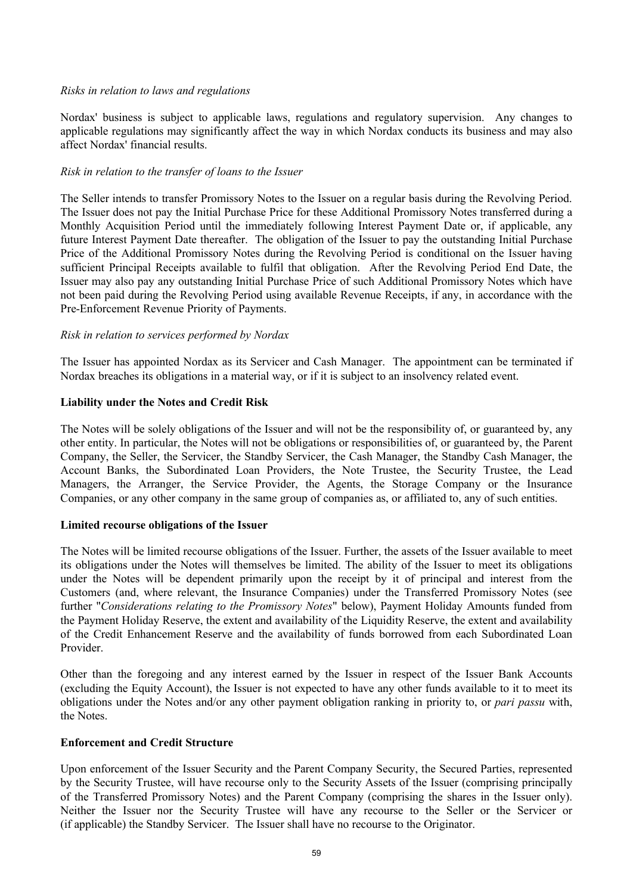#### *Risks in relation to laws and regulations*

Nordax' business is subject to applicable laws, regulations and regulatory supervision. Any changes to applicable regulations may significantly affect the way in which Nordax conducts its business and may also affect Nordax' financial results.

#### *Risk in relation to the transfer of loans to the Issuer*

The Seller intends to transfer Promissory Notes to the Issuer on a regular basis during the Revolving Period. The Issuer does not pay the Initial Purchase Price for these Additional Promissory Notes transferred during a Monthly Acquisition Period until the immediately following Interest Payment Date or, if applicable, any future Interest Payment Date thereafter. The obligation of the Issuer to pay the outstanding Initial Purchase Price of the Additional Promissory Notes during the Revolving Period is conditional on the Issuer having sufficient Principal Receipts available to fulfil that obligation. After the Revolving Period End Date, the Issuer may also pay any outstanding Initial Purchase Price of such Additional Promissory Notes which have not been paid during the Revolving Period using available Revenue Receipts, if any, in accordance with the Pre-Enforcement Revenue Priority of Payments.

### *Risk in relation to services performed by Nordax*

The Issuer has appointed Nordax as its Servicer and Cash Manager. The appointment can be terminated if Nordax breaches its obligations in a material way, or if it is subject to an insolvency related event.

### **Liability under the Notes and Credit Risk**

The Notes will be solely obligations of the Issuer and will not be the responsibility of, or guaranteed by, any other entity. In particular, the Notes will not be obligations or responsibilities of, or guaranteed by, the Parent Company, the Seller, the Servicer, the Standby Servicer, the Cash Manager, the Standby Cash Manager, the Account Banks, the Subordinated Loan Providers, the Note Trustee, the Security Trustee, the Lead Managers, the Arranger, the Service Provider, the Agents, the Storage Company or the Insurance Companies, or any other company in the same group of companies as, or affiliated to, any of such entities.

#### **Limited recourse obligations of the Issuer**

The Notes will be limited recourse obligations of the Issuer. Further, the assets of the Issuer available to meet its obligations under the Notes will themselves be limited. The ability of the Issuer to meet its obligations under the Notes will be dependent primarily upon the receipt by it of principal and interest from the Customers (and, where relevant, the Insurance Companies) under the Transferred Promissory Notes (see further "*Considerations relating to the Promissory Notes*" below), Payment Holiday Amounts funded from the Payment Holiday Reserve, the extent and availability of the Liquidity Reserve, the extent and availability of the Credit Enhancement Reserve and the availability of funds borrowed from each Subordinated Loan Provider.

Other than the foregoing and any interest earned by the Issuer in respect of the Issuer Bank Accounts (excluding the Equity Account), the Issuer is not expected to have any other funds available to it to meet its obligations under the Notes and/or any other payment obligation ranking in priority to, or *pari passu* with, the Notes.

#### **Enforcement and Credit Structure**

Upon enforcement of the Issuer Security and the Parent Company Security, the Secured Parties, represented by the Security Trustee, will have recourse only to the Security Assets of the Issuer (comprising principally of the Transferred Promissory Notes) and the Parent Company (comprising the shares in the Issuer only). Neither the Issuer nor the Security Trustee will have any recourse to the Seller or the Servicer or (if applicable) the Standby Servicer. The Issuer shall have no recourse to the Originator.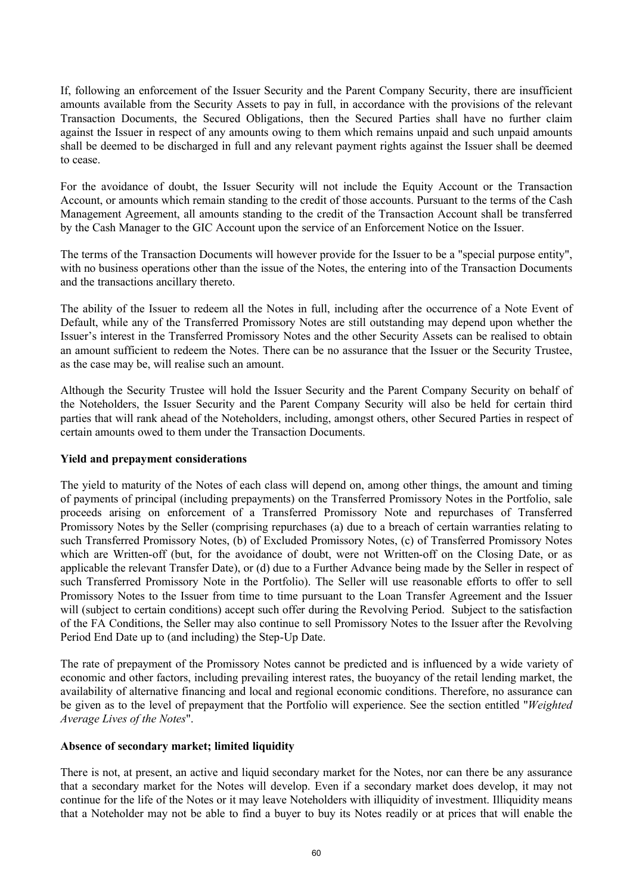If, following an enforcement of the Issuer Security and the Parent Company Security, there are insufficient amounts available from the Security Assets to pay in full, in accordance with the provisions of the relevant Transaction Documents, the Secured Obligations, then the Secured Parties shall have no further claim against the Issuer in respect of any amounts owing to them which remains unpaid and such unpaid amounts shall be deemed to be discharged in full and any relevant payment rights against the Issuer shall be deemed to cease.

For the avoidance of doubt, the Issuer Security will not include the Equity Account or the Transaction Account, or amounts which remain standing to the credit of those accounts. Pursuant to the terms of the Cash Management Agreement, all amounts standing to the credit of the Transaction Account shall be transferred by the Cash Manager to the GIC Account upon the service of an Enforcement Notice on the Issuer.

The terms of the Transaction Documents will however provide for the Issuer to be a "special purpose entity", with no business operations other than the issue of the Notes, the entering into of the Transaction Documents and the transactions ancillary thereto.

The ability of the Issuer to redeem all the Notes in full, including after the occurrence of a Note Event of Default, while any of the Transferred Promissory Notes are still outstanding may depend upon whether the Issuer's interest in the Transferred Promissory Notes and the other Security Assets can be realised to obtain an amount sufficient to redeem the Notes. There can be no assurance that the Issuer or the Security Trustee, as the case may be, will realise such an amount.

Although the Security Trustee will hold the Issuer Security and the Parent Company Security on behalf of the Noteholders, the Issuer Security and the Parent Company Security will also be held for certain third parties that will rank ahead of the Noteholders, including, amongst others, other Secured Parties in respect of certain amounts owed to them under the Transaction Documents.

#### **Yield and prepayment considerations**

The yield to maturity of the Notes of each class will depend on, among other things, the amount and timing of payments of principal (including prepayments) on the Transferred Promissory Notes in the Portfolio, sale proceeds arising on enforcement of a Transferred Promissory Note and repurchases of Transferred Promissory Notes by the Seller (comprising repurchases (a) due to a breach of certain warranties relating to such Transferred Promissory Notes, (b) of Excluded Promissory Notes, (c) of Transferred Promissory Notes which are Written-off (but, for the avoidance of doubt, were not Written-off on the Closing Date, or as applicable the relevant Transfer Date), or (d) due to a Further Advance being made by the Seller in respect of such Transferred Promissory Note in the Portfolio). The Seller will use reasonable efforts to offer to sell Promissory Notes to the Issuer from time to time pursuant to the Loan Transfer Agreement and the Issuer will (subject to certain conditions) accept such offer during the Revolving Period. Subject to the satisfaction of the FA Conditions, the Seller may also continue to sell Promissory Notes to the Issuer after the Revolving Period End Date up to (and including) the Step-Up Date.

The rate of prepayment of the Promissory Notes cannot be predicted and is influenced by a wide variety of economic and other factors, including prevailing interest rates, the buoyancy of the retail lending market, the availability of alternative financing and local and regional economic conditions. Therefore, no assurance can be given as to the level of prepayment that the Portfolio will experience. See the section entitled "*Weighted Average Lives of the Notes*".

#### **Absence of secondary market; limited liquidity**

There is not, at present, an active and liquid secondary market for the Notes, nor can there be any assurance that a secondary market for the Notes will develop. Even if a secondary market does develop, it may not continue for the life of the Notes or it may leave Noteholders with illiquidity of investment. Illiquidity means that a Noteholder may not be able to find a buyer to buy its Notes readily or at prices that will enable the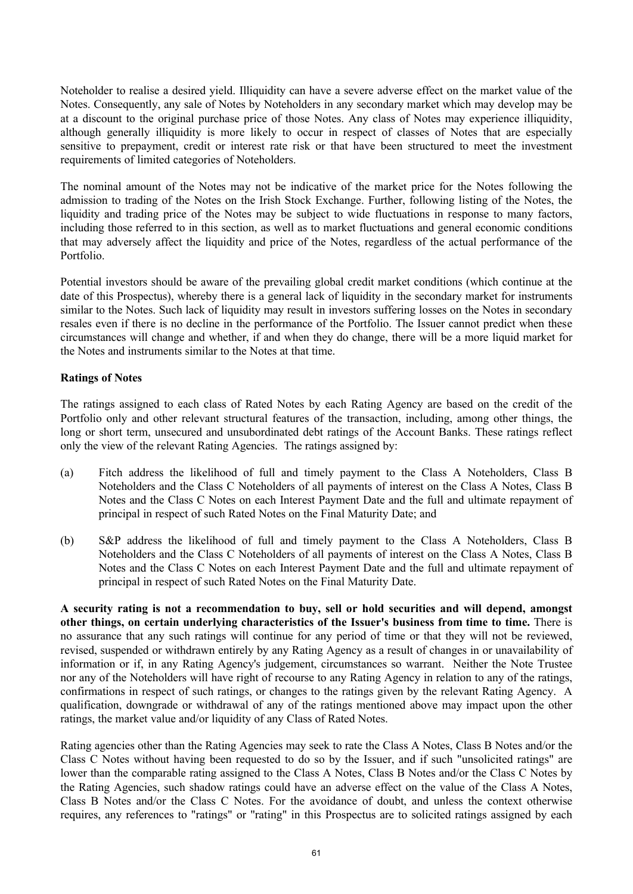Noteholder to realise a desired yield. Illiquidity can have a severe adverse effect on the market value of the Notes. Consequently, any sale of Notes by Noteholders in any secondary market which may develop may be at a discount to the original purchase price of those Notes. Any class of Notes may experience illiquidity, although generally illiquidity is more likely to occur in respect of classes of Notes that are especially sensitive to prepayment, credit or interest rate risk or that have been structured to meet the investment requirements of limited categories of Noteholders.

The nominal amount of the Notes may not be indicative of the market price for the Notes following the admission to trading of the Notes on the Irish Stock Exchange. Further, following listing of the Notes, the liquidity and trading price of the Notes may be subject to wide fluctuations in response to many factors, including those referred to in this section, as well as to market fluctuations and general economic conditions that may adversely affect the liquidity and price of the Notes, regardless of the actual performance of the Portfolio.

Potential investors should be aware of the prevailing global credit market conditions (which continue at the date of this Prospectus), whereby there is a general lack of liquidity in the secondary market for instruments similar to the Notes. Such lack of liquidity may result in investors suffering losses on the Notes in secondary resales even if there is no decline in the performance of the Portfolio. The Issuer cannot predict when these circumstances will change and whether, if and when they do change, there will be a more liquid market for the Notes and instruments similar to the Notes at that time.

### **Ratings of Notes**

The ratings assigned to each class of Rated Notes by each Rating Agency are based on the credit of the Portfolio only and other relevant structural features of the transaction, including, among other things, the long or short term, unsecured and unsubordinated debt ratings of the Account Banks. These ratings reflect only the view of the relevant Rating Agencies. The ratings assigned by:

- (a) Fitch address the likelihood of full and timely payment to the Class A Noteholders, Class B Noteholders and the Class C Noteholders of all payments of interest on the Class A Notes, Class B Notes and the Class C Notes on each Interest Payment Date and the full and ultimate repayment of principal in respect of such Rated Notes on the Final Maturity Date; and
- (b) S&P address the likelihood of full and timely payment to the Class A Noteholders, Class B Noteholders and the Class C Noteholders of all payments of interest on the Class A Notes, Class B Notes and the Class C Notes on each Interest Payment Date and the full and ultimate repayment of principal in respect of such Rated Notes on the Final Maturity Date.

**A security rating is not a recommendation to buy, sell or hold securities and will depend, amongst other things, on certain underlying characteristics of the Issuer's business from time to time.** There is no assurance that any such ratings will continue for any period of time or that they will not be reviewed, revised, suspended or withdrawn entirely by any Rating Agency as a result of changes in or unavailability of information or if, in any Rating Agency's judgement, circumstances so warrant. Neither the Note Trustee nor any of the Noteholders will have right of recourse to any Rating Agency in relation to any of the ratings, confirmations in respect of such ratings, or changes to the ratings given by the relevant Rating Agency. A qualification, downgrade or withdrawal of any of the ratings mentioned above may impact upon the other ratings, the market value and/or liquidity of any Class of Rated Notes.

Rating agencies other than the Rating Agencies may seek to rate the Class A Notes, Class B Notes and/or the Class C Notes without having been requested to do so by the Issuer, and if such "unsolicited ratings" are lower than the comparable rating assigned to the Class A Notes, Class B Notes and/or the Class C Notes by the Rating Agencies, such shadow ratings could have an adverse effect on the value of the Class A Notes, Class B Notes and/or the Class C Notes. For the avoidance of doubt, and unless the context otherwise requires, any references to "ratings" or "rating" in this Prospectus are to solicited ratings assigned by each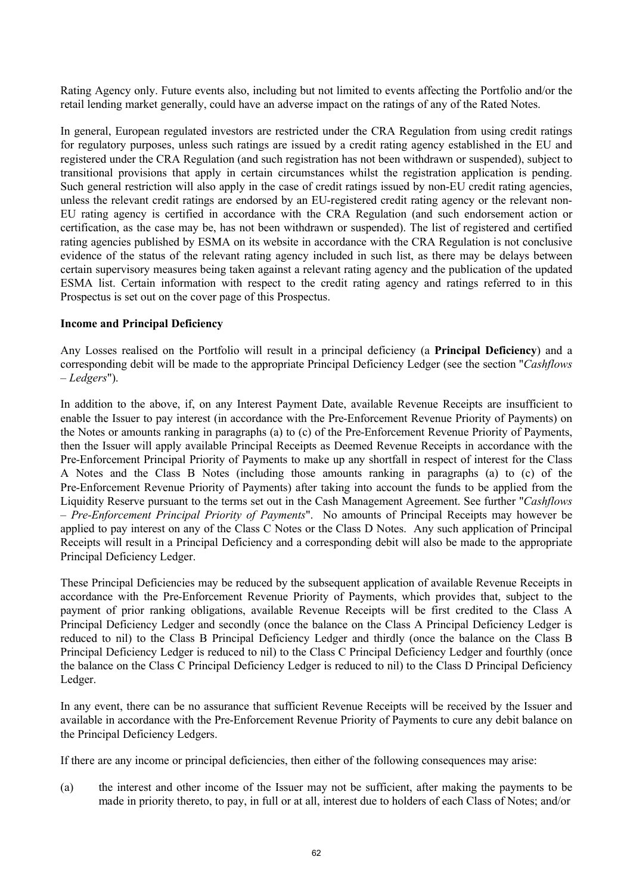Rating Agency only. Future events also, including but not limited to events affecting the Portfolio and/or the retail lending market generally, could have an adverse impact on the ratings of any of the Rated Notes.

In general, European regulated investors are restricted under the CRA Regulation from using credit ratings for regulatory purposes, unless such ratings are issued by a credit rating agency established in the EU and registered under the CRA Regulation (and such registration has not been withdrawn or suspended), subject to transitional provisions that apply in certain circumstances whilst the registration application is pending. Such general restriction will also apply in the case of credit ratings issued by non-EU credit rating agencies, unless the relevant credit ratings are endorsed by an EU-registered credit rating agency or the relevant non-EU rating agency is certified in accordance with the CRA Regulation (and such endorsement action or certification, as the case may be, has not been withdrawn or suspended). The list of registered and certified rating agencies published by ESMA on its website in accordance with the CRA Regulation is not conclusive evidence of the status of the relevant rating agency included in such list, as there may be delays between certain supervisory measures being taken against a relevant rating agency and the publication of the updated ESMA list. Certain information with respect to the credit rating agency and ratings referred to in this Prospectus is set out on the cover page of this Prospectus.

#### **Income and Principal Deficiency**

Any Losses realised on the Portfolio will result in a principal deficiency (a **Principal Deficiency**) and a corresponding debit will be made to the appropriate Principal Deficiency Ledger (see the section "*Cashflows – Ledgers*").

In addition to the above, if, on any Interest Payment Date, available Revenue Receipts are insufficient to enable the Issuer to pay interest (in accordance with the Pre-Enforcement Revenue Priority of Payments) on the Notes or amounts ranking in paragraphs (a) to (c) of the Pre-Enforcement Revenue Priority of Payments, then the Issuer will apply available Principal Receipts as Deemed Revenue Receipts in accordance with the Pre-Enforcement Principal Priority of Payments to make up any shortfall in respect of interest for the Class A Notes and the Class B Notes (including those amounts ranking in paragraphs (a) to (c) of the Pre-Enforcement Revenue Priority of Payments) after taking into account the funds to be applied from the Liquidity Reserve pursuant to the terms set out in the Cash Management Agreement. See further "*Cashflows – Pre-Enforcement Principal Priority of Payments*". No amounts of Principal Receipts may however be applied to pay interest on any of the Class C Notes or the Class D Notes. Any such application of Principal Receipts will result in a Principal Deficiency and a corresponding debit will also be made to the appropriate Principal Deficiency Ledger.

These Principal Deficiencies may be reduced by the subsequent application of available Revenue Receipts in accordance with the Pre-Enforcement Revenue Priority of Payments, which provides that, subject to the payment of prior ranking obligations, available Revenue Receipts will be first credited to the Class A Principal Deficiency Ledger and secondly (once the balance on the Class A Principal Deficiency Ledger is reduced to nil) to the Class B Principal Deficiency Ledger and thirdly (once the balance on the Class B Principal Deficiency Ledger is reduced to nil) to the Class C Principal Deficiency Ledger and fourthly (once the balance on the Class C Principal Deficiency Ledger is reduced to nil) to the Class D Principal Deficiency Ledger.

In any event, there can be no assurance that sufficient Revenue Receipts will be received by the Issuer and available in accordance with the Pre-Enforcement Revenue Priority of Payments to cure any debit balance on the Principal Deficiency Ledgers.

If there are any income or principal deficiencies, then either of the following consequences may arise:

(a) the interest and other income of the Issuer may not be sufficient, after making the payments to be made in priority thereto, to pay, in full or at all, interest due to holders of each Class of Notes; and/or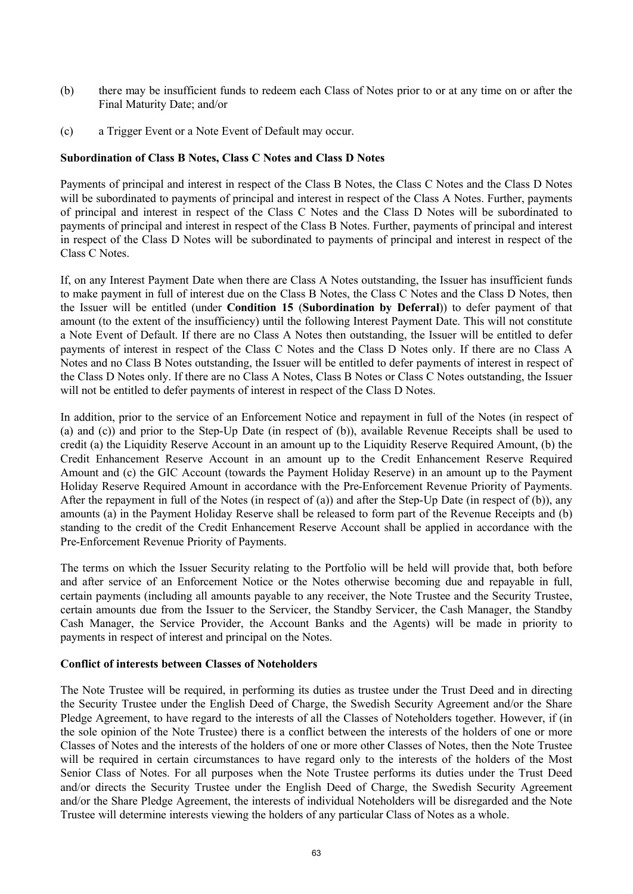- (b) there may be insufficient funds to redeem each Class of Notes prior to or at any time on or after the Final Maturity Date; and/or
- (c) a Trigger Event or a Note Event of Default may occur.

#### **Subordination of Class B Notes, Class C Notes and Class D Notes**

Payments of principal and interest in respect of the Class B Notes, the Class C Notes and the Class D Notes will be subordinated to payments of principal and interest in respect of the Class A Notes. Further, payments of principal and interest in respect of the Class C Notes and the Class D Notes will be subordinated to payments of principal and interest in respect of the Class B Notes. Further, payments of principal and interest in respect of the Class D Notes will be subordinated to payments of principal and interest in respect of the Class C Notes.

If, on any Interest Payment Date when there are Class A Notes outstanding, the Issuer has insufficient funds to make payment in full of interest due on the Class B Notes, the Class C Notes and the Class D Notes, then the Issuer will be entitled (under **Condition 15** (**Subordination by Deferral**)) to defer payment of that amount (to the extent of the insufficiency) until the following Interest Payment Date. This will not constitute a Note Event of Default. If there are no Class A Notes then outstanding, the Issuer will be entitled to defer payments of interest in respect of the Class C Notes and the Class D Notes only. If there are no Class A Notes and no Class B Notes outstanding, the Issuer will be entitled to defer payments of interest in respect of the Class D Notes only. If there are no Class A Notes, Class B Notes or Class C Notes outstanding, the Issuer will not be entitled to defer payments of interest in respect of the Class D Notes.

In addition, prior to the service of an Enforcement Notice and repayment in full of the Notes (in respect of (a) and (c)) and prior to the Step-Up Date (in respect of (b)), available Revenue Receipts shall be used to credit (a) the Liquidity Reserve Account in an amount up to the Liquidity Reserve Required Amount, (b) the Credit Enhancement Reserve Account in an amount up to the Credit Enhancement Reserve Required Amount and (c) the GIC Account (towards the Payment Holiday Reserve) in an amount up to the Payment Holiday Reserve Required Amount in accordance with the Pre-Enforcement Revenue Priority of Payments. After the repayment in full of the Notes (in respect of (a)) and after the Step-Up Date (in respect of (b)), any amounts (a) in the Payment Holiday Reserve shall be released to form part of the Revenue Receipts and (b) standing to the credit of the Credit Enhancement Reserve Account shall be applied in accordance with the Pre-Enforcement Revenue Priority of Payments.

The terms on which the Issuer Security relating to the Portfolio will be held will provide that, both before and after service of an Enforcement Notice or the Notes otherwise becoming due and repayable in full, certain payments (including all amounts payable to any receiver, the Note Trustee and the Security Trustee, certain amounts due from the Issuer to the Servicer, the Standby Servicer, the Cash Manager, the Standby Cash Manager, the Service Provider, the Account Banks and the Agents) will be made in priority to payments in respect of interest and principal on the Notes.

#### **Conflict of interests between Classes of Noteholders**

The Note Trustee will be required, in performing its duties as trustee under the Trust Deed and in directing the Security Trustee under the English Deed of Charge, the Swedish Security Agreement and/or the Share Pledge Agreement, to have regard to the interests of all the Classes of Noteholders together. However, if (in the sole opinion of the Note Trustee) there is a conflict between the interests of the holders of one or more Classes of Notes and the interests of the holders of one or more other Classes of Notes, then the Note Trustee will be required in certain circumstances to have regard only to the interests of the holders of the Most Senior Class of Notes. For all purposes when the Note Trustee performs its duties under the Trust Deed and/or directs the Security Trustee under the English Deed of Charge, the Swedish Security Agreement and/or the Share Pledge Agreement, the interests of individual Noteholders will be disregarded and the Note Trustee will determine interests viewing the holders of any particular Class of Notes as a whole.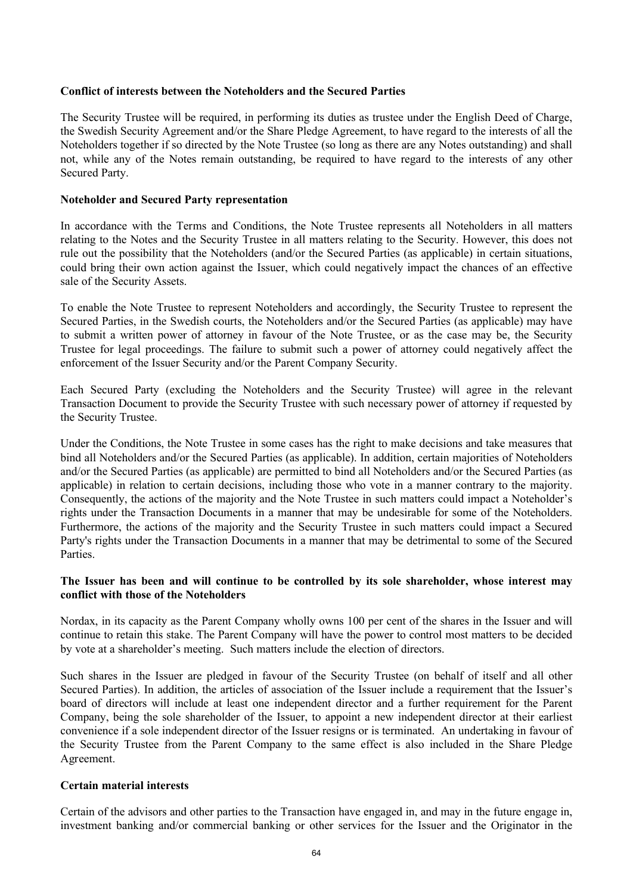#### **Conflict of interests between the Noteholders and the Secured Parties**

The Security Trustee will be required, in performing its duties as trustee under the English Deed of Charge, the Swedish Security Agreement and/or the Share Pledge Agreement, to have regard to the interests of all the Noteholders together if so directed by the Note Trustee (so long as there are any Notes outstanding) and shall not, while any of the Notes remain outstanding, be required to have regard to the interests of any other Secured Party.

#### **Noteholder and Secured Party representation**

In accordance with the Terms and Conditions, the Note Trustee represents all Noteholders in all matters relating to the Notes and the Security Trustee in all matters relating to the Security. However, this does not rule out the possibility that the Noteholders (and/or the Secured Parties (as applicable) in certain situations, could bring their own action against the Issuer, which could negatively impact the chances of an effective sale of the Security Assets.

To enable the Note Trustee to represent Noteholders and accordingly, the Security Trustee to represent the Secured Parties, in the Swedish courts, the Noteholders and/or the Secured Parties (as applicable) may have to submit a written power of attorney in favour of the Note Trustee, or as the case may be, the Security Trustee for legal proceedings. The failure to submit such a power of attorney could negatively affect the enforcement of the Issuer Security and/or the Parent Company Security.

Each Secured Party (excluding the Noteholders and the Security Trustee) will agree in the relevant Transaction Document to provide the Security Trustee with such necessary power of attorney if requested by the Security Trustee.

Under the Conditions, the Note Trustee in some cases has the right to make decisions and take measures that bind all Noteholders and/or the Secured Parties (as applicable). In addition, certain majorities of Noteholders and/or the Secured Parties (as applicable) are permitted to bind all Noteholders and/or the Secured Parties (as applicable) in relation to certain decisions, including those who vote in a manner contrary to the majority. Consequently, the actions of the majority and the Note Trustee in such matters could impact a Noteholder's rights under the Transaction Documents in a manner that may be undesirable for some of the Noteholders. Furthermore, the actions of the majority and the Security Trustee in such matters could impact a Secured Party's rights under the Transaction Documents in a manner that may be detrimental to some of the Secured Parties.

# **The Issuer has been and will continue to be controlled by its sole shareholder, whose interest may conflict with those of the Noteholders**

Nordax, in its capacity as the Parent Company wholly owns 100 per cent of the shares in the Issuer and will continue to retain this stake. The Parent Company will have the power to control most matters to be decided by vote at a shareholder's meeting. Such matters include the election of directors.

Such shares in the Issuer are pledged in favour of the Security Trustee (on behalf of itself and all other Secured Parties). In addition, the articles of association of the Issuer include a requirement that the Issuer's board of directors will include at least one independent director and a further requirement for the Parent Company, being the sole shareholder of the Issuer, to appoint a new independent director at their earliest convenience if a sole independent director of the Issuer resigns or is terminated. An undertaking in favour of the Security Trustee from the Parent Company to the same effect is also included in the Share Pledge Agreement.

#### **Certain material interests**

Certain of the advisors and other parties to the Transaction have engaged in, and may in the future engage in, investment banking and/or commercial banking or other services for the Issuer and the Originator in the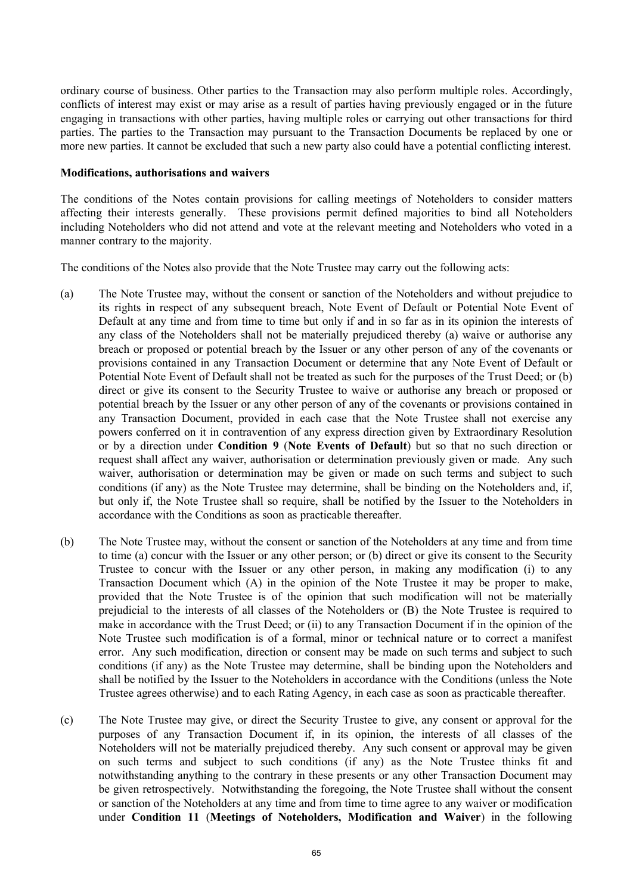ordinary course of business. Other parties to the Transaction may also perform multiple roles. Accordingly, conflicts of interest may exist or may arise as a result of parties having previously engaged or in the future engaging in transactions with other parties, having multiple roles or carrying out other transactions for third parties. The parties to the Transaction may pursuant to the Transaction Documents be replaced by one or more new parties. It cannot be excluded that such a new party also could have a potential conflicting interest.

#### **Modifications, authorisations and waivers**

The conditions of the Notes contain provisions for calling meetings of Noteholders to consider matters affecting their interests generally. These provisions permit defined majorities to bind all Noteholders including Noteholders who did not attend and vote at the relevant meeting and Noteholders who voted in a manner contrary to the majority.

The conditions of the Notes also provide that the Note Trustee may carry out the following acts:

- (a) The Note Trustee may, without the consent or sanction of the Noteholders and without prejudice to its rights in respect of any subsequent breach, Note Event of Default or Potential Note Event of Default at any time and from time to time but only if and in so far as in its opinion the interests of any class of the Noteholders shall not be materially prejudiced thereby (a) waive or authorise any breach or proposed or potential breach by the Issuer or any other person of any of the covenants or provisions contained in any Transaction Document or determine that any Note Event of Default or Potential Note Event of Default shall not be treated as such for the purposes of the Trust Deed; or (b) direct or give its consent to the Security Trustee to waive or authorise any breach or proposed or potential breach by the Issuer or any other person of any of the covenants or provisions contained in any Transaction Document, provided in each case that the Note Trustee shall not exercise any powers conferred on it in contravention of any express direction given by Extraordinary Resolution or by a direction under **Condition 9** (**Note Events of Default**) but so that no such direction or request shall affect any waiver, authorisation or determination previously given or made. Any such waiver, authorisation or determination may be given or made on such terms and subject to such conditions (if any) as the Note Trustee may determine, shall be binding on the Noteholders and, if, but only if, the Note Trustee shall so require, shall be notified by the Issuer to the Noteholders in accordance with the Conditions as soon as practicable thereafter.
- (b) The Note Trustee may, without the consent or sanction of the Noteholders at any time and from time to time (a) concur with the Issuer or any other person; or (b) direct or give its consent to the Security Trustee to concur with the Issuer or any other person, in making any modification (i) to any Transaction Document which (A) in the opinion of the Note Trustee it may be proper to make, provided that the Note Trustee is of the opinion that such modification will not be materially prejudicial to the interests of all classes of the Noteholders or (B) the Note Trustee is required to make in accordance with the Trust Deed; or (ii) to any Transaction Document if in the opinion of the Note Trustee such modification is of a formal, minor or technical nature or to correct a manifest error. Any such modification, direction or consent may be made on such terms and subject to such conditions (if any) as the Note Trustee may determine, shall be binding upon the Noteholders and shall be notified by the Issuer to the Noteholders in accordance with the Conditions (unless the Note Trustee agrees otherwise) and to each Rating Agency, in each case as soon as practicable thereafter.
- (c) The Note Trustee may give, or direct the Security Trustee to give, any consent or approval for the purposes of any Transaction Document if, in its opinion, the interests of all classes of the Noteholders will not be materially prejudiced thereby. Any such consent or approval may be given on such terms and subject to such conditions (if any) as the Note Trustee thinks fit and notwithstanding anything to the contrary in these presents or any other Transaction Document may be given retrospectively. Notwithstanding the foregoing, the Note Trustee shall without the consent or sanction of the Noteholders at any time and from time to time agree to any waiver or modification under **Condition 11** (**Meetings of Noteholders, Modification and Waiver**) in the following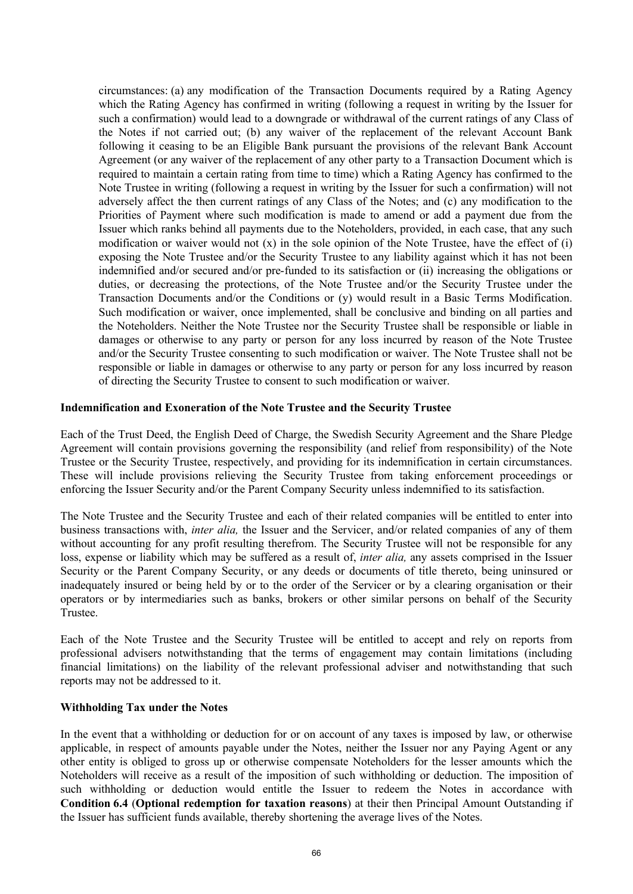circumstances: (a) any modification of the Transaction Documents required by a Rating Agency which the Rating Agency has confirmed in writing (following a request in writing by the Issuer for such a confirmation) would lead to a downgrade or withdrawal of the current ratings of any Class of the Notes if not carried out; (b) any waiver of the replacement of the relevant Account Bank following it ceasing to be an Eligible Bank pursuant the provisions of the relevant Bank Account Agreement (or any waiver of the replacement of any other party to a Transaction Document which is required to maintain a certain rating from time to time) which a Rating Agency has confirmed to the Note Trustee in writing (following a request in writing by the Issuer for such a confirmation) will not adversely affect the then current ratings of any Class of the Notes; and (c) any modification to the Priorities of Payment where such modification is made to amend or add a payment due from the Issuer which ranks behind all payments due to the Noteholders, provided, in each case, that any such modification or waiver would not  $(x)$  in the sole opinion of the Note Trustee, have the effect of  $(i)$ exposing the Note Trustee and/or the Security Trustee to any liability against which it has not been indemnified and/or secured and/or pre-funded to its satisfaction or (ii) increasing the obligations or duties, or decreasing the protections, of the Note Trustee and/or the Security Trustee under the Transaction Documents and/or the Conditions or (y) would result in a Basic Terms Modification. Such modification or waiver, once implemented, shall be conclusive and binding on all parties and the Noteholders. Neither the Note Trustee nor the Security Trustee shall be responsible or liable in damages or otherwise to any party or person for any loss incurred by reason of the Note Trustee and/or the Security Trustee consenting to such modification or waiver. The Note Trustee shall not be responsible or liable in damages or otherwise to any party or person for any loss incurred by reason of directing the Security Trustee to consent to such modification or waiver.

#### **Indemnification and Exoneration of the Note Trustee and the Security Trustee**

Each of the Trust Deed, the English Deed of Charge, the Swedish Security Agreement and the Share Pledge Agreement will contain provisions governing the responsibility (and relief from responsibility) of the Note Trustee or the Security Trustee, respectively, and providing for its indemnification in certain circumstances. These will include provisions relieving the Security Trustee from taking enforcement proceedings or enforcing the Issuer Security and/or the Parent Company Security unless indemnified to its satisfaction.

The Note Trustee and the Security Trustee and each of their related companies will be entitled to enter into business transactions with, *inter alia,* the Issuer and the Servicer, and/or related companies of any of them without accounting for any profit resulting therefrom. The Security Trustee will not be responsible for any loss, expense or liability which may be suffered as a result of, *inter alia,* any assets comprised in the Issuer Security or the Parent Company Security, or any deeds or documents of title thereto, being uninsured or inadequately insured or being held by or to the order of the Servicer or by a clearing organisation or their operators or by intermediaries such as banks, brokers or other similar persons on behalf of the Security Trustee.

Each of the Note Trustee and the Security Trustee will be entitled to accept and rely on reports from professional advisers notwithstanding that the terms of engagement may contain limitations (including financial limitations) on the liability of the relevant professional adviser and notwithstanding that such reports may not be addressed to it.

### **Withholding Tax under the Notes**

In the event that a withholding or deduction for or on account of any taxes is imposed by law, or otherwise applicable, in respect of amounts payable under the Notes, neither the Issuer nor any Paying Agent or any other entity is obliged to gross up or otherwise compensate Noteholders for the lesser amounts which the Noteholders will receive as a result of the imposition of such withholding or deduction. The imposition of such withholding or deduction would entitle the Issuer to redeem the Notes in accordance with **Condition 6.4** (**Optional redemption for taxation reasons**) at their then Principal Amount Outstanding if the Issuer has sufficient funds available, thereby shortening the average lives of the Notes.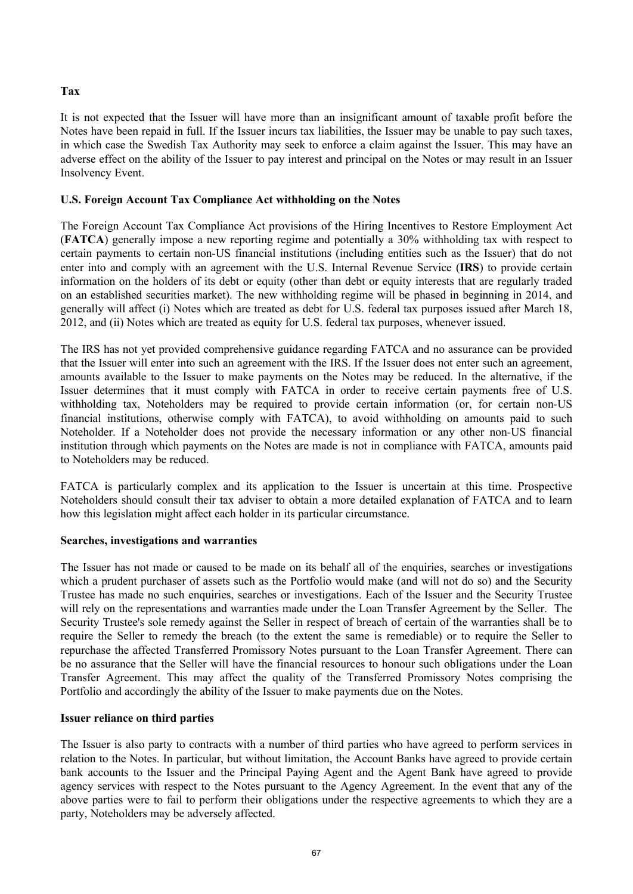# **Tax**

It is not expected that the Issuer will have more than an insignificant amount of taxable profit before the Notes have been repaid in full. If the Issuer incurs tax liabilities, the Issuer may be unable to pay such taxes, in which case the Swedish Tax Authority may seek to enforce a claim against the Issuer. This may have an adverse effect on the ability of the Issuer to pay interest and principal on the Notes or may result in an Issuer Insolvency Event.

# **U.S. Foreign Account Tax Compliance Act withholding on the Notes**

The Foreign Account Tax Compliance Act provisions of the Hiring Incentives to Restore Employment Act (**FATCA**) generally impose a new reporting regime and potentially a 30% withholding tax with respect to certain payments to certain non-US financial institutions (including entities such as the Issuer) that do not enter into and comply with an agreement with the U.S. Internal Revenue Service (**IRS**) to provide certain information on the holders of its debt or equity (other than debt or equity interests that are regularly traded on an established securities market). The new withholding regime will be phased in beginning in 2014, and generally will affect (i) Notes which are treated as debt for U.S. federal tax purposes issued after March 18, 2012, and (ii) Notes which are treated as equity for U.S. federal tax purposes, whenever issued.

The IRS has not yet provided comprehensive guidance regarding FATCA and no assurance can be provided that the Issuer will enter into such an agreement with the IRS. If the Issuer does not enter such an agreement, amounts available to the Issuer to make payments on the Notes may be reduced. In the alternative, if the Issuer determines that it must comply with FATCA in order to receive certain payments free of U.S. withholding tax, Noteholders may be required to provide certain information (or, for certain non-US financial institutions, otherwise comply with FATCA), to avoid withholding on amounts paid to such Noteholder. If a Noteholder does not provide the necessary information or any other non-US financial institution through which payments on the Notes are made is not in compliance with FATCA, amounts paid to Noteholders may be reduced.

FATCA is particularly complex and its application to the Issuer is uncertain at this time. Prospective Noteholders should consult their tax adviser to obtain a more detailed explanation of FATCA and to learn how this legislation might affect each holder in its particular circumstance.

#### **Searches, investigations and warranties**

The Issuer has not made or caused to be made on its behalf all of the enquiries, searches or investigations which a prudent purchaser of assets such as the Portfolio would make (and will not do so) and the Security Trustee has made no such enquiries, searches or investigations. Each of the Issuer and the Security Trustee will rely on the representations and warranties made under the Loan Transfer Agreement by the Seller. The Security Trustee's sole remedy against the Seller in respect of breach of certain of the warranties shall be to require the Seller to remedy the breach (to the extent the same is remediable) or to require the Seller to repurchase the affected Transferred Promissory Notes pursuant to the Loan Transfer Agreement. There can be no assurance that the Seller will have the financial resources to honour such obligations under the Loan Transfer Agreement. This may affect the quality of the Transferred Promissory Notes comprising the Portfolio and accordingly the ability of the Issuer to make payments due on the Notes.

#### **Issuer reliance on third parties**

The Issuer is also party to contracts with a number of third parties who have agreed to perform services in relation to the Notes. In particular, but without limitation, the Account Banks have agreed to provide certain bank accounts to the Issuer and the Principal Paying Agent and the Agent Bank have agreed to provide agency services with respect to the Notes pursuant to the Agency Agreement. In the event that any of the above parties were to fail to perform their obligations under the respective agreements to which they are a party, Noteholders may be adversely affected.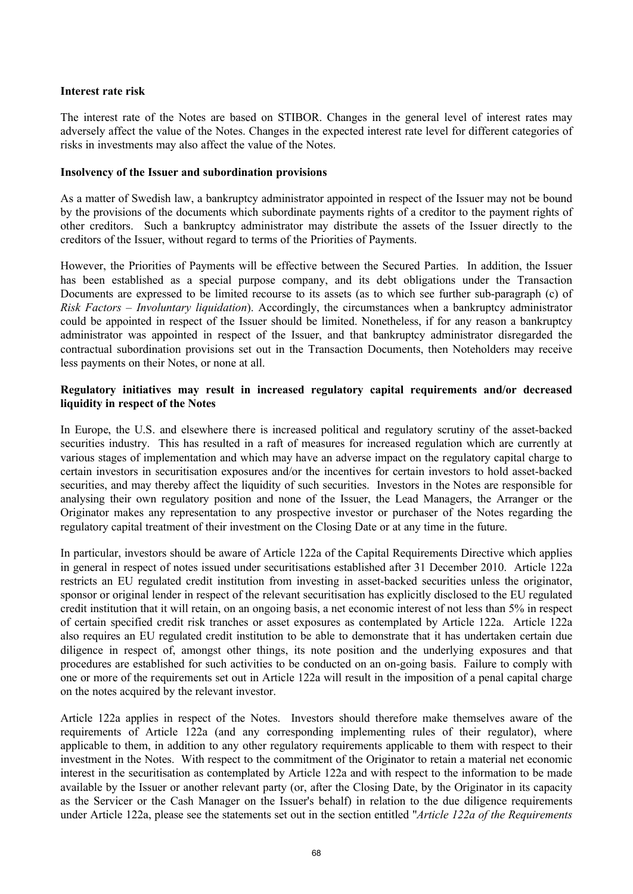#### **Interest rate risk**

The interest rate of the Notes are based on STIBOR. Changes in the general level of interest rates may adversely affect the value of the Notes. Changes in the expected interest rate level for different categories of risks in investments may also affect the value of the Notes.

#### **Insolvency of the Issuer and subordination provisions**

As a matter of Swedish law, a bankruptcy administrator appointed in respect of the Issuer may not be bound by the provisions of the documents which subordinate payments rights of a creditor to the payment rights of other creditors. Such a bankruptcy administrator may distribute the assets of the Issuer directly to the creditors of the Issuer, without regard to terms of the Priorities of Payments.

However, the Priorities of Payments will be effective between the Secured Parties. In addition, the Issuer has been established as a special purpose company, and its debt obligations under the Transaction Documents are expressed to be limited recourse to its assets (as to which see further sub-paragraph (c) of *Risk Factors – Involuntary liquidation*). Accordingly, the circumstances when a bankruptcy administrator could be appointed in respect of the Issuer should be limited. Nonetheless, if for any reason a bankruptcy administrator was appointed in respect of the Issuer, and that bankruptcy administrator disregarded the contractual subordination provisions set out in the Transaction Documents, then Noteholders may receive less payments on their Notes, or none at all.

#### **Regulatory initiatives may result in increased regulatory capital requirements and/or decreased liquidity in respect of the Notes**

In Europe, the U.S. and elsewhere there is increased political and regulatory scrutiny of the asset-backed securities industry. This has resulted in a raft of measures for increased regulation which are currently at various stages of implementation and which may have an adverse impact on the regulatory capital charge to certain investors in securitisation exposures and/or the incentives for certain investors to hold asset-backed securities, and may thereby affect the liquidity of such securities. Investors in the Notes are responsible for analysing their own regulatory position and none of the Issuer, the Lead Managers, the Arranger or the Originator makes any representation to any prospective investor or purchaser of the Notes regarding the regulatory capital treatment of their investment on the Closing Date or at any time in the future.

In particular, investors should be aware of Article 122a of the Capital Requirements Directive which applies in general in respect of notes issued under securitisations established after 31 December 2010. Article 122a restricts an EU regulated credit institution from investing in asset-backed securities unless the originator, sponsor or original lender in respect of the relevant securitisation has explicitly disclosed to the EU regulated credit institution that it will retain, on an ongoing basis, a net economic interest of not less than 5% in respect of certain specified credit risk tranches or asset exposures as contemplated by Article 122a. Article 122a also requires an EU regulated credit institution to be able to demonstrate that it has undertaken certain due diligence in respect of, amongst other things, its note position and the underlying exposures and that procedures are established for such activities to be conducted on an on-going basis. Failure to comply with one or more of the requirements set out in Article 122a will result in the imposition of a penal capital charge on the notes acquired by the relevant investor.

Article 122a applies in respect of the Notes. Investors should therefore make themselves aware of the requirements of Article 122a (and any corresponding implementing rules of their regulator), where applicable to them, in addition to any other regulatory requirements applicable to them with respect to their investment in the Notes. With respect to the commitment of the Originator to retain a material net economic interest in the securitisation as contemplated by Article 122a and with respect to the information to be made available by the Issuer or another relevant party (or, after the Closing Date, by the Originator in its capacity as the Servicer or the Cash Manager on the Issuer's behalf) in relation to the due diligence requirements under Article 122a, please see the statements set out in the section entitled "*Article 122a of the Requirements*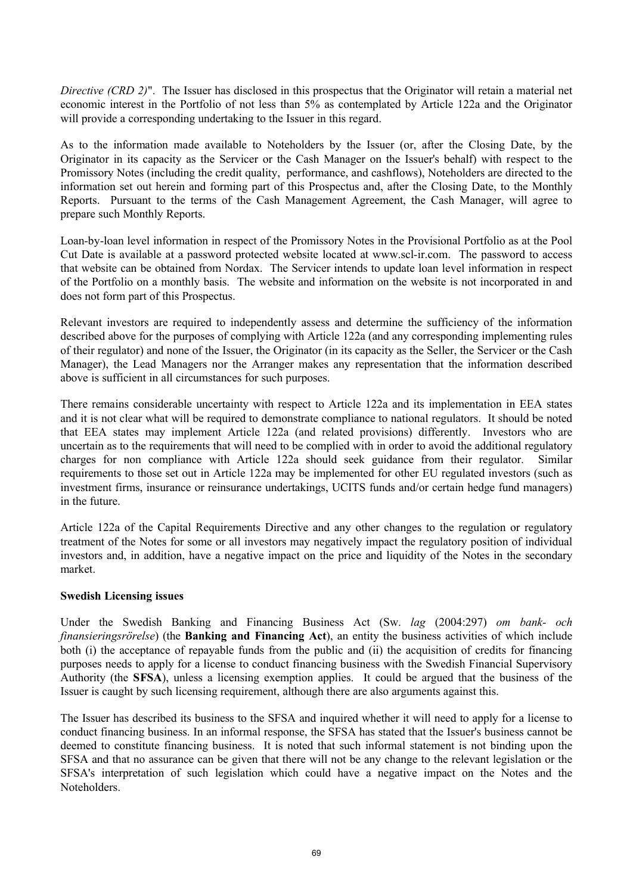*Directive (CRD 2)*". The Issuer has disclosed in this prospectus that the Originator will retain a material net economic interest in the Portfolio of not less than 5% as contemplated by Article 122a and the Originator will provide a corresponding undertaking to the Issuer in this regard.

As to the information made available to Noteholders by the Issuer (or, after the Closing Date, by the Originator in its capacity as the Servicer or the Cash Manager on the Issuer's behalf) with respect to the Promissory Notes (including the credit quality, performance, and cashflows), Noteholders are directed to the information set out herein and forming part of this Prospectus and, after the Closing Date, to the Monthly Reports. Pursuant to the terms of the Cash Management Agreement, the Cash Manager, will agree to prepare such Monthly Reports.

Loan-by-loan level information in respect of the Promissory Notes in the Provisional Portfolio as at the Pool Cut Date is available at a password protected website located at <www.scl-ir.com.>The password to access that website can be obtained from Nordax. The Servicer intends to update loan level information in respect of the Portfolio on a monthly basis. The website and information on the website is not incorporated in and does not form part of this Prospectus.

Relevant investors are required to independently assess and determine the sufficiency of the information described above for the purposes of complying with Article 122a (and any corresponding implementing rules of their regulator) and none of the Issuer, the Originator (in its capacity as the Seller, the Servicer or the Cash Manager), the Lead Managers nor the Arranger makes any representation that the information described above is sufficient in all circumstances for such purposes.

There remains considerable uncertainty with respect to Article 122a and its implementation in EEA states and it is not clear what will be required to demonstrate compliance to national regulators. It should be noted that EEA states may implement Article 122a (and related provisions) differently. Investors who are uncertain as to the requirements that will need to be complied with in order to avoid the additional regulatory charges for non compliance with Article 122a should seek guidance from their regulator. Similar requirements to those set out in Article 122a may be implemented for other EU regulated investors (such as investment firms, insurance or reinsurance undertakings, UCITS funds and/or certain hedge fund managers) in the future.

Article 122a of the Capital Requirements Directive and any other changes to the regulation or regulatory treatment of the Notes for some or all investors may negatively impact the regulatory position of individual investors and, in addition, have a negative impact on the price and liquidity of the Notes in the secondary market.

#### **Swedish Licensing issues**

Under the Swedish Banking and Financing Business Act (Sw. *lag* (2004:297) *om bank- och finansieringsrörelse*) (the **Banking and Financing Act**), an entity the business activities of which include both (i) the acceptance of repayable funds from the public and (ii) the acquisition of credits for financing purposes needs to apply for a license to conduct financing business with the Swedish Financial Supervisory Authority (the **SFSA**), unless a licensing exemption applies. It could be argued that the business of the Issuer is caught by such licensing requirement, although there are also arguments against this.

The Issuer has described its business to the SFSA and inquired whether it will need to apply for a license to conduct financing business. In an informal response, the SFSA has stated that the Issuer's business cannot be deemed to constitute financing business. It is noted that such informal statement is not binding upon the SFSA and that no assurance can be given that there will not be any change to the relevant legislation or the SFSA's interpretation of such legislation which could have a negative impact on the Notes and the Noteholders.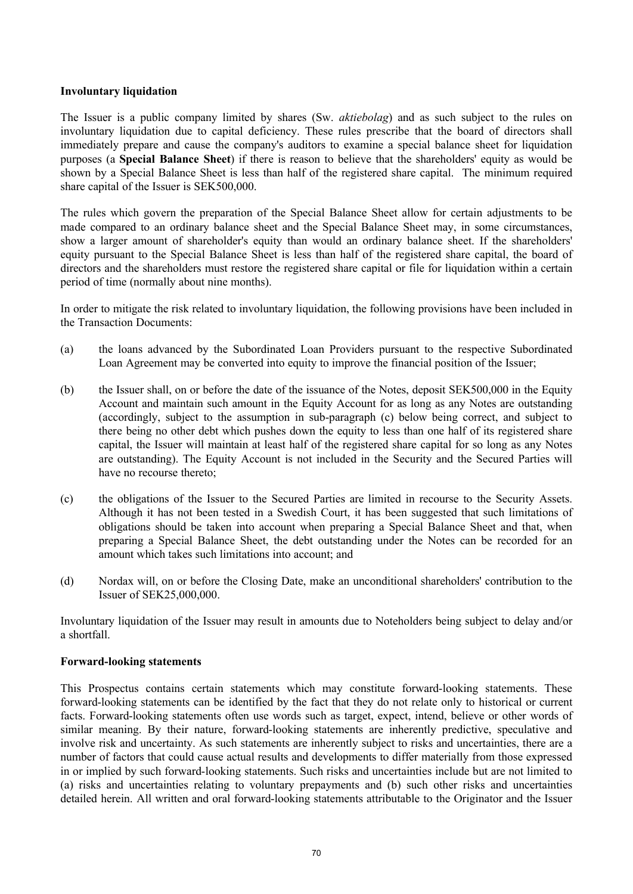#### **Involuntary liquidation**

The Issuer is a public company limited by shares (Sw. *aktiebolag*) and as such subject to the rules on involuntary liquidation due to capital deficiency. These rules prescribe that the board of directors shall immediately prepare and cause the company's auditors to examine a special balance sheet for liquidation purposes (a **Special Balance Sheet**) if there is reason to believe that the shareholders' equity as would be shown by a Special Balance Sheet is less than half of the registered share capital. The minimum required share capital of the Issuer is SEK500,000.

The rules which govern the preparation of the Special Balance Sheet allow for certain adjustments to be made compared to an ordinary balance sheet and the Special Balance Sheet may, in some circumstances, show a larger amount of shareholder's equity than would an ordinary balance sheet. If the shareholders' equity pursuant to the Special Balance Sheet is less than half of the registered share capital, the board of directors and the shareholders must restore the registered share capital or file for liquidation within a certain period of time (normally about nine months).

In order to mitigate the risk related to involuntary liquidation, the following provisions have been included in the Transaction Documents:

- (a) the loans advanced by the Subordinated Loan Providers pursuant to the respective Subordinated Loan Agreement may be converted into equity to improve the financial position of the Issuer;
- (b) the Issuer shall, on or before the date of the issuance of the Notes, deposit SEK500,000 in the Equity Account and maintain such amount in the Equity Account for as long as any Notes are outstanding (accordingly, subject to the assumption in sub-paragraph (c) below being correct, and subject to there being no other debt which pushes down the equity to less than one half of its registered share capital, the Issuer will maintain at least half of the registered share capital for so long as any Notes are outstanding). The Equity Account is not included in the Security and the Secured Parties will have no recourse thereto;
- (c) the obligations of the Issuer to the Secured Parties are limited in recourse to the Security Assets. Although it has not been tested in a Swedish Court, it has been suggested that such limitations of obligations should be taken into account when preparing a Special Balance Sheet and that, when preparing a Special Balance Sheet, the debt outstanding under the Notes can be recorded for an amount which takes such limitations into account; and
- (d) Nordax will, on or before the Closing Date, make an unconditional shareholders' contribution to the Issuer of SEK25,000,000.

Involuntary liquidation of the Issuer may result in amounts due to Noteholders being subject to delay and/or a shortfall.

#### **Forward-looking statements**

This Prospectus contains certain statements which may constitute forward-looking statements. These forward-looking statements can be identified by the fact that they do not relate only to historical or current facts. Forward-looking statements often use words such as target, expect, intend, believe or other words of similar meaning. By their nature, forward-looking statements are inherently predictive, speculative and involve risk and uncertainty. As such statements are inherently subject to risks and uncertainties, there are a number of factors that could cause actual results and developments to differ materially from those expressed in or implied by such forward-looking statements. Such risks and uncertainties include but are not limited to (a) risks and uncertainties relating to voluntary prepayments and (b) such other risks and uncertainties detailed herein. All written and oral forward-looking statements attributable to the Originator and the Issuer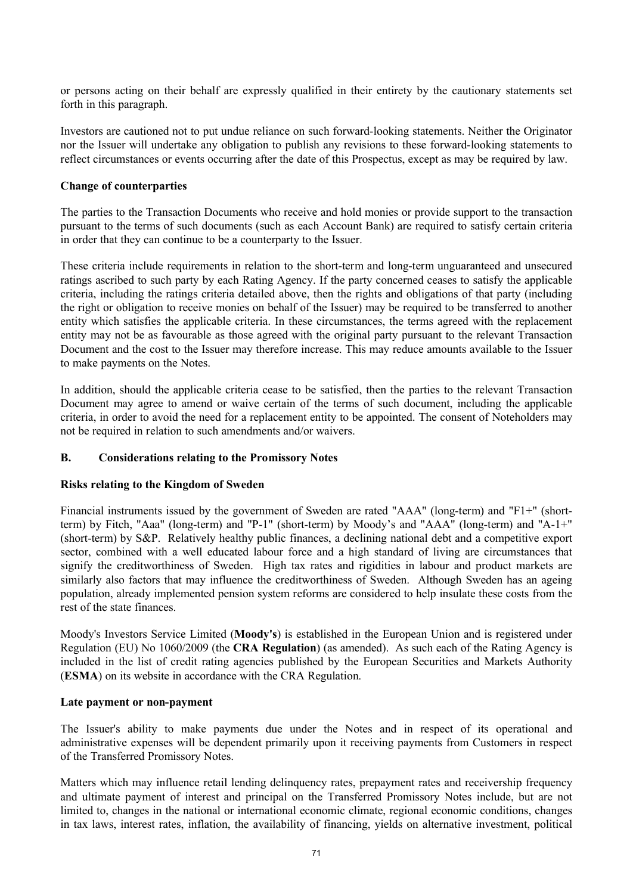or persons acting on their behalf are expressly qualified in their entirety by the cautionary statements set forth in this paragraph.

Investors are cautioned not to put undue reliance on such forward-looking statements. Neither the Originator nor the Issuer will undertake any obligation to publish any revisions to these forward-looking statements to reflect circumstances or events occurring after the date of this Prospectus, except as may be required by law.

#### **Change of counterparties**

The parties to the Transaction Documents who receive and hold monies or provide support to the transaction pursuant to the terms of such documents (such as each Account Bank) are required to satisfy certain criteria in order that they can continue to be a counterparty to the Issuer.

These criteria include requirements in relation to the short-term and long-term unguaranteed and unsecured ratings ascribed to such party by each Rating Agency. If the party concerned ceases to satisfy the applicable criteria, including the ratings criteria detailed above, then the rights and obligations of that party (including the right or obligation to receive monies on behalf of the Issuer) may be required to be transferred to another entity which satisfies the applicable criteria. In these circumstances, the terms agreed with the replacement entity may not be as favourable as those agreed with the original party pursuant to the relevant Transaction Document and the cost to the Issuer may therefore increase. This may reduce amounts available to the Issuer to make payments on the Notes.

In addition, should the applicable criteria cease to be satisfied, then the parties to the relevant Transaction Document may agree to amend or waive certain of the terms of such document, including the applicable criteria, in order to avoid the need for a replacement entity to be appointed. The consent of Noteholders may not be required in relation to such amendments and/or waivers.

#### **B. Considerations relating to the Promissory Notes**

#### **Risks relating to the Kingdom of Sweden**

Financial instruments issued by the government of Sweden are rated "AAA" (long-term) and "F1+" (shortterm) by Fitch, "Aaa" (long-term) and "P-1" (short-term) by Moody's and "AAA" (long-term) and "A-1+" (short-term) by S&P. Relatively healthy public finances, a declining national debt and a competitive export sector, combined with a well educated labour force and a high standard of living are circumstances that signify the creditworthiness of Sweden. High tax rates and rigidities in labour and product markets are similarly also factors that may influence the creditworthiness of Sweden. Although Sweden has an ageing population, already implemented pension system reforms are considered to help insulate these costs from the rest of the state finances.

Moody's Investors Service Limited (**Moody's**) is established in the European Union and is registered under Regulation (EU) No 1060/2009 (the **CRA Regulation**) (as amended). As such each of the Rating Agency is included in the list of credit rating agencies published by the European Securities and Markets Authority (**ESMA**) on its website in accordance with the CRA Regulation.

#### **Late payment or non-payment**

The Issuer's ability to make payments due under the Notes and in respect of its operational and administrative expenses will be dependent primarily upon it receiving payments from Customers in respect of the Transferred Promissory Notes.

Matters which may influence retail lending delinquency rates, prepayment rates and receivership frequency and ultimate payment of interest and principal on the Transferred Promissory Notes include, but are not limited to, changes in the national or international economic climate, regional economic conditions, changes in tax laws, interest rates, inflation, the availability of financing, yields on alternative investment, political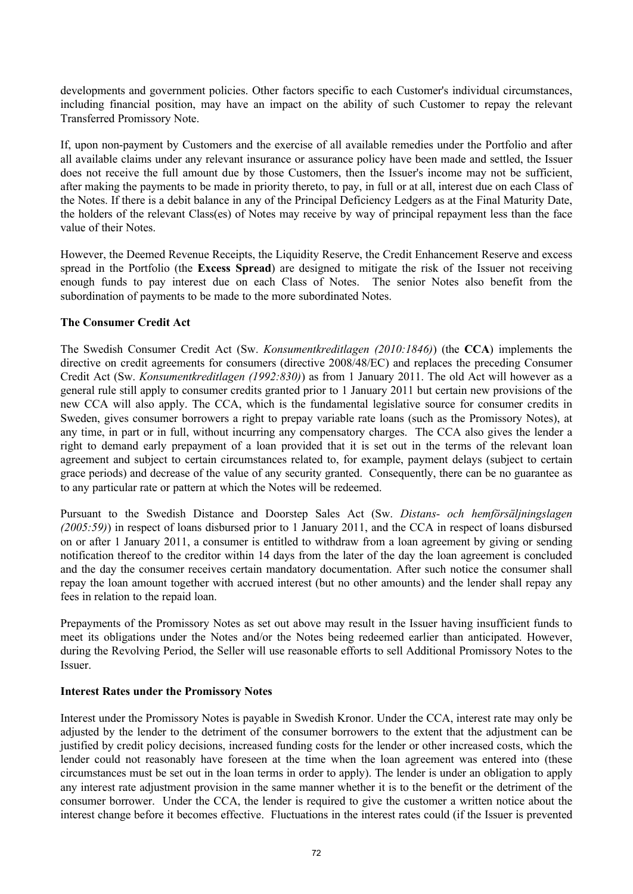developments and government policies. Other factors specific to each Customer's individual circumstances, including financial position, may have an impact on the ability of such Customer to repay the relevant Transferred Promissory Note.

If, upon non-payment by Customers and the exercise of all available remedies under the Portfolio and after all available claims under any relevant insurance or assurance policy have been made and settled, the Issuer does not receive the full amount due by those Customers, then the Issuer's income may not be sufficient, after making the payments to be made in priority thereto, to pay, in full or at all, interest due on each Class of the Notes. If there is a debit balance in any of the Principal Deficiency Ledgers as at the Final Maturity Date, the holders of the relevant Class(es) of Notes may receive by way of principal repayment less than the face value of their Notes.

However, the Deemed Revenue Receipts, the Liquidity Reserve, the Credit Enhancement Reserve and excess spread in the Portfolio (the **Excess Spread**) are designed to mitigate the risk of the Issuer not receiving enough funds to pay interest due on each Class of Notes. The senior Notes also benefit from the subordination of payments to be made to the more subordinated Notes.

## **The Consumer Credit Act**

The Swedish Consumer Credit Act (Sw. *Konsumentkreditlagen (2010:1846)*) (the **CCA**) implements the directive on credit agreements for consumers (directive 2008/48/EC) and replaces the preceding Consumer Credit Act (Sw. *Konsumentkreditlagen (1992:830)*) as from 1 January 2011. The old Act will however as a general rule still apply to consumer credits granted prior to 1 January 2011 but certain new provisions of the new CCA will also apply. The CCA, which is the fundamental legislative source for consumer credits in Sweden, gives consumer borrowers a right to prepay variable rate loans (such as the Promissory Notes), at any time, in part or in full, without incurring any compensatory charges. The CCA also gives the lender a right to demand early prepayment of a loan provided that it is set out in the terms of the relevant loan agreement and subject to certain circumstances related to, for example, payment delays (subject to certain grace periods) and decrease of the value of any security granted. Consequently, there can be no guarantee as to any particular rate or pattern at which the Notes will be redeemed.

Pursuant to the Swedish Distance and Doorstep Sales Act (Sw. *Distans- och hemförsäljningslagen (2005:59)*) in respect of loans disbursed prior to 1 January 2011, and the CCA in respect of loans disbursed on or after 1 January 2011, a consumer is entitled to withdraw from a loan agreement by giving or sending notification thereof to the creditor within 14 days from the later of the day the loan agreement is concluded and the day the consumer receives certain mandatory documentation. After such notice the consumer shall repay the loan amount together with accrued interest (but no other amounts) and the lender shall repay any fees in relation to the repaid loan.

Prepayments of the Promissory Notes as set out above may result in the Issuer having insufficient funds to meet its obligations under the Notes and/or the Notes being redeemed earlier than anticipated. However, during the Revolving Period, the Seller will use reasonable efforts to sell Additional Promissory Notes to the Issuer.

## **Interest Rates under the Promissory Notes**

Interest under the Promissory Notes is payable in Swedish Kronor. Under the CCA, interest rate may only be adjusted by the lender to the detriment of the consumer borrowers to the extent that the adjustment can be justified by credit policy decisions, increased funding costs for the lender or other increased costs, which the lender could not reasonably have foreseen at the time when the loan agreement was entered into (these circumstances must be set out in the loan terms in order to apply). The lender is under an obligation to apply any interest rate adjustment provision in the same manner whether it is to the benefit or the detriment of the consumer borrower. Under the CCA, the lender is required to give the customer a written notice about the interest change before it becomes effective. Fluctuations in the interest rates could (if the Issuer is prevented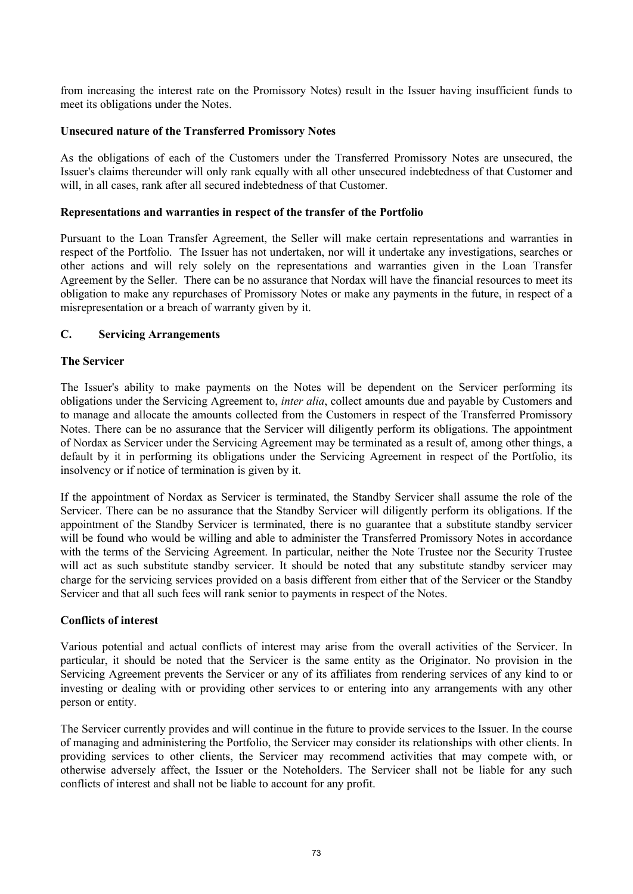from increasing the interest rate on the Promissory Notes) result in the Issuer having insufficient funds to meet its obligations under the Notes.

#### **Unsecured nature of the Transferred Promissory Notes**

As the obligations of each of the Customers under the Transferred Promissory Notes are unsecured, the Issuer's claims thereunder will only rank equally with all other unsecured indebtedness of that Customer and will, in all cases, rank after all secured indebtedness of that Customer.

#### **Representations and warranties in respect of the transfer of the Portfolio**

Pursuant to the Loan Transfer Agreement, the Seller will make certain representations and warranties in respect of the Portfolio. The Issuer has not undertaken, nor will it undertake any investigations, searches or other actions and will rely solely on the representations and warranties given in the Loan Transfer Agreement by the Seller. There can be no assurance that Nordax will have the financial resources to meet its obligation to make any repurchases of Promissory Notes or make any payments in the future, in respect of a misrepresentation or a breach of warranty given by it.

## **C. Servicing Arrangements**

## **The Servicer**

The Issuer's ability to make payments on the Notes will be dependent on the Servicer performing its obligations under the Servicing Agreement to, *inter alia*, collect amounts due and payable by Customers and to manage and allocate the amounts collected from the Customers in respect of the Transferred Promissory Notes. There can be no assurance that the Servicer will diligently perform its obligations. The appointment of Nordax as Servicer under the Servicing Agreement may be terminated as a result of, among other things, a default by it in performing its obligations under the Servicing Agreement in respect of the Portfolio, its insolvency or if notice of termination is given by it.

If the appointment of Nordax as Servicer is terminated, the Standby Servicer shall assume the role of the Servicer. There can be no assurance that the Standby Servicer will diligently perform its obligations. If the appointment of the Standby Servicer is terminated, there is no guarantee that a substitute standby servicer will be found who would be willing and able to administer the Transferred Promissory Notes in accordance with the terms of the Servicing Agreement. In particular, neither the Note Trustee nor the Security Trustee will act as such substitute standby servicer. It should be noted that any substitute standby servicer may charge for the servicing services provided on a basis different from either that of the Servicer or the Standby Servicer and that all such fees will rank senior to payments in respect of the Notes.

## **Conflicts of interest**

Various potential and actual conflicts of interest may arise from the overall activities of the Servicer. In particular, it should be noted that the Servicer is the same entity as the Originator. No provision in the Servicing Agreement prevents the Servicer or any of its affiliates from rendering services of any kind to or investing or dealing with or providing other services to or entering into any arrangements with any other person or entity.

The Servicer currently provides and will continue in the future to provide services to the Issuer. In the course of managing and administering the Portfolio, the Servicer may consider its relationships with other clients. In providing services to other clients, the Servicer may recommend activities that may compete with, or otherwise adversely affect, the Issuer or the Noteholders. The Servicer shall not be liable for any such conflicts of interest and shall not be liable to account for any profit.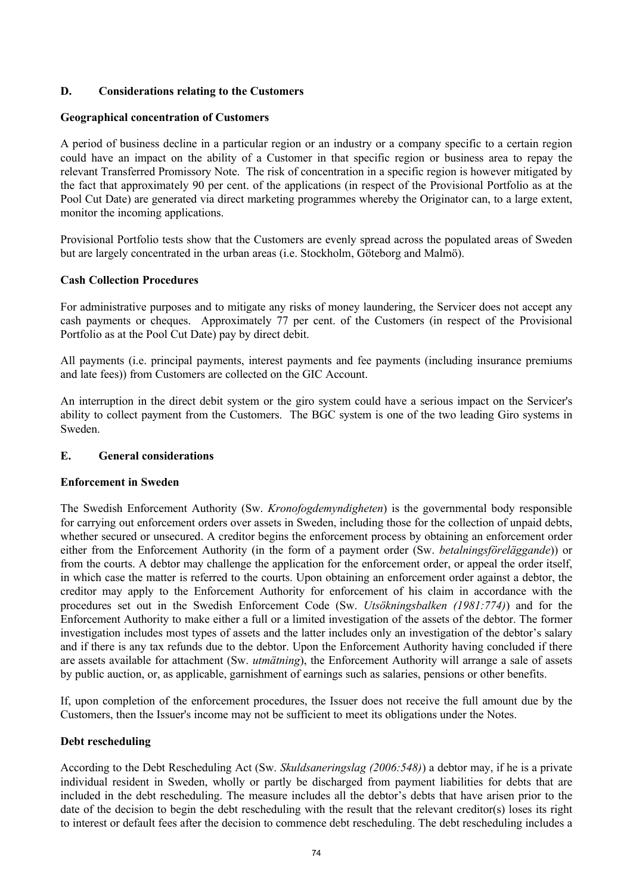## **D. Considerations relating to the Customers**

## **Geographical concentration of Customers**

A period of business decline in a particular region or an industry or a company specific to a certain region could have an impact on the ability of a Customer in that specific region or business area to repay the relevant Transferred Promissory Note. The risk of concentration in a specific region is however mitigated by the fact that approximately 90 per cent. of the applications (in respect of the Provisional Portfolio as at the Pool Cut Date) are generated via direct marketing programmes whereby the Originator can, to a large extent, monitor the incoming applications.

Provisional Portfolio tests show that the Customers are evenly spread across the populated areas of Sweden but are largely concentrated in the urban areas (i.e. Stockholm, Göteborg and Malmö).

## **Cash Collection Procedures**

For administrative purposes and to mitigate any risks of money laundering, the Servicer does not accept any cash payments or cheques. Approximately 77 per cent. of the Customers (in respect of the Provisional Portfolio as at the Pool Cut Date) pay by direct debit.

All payments (i.e. principal payments, interest payments and fee payments (including insurance premiums and late fees)) from Customers are collected on the GIC Account.

An interruption in the direct debit system or the giro system could have a serious impact on the Servicer's ability to collect payment from the Customers. The BGC system is one of the two leading Giro systems in Sweden.

## **E. General considerations**

## **Enforcement in Sweden**

The Swedish Enforcement Authority (Sw. *Kronofogdemyndigheten*) is the governmental body responsible for carrying out enforcement orders over assets in Sweden, including those for the collection of unpaid debts, whether secured or unsecured. A creditor begins the enforcement process by obtaining an enforcement order either from the Enforcement Authority (in the form of a payment order (Sw. *betalningsföreläggande*)) or from the courts. A debtor may challenge the application for the enforcement order, or appeal the order itself, in which case the matter is referred to the courts. Upon obtaining an enforcement order against a debtor, the creditor may apply to the Enforcement Authority for enforcement of his claim in accordance with the procedures set out in the Swedish Enforcement Code (Sw. *Utsökningsbalken (1981:774)*) and for the Enforcement Authority to make either a full or a limited investigation of the assets of the debtor. The former investigation includes most types of assets and the latter includes only an investigation of the debtor's salary and if there is any tax refunds due to the debtor. Upon the Enforcement Authority having concluded if there are assets available for attachment (Sw. *utmätning*), the Enforcement Authority will arrange a sale of assets by public auction, or, as applicable, garnishment of earnings such as salaries, pensions or other benefits.

If, upon completion of the enforcement procedures, the Issuer does not receive the full amount due by the Customers, then the Issuer's income may not be sufficient to meet its obligations under the Notes.

## **Debt rescheduling**

According to the Debt Rescheduling Act (Sw. *Skuldsaneringslag (2006:548)*) a debtor may, if he is a private individual resident in Sweden, wholly or partly be discharged from payment liabilities for debts that are included in the debt rescheduling. The measure includes all the debtor's debts that have arisen prior to the date of the decision to begin the debt rescheduling with the result that the relevant creditor(s) loses its right to interest or default fees after the decision to commence debt rescheduling. The debt rescheduling includes a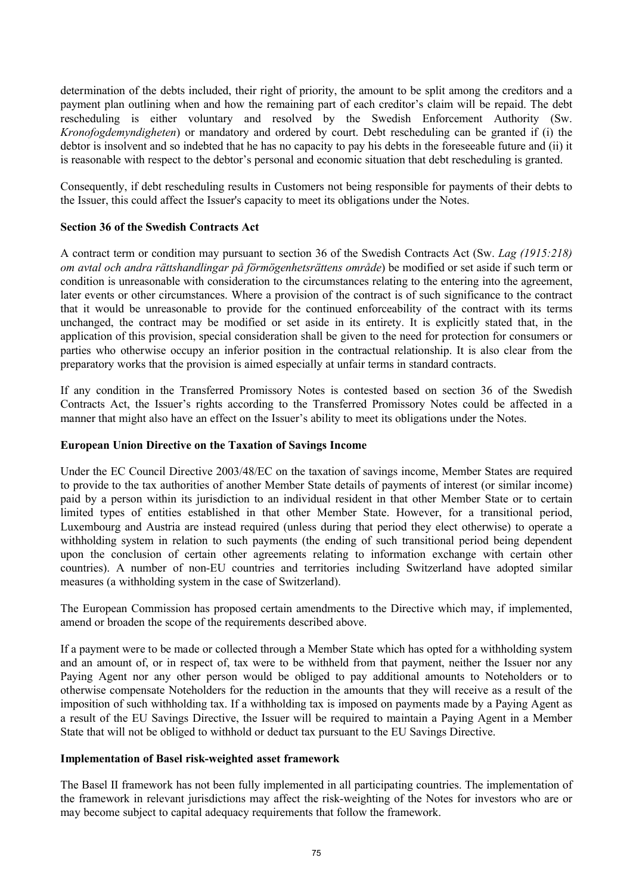determination of the debts included, their right of priority, the amount to be split among the creditors and a payment plan outlining when and how the remaining part of each creditor's claim will be repaid. The debt rescheduling is either voluntary and resolved by the Swedish Enforcement Authority (Sw. *Kronofogdemyndigheten*) or mandatory and ordered by court. Debt rescheduling can be granted if (i) the debtor is insolvent and so indebted that he has no capacity to pay his debts in the foreseeable future and (ii) it is reasonable with respect to the debtor's personal and economic situation that debt rescheduling is granted.

Consequently, if debt rescheduling results in Customers not being responsible for payments of their debts to the Issuer, this could affect the Issuer's capacity to meet its obligations under the Notes.

## **Section 36 of the Swedish Contracts Act**

A contract term or condition may pursuant to section 36 of the Swedish Contracts Act (Sw. *Lag (1915:218) om avtal och andra rättshandlingar på förmögenhetsrättens område*) be modified or set aside if such term or condition is unreasonable with consideration to the circumstances relating to the entering into the agreement, later events or other circumstances. Where a provision of the contract is of such significance to the contract that it would be unreasonable to provide for the continued enforceability of the contract with its terms unchanged, the contract may be modified or set aside in its entirety. It is explicitly stated that, in the application of this provision, special consideration shall be given to the need for protection for consumers or parties who otherwise occupy an inferior position in the contractual relationship. It is also clear from the preparatory works that the provision is aimed especially at unfair terms in standard contracts.

If any condition in the Transferred Promissory Notes is contested based on section 36 of the Swedish Contracts Act, the Issuer's rights according to the Transferred Promissory Notes could be affected in a manner that might also have an effect on the Issuer's ability to meet its obligations under the Notes.

## **European Union Directive on the Taxation of Savings Income**

Under the EC Council Directive 2003/48/EC on the taxation of savings income, Member States are required to provide to the tax authorities of another Member State details of payments of interest (or similar income) paid by a person within its jurisdiction to an individual resident in that other Member State or to certain limited types of entities established in that other Member State. However, for a transitional period, Luxembourg and Austria are instead required (unless during that period they elect otherwise) to operate a withholding system in relation to such payments (the ending of such transitional period being dependent upon the conclusion of certain other agreements relating to information exchange with certain other countries). A number of non-EU countries and territories including Switzerland have adopted similar measures (a withholding system in the case of Switzerland).

The European Commission has proposed certain amendments to the Directive which may, if implemented, amend or broaden the scope of the requirements described above.

If a payment were to be made or collected through a Member State which has opted for a withholding system and an amount of, or in respect of, tax were to be withheld from that payment, neither the Issuer nor any Paying Agent nor any other person would be obliged to pay additional amounts to Noteholders or to otherwise compensate Noteholders for the reduction in the amounts that they will receive as a result of the imposition of such withholding tax. If a withholding tax is imposed on payments made by a Paying Agent as a result of the EU Savings Directive, the Issuer will be required to maintain a Paying Agent in a Member State that will not be obliged to withhold or deduct tax pursuant to the EU Savings Directive.

## **Implementation of Basel risk-weighted asset framework**

The Basel II framework has not been fully implemented in all participating countries. The implementation of the framework in relevant jurisdictions may affect the risk-weighting of the Notes for investors who are or may become subject to capital adequacy requirements that follow the framework.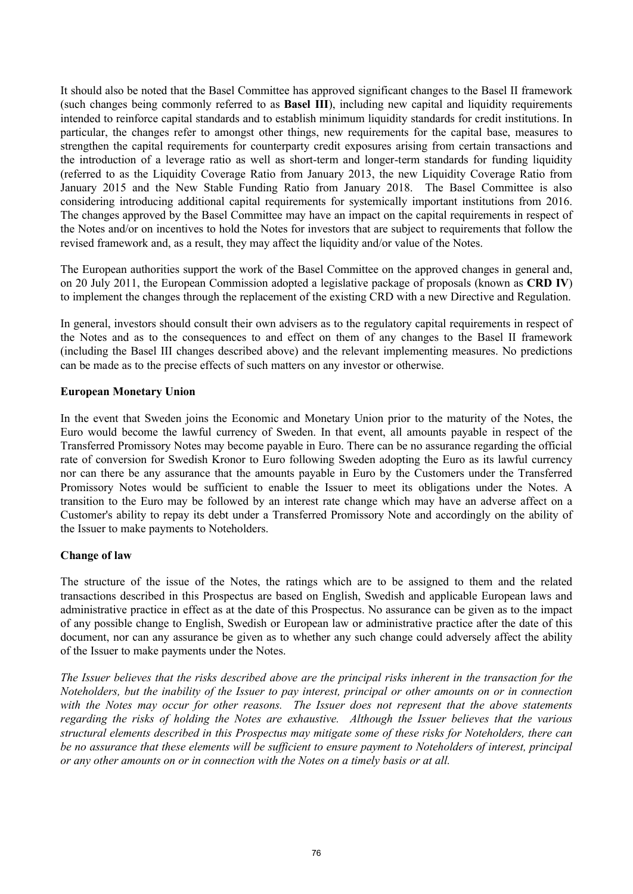It should also be noted that the Basel Committee has approved significant changes to the Basel II framework (such changes being commonly referred to as **Basel III**), including new capital and liquidity requirements intended to reinforce capital standards and to establish minimum liquidity standards for credit institutions. In particular, the changes refer to amongst other things, new requirements for the capital base, measures to strengthen the capital requirements for counterparty credit exposures arising from certain transactions and the introduction of a leverage ratio as well as short-term and longer-term standards for funding liquidity (referred to as the Liquidity Coverage Ratio from January 2013, the new Liquidity Coverage Ratio from January 2015 and the New Stable Funding Ratio from January 2018. The Basel Committee is also considering introducing additional capital requirements for systemically important institutions from 2016. The changes approved by the Basel Committee may have an impact on the capital requirements in respect of the Notes and/or on incentives to hold the Notes for investors that are subject to requirements that follow the revised framework and, as a result, they may affect the liquidity and/or value of the Notes.

The European authorities support the work of the Basel Committee on the approved changes in general and, on 20 July 2011, the European Commission adopted a legislative package of proposals (known as **CRD IV**) to implement the changes through the replacement of the existing CRD with a new Directive and Regulation.

In general, investors should consult their own advisers as to the regulatory capital requirements in respect of the Notes and as to the consequences to and effect on them of any changes to the Basel II framework (including the Basel III changes described above) and the relevant implementing measures. No predictions can be made as to the precise effects of such matters on any investor or otherwise.

## **European Monetary Union**

In the event that Sweden joins the Economic and Monetary Union prior to the maturity of the Notes, the Euro would become the lawful currency of Sweden. In that event, all amounts payable in respect of the Transferred Promissory Notes may become payable in Euro. There can be no assurance regarding the official rate of conversion for Swedish Kronor to Euro following Sweden adopting the Euro as its lawful currency nor can there be any assurance that the amounts payable in Euro by the Customers under the Transferred Promissory Notes would be sufficient to enable the Issuer to meet its obligations under the Notes. A transition to the Euro may be followed by an interest rate change which may have an adverse affect on a Customer's ability to repay its debt under a Transferred Promissory Note and accordingly on the ability of the Issuer to make payments to Noteholders.

## **Change of law**

The structure of the issue of the Notes, the ratings which are to be assigned to them and the related transactions described in this Prospectus are based on English, Swedish and applicable European laws and administrative practice in effect as at the date of this Prospectus. No assurance can be given as to the impact of any possible change to English, Swedish or European law or administrative practice after the date of this document, nor can any assurance be given as to whether any such change could adversely affect the ability of the Issuer to make payments under the Notes.

*The Issuer believes that the risks described above are the principal risks inherent in the transaction for the Noteholders, but the inability of the Issuer to pay interest, principal or other amounts on or in connection with the Notes may occur for other reasons. The Issuer does not represent that the above statements regarding the risks of holding the Notes are exhaustive. Although the Issuer believes that the various structural elements described in this Prospectus may mitigate some of these risks for Noteholders, there can be no assurance that these elements will be sufficient to ensure payment to Noteholders of interest, principal or any other amounts on or in connection with the Notes on a timely basis or at all.*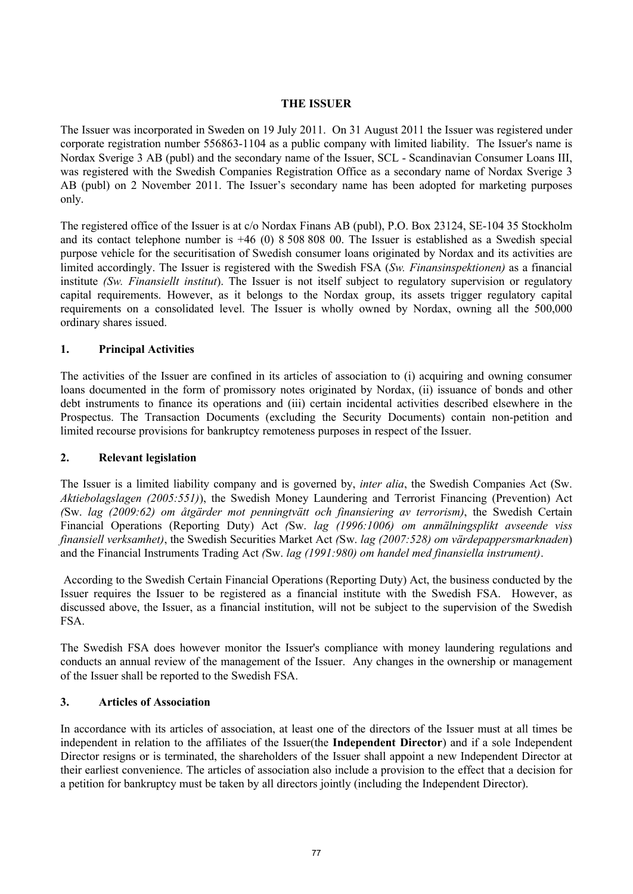## **THE ISSUER**

The Issuer was incorporated in Sweden on 19 July 2011. On 31 August 2011 the Issuer was registered under corporate registration number 556863-1104 as a public company with limited liability. The Issuer's name is Nordax Sverige 3 AB (publ) and the secondary name of the Issuer, SCL - Scandinavian Consumer Loans III, was registered with the Swedish Companies Registration Office as a secondary name of Nordax Sverige 3 AB (publ) on 2 November 2011. The Issuer's secondary name has been adopted for marketing purposes only.

The registered office of the Issuer is at c/o Nordax Finans AB (publ), P.O. Box 23124, SE-104 35 Stockholm and its contact telephone number is +46 (0) 8 508 808 00. The Issuer is established as a Swedish special purpose vehicle for the securitisation of Swedish consumer loans originated by Nordax and its activities are limited accordingly. The Issuer is registered with the Swedish FSA (*Sw. Finansinspektionen)* as a financial institute *(Sw. Finansiellt institut*). The Issuer is not itself subject to regulatory supervision or regulatory capital requirements. However, as it belongs to the Nordax group, its assets trigger regulatory capital requirements on a consolidated level. The Issuer is wholly owned by Nordax, owning all the 500,000 ordinary shares issued.

## **1. Principal Activities**

The activities of the Issuer are confined in its articles of association to (i) acquiring and owning consumer loans documented in the form of promissory notes originated by Nordax, (ii) issuance of bonds and other debt instruments to finance its operations and (iii) certain incidental activities described elsewhere in the Prospectus. The Transaction Documents (excluding the Security Documents) contain non-petition and limited recourse provisions for bankruptcy remoteness purposes in respect of the Issuer.

## **2. Relevant legislation**

The Issuer is a limited liability company and is governed by, *inter alia*, the Swedish Companies Act (Sw. *Aktiebolagslagen (2005:551)*), the Swedish Money Laundering and Terrorist Financing (Prevention) Act *(*Sw. *lag (2009:62) om åtgärder mot penningtvätt och finansiering av terrorism)*, the Swedish Certain Financial Operations (Reporting Duty) Act *(*Sw. *lag (1996:1006) om anmälningsplikt avseende viss finansiell verksamhet)*, the Swedish Securities Market Act *(*Sw. *lag (2007:528) om värdepappersmarknaden*) and the Financial Instruments Trading Act *(*Sw. *lag (1991:980) om handel med finansiella instrument)*.

According to the Swedish Certain Financial Operations (Reporting Duty) Act, the business conducted by the Issuer requires the Issuer to be registered as a financial institute with the Swedish FSA. However, as discussed above, the Issuer, as a financial institution, will not be subject to the supervision of the Swedish FSA.

The Swedish FSA does however monitor the Issuer's compliance with money laundering regulations and conducts an annual review of the management of the Issuer. Any changes in the ownership or management of the Issuer shall be reported to the Swedish FSA.

## **3. Articles of Association**

In accordance with its articles of association, at least one of the directors of the Issuer must at all times be independent in relation to the affiliates of the Issuer(the **Independent Director**) and if a sole Independent Director resigns or is terminated, the shareholders of the Issuer shall appoint a new Independent Director at their earliest convenience. The articles of association also include a provision to the effect that a decision for a petition for bankruptcy must be taken by all directors jointly (including the Independent Director).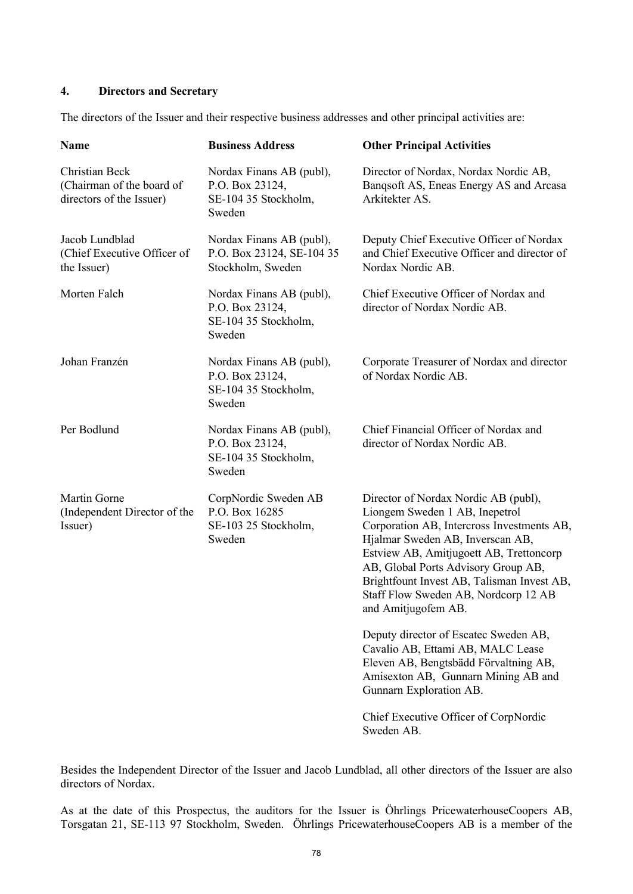## **4. Directors and Secretary**

The directors of the Issuer and their respective business addresses and other principal activities are:

| <b>Name</b>                                                             | <b>Business Address</b>                                                       | <b>Other Principal Activities</b>                                                                                                                                                                                                                                                                                                                       |
|-------------------------------------------------------------------------|-------------------------------------------------------------------------------|---------------------------------------------------------------------------------------------------------------------------------------------------------------------------------------------------------------------------------------------------------------------------------------------------------------------------------------------------------|
| Christian Beck<br>(Chairman of the board of<br>directors of the Issuer) | Nordax Finans AB (publ),<br>P.O. Box 23124,<br>SE-104 35 Stockholm,<br>Sweden | Director of Nordax, Nordax Nordic AB,<br>Banqsoft AS, Eneas Energy AS and Arcasa<br>Arkitekter AS.                                                                                                                                                                                                                                                      |
| Jacob Lundblad<br>(Chief Executive Officer of<br>the Issuer)            | Nordax Finans AB (publ),<br>P.O. Box 23124, SE-104 35<br>Stockholm, Sweden    | Deputy Chief Executive Officer of Nordax<br>and Chief Executive Officer and director of<br>Nordax Nordic AB.                                                                                                                                                                                                                                            |
| Morten Falch                                                            | Nordax Finans AB (publ),<br>P.O. Box 23124,<br>SE-104 35 Stockholm,<br>Sweden | Chief Executive Officer of Nordax and<br>director of Nordax Nordic AB.                                                                                                                                                                                                                                                                                  |
| Johan Franzén                                                           | Nordax Finans AB (publ),<br>P.O. Box 23124,<br>SE-104 35 Stockholm,<br>Sweden | Corporate Treasurer of Nordax and director<br>of Nordax Nordic AB.                                                                                                                                                                                                                                                                                      |
| Per Bodlund                                                             | Nordax Finans AB (publ),<br>P.O. Box 23124,<br>SE-104 35 Stockholm,<br>Sweden | Chief Financial Officer of Nordax and<br>director of Nordax Nordic AB.                                                                                                                                                                                                                                                                                  |
| Martin Gorne<br>(Independent Director of the<br>Issuer)                 | CorpNordic Sweden AB<br>P.O. Box 16285<br>SE-103 25 Stockholm,<br>Sweden      | Director of Nordax Nordic AB (publ),<br>Liongem Sweden 1 AB, Inepetrol<br>Corporation AB, Intercross Investments AB,<br>Hjalmar Sweden AB, Inverscan AB,<br>Estview AB, Amitjugoett AB, Trettoncorp<br>AB, Global Ports Advisory Group AB,<br>Brightfount Invest AB, Talisman Invest AB,<br>Staff Flow Sweden AB, Nordcorp 12 AB<br>and Amitjugofem AB. |
|                                                                         |                                                                               | Deputy director of Escatec Sweden AB,<br>Cavalio AB, Ettami AB, MALC Lease<br>Eleven AB, Bengtsbädd Förvaltning AB,<br>Amisexton AB, Gunnarn Mining AB and<br>Gunnarn Exploration AB.                                                                                                                                                                   |
|                                                                         |                                                                               | Chief Executive Officer of CorpNordic                                                                                                                                                                                                                                                                                                                   |

Besides the Independent Director of the Issuer and Jacob Lundblad, all other directors of the Issuer are also directors of Nordax.

Sweden AB.

As at the date of this Prospectus, the auditors for the Issuer is Öhrlings PricewaterhouseCoopers AB, Torsgatan 21, SE-113 97 Stockholm, Sweden. Öhrlings PricewaterhouseCoopers AB is a member of the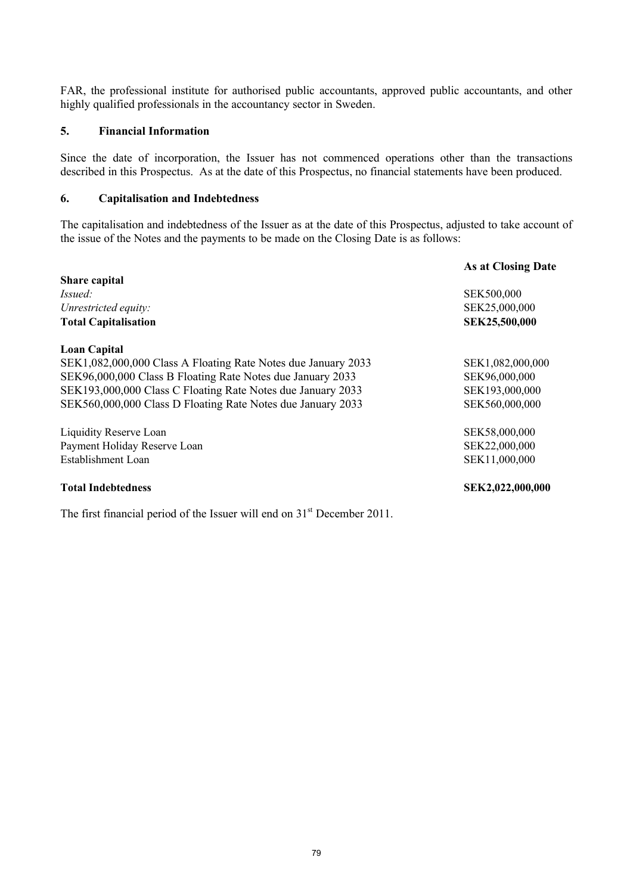FAR, the professional institute for authorised public accountants, approved public accountants, and other highly qualified professionals in the accountancy sector in Sweden.

#### **5. Financial Information**

Since the date of incorporation, the Issuer has not commenced operations other than the transactions described in this Prospectus. As at the date of this Prospectus, no financial statements have been produced.

## **6. Capitalisation and Indebtedness**

The capitalisation and indebtedness of the Issuer as at the date of this Prospectus, adjusted to take account of the issue of the Notes and the payments to be made on the Closing Date is as follows:

|                                                               | As at Closing Date |
|---------------------------------------------------------------|--------------------|
| Share capital                                                 |                    |
| <i>Issued:</i>                                                | SEK500,000         |
| Unrestricted equity:                                          | SEK25,000,000      |
| <b>Total Capitalisation</b>                                   | SEK25,500,000      |
| <b>Loan Capital</b>                                           |                    |
| SEK1,082,000,000 Class A Floating Rate Notes due January 2033 | SEK1,082,000,000   |
| SEK96,000,000 Class B Floating Rate Notes due January 2033    | SEK96,000,000      |
| SEK193,000,000 Class C Floating Rate Notes due January 2033   | SEK193,000,000     |
| SEK560,000,000 Class D Floating Rate Notes due January 2033   | SEK560,000,000     |
| Liquidity Reserve Loan                                        | SEK58,000,000      |
| Payment Holiday Reserve Loan                                  | SEK22,000,000      |
| Establishment Loan                                            | SEK11,000,000      |
| <b>Total Indebtedness</b>                                     | SEK2,022,000,000   |

The first financial period of the Issuer will end on  $31<sup>st</sup>$  December 2011.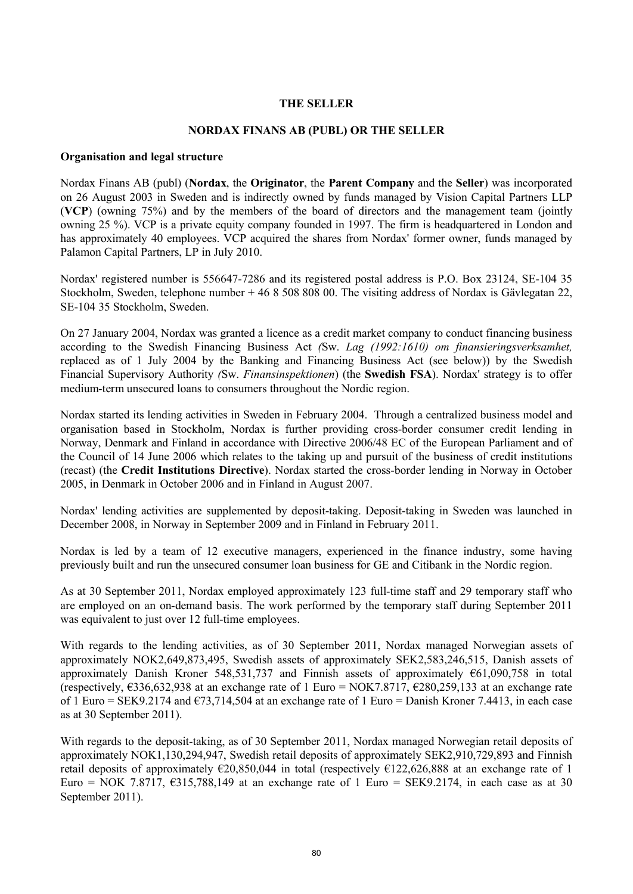## **THE SELLER**

#### **NORDAX FINANS AB (PUBL) OR THE SELLER**

#### **Organisation and legal structure**

Nordax Finans AB (publ) (**Nordax**, the **Originator**, the **Parent Company** and the **Seller**) was incorporated on 26 August 2003 in Sweden and is indirectly owned by funds managed by Vision Capital Partners LLP (**VCP**) (owning 75%) and by the members of the board of directors and the management team (jointly owning 25 %). VCP is a private equity company founded in 1997. The firm is headquartered in London and has approximately 40 employees. VCP acquired the shares from Nordax' former owner, funds managed by Palamon Capital Partners, LP in July 2010.

Nordax' registered number is 556647-7286 and its registered postal address is P.O. Box 23124, SE-104 35 Stockholm, Sweden, telephone number + 46 8 508 808 00. The visiting address of Nordax is Gävlegatan 22, SE-104 35 Stockholm, Sweden.

On 27 January 2004, Nordax was granted a licence as a credit market company to conduct financing business according to the Swedish Financing Business Act *(*Sw. *Lag (1992:1610) om finansieringsverksamhet,*  replaced as of 1 July 2004 by the Banking and Financing Business Act (see below)) by the Swedish Financial Supervisory Authority *(*Sw. *Finansinspektionen*) (the **Swedish FSA**). Nordax' strategy is to offer medium-term unsecured loans to consumers throughout the Nordic region.

Nordax started its lending activities in Sweden in February 2004. Through a centralized business model and organisation based in Stockholm, Nordax is further providing cross-border consumer credit lending in Norway, Denmark and Finland in accordance with Directive 2006/48 EC of the European Parliament and of the Council of 14 June 2006 which relates to the taking up and pursuit of the business of credit institutions (recast) (the **Credit Institutions Directive**). Nordax started the cross-border lending in Norway in October 2005, in Denmark in October 2006 and in Finland in August 2007.

Nordax' lending activities are supplemented by deposit-taking. Deposit-taking in Sweden was launched in December 2008, in Norway in September 2009 and in Finland in February 2011.

Nordax is led by a team of 12 executive managers, experienced in the finance industry, some having previously built and run the unsecured consumer loan business for GE and Citibank in the Nordic region.

As at 30 September 2011, Nordax employed approximately 123 full-time staff and 29 temporary staff who are employed on an on-demand basis. The work performed by the temporary staff during September 2011 was equivalent to just over 12 full-time employees.

With regards to the lending activities, as of 30 September 2011, Nordax managed Norwegian assets of approximately NOK2,649,873,495, Swedish assets of approximately SEK2,583,246,515, Danish assets of approximately Danish Kroner 548,531,737 and Finnish assets of approximately €61,090,758 in total (respectively, €336,632,938 at an exchange rate of 1 Euro = NOK7.8717, €280,259,133 at an exchange rate of 1 Euro = SEK9.2174 and  $\epsilon$ 73,714,504 at an exchange rate of 1 Euro = Danish Kroner 7.4413, in each case as at 30 September 2011).

With regards to the deposit-taking, as of 30 September 2011, Nordax managed Norwegian retail deposits of approximately NOK1,130,294,947, Swedish retail deposits of approximately SEK2,910,729,893 and Finnish retail deposits of approximately  $\epsilon$ 20,850,044 in total (respectively  $\epsilon$ 122,626,888 at an exchange rate of 1 Euro = NOK 7.8717,  $\epsilon$ 315,788,149 at an exchange rate of 1 Euro = SEK9.2174, in each case as at 30 September 2011).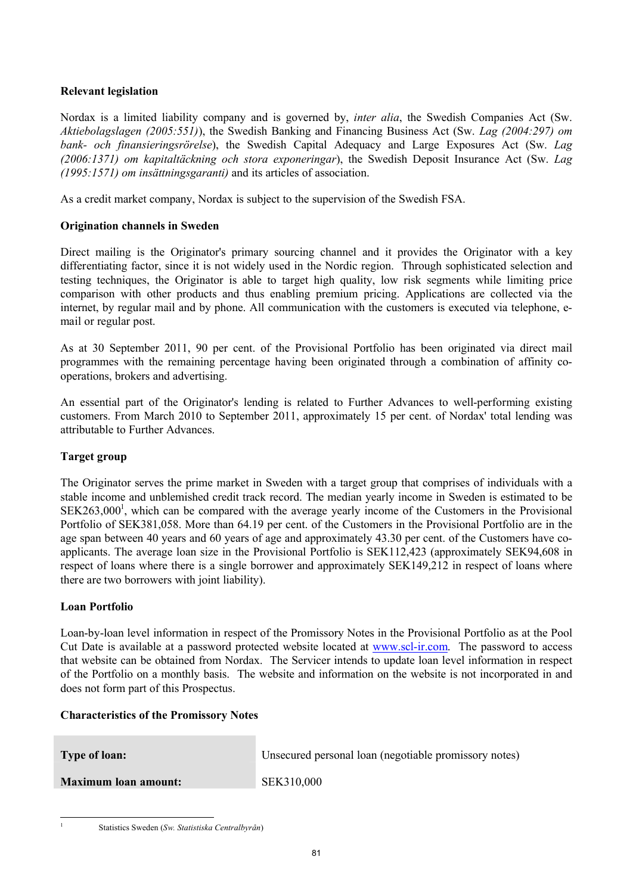## **Relevant legislation**

Nordax is a limited liability company and is governed by, *inter alia*, the Swedish Companies Act (Sw. *Aktiebolagslagen (2005:551)*), the Swedish Banking and Financing Business Act (Sw. *Lag (2004:297) om bank- och finansieringsrörelse*), the Swedish Capital Adequacy and Large Exposures Act (Sw. *Lag (2006:1371) om kapitaltäckning och stora exponeringar*), the Swedish Deposit Insurance Act (Sw. *Lag (1995:1571) om insättningsgaranti)* and its articles of association.

As a credit market company, Nordax is subject to the supervision of the Swedish FSA.

## **Origination channels in Sweden**

Direct mailing is the Originator's primary sourcing channel and it provides the Originator with a key differentiating factor, since it is not widely used in the Nordic region. Through sophisticated selection and testing techniques, the Originator is able to target high quality, low risk segments while limiting price comparison with other products and thus enabling premium pricing. Applications are collected via the internet, by regular mail and by phone. All communication with the customers is executed via telephone, email or regular post.

As at 30 September 2011, 90 per cent. of the Provisional Portfolio has been originated via direct mail programmes with the remaining percentage having been originated through a combination of affinity cooperations, brokers and advertising.

An essential part of the Originator's lending is related to Further Advances to well-performing existing customers. From March 2010 to September 2011, approximately 15 per cent. of Nordax' total lending was attributable to Further Advances.

## **Target group**

The Originator serves the prime market in Sweden with a target group that comprises of individuals with a stable income and unblemished credit track record. The median yearly income in Sweden is estimated to be SEK263,000<sup>1</sup>, which can be compared with the average yearly income of the Customers in the Provisional Portfolio of SEK381,058. More than 64.19 per cent. of the Customers in the Provisional Portfolio are in the age span between 40 years and 60 years of age and approximately 43.30 per cent. of the Customers have coapplicants. The average loan size in the Provisional Portfolio is SEK112,423 (approximately SEK94,608 in respect of loans where there is a single borrower and approximately SEK149,212 in respect of loans where there are two borrowers with joint liability).

## **Loan Portfolio**

Loan-by-loan level information in respect of the Promissory Notes in the Provisional Portfolio as at the Pool Cut Date is available at a password protected website located at [www.scl-ir.com.](www.scl-ir.com) The password to access that website can be obtained from Nordax. The Servicer intends to update loan level information in respect of the Portfolio on a monthly basis. The website and information on the website is not incorporated in and does not form part of this Prospectus.

## **Characteristics of the Promissory Notes**

| <b>Type of loan:</b>        | Unsecured personal loan (negotiable promissory notes) |
|-----------------------------|-------------------------------------------------------|
| <b>Maximum loan amount:</b> | SEK310,000                                            |

<sup>1</sup>

l Statistics Sweden (*Sw. Statistiska Centralbyrån*)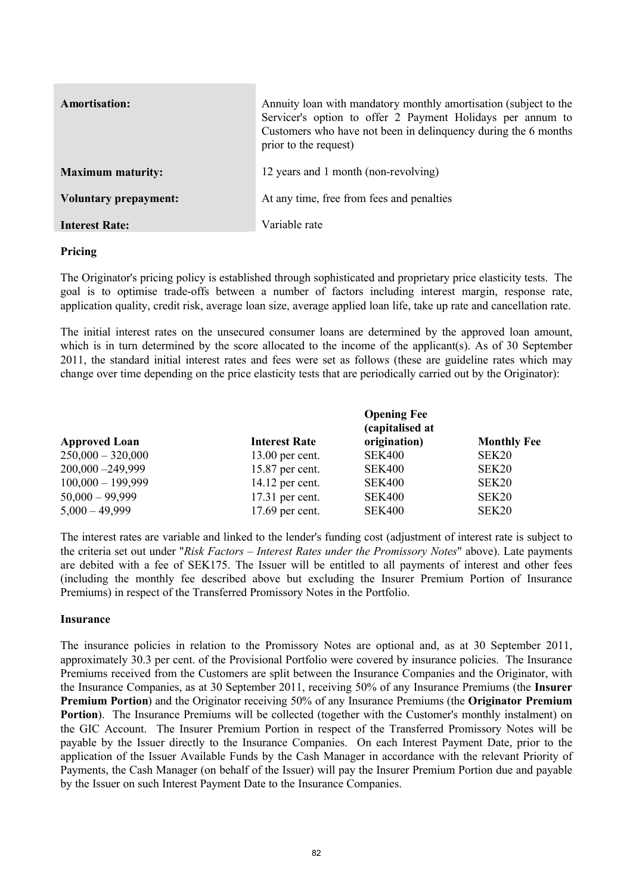| <b>Amortisation:</b>         | Annuity loan with mandatory monthly amortisation (subject to the<br>Servicer's option to offer 2 Payment Holidays per annum to<br>Customers who have not been in delinquency during the 6 months<br>prior to the request) |
|------------------------------|---------------------------------------------------------------------------------------------------------------------------------------------------------------------------------------------------------------------------|
| <b>Maximum maturity:</b>     | 12 years and 1 month (non-revolving)                                                                                                                                                                                      |
| <b>Voluntary prepayment:</b> | At any time, free from fees and penalties                                                                                                                                                                                 |
| <b>Interest Rate:</b>        | Variable rate                                                                                                                                                                                                             |

## **Pricing**

The Originator's pricing policy is established through sophisticated and proprietary price elasticity tests. The goal is to optimise trade-offs between a number of factors including interest margin, response rate, application quality, credit risk, average loan size, average applied loan life, take up rate and cancellation rate.

The initial interest rates on the unsecured consumer loans are determined by the approved loan amount, which is in turn determined by the score allocated to the income of the applicant(s). As of 30 September 2011, the standard initial interest rates and fees were set as follows (these are guideline rates which may change over time depending on the price elasticity tests that are periodically carried out by the Originator):

|                      |                      | <b>Opening Fee</b><br>(capitalised at |                    |
|----------------------|----------------------|---------------------------------------|--------------------|
| <b>Approved Loan</b> | <b>Interest Rate</b> | origination)                          | <b>Monthly Fee</b> |
| $250,000 - 320,000$  | $13.00$ per cent.    | <b>SEK400</b>                         | SEK20              |
| 200,000 - 249,999    | 15.87 per cent.      | <b>SEK400</b>                         | SEK20              |
| $100,000 - 199,999$  | $14.12$ per cent.    | <b>SEK400</b>                         | SEK20              |
| $50,000 - 99,999$    | $17.31$ per cent.    | <b>SEK400</b>                         | SEK <sub>20</sub>  |
| $5,000 - 49,999$     | 17.69 per cent.      | <b>SEK400</b>                         | SEK20              |

The interest rates are variable and linked to the lender's funding cost (adjustment of interest rate is subject to the criteria set out under "*Risk Factors – Interest Rates under the Promissory Notes*" above). Late payments are debited with a fee of SEK175. The Issuer will be entitled to all payments of interest and other fees (including the monthly fee described above but excluding the Insurer Premium Portion of Insurance Premiums) in respect of the Transferred Promissory Notes in the Portfolio.

#### **Insurance**

The insurance policies in relation to the Promissory Notes are optional and, as at 30 September 2011, approximately 30.3 per cent. of the Provisional Portfolio were covered by insurance policies. The Insurance Premiums received from the Customers are split between the Insurance Companies and the Originator, with the Insurance Companies, as at 30 September 2011, receiving 50% of any Insurance Premiums (the **Insurer Premium Portion**) and the Originator receiving 50% of any Insurance Premiums (the **Originator Premium Portion**). The Insurance Premiums will be collected (together with the Customer's monthly instalment) on the GIC Account. The Insurer Premium Portion in respect of the Transferred Promissory Notes will be payable by the Issuer directly to the Insurance Companies. On each Interest Payment Date, prior to the application of the Issuer Available Funds by the Cash Manager in accordance with the relevant Priority of Payments, the Cash Manager (on behalf of the Issuer) will pay the Insurer Premium Portion due and payable by the Issuer on such Interest Payment Date to the Insurance Companies.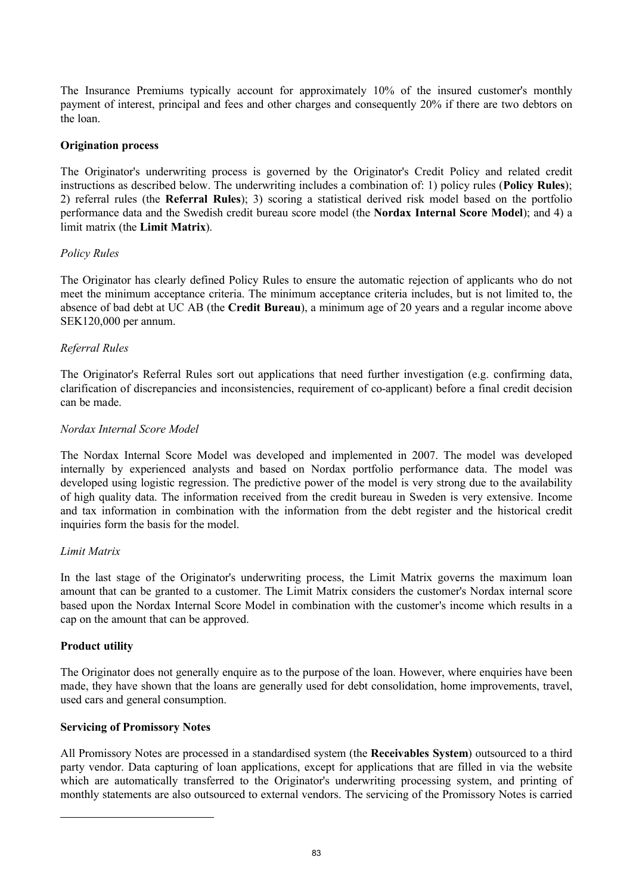The Insurance Premiums typically account for approximately 10% of the insured customer's monthly payment of interest, principal and fees and other charges and consequently 20% if there are two debtors on the loan.

## **Origination process**

The Originator's underwriting process is governed by the Originator's Credit Policy and related credit instructions as described below. The underwriting includes a combination of: 1) policy rules (**Policy Rules**); 2) referral rules (the **Referral Rules**); 3) scoring a statistical derived risk model based on the portfolio performance data and the Swedish credit bureau score model (the **Nordax Internal Score Model**); and 4) a limit matrix (the **Limit Matrix**).

## *Policy Rules*

The Originator has clearly defined Policy Rules to ensure the automatic rejection of applicants who do not meet the minimum acceptance criteria. The minimum acceptance criteria includes, but is not limited to, the absence of bad debt at UC AB (the **Credit Bureau**), a minimum age of 20 years and a regular income above SEK120,000 per annum.

## *Referral Rules*

The Originator's Referral Rules sort out applications that need further investigation (e.g. confirming data, clarification of discrepancies and inconsistencies, requirement of co-applicant) before a final credit decision can be made.

## *Nordax Internal Score Model*

The Nordax Internal Score Model was developed and implemented in 2007. The model was developed internally by experienced analysts and based on Nordax portfolio performance data. The model was developed using logistic regression. The predictive power of the model is very strong due to the availability of high quality data. The information received from the credit bureau in Sweden is very extensive. Income and tax information in combination with the information from the debt register and the historical credit inquiries form the basis for the model.

## *Limit Matrix*

In the last stage of the Originator's underwriting process, the Limit Matrix governs the maximum loan amount that can be granted to a customer. The Limit Matrix considers the customer's Nordax internal score based upon the Nordax Internal Score Model in combination with the customer's income which results in a cap on the amount that can be approved.

## **Product utility**

The Originator does not generally enquire as to the purpose of the loan. However, where enquiries have been made, they have shown that the loans are generally used for debt consolidation, home improvements, travel, used cars and general consumption.

## **Servicing of Promissory Notes**

l

All Promissory Notes are processed in a standardised system (the **Receivables System**) outsourced to a third party vendor. Data capturing of loan applications, except for applications that are filled in via the website which are automatically transferred to the Originator's underwriting processing system, and printing of monthly statements are also outsourced to external vendors. The servicing of the Promissory Notes is carried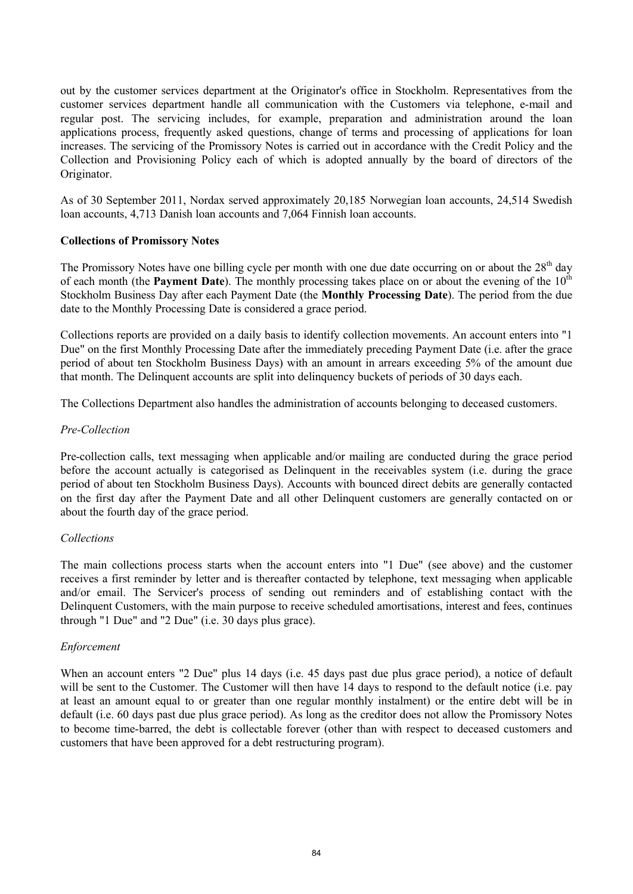out by the customer services department at the Originator's office in Stockholm. Representatives from the customer services department handle all communication with the Customers via telephone, e-mail and regular post. The servicing includes, for example, preparation and administration around the loan applications process, frequently asked questions, change of terms and processing of applications for loan increases. The servicing of the Promissory Notes is carried out in accordance with the Credit Policy and the Collection and Provisioning Policy each of which is adopted annually by the board of directors of the Originator.

As of 30 September 2011, Nordax served approximately 20,185 Norwegian loan accounts, 24,514 Swedish loan accounts, 4,713 Danish loan accounts and 7,064 Finnish loan accounts.

## **Collections of Promissory Notes**

The Promissory Notes have one billing cycle per month with one due date occurring on or about the  $28<sup>th</sup>$  day of each month (the **Payment Date**). The monthly processing takes place on or about the evening of the 10<sup>th</sup> Stockholm Business Day after each Payment Date (the **Monthly Processing Date**). The period from the due date to the Monthly Processing Date is considered a grace period.

Collections reports are provided on a daily basis to identify collection movements. An account enters into "1 Due" on the first Monthly Processing Date after the immediately preceding Payment Date (i.e. after the grace period of about ten Stockholm Business Days) with an amount in arrears exceeding 5% of the amount due that month. The Delinquent accounts are split into delinquency buckets of periods of 30 days each.

The Collections Department also handles the administration of accounts belonging to deceased customers.

## *Pre-Collection*

Pre-collection calls, text messaging when applicable and/or mailing are conducted during the grace period before the account actually is categorised as Delinquent in the receivables system (i.e. during the grace period of about ten Stockholm Business Days). Accounts with bounced direct debits are generally contacted on the first day after the Payment Date and all other Delinquent customers are generally contacted on or about the fourth day of the grace period.

## *Collections*

The main collections process starts when the account enters into "1 Due" (see above) and the customer receives a first reminder by letter and is thereafter contacted by telephone, text messaging when applicable and/or email. The Servicer's process of sending out reminders and of establishing contact with the Delinquent Customers, with the main purpose to receive scheduled amortisations, interest and fees, continues through "1 Due" and "2 Due" (i.e. 30 days plus grace).

## *Enforcement*

When an account enters "2 Due" plus 14 days (i.e. 45 days past due plus grace period), a notice of default will be sent to the Customer. The Customer will then have 14 days to respond to the default notice (i.e. pay at least an amount equal to or greater than one regular monthly instalment) or the entire debt will be in default (i.e. 60 days past due plus grace period). As long as the creditor does not allow the Promissory Notes to become time-barred, the debt is collectable forever (other than with respect to deceased customers and customers that have been approved for a debt restructuring program).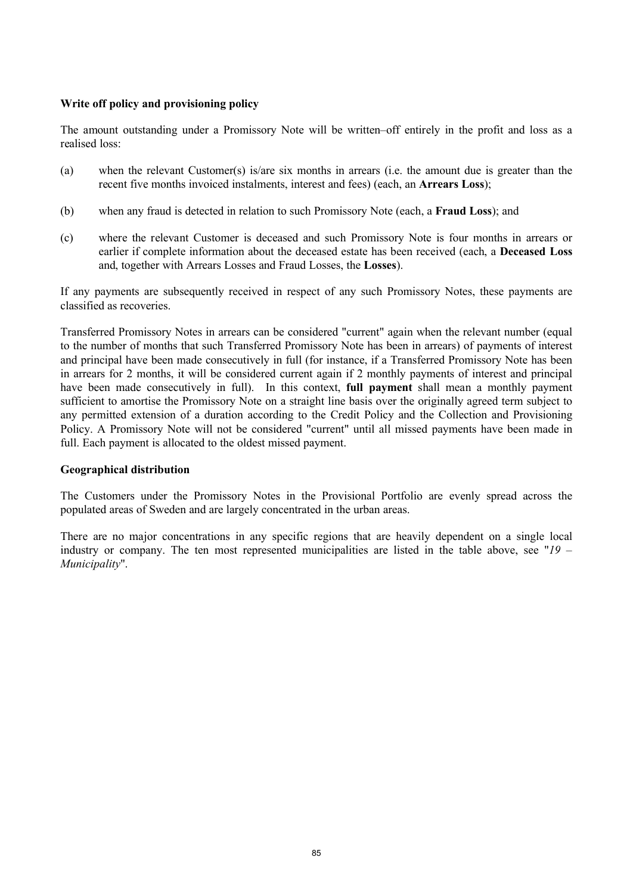## **Write off policy and provisioning policy**

The amount outstanding under a Promissory Note will be written–off entirely in the profit and loss as a realised loss:

- (a) when the relevant Customer(s) is/are six months in arrears (i.e. the amount due is greater than the recent five months invoiced instalments, interest and fees) (each, an **Arrears Loss**);
- (b) when any fraud is detected in relation to such Promissory Note (each, a **Fraud Loss**); and
- (c) where the relevant Customer is deceased and such Promissory Note is four months in arrears or earlier if complete information about the deceased estate has been received (each, a **Deceased Loss** and, together with Arrears Losses and Fraud Losses, the **Losses**).

If any payments are subsequently received in respect of any such Promissory Notes, these payments are classified as recoveries.

Transferred Promissory Notes in arrears can be considered "current" again when the relevant number (equal to the number of months that such Transferred Promissory Note has been in arrears) of payments of interest and principal have been made consecutively in full (for instance, if a Transferred Promissory Note has been in arrears for 2 months, it will be considered current again if 2 monthly payments of interest and principal have been made consecutively in full). In this context, **full payment** shall mean a monthly payment sufficient to amortise the Promissory Note on a straight line basis over the originally agreed term subject to any permitted extension of a duration according to the Credit Policy and the Collection and Provisioning Policy. A Promissory Note will not be considered "current" until all missed payments have been made in full. Each payment is allocated to the oldest missed payment.

## **Geographical distribution**

The Customers under the Promissory Notes in the Provisional Portfolio are evenly spread across the populated areas of Sweden and are largely concentrated in the urban areas.

There are no major concentrations in any specific regions that are heavily dependent on a single local industry or company. The ten most represented municipalities are listed in the table above, see "*19 – Municipality*".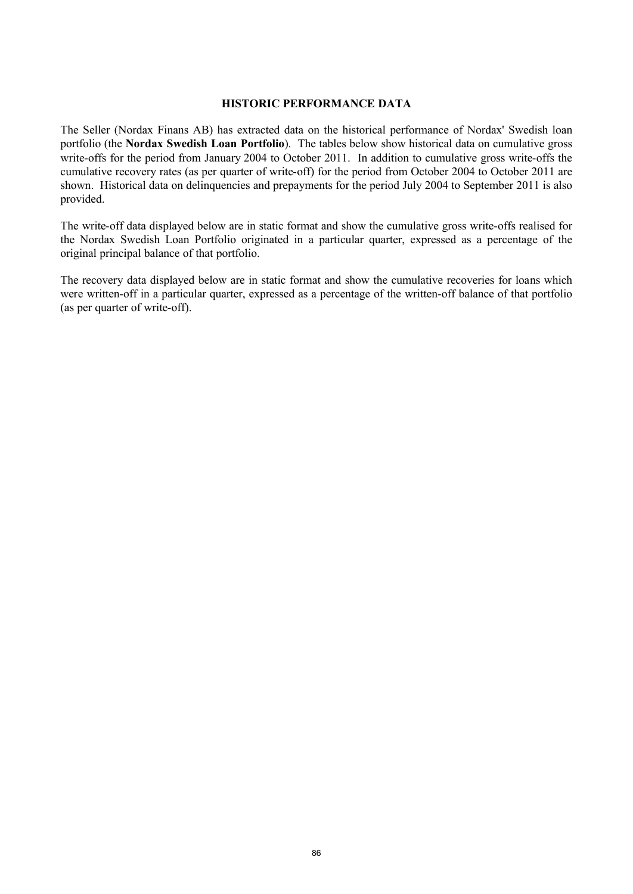#### **HISTORIC PERFORMANCE DATA**

The Seller (Nordax Finans AB) has extracted data on the historical performance of Nordax' Swedish loan portfolio (the **Nordax Swedish Loan Portfolio**). The tables below show historical data on cumulative gross write-offs for the period from January 2004 to October 2011. In addition to cumulative gross write-offs the cumulative recovery rates (as per quarter of write-off) for the period from October 2004 to October 2011 are shown. Historical data on delinquencies and prepayments for the period July 2004 to September 2011 is also provided.

The write-off data displayed below are in static format and show the cumulative gross write-offs realised for the Nordax Swedish Loan Portfolio originated in a particular quarter, expressed as a percentage of the original principal balance of that portfolio.

The recovery data displayed below are in static format and show the cumulative recoveries for loans which were written-off in a particular quarter, expressed as a percentage of the written-off balance of that portfolio (as per quarter of write-off).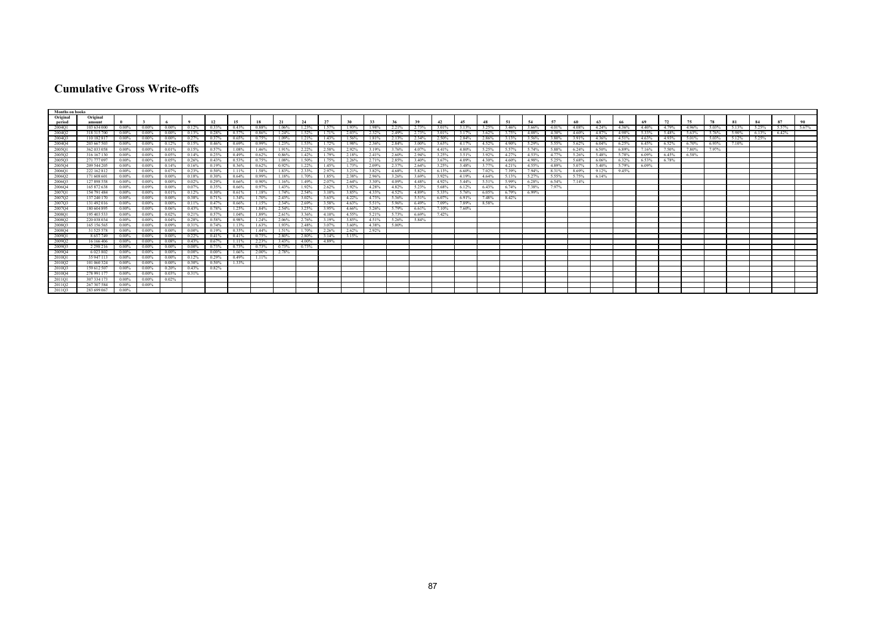## **Cumulative Gross Write-offs**

| <b>Months on books</b> |               |          |          |          |          |                |          |          |       |          |       |       |       |       |       |       |         |          |       |       |       |        |             |       |       |       |       |       |       |       |       |       |
|------------------------|---------------|----------|----------|----------|----------|----------------|----------|----------|-------|----------|-------|-------|-------|-------|-------|-------|---------|----------|-------|-------|-------|--------|-------------|-------|-------|-------|-------|-------|-------|-------|-------|-------|
| Original               | Original      |          |          |          |          |                |          |          |       |          |       |       |       |       |       |       |         |          |       |       |       |        |             |       |       |       |       |       |       |       |       |       |
| period                 | amount        |          |          |          |          |                |          |          |       |          | 27    |       |       |       |       |       |         |          |       |       | 57    |        |             |       | 69    |       |       |       |       |       | 87    |       |
| 2004Q1                 | 103 634 000   | $0.00\%$ | $0.00\%$ | $0.00\%$ | 0.12%    | 0.33%          | 0.43%    | 0.88%    | 1.06% | 1.23%    | 1.57% | 1.93% | 1.98% | 2.21% | 2.73% | 3.01% | 3.13%   | 3.25%    | 3.46% | 3.66% | 4.01% | 4.08%  | 4.24%       | 4.36% | 4.40% | 4.79% | 4.96% | 5.03% | 5.13% | 5.25% | 5.57% | 5.67% |
| 2004Q2                 | 318 315 700   | $0.00\%$ | $0.00\%$ | $0.00\%$ | $0.13\%$ | $0.28\%$       | 0.57%    | $0.86\%$ | 1.24% | 1.52%    | 1.71% | 2.03% | 2.32% | 2.49% | 2.73% | 3.01% | 3.17%   | $3.62\%$ | 3.75% | 4.08% | 4.30% | 4.60%  | 4.87% 4.98% |       | 5.33% | 5.48% | 5.63% | 5.76% | 5.90% | 6.13% | 6.42% |       |
| 2004Q3                 | 110 182 817   | 0.00%    | $0.00\%$ | 0.00%    | 0.27%    | 0.37%          | 0.65%    | 0.75%    | 1.09% | 1.21%    | 143%  | 1.56% | 1.81% | 2.13% | 2.34% | 2.50% | 2.84%   | 2.86%    | 3.13% | 3.56% | 3.80% | 3.91%  | 4 36%       | 4.51% | 4.63% | 493%  | 5.01% | 5.03% | 5.12% | 5.25% |       |       |
| 2004Q4                 | 203 667 503   | $0.00\%$ | $0.00\%$ | 0.12%    | 0.15%    | 0.46%          | $0.69\%$ | 0.99%    | 1.23% | 1.53%    | 1.72% | 1.98% | 2.36% | 2.84% | 3.00% | 3.63% | 4.17%   | 4.52%    | 4.90% | 5.29% | 5.55% | 5.62%  | 6.04%       | 6.25% | 6.45% | 6.52% | 6.70% | 6.93% | 7.10% |       |       |       |
| 2005Q                  | 362 033 058   | $0.00\%$ |          |          | 0.15%    | 0.57%          | 1.08%    | 146%     |       | 2.22%    | 2.58% | 2.92% | 3.19% | 3.76% | 4.07% | 4.41% | 4.80%   |          |       | 5.74% | 5.88% | 6.24%  | 6.50%       | 6.89% | 7.16% | 7.50% | 7.80% | 7.97% |       |       |       |       |
| 2005O2                 | 316 167 130   | $0.00\%$ | $0.00\%$ | 0.05%    | 0.14%    | 0.25%          | 0.49%    | 0.62%    | 0.86% | 1.42%    | 1.79% | 2.18% | 2.41% | 2.60% | 2.94% | 3.25% | 3.51%   | 3.92%    | 4.27% | 4.53% | 4.77% | 5.26%  | 5.48%       | 5.78% | 6.09% | 6.45% | 6.58% |       |       |       |       |       |
| 2005Q3                 | 271 777 097   | $0.00\%$ | $0.00\%$ | 0.05%    | 0.26%    | 0.43%          | 0.53%    | 0.75%    | 1.08% | 1.50%    | 1.75% | 2.26% | 2.71% | 2.85% | 3.40% | 3.67% | 4.09%   | 4.30%    | 4.60% | 4.98% | 5.25% | 5.68%  | 6.06%       | 6.32% | 6.53% | 6.78% |       |       |       |       |       |       |
| 2005Q4                 | 209 544 205   | $0.00\%$ | $0.00\%$ | 0.14%    | 0.16%    | 0.19%          | 0.36%    | 0.62%    | 0.92% | 1.22%    | 1.45% |       | 2.09% | 2.37% | 2.64% | 3.25% | 3.48%   | 3.77%    | 4.21% | 4.55% | 4.89% | 5.07%  | 5.40%       | 5.79% | 6.09% |       |       |       |       |       |       |       |
| 2006O1                 | 222 162 812   | 0.00%    | $0.00\%$ |          | 0.23%    | 0.50%          | 1 1 1 %  | 1.58%    | 1.83% | 2.33%    | 2.97% |       | 3.82% | 4.68% | 5.82% | 6.13% | -6.60%  | 7.02%    | 739%  | 794%  | 831%  | -8.69% | 9 1 2%      | 945%  |       |       |       |       |       |       |       |       |
| 2006Q2                 | 171 608 601   | $0.00\%$ |          |          | 0.18%    | 0.30%          | 0.64%    | 0.99%    |       | 1.70%    | 1.85% | 2.38% | 2.96% |       | 3.69% | 3.92% |         |          |       | 5.27% | 5.55% |        | 6.14%       |       |       |       |       |       |       |       |       |       |
| 2006O3                 | 127 898 558   | $0.00\%$ | $0.00\%$ | $0.00\%$ | 0.02%    | 0.29%          | 0.66%    | $0.90\%$ | 1.16% | 1.49%    | 2.07% | 2.64% | 3.30% | 4.09% | 4.48% | 4.92% | 5.44%   | 5.51%    | 5.99% | 6.28% | 6.54% | 7.14%  |             |       |       |       |       |       |       |       |       |       |
| 2006Q4                 | 165 872 638   | $0.00\%$ | $0.09\%$ | 0.00%    | $0.07\%$ | 0.35%          | 0.66%    | 0.97%    | 1.43% | 1.92%    | 2.62% | 3.92% | 4.28% | 4.82% | 5.23% | 5.68% | 6.12%   | 6.43%    | 6.74% | 7.38% | 7.97% |        |             |       |       |       |       |       |       |       |       |       |
| 2007Q1                 | 154 791 484   | $0.00\%$ | $0.00\%$ | 0.01%    | $0.12\%$ | 0.30%          | 0.61%    | 1.18%    | 1.74% | 2.54%    | 3.10% | 3.85% | 4.33% | 4.52% | 4.89% | 5.33% | 5.76%   | 6.05%    | 6.79% | 6.99% |       |        |             |       |       |       |       |       |       |       |       |       |
| 2007Q2                 | 137 240 170   | -0.00%   | $0.00\%$ | 0.00%    | 0.38%    | 0.71%          | 1 34%    | 1.70%    | 2.43% | 3.02%    | 3.63% | 4.22% | 4 73% | 5.36% | 5.51% | 6.07% | - 6.91% | 748%     | 8.42% |       |       |        |             |       |       |       |       |       |       |       |       |       |
| 2007Q3                 | 131492016     | $0.00\%$ | $0.00\%$ | $0.00\%$ | $0.11\%$ | 0.47%          | 0.66%    | 1.15%    | 2.34% | 2.69%    | 3.58% | 4.63% | 5.51% | 5.96% | 6.49% | 7.09% | 7.89%   | 8.58%    |       |       |       |        |             |       |       |       |       |       |       |       |       |       |
| 2007Q4                 | 180 604 895   | $0.00\%$ | $0.00\%$ | 0.06%    | 0.43%    | 0.78%          | 1.25%    | 1.84%    | 2.54% | 3.25%    | 3.95% | 4.66% | 5.26% | 5.79% | 6.61% | 7.10% | 7.60%   |          |       |       |       |        |             |       |       |       |       |       |       |       |       |       |
| 2008O1                 | 195403533     | 0.00%    | 0.00%    | $0.02\%$ | 0.21%    | 0.57%          | 1.04%    | 1.89%    |       | 3.36%    | 4.10% | 4.55% | 5.21% | 5.73% | 6.69% | 7.42% |         |          |       |       |       |        |             |       |       |       |       |       |       |       |       |       |
| 2008Q2                 | 220 038 034   | $0.00\%$ |          |          | 0.28%    | 0.58%          | 0.98%    | 1.24%    | 2.06% | 2.76%    | 3.19% | 3.85% | 4.51% | 5.26% | 5.84% |       |         |          |       |       |       |        |             |       |       |       |       |       |       |       |       |       |
| 2008Q3                 | 165 156 565   | - 0.00%  |          | 0.09%    | 0.31%    | 0.74%          |          | 1.63%    |       | 2.48%    | 3.07% | 3.60% | 4 38% | 5.00% |       |       |         |          |       |       |       |        |             |       |       |       |       |       |       |       |       |       |
| 2008Q4                 | 31525578      | $0.00\%$ |          |          | $0.00\%$ | 0.19%          |          | 1.44%    |       | 1.70%    | 2.26% | 2.62% | 2.92% |       |       |       |         |          |       |       |       |        |             |       |       |       |       |       |       |       |       |       |
| 2009Q1                 | 8657749       | $0.00\%$ | 0.00%    | 0.00%    | 0.22%    | 0.41%          | 0.41%    | 0.75%    | 2.80% | 2.80%    | 3.14% | 3.15% |       |       |       |       |         |          |       |       |       |        |             |       |       |       |       |       |       |       |       |       |
| 2009O2                 | 16166406      | 0.00%    | 0.00%    |          | 0.43%    | 0.67%          | 1.11%    | 2.23%    | 3.43% | $4.00\%$ | 4.89% |       |       |       |       |       |         |          |       |       |       |        |             |       |       |       |       |       |       |       |       |       |
| 2009O3                 | 2 2 9 8 2 1 6 | $0.00\%$ | $0.00\%$ | $0.00\%$ | $0.00\%$ | 0.73%          | 0.73%    | 0.73%    | 0.73% | 0.73%    |       |       |       |       |       |       |         |          |       |       |       |        |             |       |       |       |       |       |       |       |       |       |
| 2009Q4                 | 6 0 23 8 0 2  | $0.00\%$ | $0.00\%$ | $0.00\%$ | $0.00\%$ | $0.00\%$       | 1.66%    | 2.00%    | 2.78% |          |       |       |       |       |       |       |         |          |       |       |       |        |             |       |       |       |       |       |       |       |       |       |
| 2010Q1                 | 35947113      | $0.00\%$ | $0.00\%$ | $0.00\%$ |          | $0.12\%$ 0.29% | $0.49\%$ | 1.11%    |       |          |       |       |       |       |       |       |         |          |       |       |       |        |             |       |       |       |       |       |       |       |       |       |
| 2010Q2                 | 101 060 324   | 0.00%    | 0.00%    | 0.00%    | $0.30\%$ | $0.50\%$       | 1.33%    |          |       |          |       |       |       |       |       |       |         |          |       |       |       |        |             |       |       |       |       |       |       |       |       |       |
| 2010Q3                 | 159 612 507   | $0.00\%$ | $0.00\%$ | 0.20%    | $0.43\%$ | 0.82%          |          |          |       |          |       |       |       |       |       |       |         |          |       |       |       |        |             |       |       |       |       |       |       |       |       |       |
| 2010Q4                 | 278 991 177   | $0.00\%$ | $0.00\%$ | 0.03%    | 0.31%    |                |          |          |       |          |       |       |       |       |       |       |         |          |       |       |       |        |             |       |       |       |       |       |       |       |       |       |
| 2011O1                 | 307334173     | $0.00\%$ | 0.00%    | 0.02%    |          |                |          |          |       |          |       |       |       |       |       |       |         |          |       |       |       |        |             |       |       |       |       |       |       |       |       |       |
| 2011Q2                 | 267 307 584   | $0.00\%$ | $0.00\%$ |          |          |                |          |          |       |          |       |       |       |       |       |       |         |          |       |       |       |        |             |       |       |       |       |       |       |       |       |       |
| 2011Q3                 | 283 699 067   | $0.00\%$ |          |          |          |                |          |          |       |          |       |       |       |       |       |       |         |          |       |       |       |        |             |       |       |       |       |       |       |       |       |       |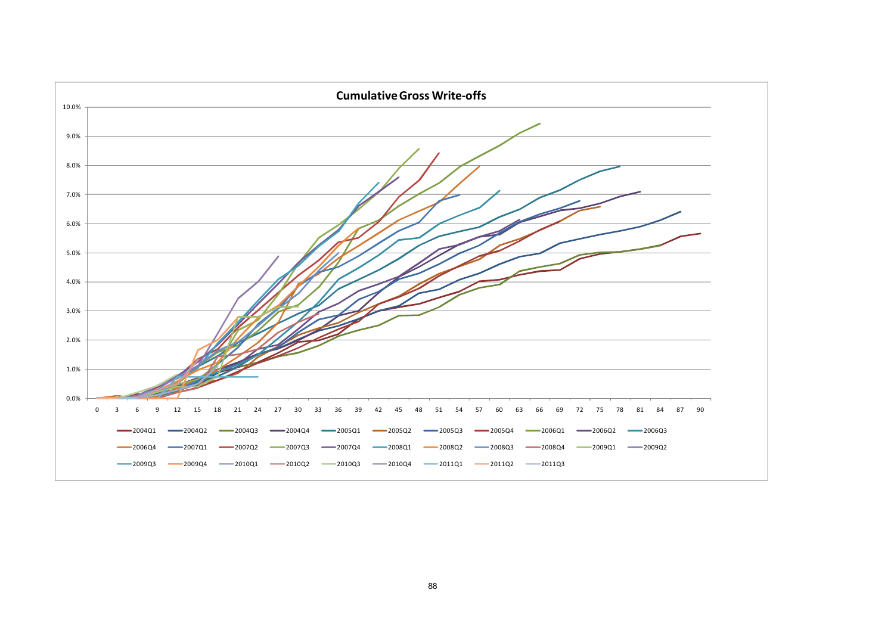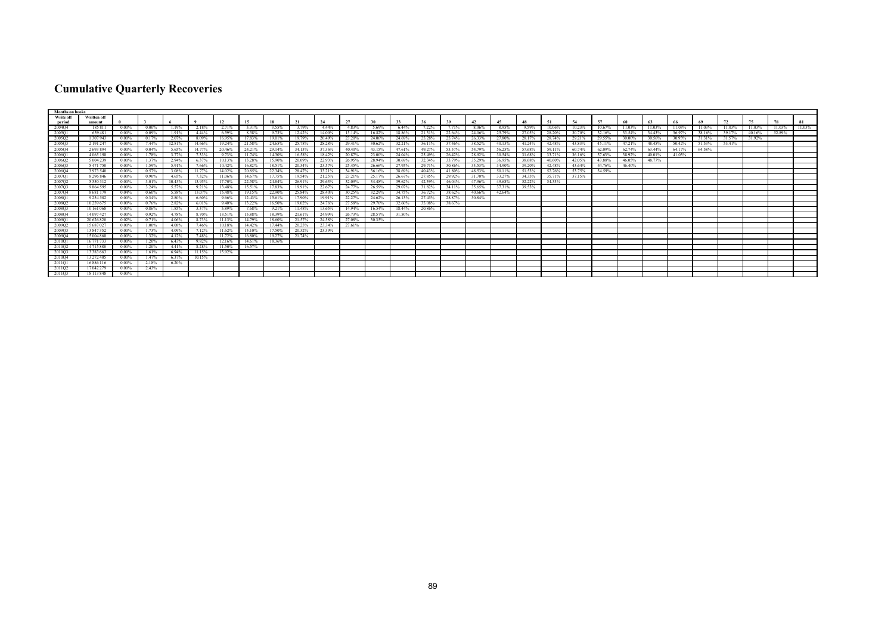## **Cumulative Quarterly Recoveries**

| <b>Months on books</b> |               |          |          |        |        |        |        |        |        |        |        |        |        |        |        |        |        |        |        |        |        |        |        |        |        |        |        |        |        |
|------------------------|---------------|----------|----------|--------|--------|--------|--------|--------|--------|--------|--------|--------|--------|--------|--------|--------|--------|--------|--------|--------|--------|--------|--------|--------|--------|--------|--------|--------|--------|
| <b>Write off</b>       | Written off   |          |          |        |        |        |        |        |        |        |        |        |        |        |        |        |        |        |        |        |        |        |        |        |        |        |        |        |        |
| period                 | amount        |          |          |        |        |        |        |        |        |        | 27     | 30     |        |        |        |        | 45     |        |        |        | 57     |        |        |        | 69     |        |        |        |        |
| 2004Q4                 | 185811        | 0.00%    | $0.00\%$ | 1.19%  | 2.18%  | 2.71%  | 3.31%  | 3.55%  |        | 4.44%  | 4.83%  | 5.69%  | 6.44%  | 7.22%  | 7.71%  | 8.06%  | 8.95%  | 9.59%  | 10.06% | 10.23% | 10.67% | 11.03% | 11.03% | 11.03% | 11.03% | 11.03% | 11.03% | 11.03% | 11.03% |
| 2005Q1                 | 659481        | $0.00\%$ | $0.09\%$ | 1.91%  | 4.44%  | 6.59%  | 8.38%  | 9.73%  | 12.42% | 14.00% | 15.14% | 16.82% | 18.86% | 21.31% | 22.64% | 24.06% | 25.79% | 27.05% | 28.20% | 30.70% | 32.16% | 33.54% | 34.43% | 36.97% | 38.16% | 39.17% | 40.16% | 52.89% |        |
| 2005O2                 | 1 307 943     | 0.00%    | 0.17%    | 2.07%  | 8.09%  | 1695%  | 17.83% | 19 01% | 19.79% | 20.49% | 23.20% | 24.06% | 24.69% | 25.28% | 25.74% | 26.33% | 27.80% | 28 17% | 28.74% | 29.21% | 29.55% | 30.00% | 30.56% | 30.93% | 31 31% | 31.57% | 31.92% |        |        |
| 2005Q3                 | 2 191 247     | 0.00%    | 7.44%    | 12.81% | 14.66% | 19.24% | 21.58% | 24.65% | 25.78% | 28.28% | 29.41% | 30.62% | 32.21% | 36.11% | 37.46% | 38.52% | 40.13% | 41.24% | 42.48% | 43.83% | 45.11% | 47.21% | 48.45% | 50.42% | 51.53% | 53.41% |        |        |        |
| 2005Q4                 | 2693894       | $0.00\%$ | 0.04%    | 5.65%  | 14.77% | 20.46% | 24.21% | 29.14% | 34.13% | 37.36% | 40.40% | 43.15% | 47.61% | 49.27% | 53.57% | 54.79% | 56.25% | 57.68% | 59.11% | 60.74% | 62.09% | 62.74% | 63.44% | 64.17% | 64.58% |        |        |        |        |
| 2006Q1                 | 4 065 198     | 0.00%    | 1 78%    |        | 733%   | 9.73%  | 11 74% | 14.30% | 16.58% | 18.42% | 20.87% | 23.00% | 24.04% | 25.49% | 26.42% | 28.92% | 30.54% | 31.68% | 33.71% | 36 16% | 37.63% | 38.92% | 40.01% | 41.03% |        |        |        |        |        |
| 2006Q2                 | 5 004 239     | $0.00\%$ | 1.37%    | 2.94%  | 6.37%  | 10.13% | 13.28% | 15.90% | 20.09% | 22.93% | 26.95% | 28.94% | 30.69% | 32.34% | 33.79% | 35.29% | 36.95% | 38.68% | 40.60% | 42.05% | 43.88% | 46.05% | 48.77% |        |        |        |        |        |        |
| 2006Q3                 | 5471750       | 0.00%    | 1.59%    | 5.91%  | 7.66%  | 10.42% | 16.82% | 18.51% | 20.34% | 23.57% | 25.45% | 26.66% | 27.95% | 29.71% | 30.86% | 33.53% | 34.90% | 39.20% | 42.48% | 43.64% | 44.76% | 46.40% |        |        |        |        |        |        |        |
| 2006O4                 | 3 973 540     | $0.00\%$ | 0.57%    | 3.08%  | 11.77% | 14.02% | 20.85% | 22.34% | 28.47% | 33.21% | 34.91% | 36.16% | 38.69% | 40.43% | 41.80% | 48.53% | 50.11% | 51.53% | 52.76% | 53.75% | 54.59% |        |        |        |        |        |        |        |        |
| 2007Q1                 | 8 2 9 6 8 4 6 | $0.00\%$ | $0.90\%$ | 4.65%  | 7.32%  | 11.06% | 14.67% | 17.75% | 19.54% | 21.25% | 23.21% | 25.17% | 26.67% | 27.85% | 29.92% | 31.70% | 33.27% | 34.35% | 35.71% | 37.15% |        |        |        |        |        |        |        |        |        |
| 2007O2                 | 5 5 5 0 3 1 2 | 0.00%    | 3.01%    | 10.43% | 13.95% | 17.70% | 22.58% | 24.84% | 26.91% | 29.63% | 32.09% | 34.48% | 39.62% | 42.59% | 46.04% | 47 96% | 49.68% | 52.22% | 54.33% |        |        |        |        |        |        |        |        |        |        |
| 2007Q3                 | 9 864 595     | $0.00\%$ | 3.24%    | 5.57%  | 9.21%  | 13.48% | 15.51% | 17.83% | 19.91% | 22.67% | 24.77% | 26.59% | 29.07% | 31.82% | 34.11% | 35.65% | 37.31% | 39.53% |        |        |        |        |        |        |        |        |        |        |        |
| 2007Q4                 | 8 681 179     | 0.04%    | 0.60%    | 5.58%  | 13.07% | 15.48% | 19.15% | 22.90% | 25.84% | 28.40% | 30.25% | 32.29% | 34.75% | 36.72% | 38.62% | 40.66% | 42.64% |        |        |        |        |        |        |        |        |        |        |        |        |
| 2008O1                 | 9 2 5 4 5 8 2 | $0.00\%$ | 0.34%    | 2.80%  | 6.60%  | 9.66%  | 12.43% | 15.61% | 17.90% | 19.91% | 22.27% | 24.62% | 26.13% | 27.45% | 28.87% | 30.84% |        |        |        |        |        |        |        |        |        |        |        |        |        |
| 2008Q2                 | 10 259 675    | $0.00\%$ | 0.76%    | 2.82%  | 6.01%  | 9.40%  | 13.22% | 16.50% | 19.02% | 24.76% | 27.58% | 29.70% | 32.60% | 35.08% | 38.67% |        |        |        |        |        |        |        |        |        |        |        |        |        |        |
| 2008Q3                 | 10 161 068    | 0.00%    | 0.86%    | 1.85%  | 3.37%  | 5.89%  | 7.68%  | 9.21%  | 11.48% | 13.65% | 14.94% | 16.54% | 18.44% | 20.86% |        |        |        |        |        |        |        |        |        |        |        |        |        |        |        |
| 2008Q4                 | 14 097 427    | $0.00\%$ | 0.92%    | 4.78%  | 8.70%  | 13.51% | 15.88% | 18.39% | 21.61% | 24.99% | 26.73% | 28.57% | 31.50% |        |        |        |        |        |        |        |        |        |        |        |        |        |        |        |        |
| 2009Q1                 | 20 626 820    | 0.02%    | 0.71%    | 4.06%  | 8.73%  | 11.13% | 14.79% | 18.60% | 21.57% | 24.58% | 27.08% | 30.35% |        |        |        |        |        |        |        |        |        |        |        |        |        |        |        |        |        |
| 2009Q2                 | 15 687 027    | $0.00\%$ | 1.00%    | 4.08%  | 7.46%  | 10.18% | 14.42% | 17.44% | 20.25% | 23.34% | 27.61% |        |        |        |        |        |        |        |        |        |        |        |        |        |        |        |        |        |        |
| 2009Q3                 | 13847352      | 0.00%    | 1.73%    | 4.09%  | 7.12%  | 11.62% | 15.10% | 17.50% | 20.32% | 23.39% |        |        |        |        |        |        |        |        |        |        |        |        |        |        |        |        |        |        |        |
| 2009Q4                 | 15 004 868    | $0.00\%$ | 1.32%    | 4.12%  | 7.48%  | 11.72% | 16.80% | 19.27% | 21.74% |        |        |        |        |        |        |        |        |        |        |        |        |        |        |        |        |        |        |        |        |
| 2010Q1                 | 16 771 733    | $0.00\%$ | 1.20%    | 6.43%  | 9.82%  | 12.16% | 14.61% | 18.36% |        |        |        |        |        |        |        |        |        |        |        |        |        |        |        |        |        |        |        |        |        |
| 2010Q2                 | 14715880      | $0.00\%$ | 1.20%    | 4.41%  | 8.28%  | 11.50% | 16.57% |        |        |        |        |        |        |        |        |        |        |        |        |        |        |        |        |        |        |        |        |        |        |
| 2010Q3                 | 13 383 663    | $0.00\%$ | 1.61%    | 6.94%  | 11.15% | 15.92% |        |        |        |        |        |        |        |        |        |        |        |        |        |        |        |        |        |        |        |        |        |        |        |
| 2010Q4                 | 13 272 405    | $0.00\%$ | 1.47%    | 6.37%  | 10.15% |        |        |        |        |        |        |        |        |        |        |        |        |        |        |        |        |        |        |        |        |        |        |        |        |
| 2011O1                 | 16886116      | 0.00%    | 2.18%    | 6.20%  |        |        |        |        |        |        |        |        |        |        |        |        |        |        |        |        |        |        |        |        |        |        |        |        |        |
| 2011Q2                 | 17042279      | 0.00%    | 2.43%    |        |        |        |        |        |        |        |        |        |        |        |        |        |        |        |        |        |        |        |        |        |        |        |        |        |        |
| 2011Q3                 | 18 113 848    | 0.00%    |          |        |        |        |        |        |        |        |        |        |        |        |        |        |        |        |        |        |        |        |        |        |        |        |        |        |        |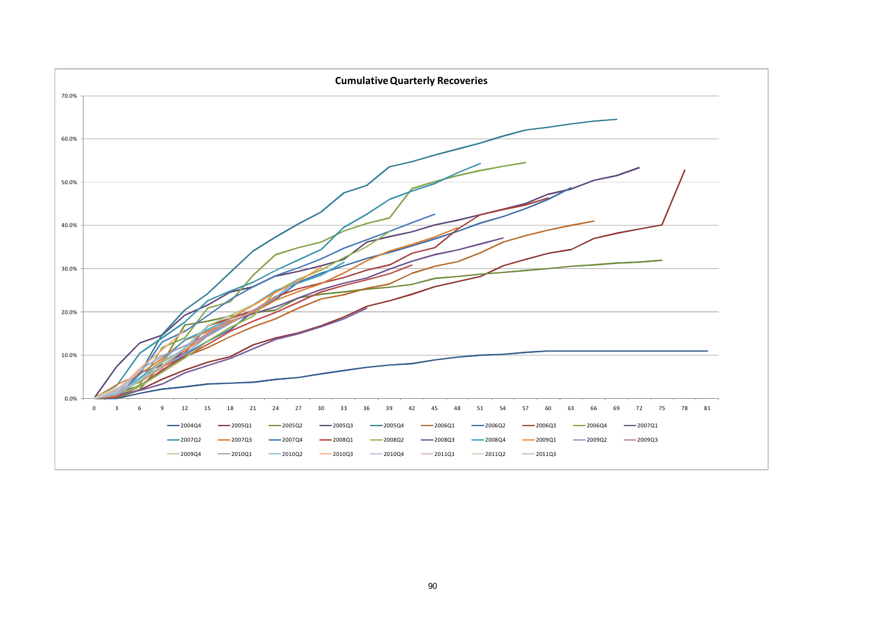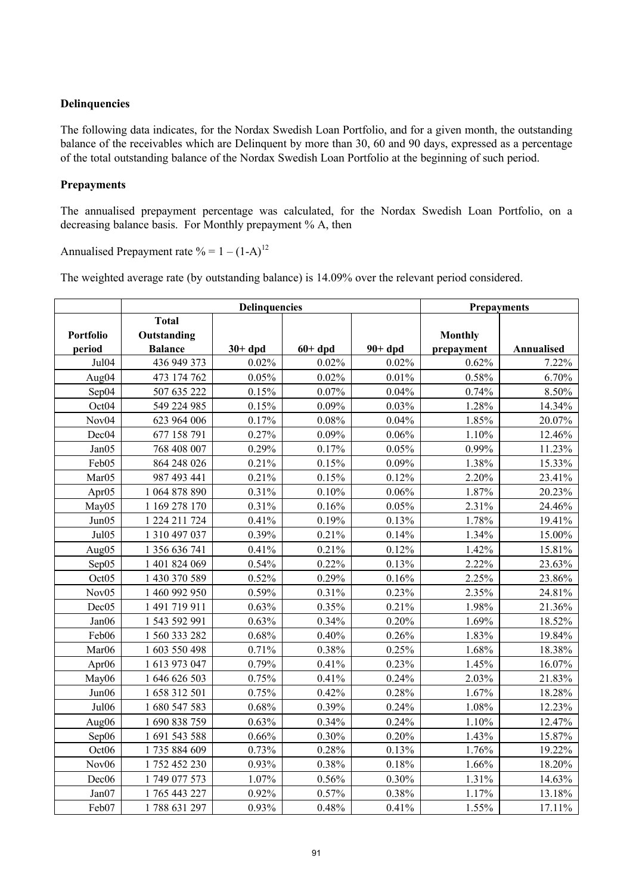## **Delinquencies**

The following data indicates, for the Nordax Swedish Loan Portfolio, and for a given month, the outstanding balance of the receivables which are Delinquent by more than 30, 60 and 90 days, expressed as a percentage of the total outstanding balance of the Nordax Swedish Loan Portfolio at the beginning of such period.

## **Prepayments**

The annualised prepayment percentage was calculated, for the Nordax Swedish Loan Portfolio, on a decreasing balance basis. For Monthly prepayment % A, then

Annualised Prepayment rate  $% = 1 - (1-A)^{12}$ 

The weighted average rate (by outstanding balance) is 14.09% over the relevant period considered.

|                            |                                               | <b>Delinquencies</b> |          |          | <b>Prepayments</b>           |            |
|----------------------------|-----------------------------------------------|----------------------|----------|----------|------------------------------|------------|
| <b>Portfolio</b><br>period | <b>Total</b><br>Outstanding<br><b>Balance</b> | $30+dpd$             | $60+dpd$ | $90+dpd$ | <b>Monthly</b><br>prepayment | Annualised |
| Jul04                      | 436 949 373                                   | 0.02%                | 0.02%    | 0.02%    | 0.62%                        | 7.22%      |
| Aug04                      | 473 174 762                                   | 0.05%                | 0.02%    | 0.01%    | 0.58%                        | 6.70%      |
| Sep04                      | 507 635 222                                   | 0.15%                | 0.07%    | 0.04%    | 0.74%                        | 8.50%      |
| Oct04                      | 549 224 985                                   | 0.15%                | 0.09%    | 0.03%    | 1.28%                        | 14.34%     |
| Nov <sub>04</sub>          | 623 964 006                                   | 0.17%                | 0.08%    | 0.04%    | 1.85%                        | 20.07%     |
| Dec04                      | 677 158 791                                   | 0.27%                | 0.09%    | 0.06%    | 1.10%                        | 12.46%     |
| Jan05                      | 768 408 007                                   | 0.29%                | 0.17%    | 0.05%    | 0.99%                        | 11.23%     |
| Feb05                      | 864 248 026                                   | 0.21%                | 0.15%    | 0.09%    | 1.38%                        | 15.33%     |
| Mar05                      | 987 493 441                                   | 0.21%                | 0.15%    | 0.12%    | 2.20%                        | 23.41%     |
| Apr <sub>05</sub>          | 1 064 878 890                                 | 0.31%                | 0.10%    | 0.06%    | 1.87%                        | 20.23%     |
| May05                      | 1 169 278 170                                 | 0.31%                | 0.16%    | 0.05%    | 2.31%                        | 24.46%     |
| Jun05                      | 1 224 211 724                                 | 0.41%                | 0.19%    | 0.13%    | 1.78%                        | 19.41%     |
| Jul05                      | 1 310 497 037                                 | 0.39%                | 0.21%    | 0.14%    | 1.34%                        | 15.00%     |
| Aug05                      | 1 356 636 741                                 | 0.41%                | 0.21%    | 0.12%    | 1.42%                        | 15.81%     |
| Sep05                      | 1 401 824 069                                 | 0.54%                | 0.22%    | 0.13%    | 2.22%                        | 23.63%     |
| Oct <sub>05</sub>          | 1 430 370 589                                 | 0.52%                | 0.29%    | 0.16%    | 2.25%                        | 23.86%     |
| Nov <sub>05</sub>          | 1 460 992 950                                 | 0.59%                | 0.31%    | 0.23%    | 2.35%                        | 24.81%     |
| Dec05                      | 1 491 719 911                                 | 0.63%                | 0.35%    | 0.21%    | 1.98%                        | 21.36%     |
| Jan06                      | 1 543 592 991                                 | 0.63%                | 0.34%    | 0.20%    | 1.69%                        | 18.52%     |
| Feb06                      | 1 560 333 282                                 | 0.68%                | 0.40%    | 0.26%    | 1.83%                        | 19.84%     |
| Mar06                      | 1 603 550 498                                 | 0.71%                | 0.38%    | 0.25%    | 1.68%                        | 18.38%     |
| Apr <sub>06</sub>          | 1 613 973 047                                 | 0.79%                | 0.41%    | 0.23%    | 1.45%                        | 16.07%     |
| May06                      | 1 646 626 503                                 | 0.75%                | 0.41%    | 0.24%    | 2.03%                        | 21.83%     |
| Jun06                      | 1 658 312 501                                 | 0.75%                | 0.42%    | $0.28\%$ | 1.67%                        | 18.28%     |
| Jul06                      | 1 680 547 583                                 | 0.68%                | 0.39%    | 0.24%    | 1.08%                        | 12.23%     |
| Aug06                      | 1 690 838 759                                 | 0.63%                | 0.34%    | 0.24%    | 1.10%                        | 12.47%     |
| Sep06                      | 1 691 543 588                                 | 0.66%                | 0.30%    | 0.20%    | 1.43%                        | 15.87%     |
| Oct06                      | 1735 884 609                                  | 0.73%                | 0.28%    | 0.13%    | 1.76%                        | 19.22%     |
| Nov <sub>06</sub>          | 1 752 452 230                                 | 0.93%                | 0.38%    | 0.18%    | 1.66%                        | 18.20%     |
| Dec <sub>06</sub>          | 1 749 077 573                                 | 1.07%                | 0.56%    | 0.30%    | 1.31%                        | 14.63%     |
| Jan07                      | 1 765 443 227                                 | 0.92%                | 0.57%    | 0.38%    | 1.17%                        | 13.18%     |
| Feb07                      | 1788 631 297                                  | 0.93%                | 0.48%    | 0.41%    | 1.55%                        | 17.11%     |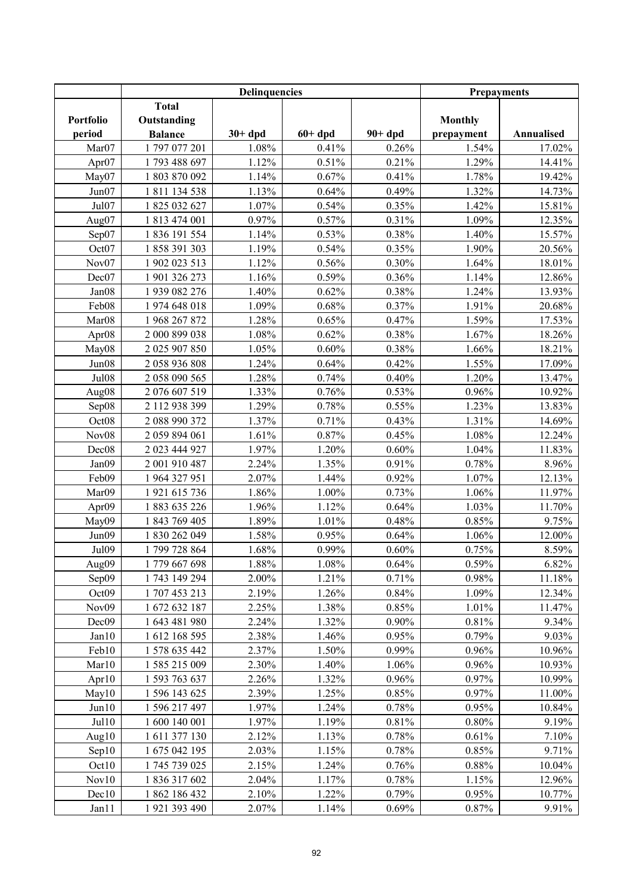|                   |                | <b>Delinquencies</b> |          |          | <b>Prepayments</b> |            |
|-------------------|----------------|----------------------|----------|----------|--------------------|------------|
|                   | <b>Total</b>   |                      |          |          |                    |            |
| Portfolio         | Outstanding    |                      |          |          | <b>Monthly</b>     |            |
| period            | <b>Balance</b> | $30+dpd$             | $60+dpd$ | $90+dpd$ | prepayment         | Annualised |
| Mar07             | 1797077201     | 1.08%                | 0.41%    | 0.26%    | 1.54%              | 17.02%     |
| Apr07             | 1793 488 697   | 1.12%                | 0.51%    | 0.21%    | 1.29%              | 14.41%     |
| May07             | 1 803 870 092  | 1.14%                | 0.67%    | 0.41%    | 1.78%              | 19.42%     |
| Jun07             | 1811134538     | 1.13%                | 0.64%    | 0.49%    | 1.32%              | 14.73%     |
| Jul07             | 1 825 032 627  | 1.07%                | 0.54%    | 0.35%    | 1.42%              | 15.81%     |
| Aug07             | 1 813 474 001  | 0.97%                | 0.57%    | 0.31%    | 1.09%              | 12.35%     |
| Sep07             | 1 836 191 554  | 1.14%                | 0.53%    | 0.38%    | 1.40%              | 15.57%     |
| Oct07             | 1 858 391 303  | 1.19%                | 0.54%    | 0.35%    | 1.90%              | 20.56%     |
| Nov07             | 1 902 023 513  | 1.12%                | 0.56%    | 0.30%    | 1.64%              | 18.01%     |
| Dec07             | 1 901 326 273  | 1.16%                | 0.59%    | 0.36%    | 1.14%              | 12.86%     |
| Jan08             | 1 939 082 276  | 1.40%                | 0.62%    | 0.38%    | 1.24%              | 13.93%     |
| Feb08             | 1974 648 018   | 1.09%                | 0.68%    | 0.37%    | 1.91%              | 20.68%     |
| Mar <sub>08</sub> | 1 968 267 872  | 1.28%                | 0.65%    | 0.47%    | 1.59%              | 17.53%     |
| Apr <sub>08</sub> | 2 000 899 038  | 1.08%                | 0.62%    | 0.38%    | 1.67%              | 18.26%     |
| May08             | 2 025 907 850  | 1.05%                | 0.60%    | 0.38%    | 1.66%              | 18.21%     |
| Jun08             | 2 058 936 808  | 1.24%                | 0.64%    | 0.42%    | 1.55%              | 17.09%     |
| <b>Jul08</b>      | 2 058 090 565  | 1.28%                | 0.74%    | 0.40%    | 1.20%              | 13.47%     |
| Aug08             | 2 076 607 519  | 1.33%                | 0.76%    | 0.53%    | 0.96%              | 10.92%     |
| Sep08             | 2 112 938 399  | 1.29%                | 0.78%    | 0.55%    | 1.23%              | 13.83%     |
| Oct08             | 2 088 990 372  | 1.37%                | 0.71%    | 0.43%    | 1.31%              | 14.69%     |
| Nov08             | 2 059 894 061  | 1.61%                | 0.87%    | 0.45%    | 1.08%              | 12.24%     |
| Dec08             | 2 023 444 927  | 1.97%                | 1.20%    | 0.60%    | 1.04%              | 11.83%     |
| Jan09             | 2 001 910 487  | 2.24%                | 1.35%    | 0.91%    | 0.78%              | 8.96%      |
| Feb09             | 1 964 327 951  | 2.07%                | 1.44%    | 0.92%    | 1.07%              | 12.13%     |
| Mar09             | 1 921 615 736  | 1.86%                | 1.00%    | 0.73%    | 1.06%              | 11.97%     |
| Apr <sub>09</sub> | 1 883 635 226  | 1.96%                | 1.12%    | 0.64%    | 1.03%              | 11.70%     |
| May09             | 1 843 769 405  | 1.89%                | 1.01%    | 0.48%    | 0.85%              | 9.75%      |
| Jun09             | 1 830 262 049  | 1.58%                | 0.95%    | 0.64%    | 1.06%              | 12.00%     |
| Jul09             | 1 799 728 864  | 1.68%                | 0.99%    | 0.60%    | 0.75%              | 8.59%      |
| Aug09             | 1779 667 698   | 1.88%                | 1.08%    | 0.64%    | 0.59%              | 6.82%      |
| Sep09             | 1 743 149 294  | 2.00%                | 1.21%    | 0.71%    | 0.98%              | 11.18%     |
| Oct09             | 1 707 453 213  | 2.19%                | 1.26%    | 0.84%    | 1.09%              | 12.34%     |
| Nov <sub>09</sub> | 1 672 632 187  | 2.25%                | 1.38%    | 0.85%    | 1.01%              | 11.47%     |
| Dec <sub>09</sub> | 1 643 481 980  | 2.24%                | 1.32%    | 0.90%    | 0.81%              | 9.34%      |
| Jan10             | 1 612 168 595  | 2.38%                | 1.46%    | 0.95%    | 0.79%              | 9.03%      |
| Feb10             | 1 578 635 442  | 2.37%                | 1.50%    | 0.99%    | 0.96%              | 10.96%     |
| Mar10             | 1 585 215 009  | 2.30%                | 1.40%    | 1.06%    | 0.96%              | 10.93%     |
| Apr <sub>10</sub> | 1 593 763 637  | 2.26%                | 1.32%    | 0.96%    | 0.97%              | 10.99%     |
| May10             | 1 596 143 625  | 2.39%                | 1.25%    | 0.85%    | 0.97%              | 11.00%     |
| Jun10             | 1 596 217 497  | 1.97%                | 1.24%    | 0.78%    | 0.95%              | 10.84%     |
| Jul10             | 1 600 140 001  | 1.97%                | 1.19%    | 0.81%    | 0.80%              | 9.19%      |
| Aug $10$          | 1 611 377 130  | 2.12%                | 1.13%    | 0.78%    | 0.61%              | 7.10%      |
| Sep10             | 1 675 042 195  | 2.03%                | 1.15%    | 0.78%    | 0.85%              | 9.71%      |
| Oct10             | 1 745 739 025  | 2.15%                | 1.24%    | 0.76%    | 0.88%              | 10.04%     |
| Nov10             | 1 836 317 602  | 2.04%                | 1.17%    | 0.78%    | 1.15%              | 12.96%     |
| Dec10             | 1 862 186 432  | 2.10%                | 1.22%    | 0.79%    | 0.95%              | 10.77%     |
| Jan11             | 1 921 393 490  | 2.07%                | 1.14%    | 0.69%    | 0.87%              | 9.91%      |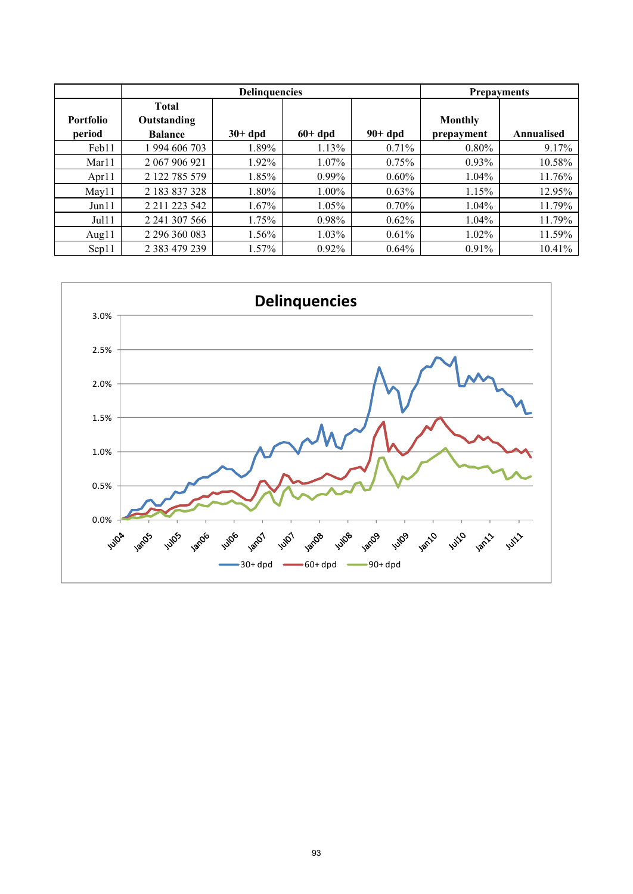|                  |                             | <b>Delinquencies</b> |          |          |                | <b>Prepayments</b> |
|------------------|-----------------------------|----------------------|----------|----------|----------------|--------------------|
| <b>Portfolio</b> | <b>Total</b><br>Outstanding |                      |          |          | <b>Monthly</b> |                    |
| period           | <b>Balance</b>              | $30+$ dpd            | $60+dpd$ | $90+dpd$ | prepayment     | Annualised         |
| Feb11            | 994 606 703                 | 1.89%                | 1.13%    | 0.71%    | $0.80\%$       | 9.17%              |
| Mar11            | 2 067 906 921               | 1.92%                | $1.07\%$ | 0.75%    | $0.93\%$       | 10.58%             |
| Apr11            | 2 122 785 579               | 1.85%                | $0.99\%$ | $0.60\%$ | $1.04\%$       | 11.76%             |
| May11            | 2 183 837 328               | 1.80%                | $1.00\%$ | 0.63%    | 1.15%          | 12.95%             |
| Jun11            | 2 2 1 2 2 3 5 4 2           | 1.67%                | 1.05%    | $0.70\%$ | $1.04\%$       | 11.79%             |
| Jul11            | 2 241 307 566               | 1.75%                | $0.98\%$ | $0.62\%$ | $1.04\%$       | 11.79%             |
| Aug $11$         | 2 296 360 083               | 1.56%                | $1.03\%$ | 0.61%    | $1.02\%$       | 11.59%             |
| Sep11            | 2 383 479 239               | 1.57%                | $0.92\%$ | $0.64\%$ | $0.91\%$       | 10.41%             |

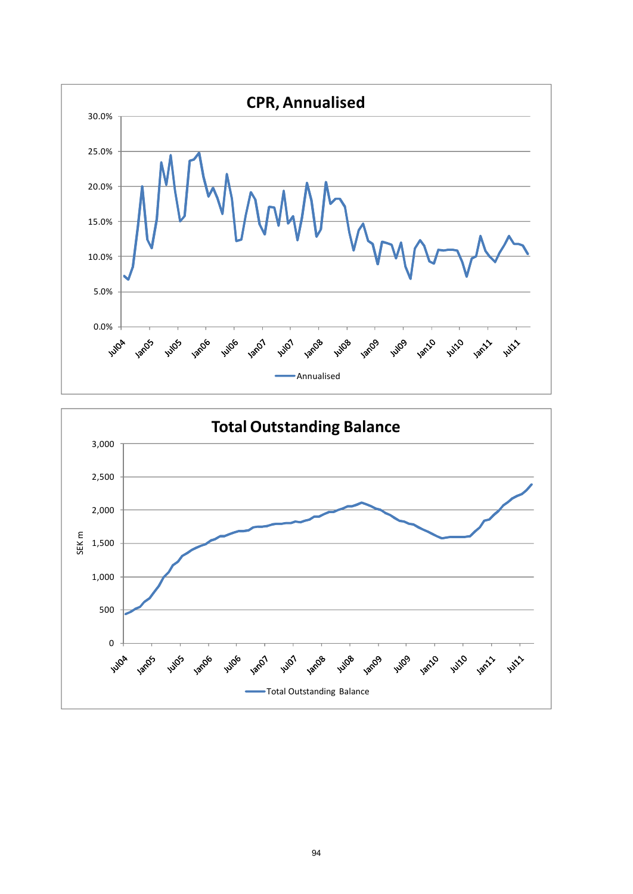

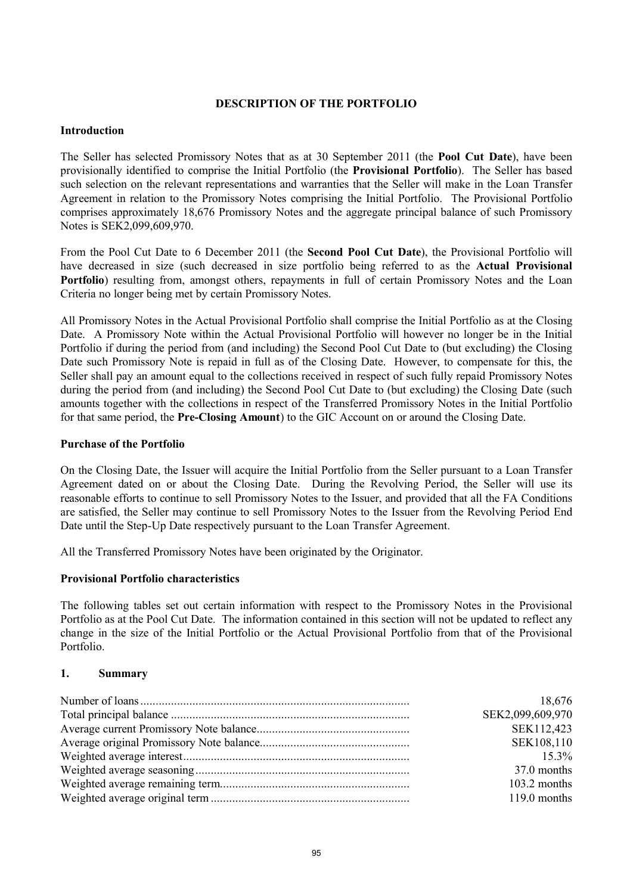## **DESCRIPTION OF THE PORTFOLIO**

## **Introduction**

The Seller has selected Promissory Notes that as at 30 September 2011 (the **Pool Cut Date**), have been provisionally identified to comprise the Initial Portfolio (the **Provisional Portfolio**). The Seller has based such selection on the relevant representations and warranties that the Seller will make in the Loan Transfer Agreement in relation to the Promissory Notes comprising the Initial Portfolio. The Provisional Portfolio comprises approximately 18,676 Promissory Notes and the aggregate principal balance of such Promissory Notes is SEK2,099,609,970.

From the Pool Cut Date to 6 December 2011 (the **Second Pool Cut Date**), the Provisional Portfolio will have decreased in size (such decreased in size portfolio being referred to as the **Actual Provisional Portfolio**) resulting from, amongst others, repayments in full of certain Promissory Notes and the Loan Criteria no longer being met by certain Promissory Notes.

All Promissory Notes in the Actual Provisional Portfolio shall comprise the Initial Portfolio as at the Closing Date. A Promissory Note within the Actual Provisional Portfolio will however no longer be in the Initial Portfolio if during the period from (and including) the Second Pool Cut Date to (but excluding) the Closing Date such Promissory Note is repaid in full as of the Closing Date. However, to compensate for this, the Seller shall pay an amount equal to the collections received in respect of such fully repaid Promissory Notes during the period from (and including) the Second Pool Cut Date to (but excluding) the Closing Date (such amounts together with the collections in respect of the Transferred Promissory Notes in the Initial Portfolio for that same period, the **Pre-Closing Amount**) to the GIC Account on or around the Closing Date.

#### **Purchase of the Portfolio**

On the Closing Date, the Issuer will acquire the Initial Portfolio from the Seller pursuant to a Loan Transfer Agreement dated on or about the Closing Date. During the Revolving Period, the Seller will use its reasonable efforts to continue to sell Promissory Notes to the Issuer, and provided that all the FA Conditions are satisfied, the Seller may continue to sell Promissory Notes to the Issuer from the Revolving Period End Date until the Step-Up Date respectively pursuant to the Loan Transfer Agreement.

All the Transferred Promissory Notes have been originated by the Originator.

## **Provisional Portfolio characteristics**

The following tables set out certain information with respect to the Promissory Notes in the Provisional Portfolio as at the Pool Cut Date. The information contained in this section will not be updated to reflect any change in the size of the Initial Portfolio or the Actual Provisional Portfolio from that of the Provisional Portfolio.

#### **1. Summary**

| 18,676           |
|------------------|
| SEK2,099,609,970 |
| SEK112,423       |
| SEK108,110       |
| $15.3\%$         |
| 37.0 months      |
| $103.2$ months   |
| $119.0$ months   |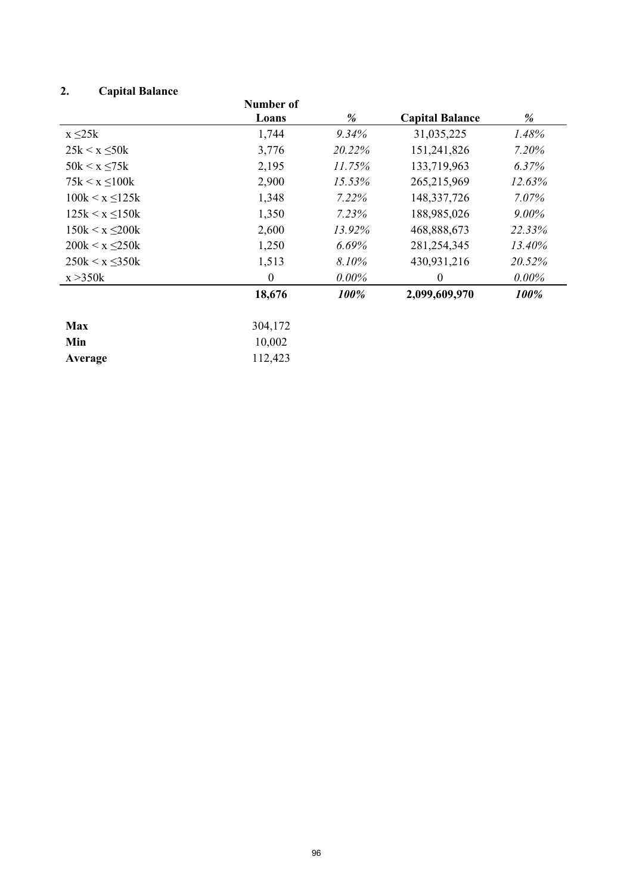# **2. Capital Balance**

|                       | Number of |          |                        |          |
|-----------------------|-----------|----------|------------------------|----------|
|                       | Loans     | %        | <b>Capital Balance</b> | %        |
| $x \leq 25k$          | 1,744     | 9.34%    | 31,035,225             | 1.48%    |
| $25k < x \leq 50k$    | 3,776     | 20.22%   | 151,241,826            | 7.20%    |
| $50k < x \leq 75k$    | 2,195     | 11.75%   | 133,719,963            | 6.37%    |
| $75k < x \le 100k$    | 2,900     | 15.53%   | 265,215,969            | 12.63%   |
| $100k < x \le 125k$   | 1,348     | 7.22%    | 148, 337, 726          | 7.07%    |
| $125k < x \leq 150k$  | 1,350     | 7.23%    | 188,985,026            | $9.00\%$ |
| $150k < x \leq 200k$  | 2,600     | 13.92%   | 468,888,673            | 22.33%   |
| $200k \le x \le 250k$ | 1,250     | 6.69%    | 281, 254, 345          | 13.40%   |
| $250k < x \leq 350k$  | 1,513     | 8.10%    | 430,931,216            | 20.52%   |
| x > 350k              | $\theta$  | $0.00\%$ | $\theta$               | $0.00\%$ |
|                       | 18,676    | 100%     | 2,099,609,970          | 100%     |
| <b>Max</b>            | 304,172   |          |                        |          |
| Min                   | 10,002    |          |                        |          |
| Average               | 112,423   |          |                        |          |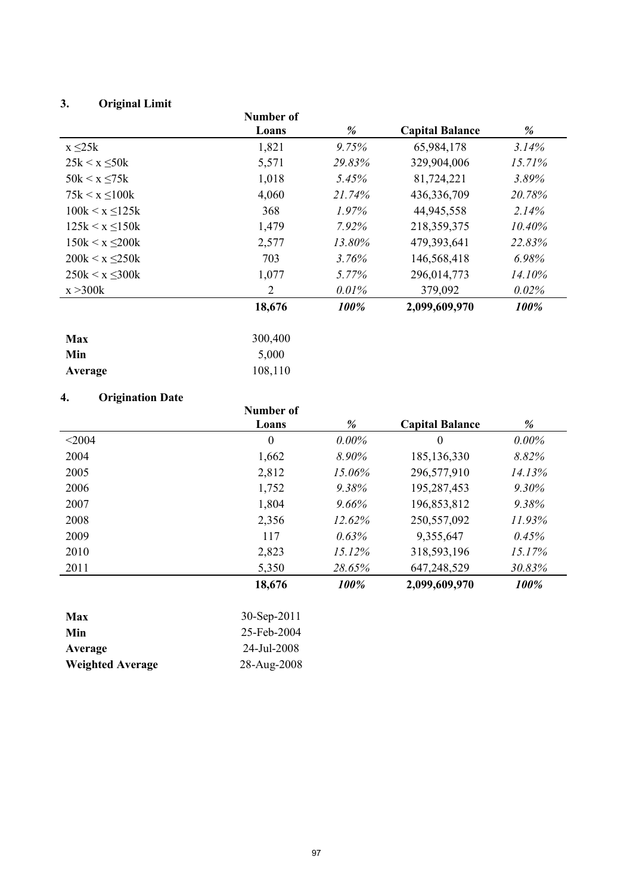# **3. Original Limit**

|                       | Number of      |          |                        |        |
|-----------------------|----------------|----------|------------------------|--------|
|                       | Loans          | %        | <b>Capital Balance</b> | %      |
| $x \leq 25k$          | 1,821          | 9.75%    | 65,984,178             | 3.14%  |
| $25k < x \leq 50k$    | 5,571          | 29.83%   | 329,904,006            | 15.71% |
| $50k < x \leq 75k$    | 1,018          | 5.45%    | 81,724,221             | 3.89%  |
| $75k < x \leq 100k$   | 4,060          | 21.74%   | 436,336,709            | 20.78% |
| $100k \le x \le 125k$ | 368            | $1.97\%$ | 44,945,558             | 2.14%  |
| $125k < x \leq 150k$  | 1,479          | 7.92%    | 218,359,375            | 10.40% |
| $150k < x \leq 200k$  | 2,577          | 13.80%   | 479,393,641            | 22.83% |
| $200k \le x \le 250k$ | 703            | $3.76\%$ | 146,568,418            | 6.98%  |
| $250k < x \leq 300k$  | 1,077          | 5.77%    | 296,014,773            | 14.10% |
| x > 300k              | $\overline{2}$ | 0.01%    | 379,092                | 0.02%  |
|                       | 18,676         | 100%     | 2,099,609,970          | 100%   |
| <b>Max</b>            | 300,400        |          |                        |        |
| Min                   | 5,000          |          |                        |        |
| Average               | 108,110        |          |                        |        |

## **4. Origination Date**

| т.<br><b>ULIEMANUM DAW</b> | Number of<br>Loans |          | <b>Capital Balance</b> | %        |
|----------------------------|--------------------|----------|------------------------|----------|
|                            |                    | %        |                        |          |
| < 2004                     | $\theta$           | $0.00\%$ | $\theta$               | $0.00\%$ |
| 2004                       | 1,662              | 8.90%    | 185, 136, 330          | 8.82%    |
| 2005                       | 2,812              | 15.06%   | 296,577,910            | 14.13%   |
| 2006                       | 1,752              | 9.38%    | 195,287,453            | $9.30\%$ |
| 2007                       | 1,804              | 9.66%    | 196,853,812            | 9.38%    |
| 2008                       | 2,356              | 12.62%   | 250,557,092            | 11.93%   |
| 2009                       | 117                | 0.63%    | 9,355,647              | 0.45%    |
| 2010                       | 2,823              | 15.12%   | 318,593,196            | 15.17%   |
| 2011                       | 5,350              | 28.65%   | 647,248,529            | 30.83%   |
|                            | 18,676             | 100%     | 2,099,609,970          | 100%     |

| <b>Max</b>              | $30-Sep-2011$ |
|-------------------------|---------------|
| Min                     | 25-Feb-2004   |
| Average                 | 24-Jul-2008   |
| <b>Weighted Average</b> | 28-Aug-2008   |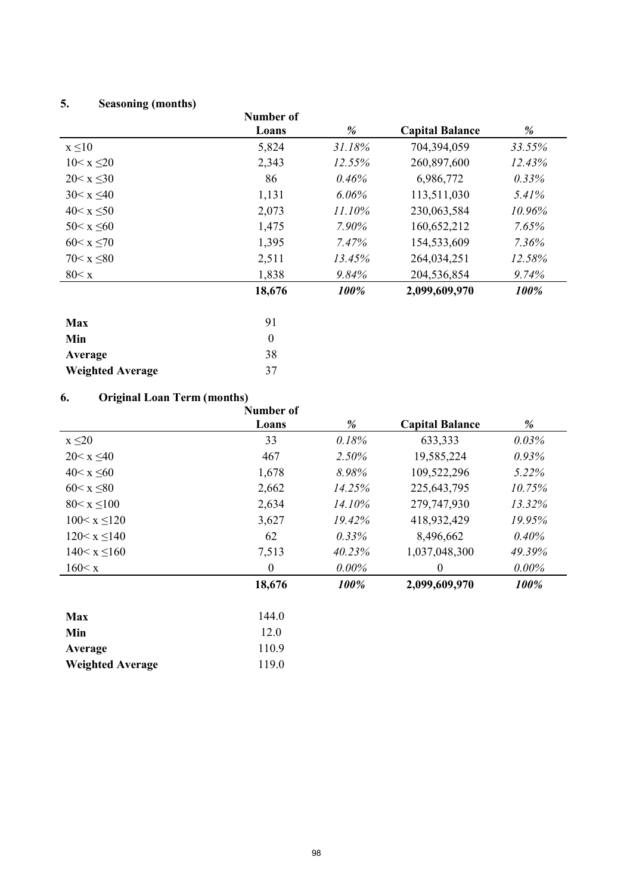# **5. Seasoning (months)**

|                  | Number of  |           |                        |          |
|------------------|------------|-----------|------------------------|----------|
|                  | Loans      | %         | <b>Capital Balance</b> | %        |
| $x \leq 10$      | 5,824      | 31.18%    | 704,394,059            | 33.55%   |
| $10 < x \leq 20$ | 2,343      | 12.55%    | 260,897,600            | 12.43%   |
| $20 < x \le 30$  | 86         | 0.46%     | 6,986,772              | $0.33\%$ |
| $30 < x \leq 40$ | 1,131      | 6.06%     | 113,511,030            | 5.41%    |
| $40 < x \leq 50$ | 2,073      | $11.10\%$ | 230,063,584            | 10.96%   |
| $50 < x \leq 60$ | 1,475      | 7.90%     | 160,652,212            | $7.65\%$ |
| $60 < x \le 70$  | 1,395      | 7.47%     | 154,533,609            | $7.36\%$ |
| $70 < x \leq 80$ | 2,511      | 13.45%    | 264,034,251            | 12.58%   |
| 80 < x           | 1,838      | 9.84%     | 204,536,854            | 9.74%    |
|                  | 18,676     | 100%      | 2,099,609,970          | 100%     |
|                  |            |           |                        |          |
|                  | $^{\circ}$ |           |                        |          |

| <b>Max</b>              | 91           |
|-------------------------|--------------|
| Min                     | $\mathbf{0}$ |
| Average                 | 38           |
| <b>Weighted Average</b> | 37           |

**Average** 110.9 **Weighted Average** 119.0

#### **6. Original Loan Term (months)**

|                    | Number of |          |                        |          |
|--------------------|-----------|----------|------------------------|----------|
|                    | Loans     | %        | <b>Capital Balance</b> | %        |
| $x \leq 20$        | 33        | 0.18%    | 633,333                | 0.03%    |
| $20 < x \leq 40$   | 467       | 2.50%    | 19,585,224             | 0.93%    |
| $40 < x \leq 60$   | 1,678     | 8.98%    | 109,522,296            | 5.22%    |
| $60 < x \leq 80$   | 2,662     | 14.25%   | 225, 643, 795          | 10.75%   |
| $80 < x \leq 100$  | 2,634     | 14.10%   | 279,747,930            | 13.32%   |
| $100 < x \le 120$  | 3,627     | 19.42%   | 418,932,429            | 19.95%   |
| $120 < x \leq 140$ | 62        | 0.33%    | 8,496,662              | 0.40%    |
| $140 < x \le 160$  | 7,513     | 40.23%   | 1,037,048,300          | 49.39%   |
| 160 < x            | $\theta$  | $0.00\%$ | $\theta$               | $0.00\%$ |
|                    | 18,676    | 100%     | 2,099,609,970          | 100%     |
| <b>Max</b>         | 144.0     |          |                        |          |
| Min                | 12.0      |          |                        |          |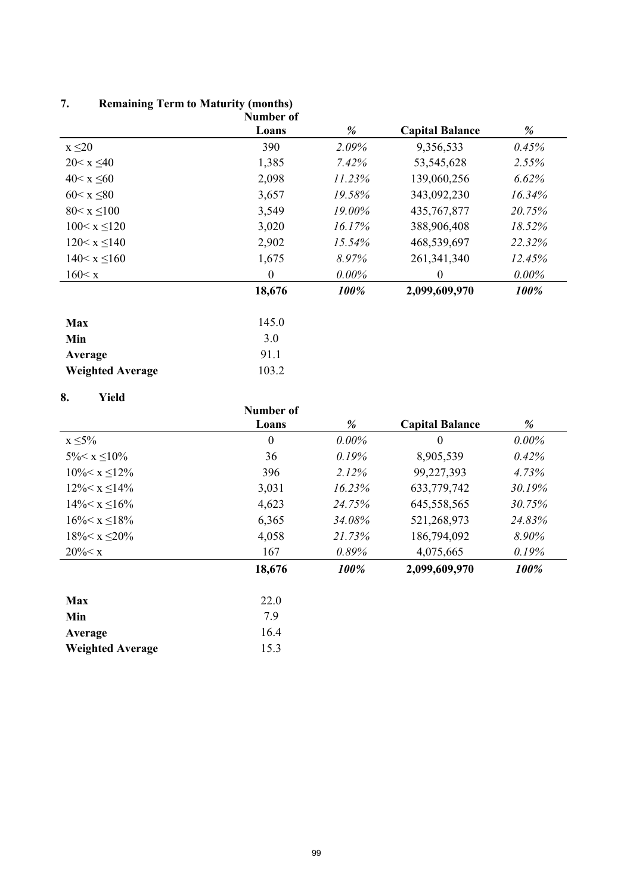## **7. Remaining Term to Maturity (months)**

**Weighted Average** 15.3

|                         | Number of        |          |                        |          |
|-------------------------|------------------|----------|------------------------|----------|
|                         | Loans            | %        | <b>Capital Balance</b> | %        |
| $x \leq 20$             | 390              | 2.09%    | 9,356,533              | 0.45%    |
| $20 < x \leq 40$        | 1,385            | 7.42%    | 53,545,628             | 2.55%    |
| $40 < x \leq 60$        | 2,098            | 11.23%   | 139,060,256            | 6.62%    |
| $60 < x \leq 80$        | 3,657            | 19.58%   | 343,092,230            | 16.34%   |
| $80 < x \leq 100$       | 3,549            | 19.00%   | 435, 767, 877          | 20.75%   |
| $100 < x \le 120$       | 3,020            | 16.17%   | 388,906,408            | 18.52%   |
| $120 \le x \le 140$     | 2,902            | 15.54%   | 468,539,697            | 22.32%   |
| $140 < x \le 160$       | 1,675            | 8.97%    | 261, 341, 340          | 12.45%   |
| 160 < x                 | $\boldsymbol{0}$ | $0.00\%$ | $\theta$               | $0.00\%$ |
|                         | 18,676           | 100%     | 2,099,609,970          | 100%     |
| <b>Max</b>              | 145.0            |          |                        |          |
| Min                     | 3.0              |          |                        |          |
| Average                 | 91.1             |          |                        |          |
| <b>Weighted Average</b> | 103.2            |          |                        |          |

## **8. Yield**

| v.<br>11 .W          | Number of<br>Loans | %        | <b>Capital Balance</b> | %        |
|----------------------|--------------------|----------|------------------------|----------|
| $x \leq 5\%$         | $\boldsymbol{0}$   | $0.00\%$ | $\theta$               | $0.00\%$ |
| $5\% < x \leq 10\%$  | 36                 | 0.19%    | 8,905,539              | 0.42%    |
| $10\% < x \leq 12\%$ | 396                | 2.12%    | 99,227,393             | 4.73%    |
| $12\% < x \leq 14\%$ | 3,031              | 16.23%   | 633,779,742            | 30.19%   |
| $14\% < x \le 16\%$  | 4,623              | 24.75%   | 645,558,565            | 30.75%   |
| $16\% < x \leq 18\%$ | 6,365              | 34.08%   | 521,268,973            | 24.83%   |
| $18\% < x \leq 20\%$ | 4,058              | 21.73%   | 186,794,092            | 8.90%    |
| $20\% < x$           | 167                | 0.89%    | 4,075,665              | 0.19%    |
|                      | 18,676             | 100%     | 2,099,609,970          | 100%     |
| <b>Max</b>           | 22.0               |          |                        |          |
| Min                  | 7.9                |          |                        |          |
| Average              | 16.4               |          |                        |          |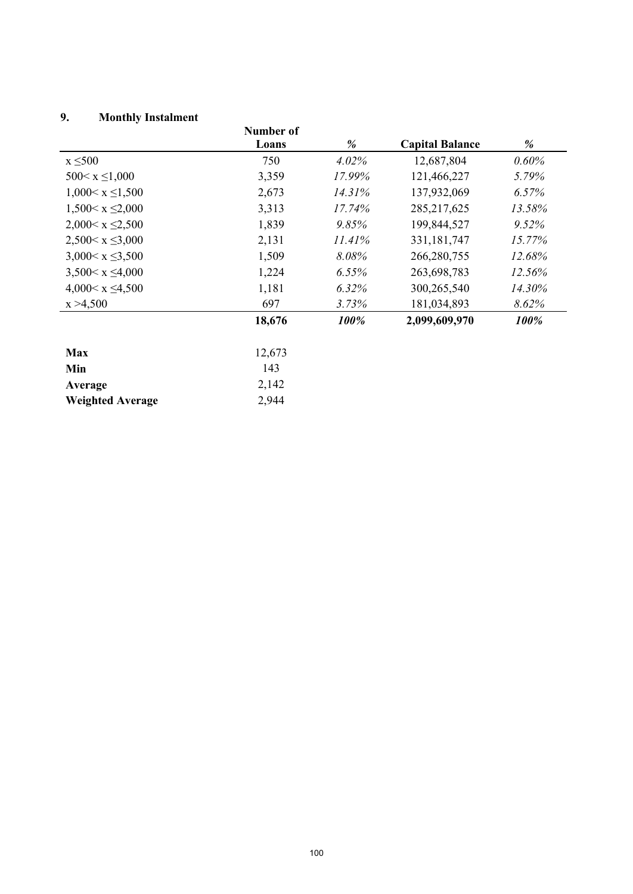## **9. Monthly Instalment**

| <u>,</u><br><b>MORTHLY INSTALLIET</b> | Number of |        |                        |          |
|---------------------------------------|-----------|--------|------------------------|----------|
|                                       | Loans     | %      | <b>Capital Balance</b> | %        |
| $x \leq 500$                          | 750       | 4.02%  | 12,687,804             | $0.60\%$ |
| $500 \le x \le 1,000$                 | 3,359     | 17.99% | 121,466,227            | 5.79%    |
| $1,000 \le x \le 1,500$               | 2,673     | 14.31% | 137,932,069            | 6.57%    |
| $1,500 \le x \le 2,000$               | 3,313     | 17.74% | 285, 217, 625          | 13.58%   |
| $2,000 < x \leq 2,500$                | 1,839     | 9.85%  | 199,844,527            | 9.52%    |
| $2,500 < x \leq 3,000$                | 2,131     | 11.41% | 331, 181, 747          | 15.77%   |
| $3,000 < x \leq 3,500$                | 1,509     | 8.08%  | 266,280,755            | 12.68%   |
| $3,500 < x \leq 4,000$                | 1,224     | 6.55%  | 263,698,783            | 12.56%   |
| $4,000 \le x \le 4,500$               | 1,181     | 6.32%  | 300,265,540            | 14.30%   |
| x > 4,500                             | 697       | 3.73%  | 181,034,893            | 8.62%    |
|                                       | 18,676    | 100%   | 2,099,609,970          | 100%     |
| <b>Max</b>                            | 12,673    |        |                        |          |
| Min                                   | 143       |        |                        |          |
| Average                               | 2,142     |        |                        |          |
| <b>Weighted Average</b>               | 2,944     |        |                        |          |
|                                       |           |        |                        |          |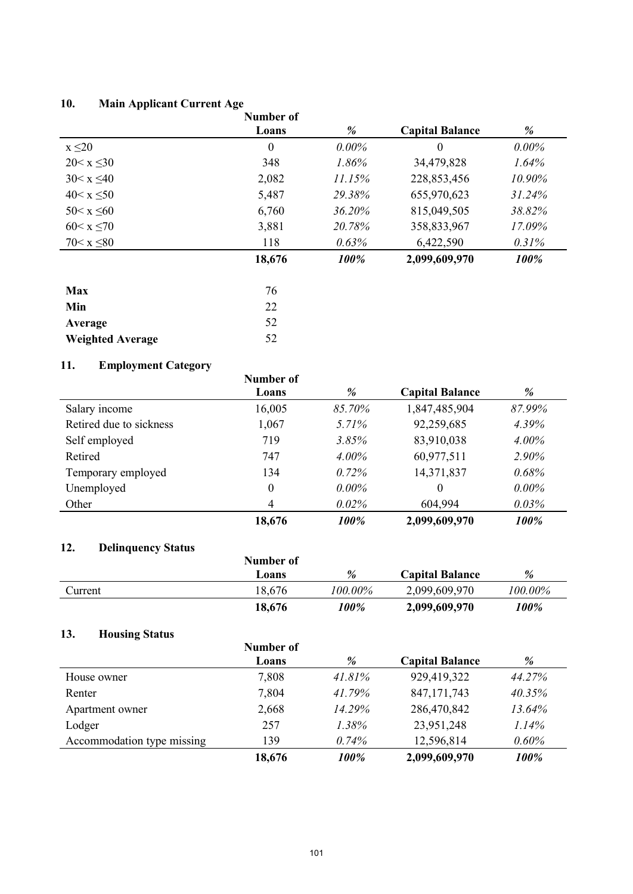## **10. Main Applicant Current Age**

|                  | Number of        |          |                        |          |
|------------------|------------------|----------|------------------------|----------|
|                  | Loans            | %        | <b>Capital Balance</b> | %        |
| $x \leq 20$      | $\boldsymbol{0}$ | $0.00\%$ | $\theta$               | $0.00\%$ |
| $20 < x \leq 30$ | 348              | 1.86%    | 34,479,828             | 1.64%    |
| $30 < x \leq 40$ | 2,082            | 11.15%   | 228,853,456            | 10.90%   |
| $40 < x \leq 50$ | 5,487            | 29.38%   | 655,970,623            | 31.24%   |
| $50 < x \leq 60$ | 6,760            | 36.20%   | 815,049,505            | 38.82%   |
| $60 < x \le 70$  | 3,881            | 20.78%   | 358,833,967            | 17.09%   |
| $70 < x \leq 80$ | 118              | 0.63%    | 6,422,590              | 0.31%    |
|                  | 18,676           | 100%     | 2,099,609,970          | 100%     |
| <b>Max</b>       | 76               |          |                        |          |

| $\sqrt{0}$ |
|------------|
| 22         |
| 52         |
| 52         |
|            |

# **11. Employment Category**

| -11.<br>ешрюушені Сайгун у | Number of        |          |                        |          |
|----------------------------|------------------|----------|------------------------|----------|
|                            | Loans            | %        | <b>Capital Balance</b> | %        |
| Salary income              | 16,005           | 85.70%   | 1,847,485,904          | 87.99%   |
| Retired due to sickness    | 1,067            | 5.71%    | 92,259,685             | 4.39%    |
| Self employed              | 719              | 3.85%    | 83,910,038             | $4.00\%$ |
| Retired                    | 747              | $4.00\%$ | 60,977,511             | 2.90%    |
| Temporary employed         | 134              | $0.72\%$ | 14,371,837             | 0.68%    |
| Unemployed                 | $\boldsymbol{0}$ | $0.00\%$ | $\theta$               | $0.00\%$ |
| Other                      | 4                | 0.02%    | 604,994                | $0.03\%$ |
|                            | 18,676           | 100%     | 2,099,609,970          | 100%     |

## **12. Delinquency Status**

|         | Number of |          |                        |            |
|---------|-----------|----------|------------------------|------------|
|         | Loans     | %        | <b>Capital Balance</b> | %          |
| Current | 18,676    | ! 00.00% | 2,099,609,970          | $100.00\%$ |
|         | 18,676    | 100%     | 2,099,609,970          | 100%       |

## **13. Housing Status**

|                            | Number of |          |                        |        |
|----------------------------|-----------|----------|------------------------|--------|
|                            | Loans     | %        | <b>Capital Balance</b> | %      |
| House owner                | 7,808     | 41.81%   | 929,419,322            | 44.27% |
| Renter                     | 7,804     | 41.79%   | 847, 171, 743          | 40.35% |
| Apartment owner            | 2,668     | 14.29%   | 286,470,842            | 13.64% |
| Lodger                     | 257       | $1.38\%$ | 23,951,248             | 1.14%  |
| Accommodation type missing | 139       | 0.74%    | 12,596,814             | 0.60%  |
|                            | 18,676    | 100%     | 2,099,609,970          | 100%   |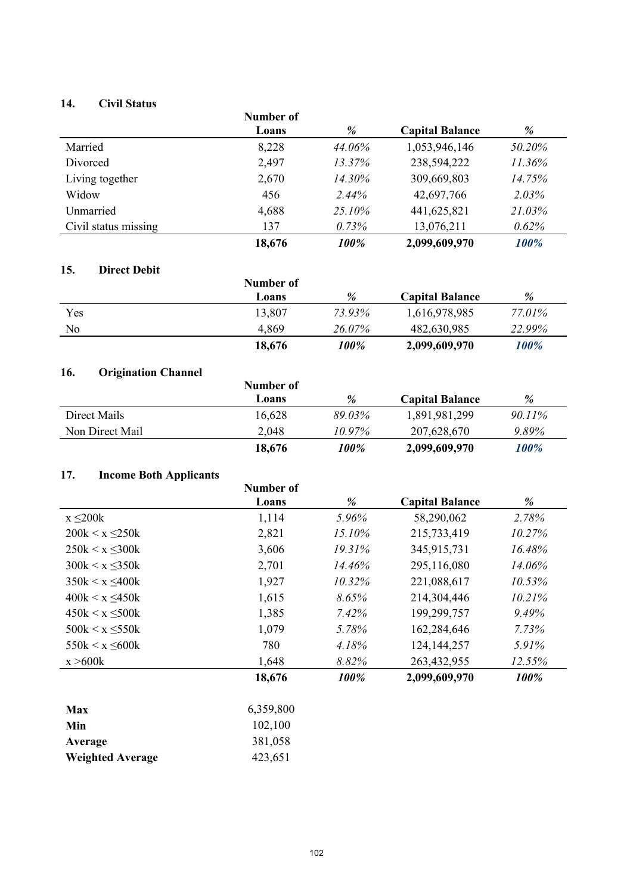## **14. Civil Status**

| 17.<br>UIVII DIAIUS  | Number of |        |                        |        |
|----------------------|-----------|--------|------------------------|--------|
|                      | Loans     | %      | <b>Capital Balance</b> | %      |
| Married              | 8,228     | 44.06% | 1,053,946,146          | 50.20% |
| Divorced             | 2,497     | 13.37% | 238,594,222            | 11.36% |
| Living together      | 2,670     | 14.30% | 309,669,803            | 14.75% |
| Widow                | 456       | 2.44%  | 42,697,766             | 2.03%  |
| Unmarried            | 4,688     | 25.10% | 441,625,821            | 21.03% |
| Civil status missing | 137       | 0.73%  | 13,076,211             | 0.62%  |
|                      | 18,676    | 100%   | 2,099,609,970          | 100%   |

## **15. Direct Debit**

| .<br>----------- | Number of |        | <b>Capital Balance</b> | %      |
|------------------|-----------|--------|------------------------|--------|
|                  | Loans     | %      |                        |        |
| Yes              | 13,807    | 73.93% | 1,616,978,985          | 77.01% |
| No               | 4,869     | 26.07% | 482,630,985            | 22.99% |
|                  | 18,676    | 100%   | 2,099,609,970          | 100%   |

## **16. Origination Channel**

| .<br>Origination Channel | Number of |        |                        |           |
|--------------------------|-----------|--------|------------------------|-----------|
|                          | Loans     | %      | <b>Capital Balance</b> | %         |
| Direct Mails             | 16,628    | 89.03% | 1,891,981,299          | $90.11\%$ |
| Non Direct Mail          | 2,048     | 10.97% | 207,628,670            | 9.89%     |
|                          | 18,676    | 100%   | 2,099,609,970          | 100%      |

## **17. Income Both Applicants**

|                       | Number of |        |                        |          |
|-----------------------|-----------|--------|------------------------|----------|
|                       | Loans     | %      | <b>Capital Balance</b> | %        |
| $x \leq 200k$         | 1,114     | 5.96%  | 58,290,062             | 2.78%    |
| $200k < x \leq 250k$  | 2,821     | 15.10% | 215,733,419            | 10.27%   |
| $250k \le x \le 300k$ | 3,606     | 19.31% | 345,915,731            | 16.48%   |
| $300k < x \leq 350k$  | 2,701     | 14.46% | 295,116,080            | 14.06%   |
| $350k < x \leq 400k$  | 1,927     | 10.32% | 221,088,617            | 10.53%   |
| $400k < x \leq 450k$  | 1,615     | 8.65%  | 214,304,446            | 10.21%   |
| $450k < x \le 500k$   | 1,385     | 7.42%  | 199,299,757            | 9.49%    |
| $500k < x \le 550k$   | 1,079     | 5.78%  | 162,284,646            | 7.73%    |
| $550k < x \leq 600k$  | 780       | 4.18%  | 124, 144, 257          | $5.91\%$ |
| x > 600k              | 1,648     | 8.82%  | 263,432,955            | 12.55%   |
|                       | 18,676    | 100%   | 2,099,609,970          | 100%     |
|                       |           |        |                        |          |

| <b>Max</b>              | 6,359,800 |
|-------------------------|-----------|
| Min                     | 102,100   |
| Average                 | 381,058   |
| <b>Weighted Average</b> | 423,651   |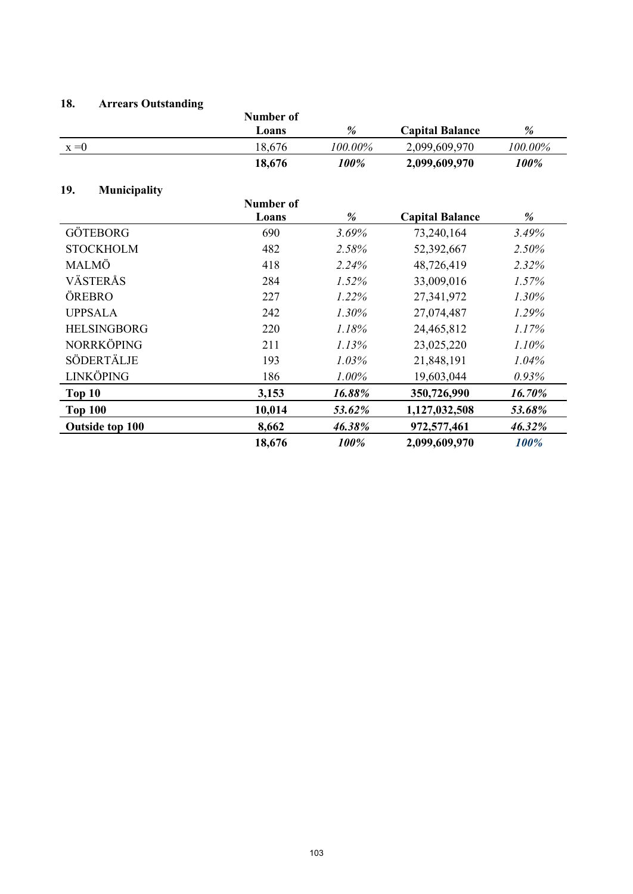## **18. Arrears Outstanding**

|                            | <b>Number of</b> |         |                        |          |
|----------------------------|------------------|---------|------------------------|----------|
|                            | Loans            | %       | <b>Capital Balance</b> | %        |
| $x = 0$                    | 18,676           | 100.00% | 2,099,609,970          | 100.00%  |
|                            | 18,676           | 100%    | 2,099,609,970          | 100%     |
| 19.<br><b>Municipality</b> |                  |         |                        |          |
|                            | Number of        |         |                        |          |
|                            | Loans            | %       | <b>Capital Balance</b> | %        |
| <b>GÖTEBORG</b>            | 690              | 3.69%   | 73,240,164             | 3.49%    |
| <b>STOCKHOLM</b>           | 482              | 2.58%   | 52,392,667             | 2.50%    |
| MALMÖ                      | 418              | 2.24%   | 48,726,419             | 2.32%    |
| VÄSTERÅS                   | 284              | 1.52%   | 33,009,016             | 1.57%    |
| ÖREBRO                     | 227              | 1.22%   | 27,341,972             | $1.30\%$ |
| <b>UPPSALA</b>             | 242              | 1.30%   | 27,074,487             | 1.29%    |
| <b>HELSINGBORG</b>         | 220              | 1.18%   | 24,465,812             | 1.17%    |
| NORRKÖPING                 | 211              | 1.13%   | 23,025,220             | 1.10%    |
| SÖDERTÄLJE                 | 193              | 1.03%   | 21,848,191             | 1.04%    |
| <b>LINKÖPING</b>           | 186              | 1.00%   | 19,603,044             | 0.93%    |
| Top 10                     | 3,153            | 16.88%  | 350,726,990            | 16.70%   |
| <b>Top 100</b>             | 10,014           | 53.62%  | 1,127,032,508          | 53.68%   |
| <b>Outside top 100</b>     | 8,662            | 46.38%  | 972,577,461            | 46.32%   |
|                            | 18,676           | 100%    | 2,099,609,970          | 100%     |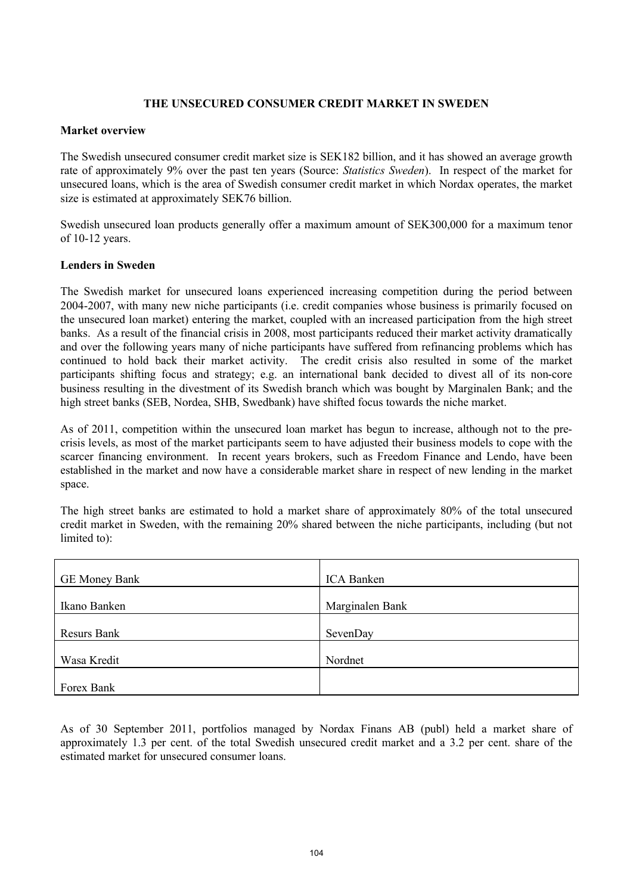## **THE UNSECURED CONSUMER CREDIT MARKET IN SWEDEN**

## **Market overview**

The Swedish unsecured consumer credit market size is SEK182 billion, and it has showed an average growth rate of approximately 9% over the past ten years (Source: *Statistics Sweden*). In respect of the market for unsecured loans, which is the area of Swedish consumer credit market in which Nordax operates, the market size is estimated at approximately SEK76 billion.

Swedish unsecured loan products generally offer a maximum amount of SEK300,000 for a maximum tenor of 10-12 years.

## **Lenders in Sweden**

The Swedish market for unsecured loans experienced increasing competition during the period between 2004-2007, with many new niche participants (i.e. credit companies whose business is primarily focused on the unsecured loan market) entering the market, coupled with an increased participation from the high street banks. As a result of the financial crisis in 2008, most participants reduced their market activity dramatically and over the following years many of niche participants have suffered from refinancing problems which has continued to hold back their market activity. The credit crisis also resulted in some of the market participants shifting focus and strategy; e.g. an international bank decided to divest all of its non-core business resulting in the divestment of its Swedish branch which was bought by Marginalen Bank; and the high street banks (SEB, Nordea, SHB, Swedbank) have shifted focus towards the niche market.

As of 2011, competition within the unsecured loan market has begun to increase, although not to the precrisis levels, as most of the market participants seem to have adjusted their business models to cope with the scarcer financing environment. In recent years brokers, such as Freedom Finance and Lendo, have been established in the market and now have a considerable market share in respect of new lending in the market space.

The high street banks are estimated to hold a market share of approximately 80% of the total unsecured credit market in Sweden, with the remaining 20% shared between the niche participants, including (but not limited to):

| <b>GE Money Bank</b> | ICA Banken      |
|----------------------|-----------------|
| Ikano Banken         | Marginalen Bank |
|                      |                 |
| <b>Resurs Bank</b>   | SevenDay        |
| Wasa Kredit          | Nordnet         |
|                      |                 |
| Forex Bank           |                 |

As of 30 September 2011, portfolios managed by Nordax Finans AB (publ) held a market share of approximately 1.3 per cent. of the total Swedish unsecured credit market and a 3.2 per cent. share of the estimated market for unsecured consumer loans.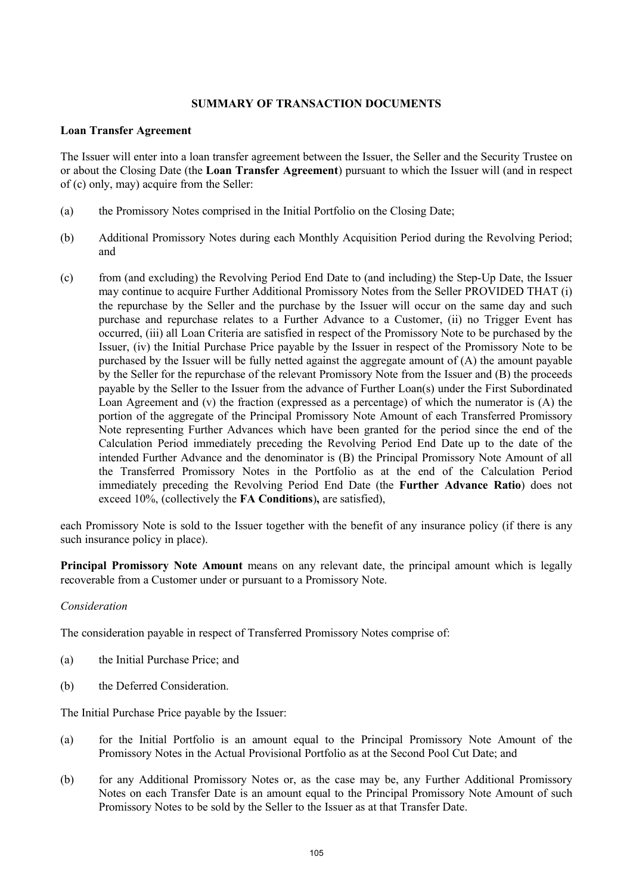### **SUMMARY OF TRANSACTION DOCUMENTS**

#### **Loan Transfer Agreement**

The Issuer will enter into a loan transfer agreement between the Issuer, the Seller and the Security Trustee on or about the Closing Date (the **Loan Transfer Agreement**) pursuant to which the Issuer will (and in respect of (c) only, may) acquire from the Seller:

- (a) the Promissory Notes comprised in the Initial Portfolio on the Closing Date;
- (b) Additional Promissory Notes during each Monthly Acquisition Period during the Revolving Period; and
- (c) from (and excluding) the Revolving Period End Date to (and including) the Step-Up Date, the Issuer may continue to acquire Further Additional Promissory Notes from the Seller PROVIDED THAT (i) the repurchase by the Seller and the purchase by the Issuer will occur on the same day and such purchase and repurchase relates to a Further Advance to a Customer, (ii) no Trigger Event has occurred, (iii) all Loan Criteria are satisfied in respect of the Promissory Note to be purchased by the Issuer, (iv) the Initial Purchase Price payable by the Issuer in respect of the Promissory Note to be purchased by the Issuer will be fully netted against the aggregate amount of (A) the amount payable by the Seller for the repurchase of the relevant Promissory Note from the Issuer and (B) the proceeds payable by the Seller to the Issuer from the advance of Further Loan(s) under the First Subordinated Loan Agreement and (v) the fraction (expressed as a percentage) of which the numerator is (A) the portion of the aggregate of the Principal Promissory Note Amount of each Transferred Promissory Note representing Further Advances which have been granted for the period since the end of the Calculation Period immediately preceding the Revolving Period End Date up to the date of the intended Further Advance and the denominator is (B) the Principal Promissory Note Amount of all the Transferred Promissory Notes in the Portfolio as at the end of the Calculation Period immediately preceding the Revolving Period End Date (the **Further Advance Ratio**) does not exceed 10%, (collectively the **FA Conditions**)**,** are satisfied),

each Promissory Note is sold to the Issuer together with the benefit of any insurance policy (if there is any such insurance policy in place).

**Principal Promissory Note Amount** means on any relevant date, the principal amount which is legally recoverable from a Customer under or pursuant to a Promissory Note.

## *Consideration*

The consideration payable in respect of Transferred Promissory Notes comprise of:

- (a) the Initial Purchase Price; and
- (b) the Deferred Consideration.

The Initial Purchase Price payable by the Issuer:

- (a) for the Initial Portfolio is an amount equal to the Principal Promissory Note Amount of the Promissory Notes in the Actual Provisional Portfolio as at the Second Pool Cut Date; and
- (b) for any Additional Promissory Notes or, as the case may be, any Further Additional Promissory Notes on each Transfer Date is an amount equal to the Principal Promissory Note Amount of such Promissory Notes to be sold by the Seller to the Issuer as at that Transfer Date.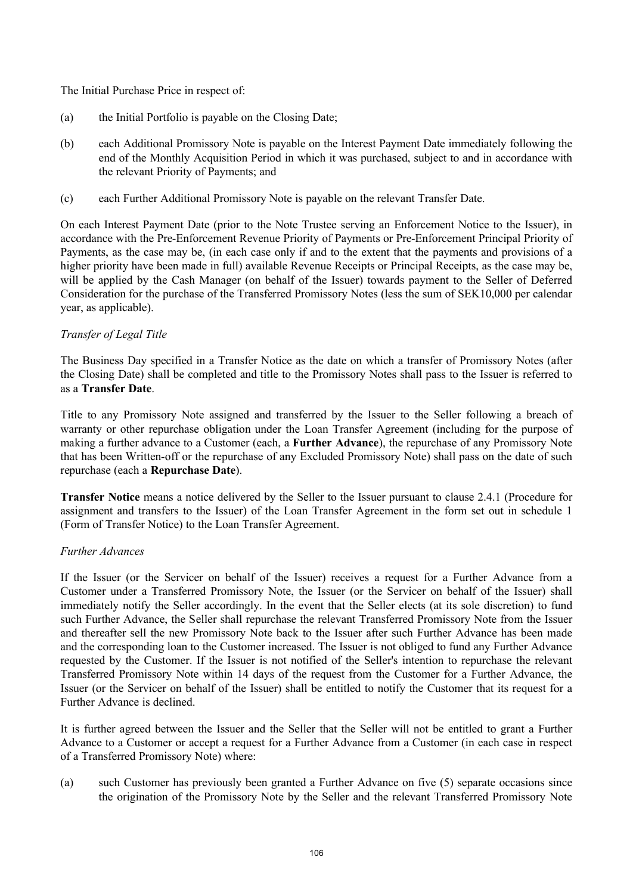The Initial Purchase Price in respect of:

- (a) the Initial Portfolio is payable on the Closing Date;
- (b) each Additional Promissory Note is payable on the Interest Payment Date immediately following the end of the Monthly Acquisition Period in which it was purchased, subject to and in accordance with the relevant Priority of Payments; and
- (c) each Further Additional Promissory Note is payable on the relevant Transfer Date.

On each Interest Payment Date (prior to the Note Trustee serving an Enforcement Notice to the Issuer), in accordance with the Pre-Enforcement Revenue Priority of Payments or Pre-Enforcement Principal Priority of Payments, as the case may be, (in each case only if and to the extent that the payments and provisions of a higher priority have been made in full) available Revenue Receipts or Principal Receipts, as the case may be, will be applied by the Cash Manager (on behalf of the Issuer) towards payment to the Seller of Deferred Consideration for the purchase of the Transferred Promissory Notes (less the sum of SEK10,000 per calendar year, as applicable).

## *Transfer of Legal Title*

The Business Day specified in a Transfer Notice as the date on which a transfer of Promissory Notes (after the Closing Date) shall be completed and title to the Promissory Notes shall pass to the Issuer is referred to as a **Transfer Date**.

Title to any Promissory Note assigned and transferred by the Issuer to the Seller following a breach of warranty or other repurchase obligation under the Loan Transfer Agreement (including for the purpose of making a further advance to a Customer (each, a **Further Advance**), the repurchase of any Promissory Note that has been Written-off or the repurchase of any Excluded Promissory Note) shall pass on the date of such repurchase (each a **Repurchase Date**).

**Transfer Notice** means a notice delivered by the Seller to the Issuer pursuant to clause 2.4.1 (Procedure for assignment and transfers to the Issuer) of the Loan Transfer Agreement in the form set out in schedule 1 (Form of Transfer Notice) to the Loan Transfer Agreement.

## *Further Advances*

If the Issuer (or the Servicer on behalf of the Issuer) receives a request for a Further Advance from a Customer under a Transferred Promissory Note, the Issuer (or the Servicer on behalf of the Issuer) shall immediately notify the Seller accordingly. In the event that the Seller elects (at its sole discretion) to fund such Further Advance, the Seller shall repurchase the relevant Transferred Promissory Note from the Issuer and thereafter sell the new Promissory Note back to the Issuer after such Further Advance has been made and the corresponding loan to the Customer increased. The Issuer is not obliged to fund any Further Advance requested by the Customer. If the Issuer is not notified of the Seller's intention to repurchase the relevant Transferred Promissory Note within 14 days of the request from the Customer for a Further Advance, the Issuer (or the Servicer on behalf of the Issuer) shall be entitled to notify the Customer that its request for a Further Advance is declined.

It is further agreed between the Issuer and the Seller that the Seller will not be entitled to grant a Further Advance to a Customer or accept a request for a Further Advance from a Customer (in each case in respect of a Transferred Promissory Note) where:

(a) such Customer has previously been granted a Further Advance on five (5) separate occasions since the origination of the Promissory Note by the Seller and the relevant Transferred Promissory Note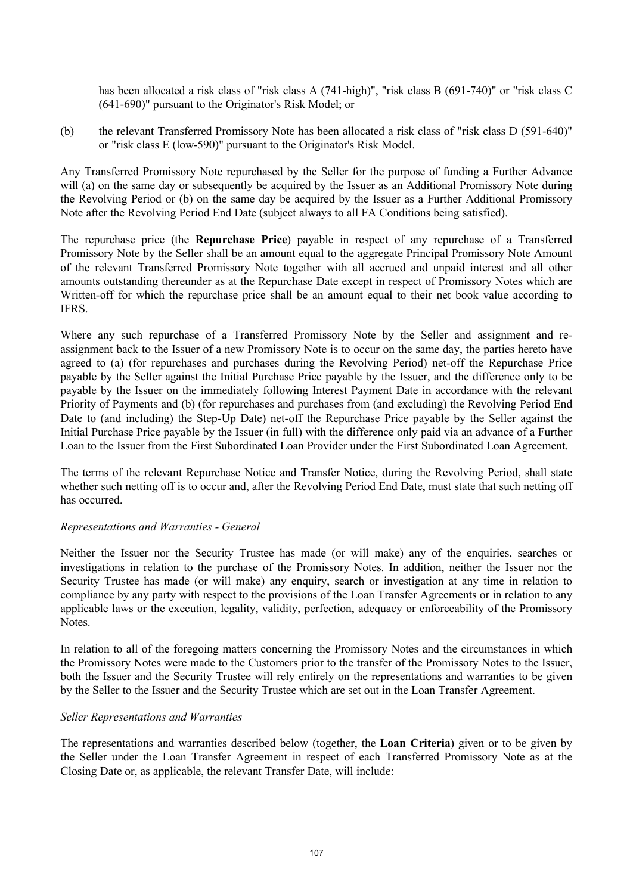has been allocated a risk class of "risk class A (741-high)", "risk class B (691-740)" or "risk class C (641-690)" pursuant to the Originator's Risk Model; or

(b) the relevant Transferred Promissory Note has been allocated a risk class of "risk class D (591-640)" or "risk class E (low-590)" pursuant to the Originator's Risk Model.

Any Transferred Promissory Note repurchased by the Seller for the purpose of funding a Further Advance will (a) on the same day or subsequently be acquired by the Issuer as an Additional Promissory Note during the Revolving Period or (b) on the same day be acquired by the Issuer as a Further Additional Promissory Note after the Revolving Period End Date (subject always to all FA Conditions being satisfied).

The repurchase price (the **Repurchase Price**) payable in respect of any repurchase of a Transferred Promissory Note by the Seller shall be an amount equal to the aggregate Principal Promissory Note Amount of the relevant Transferred Promissory Note together with all accrued and unpaid interest and all other amounts outstanding thereunder as at the Repurchase Date except in respect of Promissory Notes which are Written-off for which the repurchase price shall be an amount equal to their net book value according to IFRS.

Where any such repurchase of a Transferred Promissory Note by the Seller and assignment and reassignment back to the Issuer of a new Promissory Note is to occur on the same day, the parties hereto have agreed to (a) (for repurchases and purchases during the Revolving Period) net-off the Repurchase Price payable by the Seller against the Initial Purchase Price payable by the Issuer, and the difference only to be payable by the Issuer on the immediately following Interest Payment Date in accordance with the relevant Priority of Payments and (b) (for repurchases and purchases from (and excluding) the Revolving Period End Date to (and including) the Step-Up Date) net-off the Repurchase Price payable by the Seller against the Initial Purchase Price payable by the Issuer (in full) with the difference only paid via an advance of a Further Loan to the Issuer from the First Subordinated Loan Provider under the First Subordinated Loan Agreement.

The terms of the relevant Repurchase Notice and Transfer Notice, during the Revolving Period, shall state whether such netting off is to occur and, after the Revolving Period End Date, must state that such netting off has occurred.

## *Representations and Warranties - General*

Neither the Issuer nor the Security Trustee has made (or will make) any of the enquiries, searches or investigations in relation to the purchase of the Promissory Notes. In addition, neither the Issuer nor the Security Trustee has made (or will make) any enquiry, search or investigation at any time in relation to compliance by any party with respect to the provisions of the Loan Transfer Agreements or in relation to any applicable laws or the execution, legality, validity, perfection, adequacy or enforceability of the Promissory Notes.

In relation to all of the foregoing matters concerning the Promissory Notes and the circumstances in which the Promissory Notes were made to the Customers prior to the transfer of the Promissory Notes to the Issuer, both the Issuer and the Security Trustee will rely entirely on the representations and warranties to be given by the Seller to the Issuer and the Security Trustee which are set out in the Loan Transfer Agreement.

#### *Seller Representations and Warranties*

The representations and warranties described below (together, the **Loan Criteria**) given or to be given by the Seller under the Loan Transfer Agreement in respect of each Transferred Promissory Note as at the Closing Date or, as applicable, the relevant Transfer Date, will include: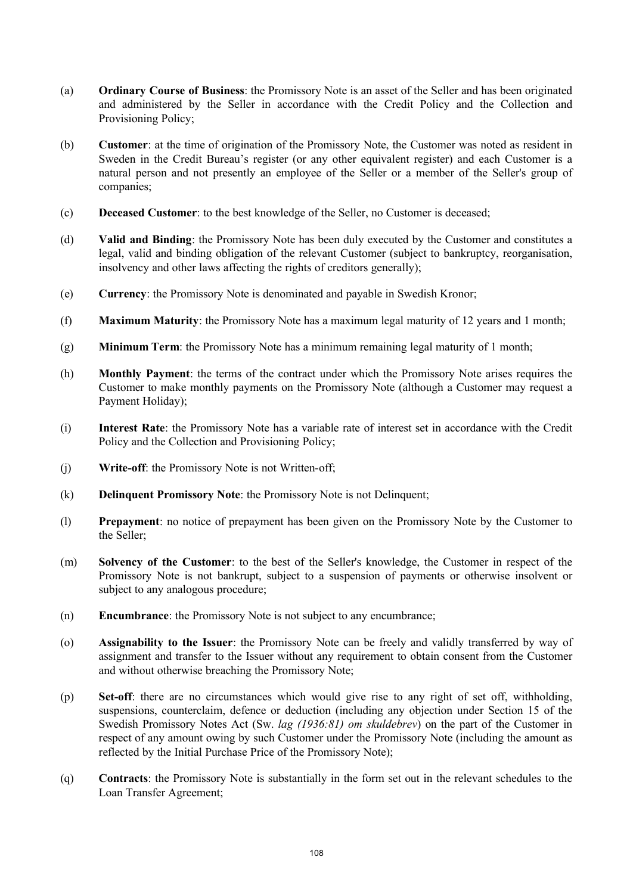- (a) **Ordinary Course of Business**: the Promissory Note is an asset of the Seller and has been originated and administered by the Seller in accordance with the Credit Policy and the Collection and Provisioning Policy;
- (b) **Customer**: at the time of origination of the Promissory Note, the Customer was noted as resident in Sweden in the Credit Bureau's register (or any other equivalent register) and each Customer is a natural person and not presently an employee of the Seller or a member of the Seller's group of companies;
- (c) **Deceased Customer**: to the best knowledge of the Seller, no Customer is deceased;
- (d) **Valid and Binding**: the Promissory Note has been duly executed by the Customer and constitutes a legal, valid and binding obligation of the relevant Customer (subject to bankruptcy, reorganisation, insolvency and other laws affecting the rights of creditors generally);
- (e) **Currency**: the Promissory Note is denominated and payable in Swedish Kronor;
- (f) **Maximum Maturity**: the Promissory Note has a maximum legal maturity of 12 years and 1 month;
- (g) **Minimum Term**: the Promissory Note has a minimum remaining legal maturity of 1 month;
- (h) **Monthly Payment**: the terms of the contract under which the Promissory Note arises requires the Customer to make monthly payments on the Promissory Note (although a Customer may request a Payment Holiday);
- (i) **Interest Rate**: the Promissory Note has a variable rate of interest set in accordance with the Credit Policy and the Collection and Provisioning Policy;
- (j) **Write-off**: the Promissory Note is not Written-off;
- (k) **Delinquent Promissory Note**: the Promissory Note is not Delinquent;
- (l) **Prepayment**: no notice of prepayment has been given on the Promissory Note by the Customer to the Seller;
- (m) **Solvency of the Customer**: to the best of the Seller's knowledge, the Customer in respect of the Promissory Note is not bankrupt, subject to a suspension of payments or otherwise insolvent or subject to any analogous procedure;
- (n) **Encumbrance**: the Promissory Note is not subject to any encumbrance;
- (o) **Assignability to the Issuer**: the Promissory Note can be freely and validly transferred by way of assignment and transfer to the Issuer without any requirement to obtain consent from the Customer and without otherwise breaching the Promissory Note;
- (p) **Set-off**: there are no circumstances which would give rise to any right of set off, withholding, suspensions, counterclaim, defence or deduction (including any objection under Section 15 of the Swedish Promissory Notes Act (Sw. *lag (1936:81) om skuldebrev*) on the part of the Customer in respect of any amount owing by such Customer under the Promissory Note (including the amount as reflected by the Initial Purchase Price of the Promissory Note);
- (q) **Contracts**: the Promissory Note is substantially in the form set out in the relevant schedules to the Loan Transfer Agreement;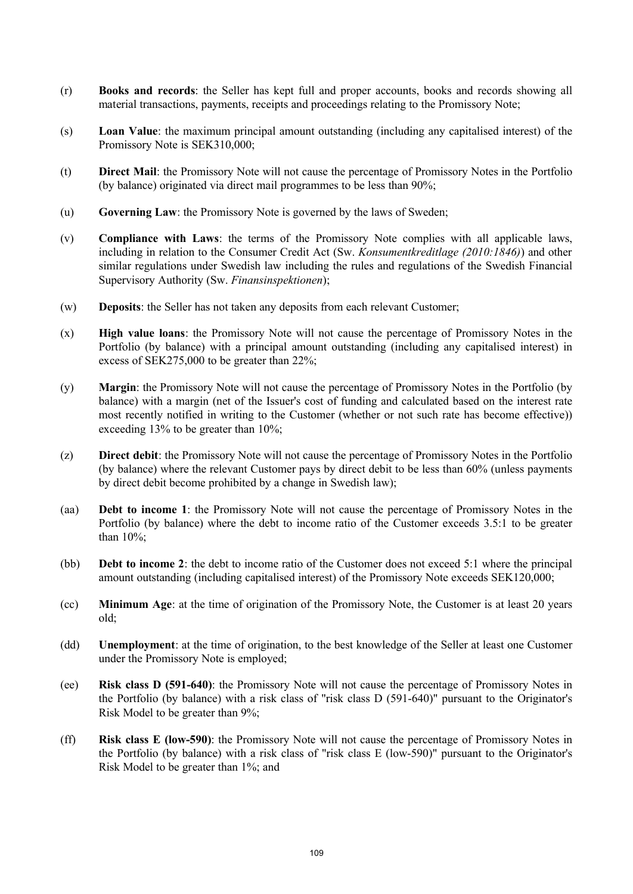- (r) **Books and records**: the Seller has kept full and proper accounts, books and records showing all material transactions, payments, receipts and proceedings relating to the Promissory Note;
- (s) **Loan Value**: the maximum principal amount outstanding (including any capitalised interest) of the Promissory Note is SEK310,000;
- (t) **Direct Mail**: the Promissory Note will not cause the percentage of Promissory Notes in the Portfolio (by balance) originated via direct mail programmes to be less than 90%;
- (u) **Governing Law**: the Promissory Note is governed by the laws of Sweden;
- (v) **Compliance with Laws**: the terms of the Promissory Note complies with all applicable laws, including in relation to the Consumer Credit Act (Sw. *Konsumentkreditlage (2010:1846)*) and other similar regulations under Swedish law including the rules and regulations of the Swedish Financial Supervisory Authority (Sw. *Finansinspektionen*);
- (w) **Deposits**: the Seller has not taken any deposits from each relevant Customer;
- (x) **High value loans**: the Promissory Note will not cause the percentage of Promissory Notes in the Portfolio (by balance) with a principal amount outstanding (including any capitalised interest) in excess of SEK275,000 to be greater than 22%;
- (y) **Margin**: the Promissory Note will not cause the percentage of Promissory Notes in the Portfolio (by balance) with a margin (net of the Issuer's cost of funding and calculated based on the interest rate most recently notified in writing to the Customer (whether or not such rate has become effective)) exceeding 13% to be greater than 10%;
- (z) **Direct debit**: the Promissory Note will not cause the percentage of Promissory Notes in the Portfolio (by balance) where the relevant Customer pays by direct debit to be less than 60% (unless payments by direct debit become prohibited by a change in Swedish law);
- (aa) **Debt to income 1**: the Promissory Note will not cause the percentage of Promissory Notes in the Portfolio (by balance) where the debt to income ratio of the Customer exceeds 3.5:1 to be greater than 10%;
- (bb) **Debt to income 2**: the debt to income ratio of the Customer does not exceed 5:1 where the principal amount outstanding (including capitalised interest) of the Promissory Note exceeds SEK120,000;
- (cc) **Minimum Age**: at the time of origination of the Promissory Note, the Customer is at least 20 years old;
- (dd) **Unemployment**: at the time of origination, to the best knowledge of the Seller at least one Customer under the Promissory Note is employed;
- (ee) **Risk class D (591-640)**: the Promissory Note will not cause the percentage of Promissory Notes in the Portfolio (by balance) with a risk class of "risk class D (591-640)" pursuant to the Originator's Risk Model to be greater than 9%;
- (ff) **Risk class E (low-590)**: the Promissory Note will not cause the percentage of Promissory Notes in the Portfolio (by balance) with a risk class of "risk class E (low-590)" pursuant to the Originator's Risk Model to be greater than 1%; and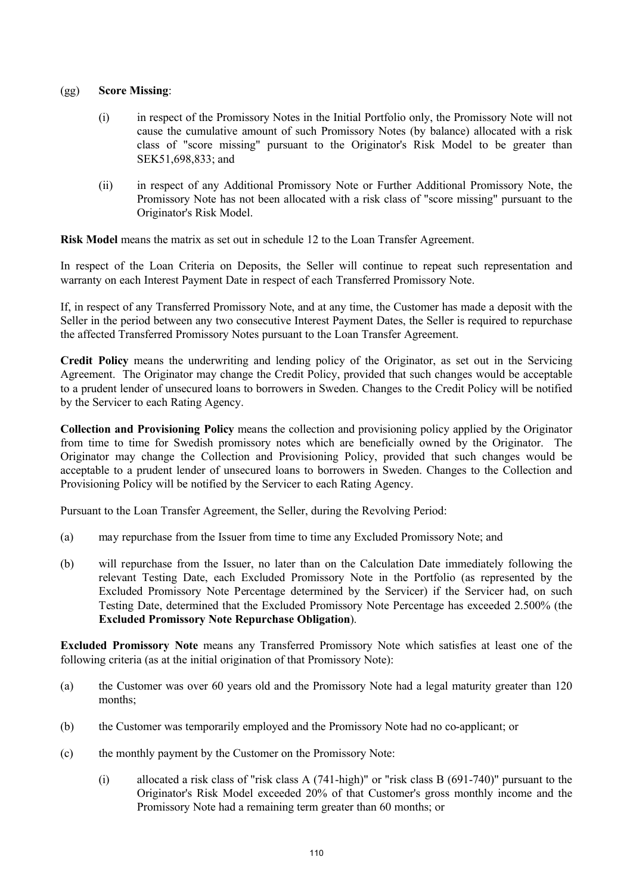## (gg) **Score Missing**:

- (i) in respect of the Promissory Notes in the Initial Portfolio only, the Promissory Note will not cause the cumulative amount of such Promissory Notes (by balance) allocated with a risk class of "score missing" pursuant to the Originator's Risk Model to be greater than SEK51,698,833; and
- (ii) in respect of any Additional Promissory Note or Further Additional Promissory Note, the Promissory Note has not been allocated with a risk class of "score missing" pursuant to the Originator's Risk Model.

**Risk Model** means the matrix as set out in schedule 12 to the Loan Transfer Agreement.

In respect of the Loan Criteria on Deposits, the Seller will continue to repeat such representation and warranty on each Interest Payment Date in respect of each Transferred Promissory Note.

If, in respect of any Transferred Promissory Note, and at any time, the Customer has made a deposit with the Seller in the period between any two consecutive Interest Payment Dates, the Seller is required to repurchase the affected Transferred Promissory Notes pursuant to the Loan Transfer Agreement.

**Credit Policy** means the underwriting and lending policy of the Originator, as set out in the Servicing Agreement. The Originator may change the Credit Policy, provided that such changes would be acceptable to a prudent lender of unsecured loans to borrowers in Sweden. Changes to the Credit Policy will be notified by the Servicer to each Rating Agency.

**Collection and Provisioning Policy** means the collection and provisioning policy applied by the Originator from time to time for Swedish promissory notes which are beneficially owned by the Originator. The Originator may change the Collection and Provisioning Policy, provided that such changes would be acceptable to a prudent lender of unsecured loans to borrowers in Sweden. Changes to the Collection and Provisioning Policy will be notified by the Servicer to each Rating Agency.

Pursuant to the Loan Transfer Agreement, the Seller, during the Revolving Period:

- (a) may repurchase from the Issuer from time to time any Excluded Promissory Note; and
- (b) will repurchase from the Issuer, no later than on the Calculation Date immediately following the relevant Testing Date, each Excluded Promissory Note in the Portfolio (as represented by the Excluded Promissory Note Percentage determined by the Servicer) if the Servicer had, on such Testing Date, determined that the Excluded Promissory Note Percentage has exceeded 2.500% (the **Excluded Promissory Note Repurchase Obligation**).

**Excluded Promissory Note** means any Transferred Promissory Note which satisfies at least one of the following criteria (as at the initial origination of that Promissory Note):

- (a) the Customer was over 60 years old and the Promissory Note had a legal maturity greater than 120 months;
- (b) the Customer was temporarily employed and the Promissory Note had no co-applicant; or
- (c) the monthly payment by the Customer on the Promissory Note:
	- (i) allocated a risk class of "risk class A (741-high)" or "risk class B (691-740)" pursuant to the Originator's Risk Model exceeded 20% of that Customer's gross monthly income and the Promissory Note had a remaining term greater than 60 months; or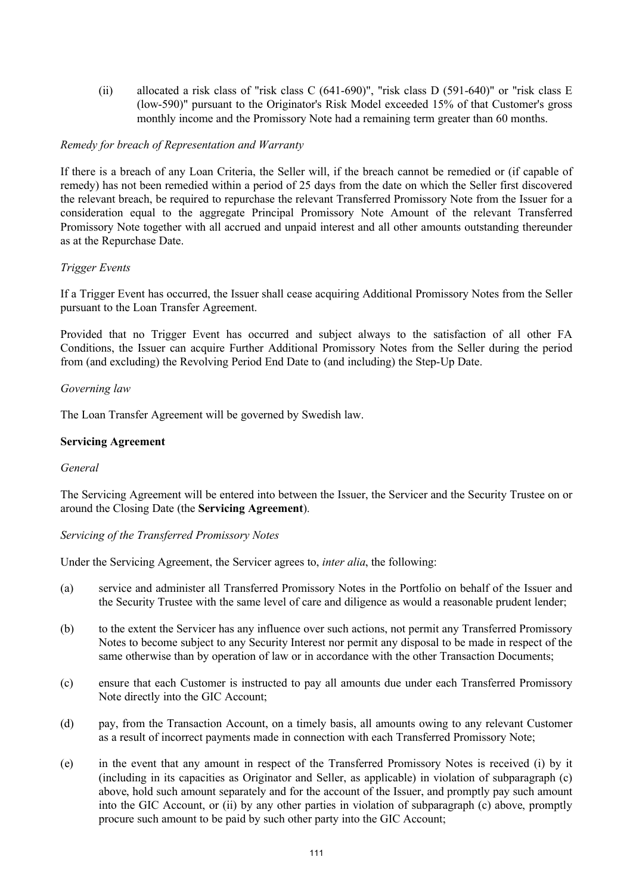(ii) allocated a risk class of "risk class C (641-690)", "risk class D (591-640)" or "risk class E (low-590)" pursuant to the Originator's Risk Model exceeded 15% of that Customer's gross monthly income and the Promissory Note had a remaining term greater than 60 months.

## *Remedy for breach of Representation and Warranty*

If there is a breach of any Loan Criteria, the Seller will, if the breach cannot be remedied or (if capable of remedy) has not been remedied within a period of 25 days from the date on which the Seller first discovered the relevant breach, be required to repurchase the relevant Transferred Promissory Note from the Issuer for a consideration equal to the aggregate Principal Promissory Note Amount of the relevant Transferred Promissory Note together with all accrued and unpaid interest and all other amounts outstanding thereunder as at the Repurchase Date.

## *Trigger Events*

If a Trigger Event has occurred, the Issuer shall cease acquiring Additional Promissory Notes from the Seller pursuant to the Loan Transfer Agreement.

Provided that no Trigger Event has occurred and subject always to the satisfaction of all other FA Conditions, the Issuer can acquire Further Additional Promissory Notes from the Seller during the period from (and excluding) the Revolving Period End Date to (and including) the Step-Up Date.

## *Governing law*

The Loan Transfer Agreement will be governed by Swedish law.

## **Servicing Agreement**

### *General*

The Servicing Agreement will be entered into between the Issuer, the Servicer and the Security Trustee on or around the Closing Date (the **Servicing Agreement**).

*Servicing of the Transferred Promissory Notes*

Under the Servicing Agreement, the Servicer agrees to, *inter alia*, the following:

- (a) service and administer all Transferred Promissory Notes in the Portfolio on behalf of the Issuer and the Security Trustee with the same level of care and diligence as would a reasonable prudent lender;
- (b) to the extent the Servicer has any influence over such actions, not permit any Transferred Promissory Notes to become subject to any Security Interest nor permit any disposal to be made in respect of the same otherwise than by operation of law or in accordance with the other Transaction Documents;
- (c) ensure that each Customer is instructed to pay all amounts due under each Transferred Promissory Note directly into the GIC Account;
- (d) pay, from the Transaction Account, on a timely basis, all amounts owing to any relevant Customer as a result of incorrect payments made in connection with each Transferred Promissory Note;
- (e) in the event that any amount in respect of the Transferred Promissory Notes is received (i) by it (including in its capacities as Originator and Seller, as applicable) in violation of subparagraph (c) above, hold such amount separately and for the account of the Issuer, and promptly pay such amount into the GIC Account, or (ii) by any other parties in violation of subparagraph (c) above, promptly procure such amount to be paid by such other party into the GIC Account;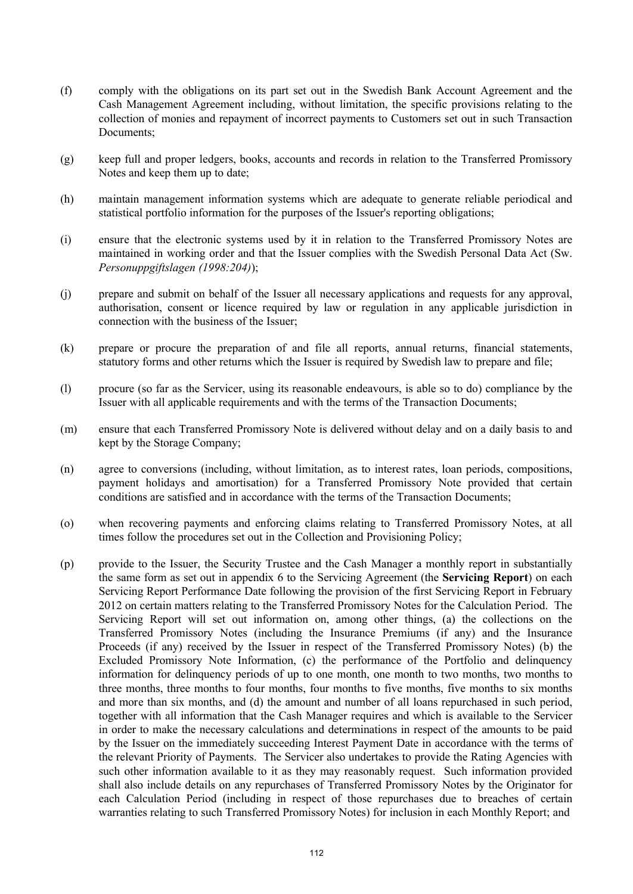- (f) comply with the obligations on its part set out in the Swedish Bank Account Agreement and the Cash Management Agreement including, without limitation, the specific provisions relating to the collection of monies and repayment of incorrect payments to Customers set out in such Transaction Documents;
- (g) keep full and proper ledgers, books, accounts and records in relation to the Transferred Promissory Notes and keep them up to date;
- (h) maintain management information systems which are adequate to generate reliable periodical and statistical portfolio information for the purposes of the Issuer's reporting obligations;
- (i) ensure that the electronic systems used by it in relation to the Transferred Promissory Notes are maintained in working order and that the Issuer complies with the Swedish Personal Data Act (Sw. *Personuppgiftslagen (1998:204)*);
- (j) prepare and submit on behalf of the Issuer all necessary applications and requests for any approval, authorisation, consent or licence required by law or regulation in any applicable jurisdiction in connection with the business of the Issuer;
- (k) prepare or procure the preparation of and file all reports, annual returns, financial statements, statutory forms and other returns which the Issuer is required by Swedish law to prepare and file;
- (l) procure (so far as the Servicer, using its reasonable endeavours, is able so to do) compliance by the Issuer with all applicable requirements and with the terms of the Transaction Documents;
- (m) ensure that each Transferred Promissory Note is delivered without delay and on a daily basis to and kept by the Storage Company;
- (n) agree to conversions (including, without limitation, as to interest rates, loan periods, compositions, payment holidays and amortisation) for a Transferred Promissory Note provided that certain conditions are satisfied and in accordance with the terms of the Transaction Documents;
- (o) when recovering payments and enforcing claims relating to Transferred Promissory Notes, at all times follow the procedures set out in the Collection and Provisioning Policy;
- (p) provide to the Issuer, the Security Trustee and the Cash Manager a monthly report in substantially the same form as set out in appendix 6 to the Servicing Agreement (the **Servicing Report**) on each Servicing Report Performance Date following the provision of the first Servicing Report in February 2012 on certain matters relating to the Transferred Promissory Notes for the Calculation Period. The Servicing Report will set out information on, among other things, (a) the collections on the Transferred Promissory Notes (including the Insurance Premiums (if any) and the Insurance Proceeds (if any) received by the Issuer in respect of the Transferred Promissory Notes) (b) the Excluded Promissory Note Information, (c) the performance of the Portfolio and delinquency information for delinquency periods of up to one month, one month to two months, two months to three months, three months to four months, four months to five months, five months to six months and more than six months, and (d) the amount and number of all loans repurchased in such period, together with all information that the Cash Manager requires and which is available to the Servicer in order to make the necessary calculations and determinations in respect of the amounts to be paid by the Issuer on the immediately succeeding Interest Payment Date in accordance with the terms of the relevant Priority of Payments. The Servicer also undertakes to provide the Rating Agencies with such other information available to it as they may reasonably request. Such information provided shall also include details on any repurchases of Transferred Promissory Notes by the Originator for each Calculation Period (including in respect of those repurchases due to breaches of certain warranties relating to such Transferred Promissory Notes) for inclusion in each Monthly Report; and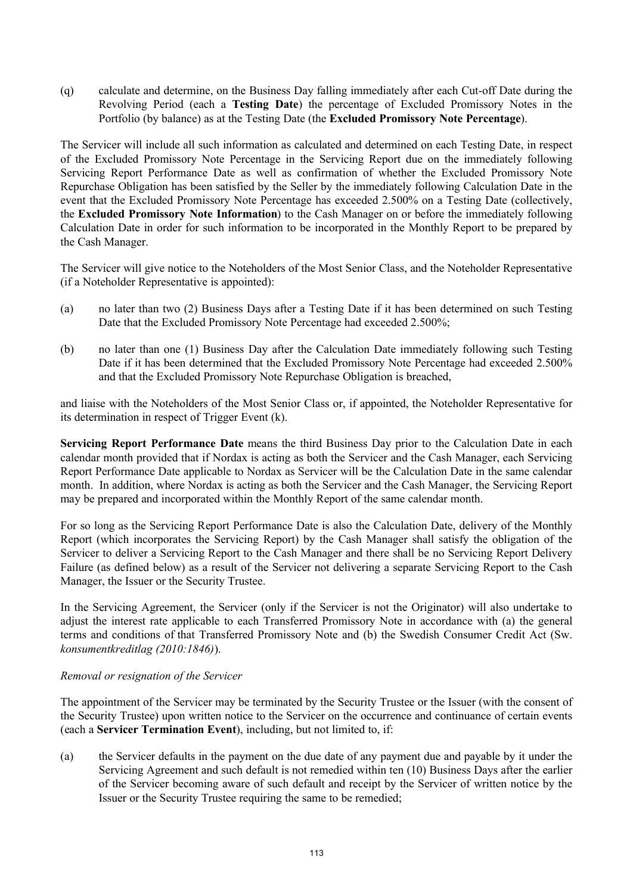(q) calculate and determine, on the Business Day falling immediately after each Cut-off Date during the Revolving Period (each a **Testing Date**) the percentage of Excluded Promissory Notes in the Portfolio (by balance) as at the Testing Date (the **Excluded Promissory Note Percentage**).

The Servicer will include all such information as calculated and determined on each Testing Date, in respect of the Excluded Promissory Note Percentage in the Servicing Report due on the immediately following Servicing Report Performance Date as well as confirmation of whether the Excluded Promissory Note Repurchase Obligation has been satisfied by the Seller by the immediately following Calculation Date in the event that the Excluded Promissory Note Percentage has exceeded 2.500% on a Testing Date (collectively, the **Excluded Promissory Note Information**) to the Cash Manager on or before the immediately following Calculation Date in order for such information to be incorporated in the Monthly Report to be prepared by the Cash Manager.

The Servicer will give notice to the Noteholders of the Most Senior Class, and the Noteholder Representative (if a Noteholder Representative is appointed):

- (a) no later than two (2) Business Days after a Testing Date if it has been determined on such Testing Date that the Excluded Promissory Note Percentage had exceeded 2.500%;
- (b) no later than one (1) Business Day after the Calculation Date immediately following such Testing Date if it has been determined that the Excluded Promissory Note Percentage had exceeded 2.500% and that the Excluded Promissory Note Repurchase Obligation is breached,

and liaise with the Noteholders of the Most Senior Class or, if appointed, the Noteholder Representative for its determination in respect of Trigger Event (k).

**Servicing Report Performance Date** means the third Business Day prior to the Calculation Date in each calendar month provided that if Nordax is acting as both the Servicer and the Cash Manager, each Servicing Report Performance Date applicable to Nordax as Servicer will be the Calculation Date in the same calendar month. In addition, where Nordax is acting as both the Servicer and the Cash Manager, the Servicing Report may be prepared and incorporated within the Monthly Report of the same calendar month.

For so long as the Servicing Report Performance Date is also the Calculation Date, delivery of the Monthly Report (which incorporates the Servicing Report) by the Cash Manager shall satisfy the obligation of the Servicer to deliver a Servicing Report to the Cash Manager and there shall be no Servicing Report Delivery Failure (as defined below) as a result of the Servicer not delivering a separate Servicing Report to the Cash Manager, the Issuer or the Security Trustee.

In the Servicing Agreement, the Servicer (only if the Servicer is not the Originator) will also undertake to adjust the interest rate applicable to each Transferred Promissory Note in accordance with (a) the general terms and conditions of that Transferred Promissory Note and (b) the Swedish Consumer Credit Act (Sw. *konsumentkreditlag (2010:1846)*).

### *Removal or resignation of the Servicer*

The appointment of the Servicer may be terminated by the Security Trustee or the Issuer (with the consent of the Security Trustee) upon written notice to the Servicer on the occurrence and continuance of certain events (each a **Servicer Termination Event**), including, but not limited to, if:

(a) the Servicer defaults in the payment on the due date of any payment due and payable by it under the Servicing Agreement and such default is not remedied within ten (10) Business Days after the earlier of the Servicer becoming aware of such default and receipt by the Servicer of written notice by the Issuer or the Security Trustee requiring the same to be remedied;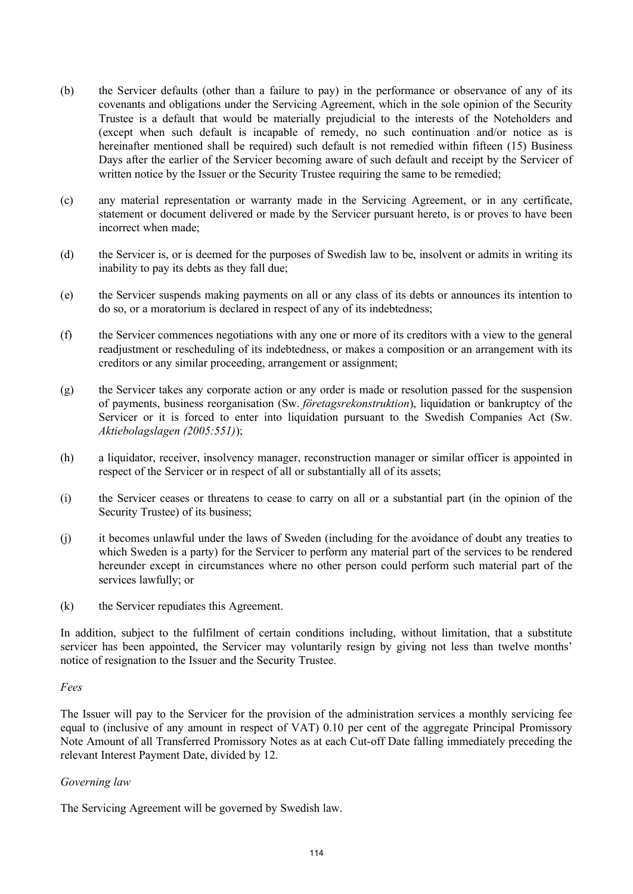- (b) the Servicer defaults (other than a failure to pay) in the performance or observance of any of its covenants and obligations under the Servicing Agreement, which in the sole opinion of the Security Trustee is a default that would be materially prejudicial to the interests of the Noteholders and (except when such default is incapable of remedy, no such continuation and/or notice as is hereinafter mentioned shall be required) such default is not remedied within fifteen (15) Business Days after the earlier of the Servicer becoming aware of such default and receipt by the Servicer of written notice by the Issuer or the Security Trustee requiring the same to be remedied;
- (c) any material representation or warranty made in the Servicing Agreement, or in any certificate, statement or document delivered or made by the Servicer pursuant hereto, is or proves to have been incorrect when made;
- (d) the Servicer is, or is deemed for the purposes of Swedish law to be, insolvent or admits in writing its inability to pay its debts as they fall due;
- (e) the Servicer suspends making payments on all or any class of its debts or announces its intention to do so, or a moratorium is declared in respect of any of its indebtedness;
- (f) the Servicer commences negotiations with any one or more of its creditors with a view to the general readjustment or rescheduling of its indebtedness, or makes a composition or an arrangement with its creditors or any similar proceeding, arrangement or assignment;
- (g) the Servicer takes any corporate action or any order is made or resolution passed for the suspension of payments, business reorganisation (Sw. *företagsrekonstruktion*), liquidation or bankruptcy of the Servicer or it is forced to enter into liquidation pursuant to the Swedish Companies Act (Sw. *Aktiebolagslagen (2005:551)*);
- (h) a liquidator, receiver, insolvency manager, reconstruction manager or similar officer is appointed in respect of the Servicer or in respect of all or substantially all of its assets;
- (i) the Servicer ceases or threatens to cease to carry on all or a substantial part (in the opinion of the Security Trustee) of its business;
- (j) it becomes unlawful under the laws of Sweden (including for the avoidance of doubt any treaties to which Sweden is a party) for the Servicer to perform any material part of the services to be rendered hereunder except in circumstances where no other person could perform such material part of the services lawfully; or
- (k) the Servicer repudiates this Agreement.

In addition, subject to the fulfilment of certain conditions including, without limitation, that a substitute servicer has been appointed, the Servicer may voluntarily resign by giving not less than twelve months' notice of resignation to the Issuer and the Security Trustee.

### *Fees*

The Issuer will pay to the Servicer for the provision of the administration services a monthly servicing fee equal to (inclusive of any amount in respect of VAT) 0.10 per cent of the aggregate Principal Promissory Note Amount of all Transferred Promissory Notes as at each Cut-off Date falling immediately preceding the relevant Interest Payment Date, divided by 12.

### *Governing law*

The Servicing Agreement will be governed by Swedish law.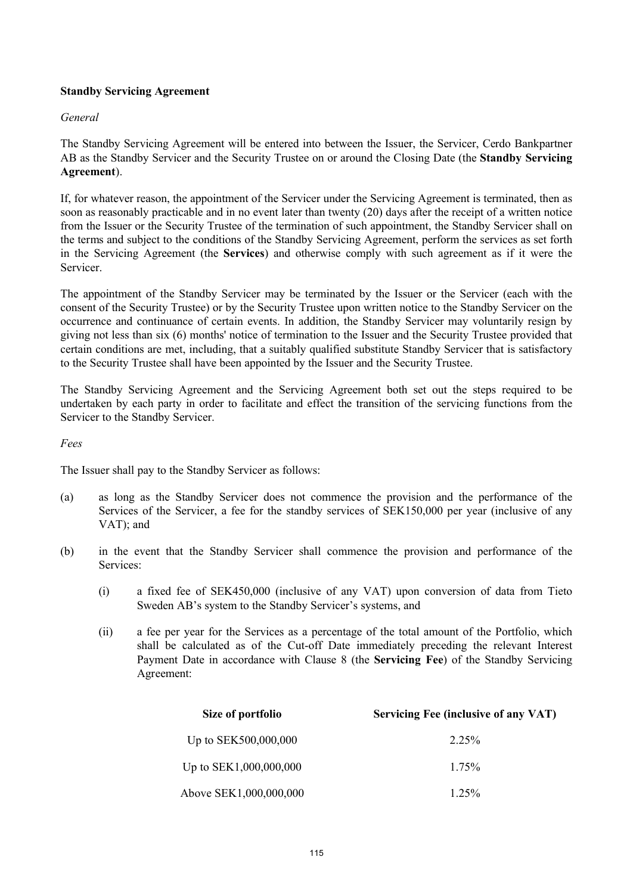# **Standby Servicing Agreement**

### *General*

The Standby Servicing Agreement will be entered into between the Issuer, the Servicer, Cerdo Bankpartner AB as the Standby Servicer and the Security Trustee on or around the Closing Date (the **Standby Servicing Agreement**).

If, for whatever reason, the appointment of the Servicer under the Servicing Agreement is terminated, then as soon as reasonably practicable and in no event later than twenty (20) days after the receipt of a written notice from the Issuer or the Security Trustee of the termination of such appointment, the Standby Servicer shall on the terms and subject to the conditions of the Standby Servicing Agreement, perform the services as set forth in the Servicing Agreement (the **Services**) and otherwise comply with such agreement as if it were the **Servicer** 

The appointment of the Standby Servicer may be terminated by the Issuer or the Servicer (each with the consent of the Security Trustee) or by the Security Trustee upon written notice to the Standby Servicer on the occurrence and continuance of certain events. In addition, the Standby Servicer may voluntarily resign by giving not less than six (6) months' notice of termination to the Issuer and the Security Trustee provided that certain conditions are met, including, that a suitably qualified substitute Standby Servicer that is satisfactory to the Security Trustee shall have been appointed by the Issuer and the Security Trustee.

The Standby Servicing Agreement and the Servicing Agreement both set out the steps required to be undertaken by each party in order to facilitate and effect the transition of the servicing functions from the Servicer to the Standby Servicer.

### *Fees*

The Issuer shall pay to the Standby Servicer as follows:

- (a) as long as the Standby Servicer does not commence the provision and the performance of the Services of the Servicer, a fee for the standby services of SEK150,000 per year (inclusive of any VAT); and
- (b) in the event that the Standby Servicer shall commence the provision and performance of the Services:
	- (i) a fixed fee of SEK450,000 (inclusive of any VAT) upon conversion of data from Tieto Sweden AB's system to the Standby Servicer's systems, and
	- (ii) a fee per year for the Services as a percentage of the total amount of the Portfolio, which shall be calculated as of the Cut-off Date immediately preceding the relevant Interest Payment Date in accordance with Clause 8 (the **Servicing Fee**) of the Standby Servicing Agreement:

| Size of portfolio      | <b>Servicing Fee (inclusive of any VAT)</b> |
|------------------------|---------------------------------------------|
| Up to SEK500,000,000   | 2 2 5 %                                     |
| Up to SEK1,000,000,000 | 175%                                        |
| Above SEK1,000,000,000 | 125%                                        |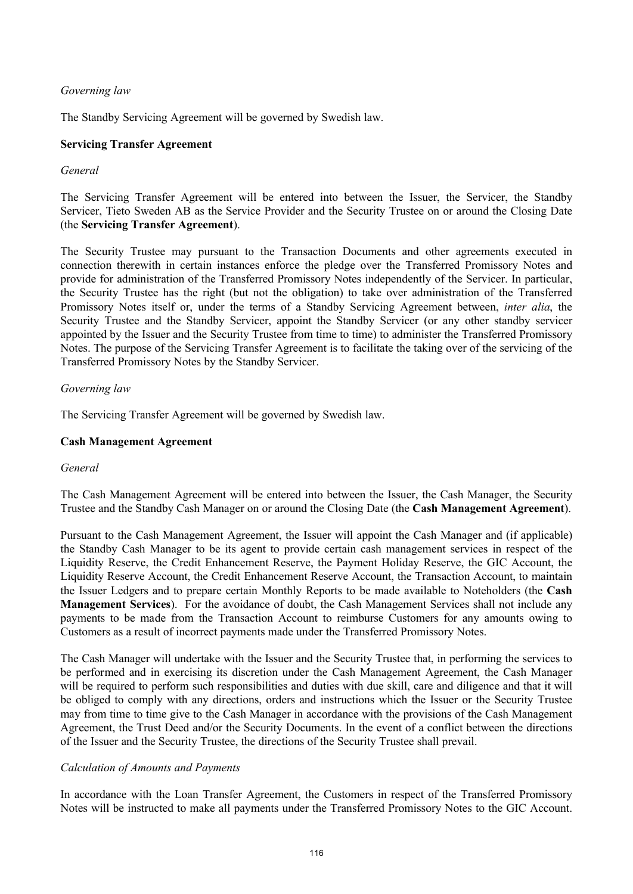# *Governing law*

The Standby Servicing Agreement will be governed by Swedish law.

## **Servicing Transfer Agreement**

## *General*

The Servicing Transfer Agreement will be entered into between the Issuer, the Servicer, the Standby Servicer, Tieto Sweden AB as the Service Provider and the Security Trustee on or around the Closing Date (the **Servicing Transfer Agreement**).

The Security Trustee may pursuant to the Transaction Documents and other agreements executed in connection therewith in certain instances enforce the pledge over the Transferred Promissory Notes and provide for administration of the Transferred Promissory Notes independently of the Servicer. In particular, the Security Trustee has the right (but not the obligation) to take over administration of the Transferred Promissory Notes itself or, under the terms of a Standby Servicing Agreement between, *inter alia*, the Security Trustee and the Standby Servicer, appoint the Standby Servicer (or any other standby servicer appointed by the Issuer and the Security Trustee from time to time) to administer the Transferred Promissory Notes. The purpose of the Servicing Transfer Agreement is to facilitate the taking over of the servicing of the Transferred Promissory Notes by the Standby Servicer.

## *Governing law*

The Servicing Transfer Agreement will be governed by Swedish law.

## **Cash Management Agreement**

### *General*

The Cash Management Agreement will be entered into between the Issuer, the Cash Manager, the Security Trustee and the Standby Cash Manager on or around the Closing Date (the **Cash Management Agreement**).

Pursuant to the Cash Management Agreement, the Issuer will appoint the Cash Manager and (if applicable) the Standby Cash Manager to be its agent to provide certain cash management services in respect of the Liquidity Reserve, the Credit Enhancement Reserve, the Payment Holiday Reserve, the GIC Account, the Liquidity Reserve Account, the Credit Enhancement Reserve Account, the Transaction Account, to maintain the Issuer Ledgers and to prepare certain Monthly Reports to be made available to Noteholders (the **Cash Management Services**). For the avoidance of doubt, the Cash Management Services shall not include any payments to be made from the Transaction Account to reimburse Customers for any amounts owing to Customers as a result of incorrect payments made under the Transferred Promissory Notes.

The Cash Manager will undertake with the Issuer and the Security Trustee that, in performing the services to be performed and in exercising its discretion under the Cash Management Agreement, the Cash Manager will be required to perform such responsibilities and duties with due skill, care and diligence and that it will be obliged to comply with any directions, orders and instructions which the Issuer or the Security Trustee may from time to time give to the Cash Manager in accordance with the provisions of the Cash Management Agreement, the Trust Deed and/or the Security Documents. In the event of a conflict between the directions of the Issuer and the Security Trustee, the directions of the Security Trustee shall prevail.

### *Calculation of Amounts and Payments*

In accordance with the Loan Transfer Agreement, the Customers in respect of the Transferred Promissory Notes will be instructed to make all payments under the Transferred Promissory Notes to the GIC Account.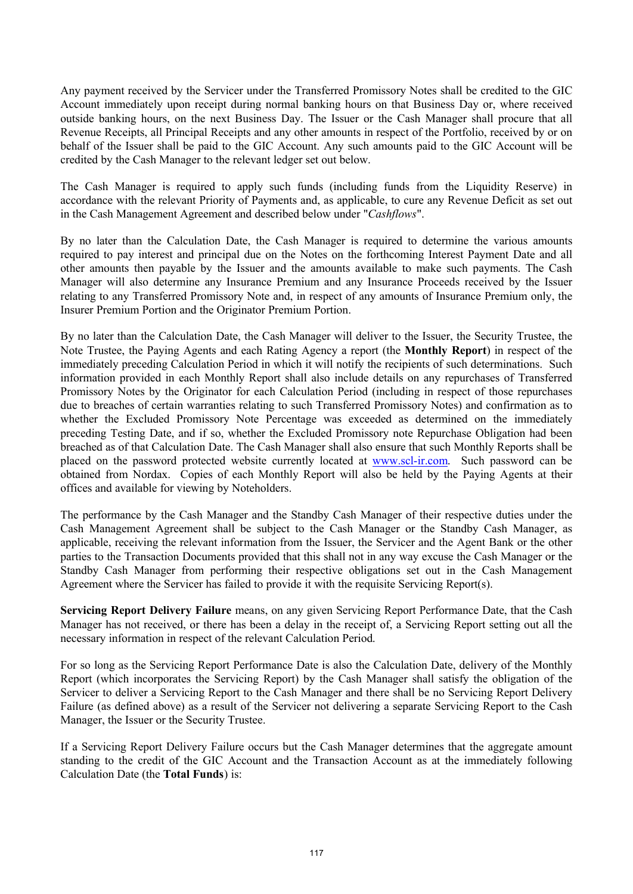Any payment received by the Servicer under the Transferred Promissory Notes shall be credited to the GIC Account immediately upon receipt during normal banking hours on that Business Day or, where received outside banking hours, on the next Business Day. The Issuer or the Cash Manager shall procure that all Revenue Receipts, all Principal Receipts and any other amounts in respect of the Portfolio, received by or on behalf of the Issuer shall be paid to the GIC Account. Any such amounts paid to the GIC Account will be credited by the Cash Manager to the relevant ledger set out below.

The Cash Manager is required to apply such funds (including funds from the Liquidity Reserve) in accordance with the relevant Priority of Payments and, as applicable, to cure any Revenue Deficit as set out in the Cash Management Agreement and described below under "*Cashflows*".

By no later than the Calculation Date, the Cash Manager is required to determine the various amounts required to pay interest and principal due on the Notes on the forthcoming Interest Payment Date and all other amounts then payable by the Issuer and the amounts available to make such payments. The Cash Manager will also determine any Insurance Premium and any Insurance Proceeds received by the Issuer relating to any Transferred Promissory Note and, in respect of any amounts of Insurance Premium only, the Insurer Premium Portion and the Originator Premium Portion.

By no later than the Calculation Date, the Cash Manager will deliver to the Issuer, the Security Trustee, the Note Trustee, the Paying Agents and each Rating Agency a report (the **Monthly Report**) in respect of the immediately preceding Calculation Period in which it will notify the recipients of such determinations. Such information provided in each Monthly Report shall also include details on any repurchases of Transferred Promissory Notes by the Originator for each Calculation Period (including in respect of those repurchases due to breaches of certain warranties relating to such Transferred Promissory Notes) and confirmation as to whether the Excluded Promissory Note Percentage was exceeded as determined on the immediately preceding Testing Date, and if so, whether the Excluded Promissory note Repurchase Obligation had been breached as of that Calculation Date. The Cash Manager shall also ensure that such Monthly Reports shall be placed on the password protected website currently located at [www.scl-ir.com.](www.scl-ir.com) Such password can be obtained from Nordax. Copies of each Monthly Report will also be held by the Paying Agents at their offices and available for viewing by Noteholders.

The performance by the Cash Manager and the Standby Cash Manager of their respective duties under the Cash Management Agreement shall be subject to the Cash Manager or the Standby Cash Manager, as applicable, receiving the relevant information from the Issuer, the Servicer and the Agent Bank or the other parties to the Transaction Documents provided that this shall not in any way excuse the Cash Manager or the Standby Cash Manager from performing their respective obligations set out in the Cash Management Agreement where the Servicer has failed to provide it with the requisite Servicing Report(s).

**Servicing Report Delivery Failure** means, on any given Servicing Report Performance Date, that the Cash Manager has not received, or there has been a delay in the receipt of, a Servicing Report setting out all the necessary information in respect of the relevant Calculation Period.

For so long as the Servicing Report Performance Date is also the Calculation Date, delivery of the Monthly Report (which incorporates the Servicing Report) by the Cash Manager shall satisfy the obligation of the Servicer to deliver a Servicing Report to the Cash Manager and there shall be no Servicing Report Delivery Failure (as defined above) as a result of the Servicer not delivering a separate Servicing Report to the Cash Manager, the Issuer or the Security Trustee.

If a Servicing Report Delivery Failure occurs but the Cash Manager determines that the aggregate amount standing to the credit of the GIC Account and the Transaction Account as at the immediately following Calculation Date (the **Total Funds**) is: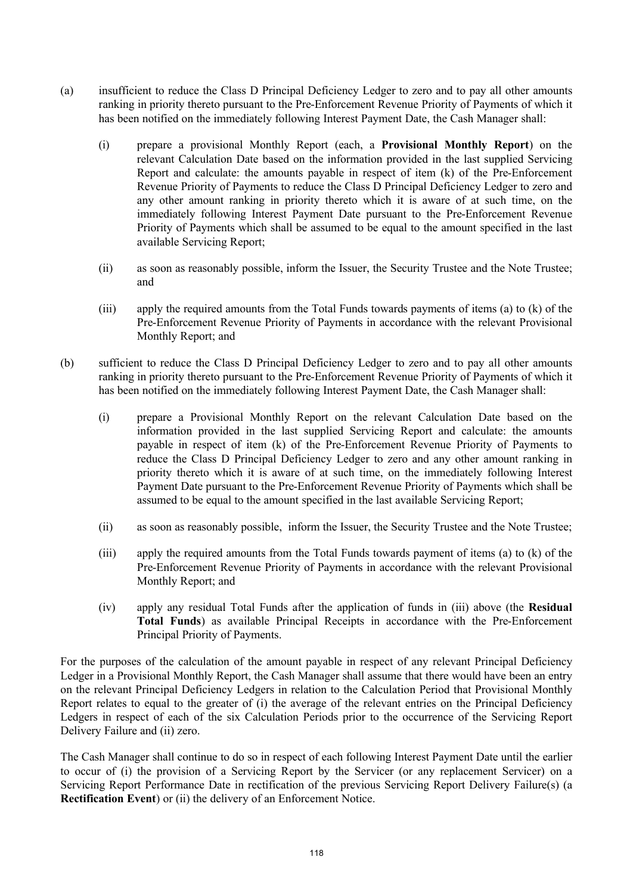- (a) insufficient to reduce the Class D Principal Deficiency Ledger to zero and to pay all other amounts ranking in priority thereto pursuant to the Pre-Enforcement Revenue Priority of Payments of which it has been notified on the immediately following Interest Payment Date, the Cash Manager shall:
	- (i) prepare a provisional Monthly Report (each, a **Provisional Monthly Report**) on the relevant Calculation Date based on the information provided in the last supplied Servicing Report and calculate: the amounts payable in respect of item (k) of the Pre-Enforcement Revenue Priority of Payments to reduce the Class D Principal Deficiency Ledger to zero and any other amount ranking in priority thereto which it is aware of at such time, on the immediately following Interest Payment Date pursuant to the Pre-Enforcement Revenue Priority of Payments which shall be assumed to be equal to the amount specified in the last available Servicing Report;
	- (ii) as soon as reasonably possible, inform the Issuer, the Security Trustee and the Note Trustee; and
	- (iii) apply the required amounts from the Total Funds towards payments of items (a) to (k) of the Pre-Enforcement Revenue Priority of Payments in accordance with the relevant Provisional Monthly Report; and
- (b) sufficient to reduce the Class D Principal Deficiency Ledger to zero and to pay all other amounts ranking in priority thereto pursuant to the Pre-Enforcement Revenue Priority of Payments of which it has been notified on the immediately following Interest Payment Date, the Cash Manager shall:
	- (i) prepare a Provisional Monthly Report on the relevant Calculation Date based on the information provided in the last supplied Servicing Report and calculate: the amounts payable in respect of item (k) of the Pre-Enforcement Revenue Priority of Payments to reduce the Class D Principal Deficiency Ledger to zero and any other amount ranking in priority thereto which it is aware of at such time, on the immediately following Interest Payment Date pursuant to the Pre-Enforcement Revenue Priority of Payments which shall be assumed to be equal to the amount specified in the last available Servicing Report;
	- (ii) as soon as reasonably possible, inform the Issuer, the Security Trustee and the Note Trustee;
	- (iii) apply the required amounts from the Total Funds towards payment of items (a) to (k) of the Pre-Enforcement Revenue Priority of Payments in accordance with the relevant Provisional Monthly Report; and
	- (iv) apply any residual Total Funds after the application of funds in (iii) above (the **Residual Total Funds**) as available Principal Receipts in accordance with the Pre-Enforcement Principal Priority of Payments.

For the purposes of the calculation of the amount payable in respect of any relevant Principal Deficiency Ledger in a Provisional Monthly Report, the Cash Manager shall assume that there would have been an entry on the relevant Principal Deficiency Ledgers in relation to the Calculation Period that Provisional Monthly Report relates to equal to the greater of (i) the average of the relevant entries on the Principal Deficiency Ledgers in respect of each of the six Calculation Periods prior to the occurrence of the Servicing Report Delivery Failure and (ii) zero.

The Cash Manager shall continue to do so in respect of each following Interest Payment Date until the earlier to occur of (i) the provision of a Servicing Report by the Servicer (or any replacement Servicer) on a Servicing Report Performance Date in rectification of the previous Servicing Report Delivery Failure(s) (a **Rectification Event**) or (ii) the delivery of an Enforcement Notice.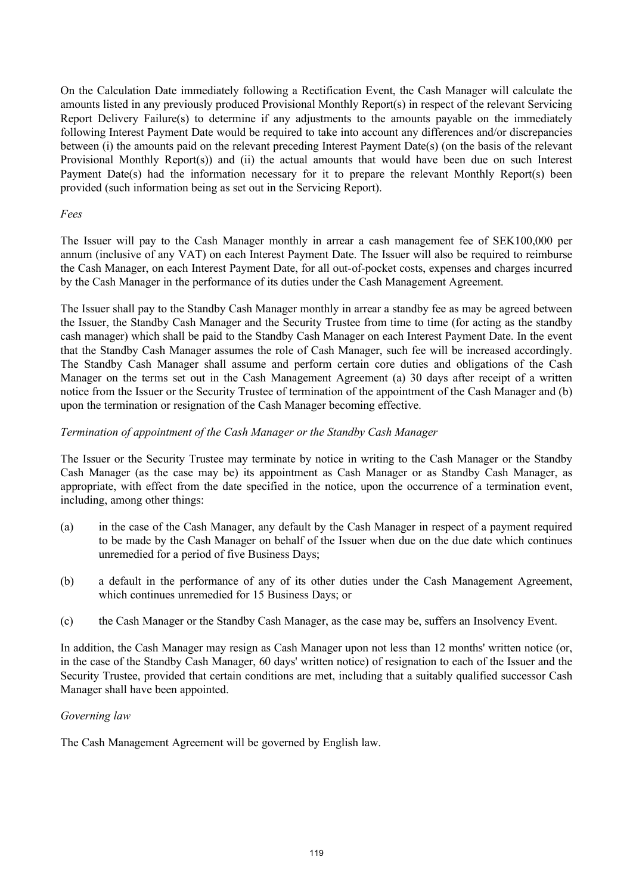On the Calculation Date immediately following a Rectification Event, the Cash Manager will calculate the amounts listed in any previously produced Provisional Monthly Report(s) in respect of the relevant Servicing Report Delivery Failure(s) to determine if any adjustments to the amounts payable on the immediately following Interest Payment Date would be required to take into account any differences and/or discrepancies between (i) the amounts paid on the relevant preceding Interest Payment Date(s) (on the basis of the relevant Provisional Monthly Report(s)) and (ii) the actual amounts that would have been due on such Interest Payment Date(s) had the information necessary for it to prepare the relevant Monthly Report(s) been provided (such information being as set out in the Servicing Report).

## *Fees*

The Issuer will pay to the Cash Manager monthly in arrear a cash management fee of SEK100,000 per annum (inclusive of any VAT) on each Interest Payment Date. The Issuer will also be required to reimburse the Cash Manager, on each Interest Payment Date, for all out-of-pocket costs, expenses and charges incurred by the Cash Manager in the performance of its duties under the Cash Management Agreement.

The Issuer shall pay to the Standby Cash Manager monthly in arrear a standby fee as may be agreed between the Issuer, the Standby Cash Manager and the Security Trustee from time to time (for acting as the standby cash manager) which shall be paid to the Standby Cash Manager on each Interest Payment Date. In the event that the Standby Cash Manager assumes the role of Cash Manager, such fee will be increased accordingly. The Standby Cash Manager shall assume and perform certain core duties and obligations of the Cash Manager on the terms set out in the Cash Management Agreement (a) 30 days after receipt of a written notice from the Issuer or the Security Trustee of termination of the appointment of the Cash Manager and (b) upon the termination or resignation of the Cash Manager becoming effective.

# *Termination of appointment of the Cash Manager or the Standby Cash Manager*

The Issuer or the Security Trustee may terminate by notice in writing to the Cash Manager or the Standby Cash Manager (as the case may be) its appointment as Cash Manager or as Standby Cash Manager, as appropriate, with effect from the date specified in the notice, upon the occurrence of a termination event, including, among other things:

- (a) in the case of the Cash Manager, any default by the Cash Manager in respect of a payment required to be made by the Cash Manager on behalf of the Issuer when due on the due date which continues unremedied for a period of five Business Days;
- (b) a default in the performance of any of its other duties under the Cash Management Agreement, which continues unremedied for 15 Business Days; or
- (c) the Cash Manager or the Standby Cash Manager, as the case may be, suffers an Insolvency Event.

In addition, the Cash Manager may resign as Cash Manager upon not less than 12 months' written notice (or, in the case of the Standby Cash Manager, 60 days' written notice) of resignation to each of the Issuer and the Securi[ty Trustee, provided that certain conditions are met, including that a suitably qualified succes](http://www.scl-ir.com/)sor Cash Manager shall have been appointed.

### *Governing law*

The Cash Management Agreement will be governed by English law.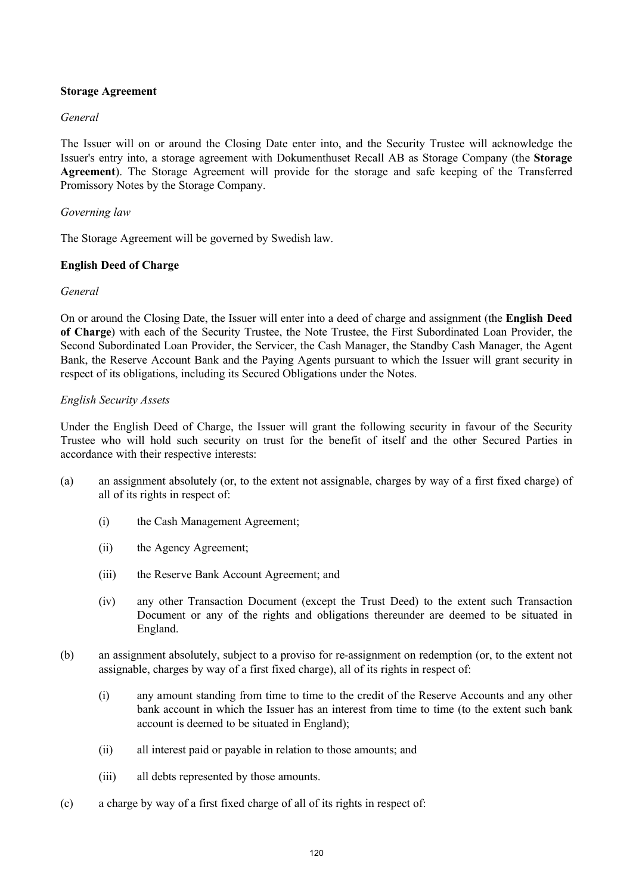## **Storage Agreement**

## *General*

The Issuer will on or around the Closing Date enter into, and the Security Trustee will acknowledge the Issuer's entry into, a storage agreement with Dokumenthuset Recall AB as Storage Company (the **Storage Agreement**). The Storage Agreement will provide for the storage and safe keeping of the Transferred Promissory Notes by the Storage Company.

## *Governing law*

The Storage Agreement will be governed by Swedish law.

## **English Deed of Charge**

### *General*

On or around the Closing Date, the Issuer will enter into a deed of charge and assignment (the **English Deed of Charge**) with each of the Security Trustee, the Note Trustee, the First Subordinated Loan Provider, the Second Subordinated Loan Provider, the Servicer, the Cash Manager, the Standby Cash Manager, the Agent Bank, the Reserve Account Bank and the Paying Agents pursuant to which the Issuer will grant security in respect of its obligations, including its Secured Obligations under the Notes.

## *English Security Assets*

Under the English Deed of Charge, the Issuer will grant the following security in favour of the Security Trustee who will hold such security on trust for the benefit of itself and the other Secured Parties in accordance with their respective interests:

- (a) an assignment absolutely (or, to the extent not assignable, charges by way of a first fixed charge) of all of its rights in respect of:
	- (i) the Cash Management Agreement;
	- (ii) the Agency Agreement;
	- (iii) the Reserve Bank Account Agreement; and
	- (iv) any other Transaction Document (except the Trust Deed) to the extent such Transaction Document or any of the rights and obligations thereunder are deemed to be situated in England.
- (b) an assignment absolutely, subject to a proviso for re-assignment on redemption (or, to the extent not assignable, charges by way of a first fixed charge), all of its rights in respect of:
	- (i) any amount standing from time to time to the credit of the Reserve Accounts and any other bank account in which the Issuer has an interest from time to time (to the extent such bank account is deemed to be situated in England);
	- (ii) all interest paid or payable in relation to those amounts; and
	- (iii) all debts represented by those amounts.
- (c) a charge by way of a first fixed charge of all of its rights in respect of: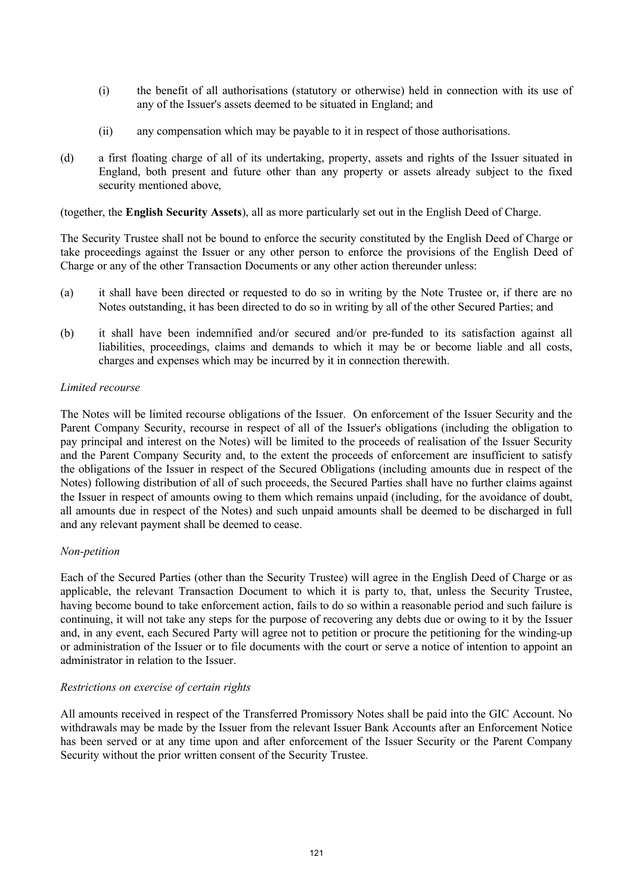- (i) the benefit of all authorisations (statutory or otherwise) held in connection with its use of any of the Issuer's assets deemed to be situated in England; and
- (ii) any compensation which may be payable to it in respect of those authorisations.
- (d) a first floating charge of all of its undertaking, property, assets and rights of the Issuer situated in England, both present and future other than any property or assets already subject to the fixed security mentioned above,

(together, the **English Security Assets**), all as more particularly set out in the English Deed of Charge.

The Security Trustee shall not be bound to enforce the security constituted by the English Deed of Charge or take proceedings against the Issuer or any other person to enforce the provisions of the English Deed of Charge or any of the other Transaction Documents or any other action thereunder unless:

- (a) it shall have been directed or requested to do so in writing by the Note Trustee or, if there are no Notes outstanding, it has been directed to do so in writing by all of the other Secured Parties; and
- (b) it shall have been indemnified and/or secured and/or pre-funded to its satisfaction against all liabilities, proceedings, claims and demands to which it may be or become liable and all costs, charges and expenses which may be incurred by it in connection therewith.

## *Limited recourse*

The Notes will be limited recourse obligations of the Issuer. On enforcement of the Issuer Security and the Parent Company Security, recourse in respect of all of the Issuer's obligations (including the obligation to pay principal and interest on the Notes) will be limited to the proceeds of realisation of the Issuer Security and the Parent Company Security and, to the extent the proceeds of enforcement are insufficient to satisfy the obligations of the Issuer in respect of the Secured Obligations (including amounts due in respect of the Notes) following distribution of all of such proceeds, the Secured Parties shall have no further claims against the Issuer in respect of amounts owing to them which remains unpaid (including, for the avoidance of doubt, all amounts due in respect of the Notes) and such unpaid amounts shall be deemed to be discharged in full and any relevant payment shall be deemed to cease.

# *Non-petition*

Each of the Secured Parties (other than the Security Trustee) will agree in the English Deed of Charge or as applicable, the relevant Transaction Document to which it is party to, that, unless the Security Trustee, having become bound to take enforcement action, fails to do so within a reasonable period and such failure is continuing, it will not take any steps for the purpose of recovering any debts due or owing to it by the Issuer and, in any event, each Secured Party will agree not to petition or procure the petitioning for the winding-up or administration of the Issuer or to file documents with the court or serve a notice of intention to appoint an administrator in relation to the Issuer.

### *Restrictions on exercise of certain rights*

All amounts received in respect of the Transferred Promissory Notes shall be paid into the GIC Account. No withdrawals may be made by the Issuer from the relevant Issuer Bank Accounts after an Enforcement Notice has been served or at any time upon and after enforcement of the Issuer Security or the Parent Company Security without the prior written consent of the Security Trustee.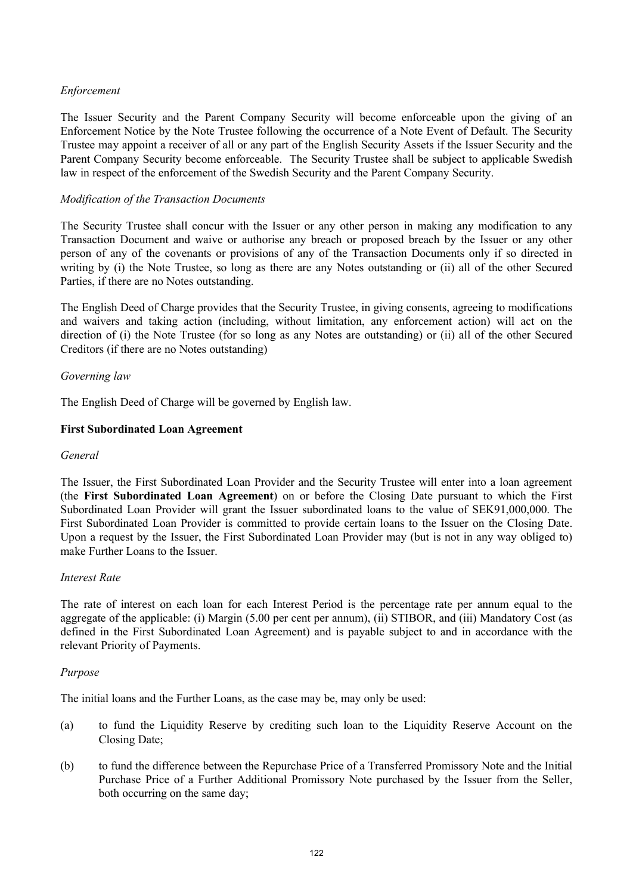# *Enforcement*

The Issuer Security and the Parent Company Security will become enforceable upon the giving of an Enforcement Notice by the Note Trustee following the occurrence of a Note Event of Default. The Security Trustee may appoint a receiver of all or any part of the English Security Assets if the Issuer Security and the Parent Company Security become enforceable. The Security Trustee shall be subject to applicable Swedish law in respect of the enforcement of the Swedish Security and the Parent Company Security.

## *Modification of the Transaction Documents*

The Security Trustee shall concur with the Issuer or any other person in making any modification to any Transaction Document and waive or authorise any breach or proposed breach by the Issuer or any other person of any of the covenants or provisions of any of the Transaction Documents only if so directed in writing by (i) the Note Trustee, so long as there are any Notes outstanding or (ii) all of the other Secured Parties, if there are no Notes outstanding.

The English Deed of Charge provides that the Security Trustee, in giving consents, agreeing to modifications and waivers and taking action (including, without limitation, any enforcement action) will act on the direction of (i) the Note Trustee (for so long as any Notes are outstanding) or (ii) all of the other Secured Creditors (if there are no Notes outstanding)

### *Governing law*

The English Deed of Charge will be governed by English law.

## **First Subordinated Loan Agreement**

### *General*

The Issuer, the First Subordinated Loan Provider and the Security Trustee will enter into a loan agreement (the **First Subordinated Loan Agreement**) on or before the Closing Date pursuant to which the First Subordinated Loan Provider will grant the Issuer subordinated loans to the value of SEK91,000,000. The First Subordinated Loan Provider is committed to provide certain loans to the Issuer on the Closing Date. Upon a request by the Issuer, the First Subordinated Loan Provider may (but is not in any way obliged to) make Further Loans to the Issuer.

### *Interest Rate*

The rate of interest on each loan for each Interest Period is the percentage rate per annum equal to the aggregate of the applicable: (i) Margin (5.00 per cent per annum), (ii) STIBOR, and (iii) Mandatory Cost (as defined in the First Subordinated Loan Agreement) and is payable subject to and in accordance with the relevant Priority of Payments.

### *Purpose*

The initial loans and the Further Loans, as the case may be, may only be used:

- (a) to fund the Liquidity Reserve by crediting such loan to the Liquidity Reserve Account on the Closing Date;
- (b) to fund the difference between the Repurchase Price of a Transferred Promissory Note and the Initial Purchase Price of a Further Additional Promissory Note purchased by the Issuer from the Seller, both occurring on the same day;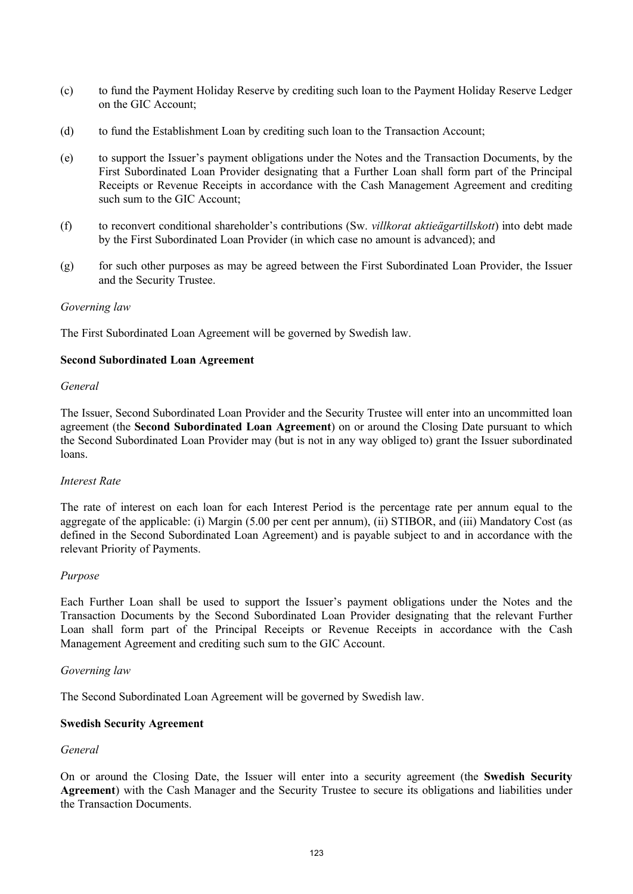- (c) to fund the Payment Holiday Reserve by crediting such loan to the Payment Holiday Reserve Ledger on the GIC Account;
- (d) to fund the Establishment Loan by crediting such loan to the Transaction Account;
- (e) to support the Issuer's payment obligations under the Notes and the Transaction Documents, by the First Subordinated Loan Provider designating that a Further Loan shall form part of the Principal Receipts or Revenue Receipts in accordance with the Cash Management Agreement and crediting such sum to the GIC Account;
- (f) to reconvert conditional shareholder's contributions (Sw. *villkorat aktieägartillskott*) into debt made by the First Subordinated Loan Provider (in which case no amount is advanced); and
- (g) for such other purposes as may be agreed between the First Subordinated Loan Provider, the Issuer and the Security Trustee.

#### *Governing law*

The First Subordinated Loan Agreement will be governed by Swedish law.

#### **Second Subordinated Loan Agreement**

#### *General*

The Issuer, Second Subordinated Loan Provider and the Security Trustee will enter into an uncommitted loan agreement (the **Second Subordinated Loan Agreement**) on or around the Closing Date pursuant to which the Second Subordinated Loan Provider may (but is not in any way obliged to) grant the Issuer subordinated loans.

### *Interest Rate*

The rate of interest on each loan for each Interest Period is the percentage rate per annum equal to the aggregate of the applicable: (i) Margin (5.00 per cent per annum), (ii) STIBOR, and (iii) Mandatory Cost (as defined in the Second Subordinated Loan Agreement) and is payable subject to and in accordance with the relevant Priority of Payments.

### *Purpose*

Each Further Loan shall be used to support the Issuer's payment obligations under the Notes and the Transaction Documents by the Second Subordinated Loan Provider designating that the relevant Further Loan shall form part of the Principal Receipts or Revenue Receipts in accordance with the Cash Management Agreement and crediting such sum to the GIC Account.

#### *Governing law*

The Second Subordinated Loan Agreement will be governed by Swedish law.

### **Swedish Security Agreement**

### *General*

On or around the Closing Date, the Issuer will enter into a security agreement (the **Swedish Security Agreement**) with the Cash Manager and the Security Trustee to secure its obligations and liabilities under the Transaction Documents.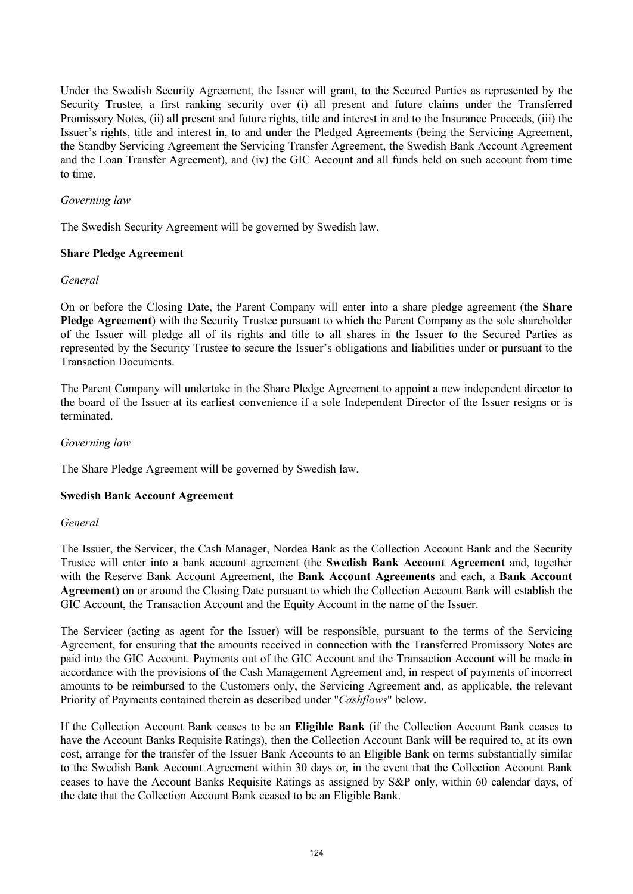Under the Swedish Security Agreement, the Issuer will grant, to the Secured Parties as represented by the Security Trustee, a first ranking security over (i) all present and future claims under the Transferred Promissory Notes, (ii) all present and future rights, title and interest in and to the Insurance Proceeds, (iii) the Issuer's rights, title and interest in, to and under the Pledged Agreements (being the Servicing Agreement, the Standby Servicing Agreement the Servicing Transfer Agreement, the Swedish Bank Account Agreement and the Loan Transfer Agreement), and (iv) the GIC Account and all funds held on such account from time to time.

## *Governing law*

The Swedish Security Agreement will be governed by Swedish law.

## **Share Pledge Agreement**

## *General*

On or before the Closing Date, the Parent Company will enter into a share pledge agreement (the **Share Pledge Agreement**) with the Security Trustee pursuant to which the Parent Company as the sole shareholder of the Issuer will pledge all of its rights and title to all shares in the Issuer to the Secured Parties as represented by the Security Trustee to secure the Issuer's obligations and liabilities under or pursuant to the Transaction Documents.

The Parent Company will undertake in the Share Pledge Agreement to appoint a new independent director to the board of the Issuer at its earliest convenience if a sole Independent Director of the Issuer resigns or is terminated.

## *Governing law*

The Share Pledge Agreement will be governed by Swedish law.

### **Swedish Bank Account Agreement**

### *General*

The Issuer, the Servicer, the Cash Manager, Nordea Bank as the Collection Account Bank and the Security Trustee will enter into a bank account agreement (the **Swedish Bank Account Agreement** and, together with the Reserve Bank Account Agreement, the **Bank Account Agreements** and each, a **Bank Account Agreement**) on or around the Closing Date pursuant to which the Collection Account Bank will establish the GIC Account, the Transaction Account and the Equity Account in the name of the Issuer.

The Servicer (acting as agent for the Issuer) will be responsible, pursuant to the terms of the Servicing Agreement, for ensuring that the amounts received in connection with the Transferred Promissory Notes are paid into the GIC Account. Payments out of the GIC Account and the Transaction Account will be made in accordance with the provisions of the Cash Management Agreement and, in respect of payments of incorrect amounts to be reimbursed to the Customers only, the Servicing Agreement and, as applicable, the relevant Priority of Payments contained therein as described under "*Cashflows*" below.

If the Collection Account Bank ceases to be an **Eligible Bank** (if the Collection Account Bank ceases to have the Account Banks Requisite Ratings), then the Collection Account Bank will be required to, at its own cost, arrange for the transfer of the Issuer Bank Accounts to an Eligible Bank on terms substantially similar to the Swedish Bank Account Agreement within 30 days or, in the event that the Collection Account Bank ceases to have the Account Banks Requisite Ratings as assigned by S&P only, within 60 calendar days, of the date that the Collection Account Bank ceased to be an Eligible Bank.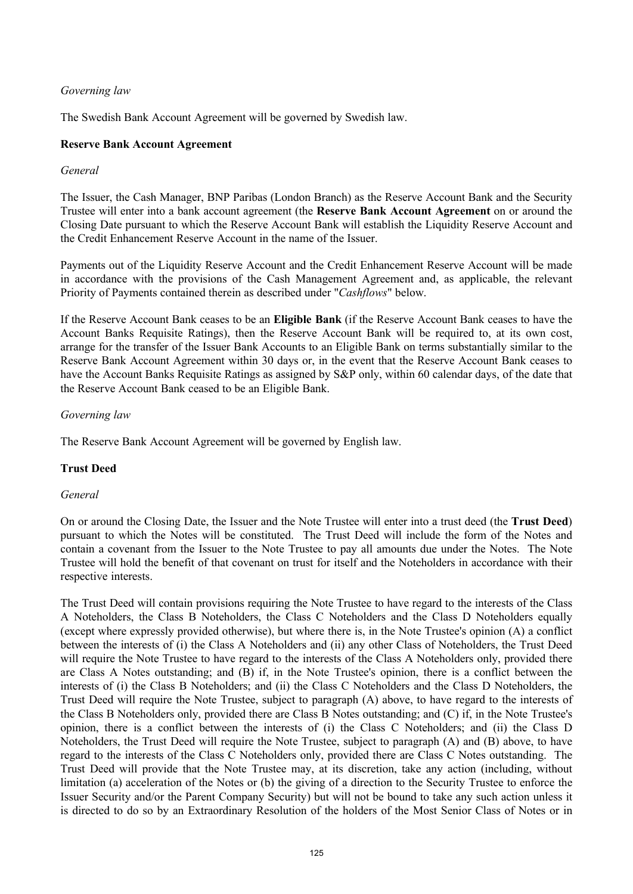# *Governing law*

The Swedish Bank Account Agreement will be governed by Swedish law.

## **Reserve Bank Account Agreement**

## *General*

The Issuer, the Cash Manager, BNP Paribas (London Branch) as the Reserve Account Bank and the Security Trustee will enter into a bank account agreement (the **Reserve Bank Account Agreement** on or around the Closing Date pursuant to which the Reserve Account Bank will establish the Liquidity Reserve Account and the Credit Enhancement Reserve Account in the name of the Issuer.

Payments out of the Liquidity Reserve Account and the Credit Enhancement Reserve Account will be made in accordance with the provisions of the Cash Management Agreement and, as applicable, the relevant Priority of Payments contained therein as described under "*Cashflows*" below.

If the Reserve Account Bank ceases to be an **Eligible Bank** (if the Reserve Account Bank ceases to have the Account Banks Requisite Ratings), then the Reserve Account Bank will be required to, at its own cost, arrange for the transfer of the Issuer Bank Accounts to an Eligible Bank on terms substantially similar to the Reserve Bank Account Agreement within 30 days or, in the event that the Reserve Account Bank ceases to have the Account Banks Requisite Ratings as assigned by S&P only, within 60 calendar days, of the date that the Reserve Account Bank ceased to be an Eligible Bank.

## *Governing law*

The Reserve Bank Account Agreement will be governed by English law.

# **Trust Deed**

### *General*

On or around the Closing Date, the Issuer and the Note Trustee will enter into a trust deed (the **Trust Deed**) pursuant to which the Notes will be constituted. The Trust Deed will include the form of the Notes and contain a covenant from the Issuer to the Note Trustee to pay all amounts due under the Notes. The Note Trustee will hold the benefit of that covenant on trust for itself and the Noteholders in accordance with their respective interests.

The Trust Deed will contain provisions requiring the Note Trustee to have regard to the interests of the Class A Noteholders, the Class B Noteholders, the Class C Noteholders and the Class D Noteholders equally (except where expressly provided otherwise), but where there is, in the Note Trustee's opinion (A) a conflict between the interests of (i) the Class A Noteholders and (ii) any other Class of Noteholders, the Trust Deed will require the Note Trustee to have regard to the interests of the Class A Noteholders only, provided there are Class A Notes outstanding; and (B) if, in the Note Trustee's opinion, there is a conflict between the interests of (i) the Class B Noteholders; and (ii) the Class C Noteholders and the Class D Noteholders, the Trust Deed will require the Note Trustee, subject to paragraph (A) above, to have regard to the interests of the Class B Noteholders only, provided there are Class B Notes outstanding; and (C) if, in the Note Trustee's opinion, there is a conflict between the interests of (i) the Class C Noteholders; and (ii) the Class D Noteholders, the Trust Deed will require the Note Trustee, subject to paragraph (A) and (B) above, to have regard to the interests of the Class C Noteholders only, provided there are Class C Notes outstanding. The Trust Deed will provide that the Note Trustee may, at its discretion, take any action (including, without limitation (a) acceleration of the Notes or (b) the giving of a direction to the Security Trustee to enforce the Issuer Security and/or the Parent Company Security) but will not be bound to take any such action unless it is directed to do so by an Extraordinary Resolution of the holders of the Most Senior Class of Notes or in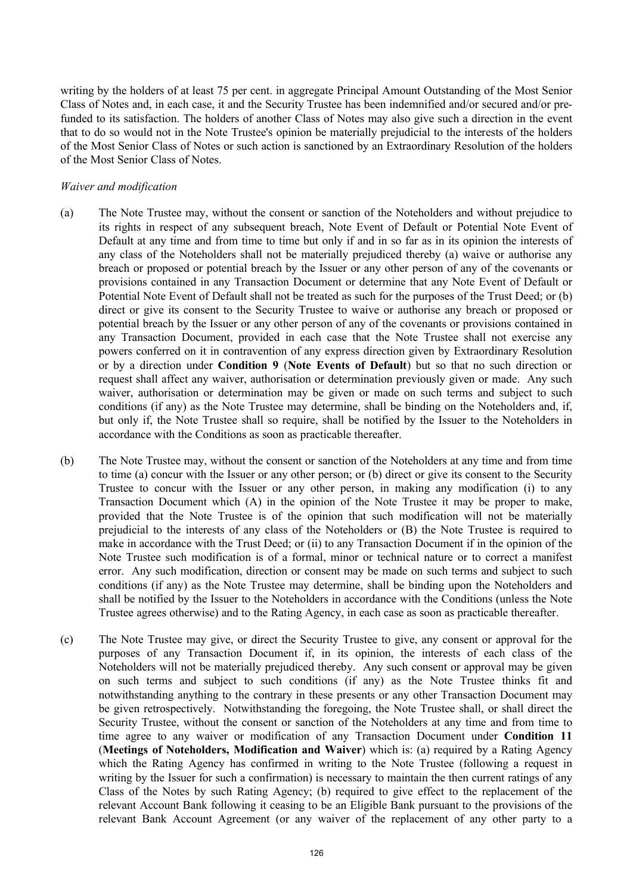writing by the holders of at least 75 per cent. in aggregate Principal Amount Outstanding of the Most Senior Class of Notes and, in each case, it and the Security Trustee has been indemnified and/or secured and/or prefunded to its satisfaction. The holders of another Class of Notes may also give such a direction in the event that to do so would not in the Note Trustee's opinion be materially prejudicial to the interests of the holders of the Most Senior Class of Notes or such action is sanctioned by an Extraordinary Resolution of the holders of the Most Senior Class of Notes.

#### *Waiver and modification*

- (a) The Note Trustee may, without the consent or sanction of the Noteholders and without prejudice to its rights in respect of any subsequent breach, Note Event of Default or Potential Note Event of Default at any time and from time to time but only if and in so far as in its opinion the interests of any class of the Noteholders shall not be materially prejudiced thereby (a) waive or authorise any breach or proposed or potential breach by the Issuer or any other person of any of the covenants or provisions contained in any Transaction Document or determine that any Note Event of Default or Potential Note Event of Default shall not be treated as such for the purposes of the Trust Deed; or (b) direct or give its consent to the Security Trustee to waive or authorise any breach or proposed or potential breach by the Issuer or any other person of any of the covenants or provisions contained in any Transaction Document, provided in each case that the Note Trustee shall not exercise any powers conferred on it in contravention of any express direction given by Extraordinary Resolution or by a direction under **Condition 9** (**Note Events of Default**) but so that no such direction or request shall affect any waiver, authorisation or determination previously given or made. Any such waiver, authorisation or determination may be given or made on such terms and subject to such conditions (if any) as the Note Trustee may determine, shall be binding on the Noteholders and, if, but only if, the Note Trustee shall so require, shall be notified by the Issuer to the Noteholders in accordance with the Conditions as soon as practicable thereafter.
- (b) The Note Trustee may, without the consent or sanction of the Noteholders at any time and from time to time (a) concur with the Issuer or any other person; or (b) direct or give its consent to the Security Trustee to concur with the Issuer or any other person, in making any modification (i) to any Transaction Document which (A) in the opinion of the Note Trustee it may be proper to make, provided that the Note Trustee is of the opinion that such modification will not be materially prejudicial to the interests of any class of the Noteholders or (B) the Note Trustee is required to make in accordance with the Trust Deed; or (ii) to any Transaction Document if in the opinion of the Note Trustee such modification is of a formal, minor or technical nature or to correct a manifest error. Any such modification, direction or consent may be made on such terms and subject to such conditions (if any) as the Note Trustee may determine, shall be binding upon the Noteholders and shall be notified by the Issuer to the Noteholders in accordance with the Conditions (unless the Note Trustee agrees otherwise) and to the Rating Agency, in each case as soon as practicable thereafter.
- (c) The Note Trustee may give, or direct the Security Trustee to give, any consent or approval for the purposes of any Transaction Document if, in its opinion, the interests of each class of the Noteholders will not be materially prejudiced thereby. Any such consent or approval may be given on such terms and subject to such conditions (if any) as the Note Trustee thinks fit and notwithstanding anything to the contrary in these presents or any other Transaction Document may be given retrospectively. Notwithstanding the foregoing, the Note Trustee shall, or shall direct the Security Trustee, without the consent or sanction of the Noteholders at any time and from time to time agree to any waiver or modification of any Transaction Document under **Condition 11** (**Meetings of Noteholders, Modification and Waiver**) which is: (a) required by a Rating Agency which the Rating Agency has confirmed in writing to the Note Trustee (following a request in writing by the Issuer for such a confirmation) is necessary to maintain the then current ratings of any Class of the Notes by such Rating Agency; (b) required to give effect to the replacement of the relevant Account Bank following it ceasing to be an Eligible Bank pursuant to the provisions of the relevant Bank Account Agreement (or any waiver of the replacement of any other party to a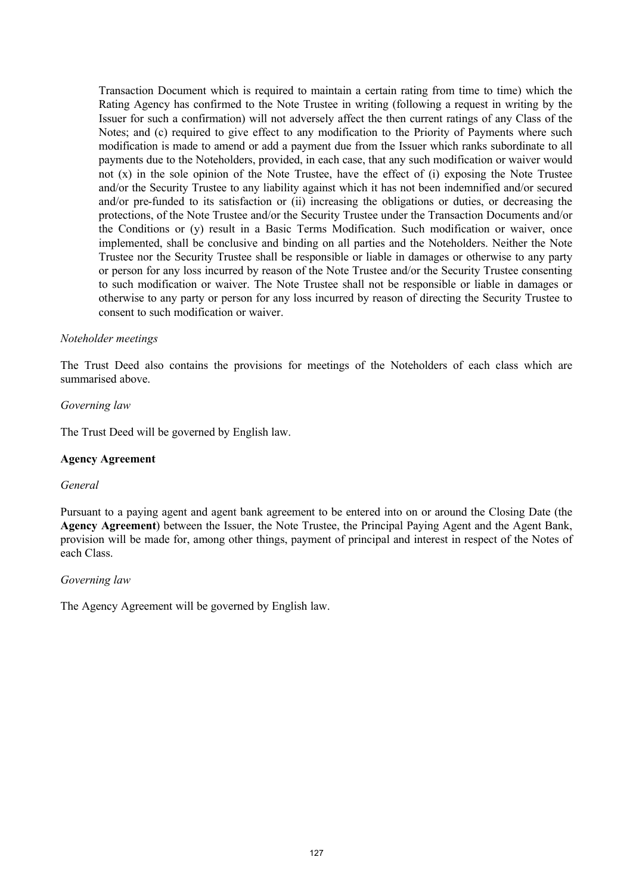Transaction Document which is required to maintain a certain rating from time to time) which the Rating Agency has confirmed to the Note Trustee in writing (following a request in writing by the Issuer for such a confirmation) will not adversely affect the then current ratings of any Class of the Notes; and (c) required to give effect to any modification to the Priority of Payments where such modification is made to amend or add a payment due from the Issuer which ranks subordinate to all payments due to the Noteholders, provided, in each case, that any such modification or waiver would not (x) in the sole opinion of the Note Trustee, have the effect of (i) exposing the Note Trustee and/or the Security Trustee to any liability against which it has not been indemnified and/or secured and/or pre-funded to its satisfaction or (ii) increasing the obligations or duties, or decreasing the protections, of the Note Trustee and/or the Security Trustee under the Transaction Documents and/or the Conditions or (y) result in a Basic Terms Modification. Such modification or waiver, once implemented, shall be conclusive and binding on all parties and the Noteholders. Neither the Note Trustee nor the Security Trustee shall be responsible or liable in damages or otherwise to any party or person for any loss incurred by reason of the Note Trustee and/or the Security Trustee consenting to such modification or waiver. The Note Trustee shall not be responsible or liable in damages or otherwise to any party or person for any loss incurred by reason of directing the Security Trustee to consent to such modification or waiver.

#### *Noteholder meetings*

The Trust Deed also contains the provisions for meetings of the Noteholders of each class which are summarised above.

#### *Governing law*

The Trust Deed will be governed by English law.

### **Agency Agreement**

#### *General*

Pursuant to a paying agent and agent bank agreement to be entered into on or around the Closing Date (the **Agency Agreement**) between the Issuer, the Note Trustee, the Principal Paying Agent and the Agent Bank, provision will be made for, among other things, payment of principal and interest in respect of the Notes of each Class.

#### *Governing law*

The Agency Agreement will be governed by English law.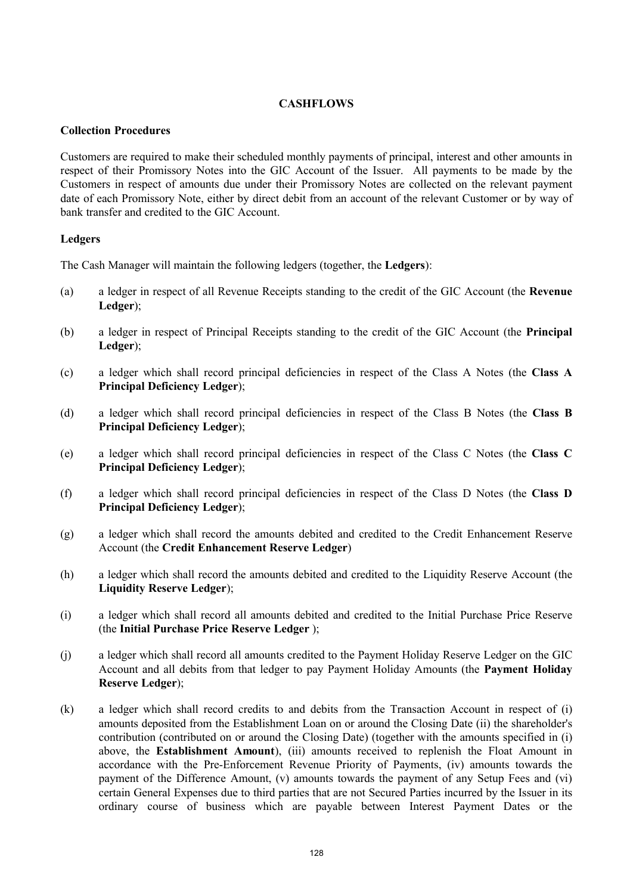## **CASHFLOWS**

## **Collection Procedures**

Customers are required to make their scheduled monthly payments of principal, interest and other amounts in respect of their Promissory Notes into the GIC Account of the Issuer. All payments to be made by the Customers in respect of amounts due under their Promissory Notes are collected on the relevant payment date of each Promissory Note, either by direct debit from an account of the relevant Customer or by way of bank transfer and credited to the GIC Account.

# **Ledgers**

The Cash Manager will maintain the following ledgers (together, the **Ledgers**):

- (a) a ledger in respect of all Revenue Receipts standing to the credit of the GIC Account (the **Revenue Ledger**);
- (b) a ledger in respect of Principal Receipts standing to the credit of the GIC Account (the **Principal Ledger**);
- (c) a ledger which shall record principal deficiencies in respect of the Class A Notes (the **Class A Principal Deficiency Ledger**);
- (d) a ledger which shall record principal deficiencies in respect of the Class B Notes (the **Class B Principal Deficiency Ledger**);
- (e) a ledger which shall record principal deficiencies in respect of the Class C Notes (the **Class C Principal Deficiency Ledger**);
- (f) a ledger which shall record principal deficiencies in respect of the Class D Notes (the **Class D Principal Deficiency Ledger**);
- (g) a ledger which shall record the amounts debited and credited to the Credit Enhancement Reserve Account (the **Credit Enhancement Reserve Ledger**)
- (h) a ledger which shall record the amounts debited and credited to the Liquidity Reserve Account (the **Liquidity Reserve Ledger**);
- (i) a ledger which shall record all amounts debited and credited to the Initial Purchase Price Reserve (the **Initial Purchase Price Reserve Ledger** );
- (j) a ledger which shall record all amounts credited to the Payment Holiday Reserve Ledger on the GIC Account and all debits from that ledger to pay Payment Holiday Amounts (the **Payment Holiday Reserve Ledger**);
- (k) a ledger which shall record credits to and debits from the Transaction Account in respect of (i) amounts deposited from the Establishment Loan on or around the Closing Date (ii) the shareholder's contribution (contributed on or around the Closing Date) (together with the amounts specified in (i) above, the **Establishment Amount**), (iii) amounts received to replenish the Float Amount in accordance with the Pre-Enforcement Revenue Priority of Payments, (iv) amounts towards the payment of the Difference Amount, (v) amounts towards the payment of any Setup Fees and (vi) certain General Expenses due to third parties that are not Secured Parties incurred by the Issuer in its ordinary course of business which are payable between Interest Payment Dates or the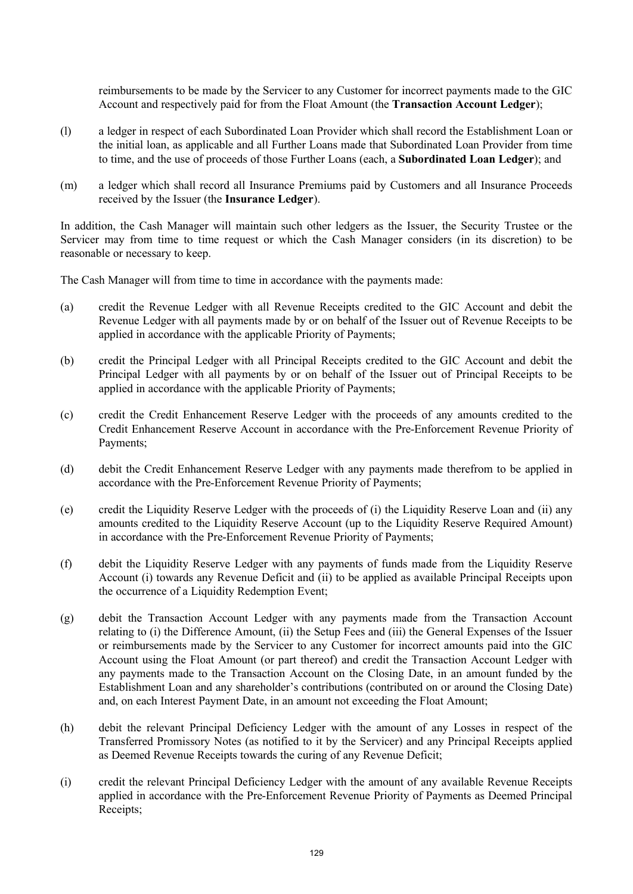reimbursements to be made by the Servicer to any Customer for incorrect payments made to the GIC Account and respectively paid for from the Float Amount (the **Transaction Account Ledger**);

- (l) a ledger in respect of each Subordinated Loan Provider which shall record the Establishment Loan or the initial loan, as applicable and all Further Loans made that Subordinated Loan Provider from time to time, and the use of proceeds of those Further Loans (each, a **Subordinated Loan Ledger**); and
- (m) a ledger which shall record all Insurance Premiums paid by Customers and all Insurance Proceeds received by the Issuer (the **Insurance Ledger**).

In addition, the Cash Manager will maintain such other ledgers as the Issuer, the Security Trustee or the Servicer may from time to time request or which the Cash Manager considers (in its discretion) to be reasonable or necessary to keep.

The Cash Manager will from time to time in accordance with the payments made:

- (a) credit the Revenue Ledger with all Revenue Receipts credited to the GIC Account and debit the Revenue Ledger with all payments made by or on behalf of the Issuer out of Revenue Receipts to be applied in accordance with the applicable Priority of Payments;
- (b) credit the Principal Ledger with all Principal Receipts credited to the GIC Account and debit the Principal Ledger with all payments by or on behalf of the Issuer out of Principal Receipts to be applied in accordance with the applicable Priority of Payments;
- (c) credit the Credit Enhancement Reserve Ledger with the proceeds of any amounts credited to the Credit Enhancement Reserve Account in accordance with the Pre-Enforcement Revenue Priority of Payments;
- (d) debit the Credit Enhancement Reserve Ledger with any payments made therefrom to be applied in accordance with the Pre-Enforcement Revenue Priority of Payments;
- (e) credit the Liquidity Reserve Ledger with the proceeds of (i) the Liquidity Reserve Loan and (ii) any amounts credited to the Liquidity Reserve Account (up to the Liquidity Reserve Required Amount) in accordance with the Pre-Enforcement Revenue Priority of Payments;
- (f) debit the Liquidity Reserve Ledger with any payments of funds made from the Liquidity Reserve Account (i) towards any Revenue Deficit and (ii) to be applied as available Principal Receipts upon the occurrence of a Liquidity Redemption Event;
- (g) debit the Transaction Account Ledger with any payments made from the Transaction Account relating to (i) the Difference Amount, (ii) the Setup Fees and (iii) the General Expenses of the Issuer or reimbursements made by the Servicer to any Customer for incorrect amounts paid into the GIC Account using the Float Amount (or part thereof) and credit the Transaction Account Ledger with any payments made to the Transaction Account on the Closing Date, in an amount funded by the Establishment Loan and any shareholder's contributions (contributed on or around the Closing Date) and, on each Interest Payment Date, in an amount not exceeding the Float Amount;
- (h) debit the relevant Principal Deficiency Ledger with the amount of any Losses in respect of the Transferred Promissory Notes (as notified to it by the Servicer) and any Principal Receipts applied as Deemed Revenue Receipts towards the curing of any Revenue Deficit;
- (i) credit the relevant Principal Deficiency Ledger with the amount of any available Revenue Receipts applied in accordance with the Pre-Enforcement Revenue Priority of Payments as Deemed Principal Receipts;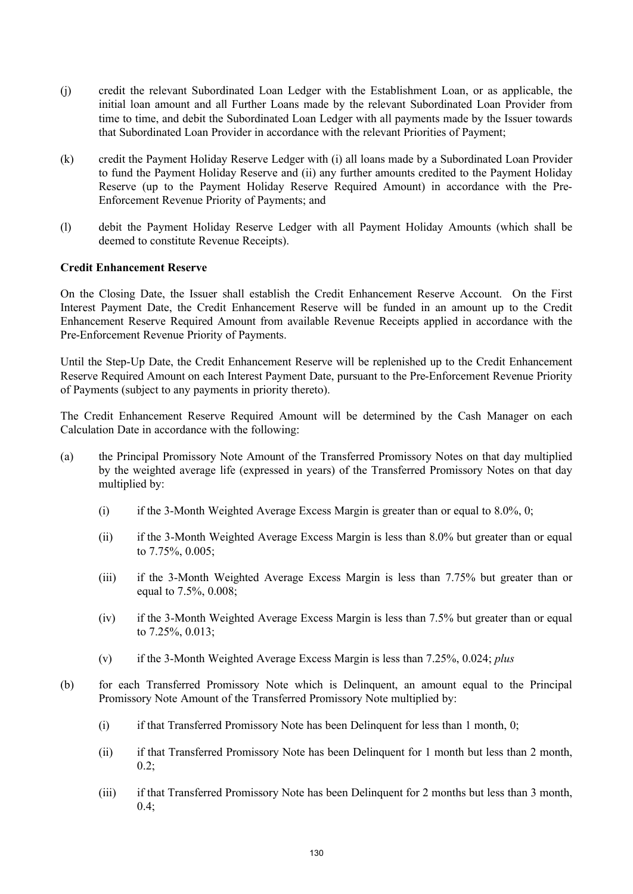- (j) credit the relevant Subordinated Loan Ledger with the Establishment Loan, or as applicable, the initial loan amount and all Further Loans made by the relevant Subordinated Loan Provider from time to time, and debit the Subordinated Loan Ledger with all payments made by the Issuer towards that Subordinated Loan Provider in accordance with the relevant Priorities of Payment;
- (k) credit the Payment Holiday Reserve Ledger with (i) all loans made by a Subordinated Loan Provider to fund the Payment Holiday Reserve and (ii) any further amounts credited to the Payment Holiday Reserve (up to the Payment Holiday Reserve Required Amount) in accordance with the Pre-Enforcement Revenue Priority of Payments; and
- (l) debit the Payment Holiday Reserve Ledger with all Payment Holiday Amounts (which shall be deemed to constitute Revenue Receipts).

### **Credit Enhancement Reserve**

On the Closing Date, the Issuer shall establish the Credit Enhancement Reserve Account. On the First Interest Payment Date, the Credit Enhancement Reserve will be funded in an amount up to the Credit Enhancement Reserve Required Amount from available Revenue Receipts applied in accordance with the Pre-Enforcement Revenue Priority of Payments.

Until the Step-Up Date, the Credit Enhancement Reserve will be replenished up to the Credit Enhancement Reserve Required Amount on each Interest Payment Date, pursuant to the Pre-Enforcement Revenue Priority of Payments (subject to any payments in priority thereto).

The Credit Enhancement Reserve Required Amount will be determined by the Cash Manager on each Calculation Date in accordance with the following:

- (a) the Principal Promissory Note Amount of the Transferred Promissory Notes on that day multiplied by the weighted average life (expressed in years) of the Transferred Promissory Notes on that day multiplied by:
	- (i) if the 3-Month Weighted Average Excess Margin is greater than or equal to  $8.0\%$ , 0;
	- (ii) if the 3-Month Weighted Average Excess Margin is less than 8.0% but greater than or equal to 7.75%, 0.005;
	- (iii) if the 3-Month Weighted Average Excess Margin is less than 7.75% but greater than or equal to 7.5%, 0.008;
	- (iv) if the 3-Month Weighted Average Excess Margin is less than 7.5% but greater than or equal to 7.25%, 0.013;
	- (v) if the 3-Month Weighted Average Excess Margin is less than 7.25%, 0.024; *plus*
- (b) for each Transferred Promissory Note which is Delinquent, an amount equal to the Principal Promissory Note Amount of the Transferred Promissory Note multiplied by:
	- (i) if that Transferred Promissory Note has been Delinquent for less than 1 month, 0;
	- (ii) if that Transferred Promissory Note has been Delinquent for 1 month but less than 2 month,  $0.2$ :
	- (iii) if that Transferred Promissory Note has been Delinquent for 2 months but less than 3 month,  $0.4;$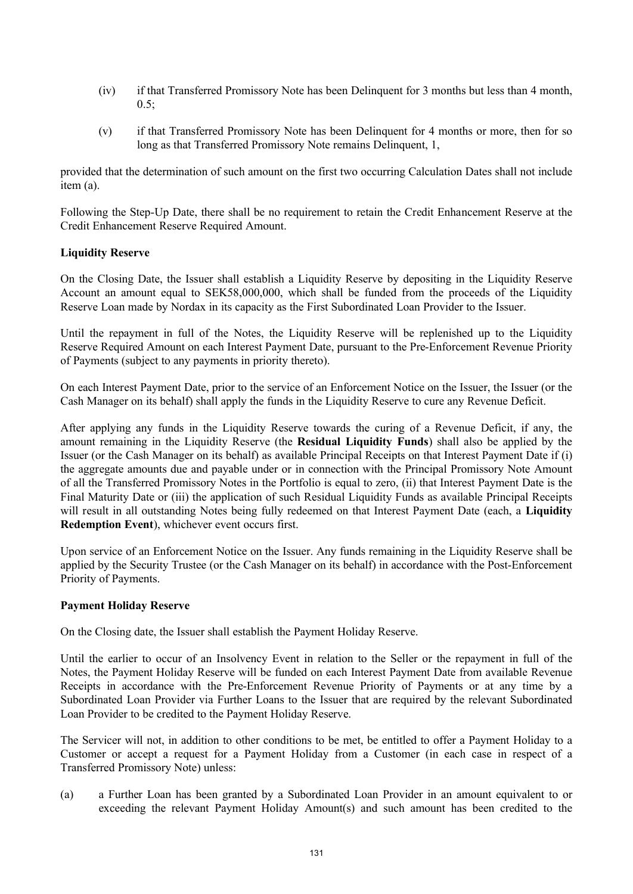- (iv) if that Transferred Promissory Note has been Delinquent for 3 months but less than 4 month,  $0.5$ ;
- (v) if that Transferred Promissory Note has been Delinquent for 4 months or more, then for so long as that Transferred Promissory Note remains Delinquent, 1,

provided that the determination of such amount on the first two occurring Calculation Dates shall not include item (a).

Following the Step-Up Date, there shall be no requirement to retain the Credit Enhancement Reserve at the Credit Enhancement Reserve Required Amount.

## **Liquidity Reserve**

On the Closing Date, the Issuer shall establish a Liquidity Reserve by depositing in the Liquidity Reserve Account an amount equal to SEK58,000,000, which shall be funded from the proceeds of the Liquidity Reserve Loan made by Nordax in its capacity as the First Subordinated Loan Provider to the Issuer.

Until the repayment in full of the Notes, the Liquidity Reserve will be replenished up to the Liquidity Reserve Required Amount on each Interest Payment Date, pursuant to the Pre-Enforcement Revenue Priority of Payments (subject to any payments in priority thereto).

On each Interest Payment Date, prior to the service of an Enforcement Notice on the Issuer, the Issuer (or the Cash Manager on its behalf) shall apply the funds in the Liquidity Reserve to cure any Revenue Deficit.

After applying any funds in the Liquidity Reserve towards the curing of a Revenue Deficit, if any, the amount remaining in the Liquidity Reserve (the **Residual Liquidity Funds**) shall also be applied by the Issuer (or the Cash Manager on its behalf) as available Principal Receipts on that Interest Payment Date if (i) the aggregate amounts due and payable under or in connection with the Principal Promissory Note Amount of all the Transferred Promissory Notes in the Portfolio is equal to zero, (ii) that Interest Payment Date is the Final Maturity Date or (iii) the application of such Residual Liquidity Funds as available Principal Receipts will result in all outstanding Notes being fully redeemed on that Interest Payment Date (each, a **Liquidity Redemption Event**), whichever event occurs first.

Upon service of an Enforcement Notice on the Issuer. Any funds remaining in the Liquidity Reserve shall be applied by the Security Trustee (or the Cash Manager on its behalf) in accordance with the Post-Enforcement Priority of Payments.

### **Payment Holiday Reserve**

On the Closing date, the Issuer shall establish the Payment Holiday Reserve.

Until the earlier to occur of an Insolvency Event in relation to the Seller or the repayment in full of the Notes, the Payment Holiday Reserve will be funded on each Interest Payment Date from available Revenue Receipts in accordance with the Pre-Enforcement Revenue Priority of Payments or at any time by a Subordinated Loan Provider via Further Loans to the Issuer that are required by the relevant Subordinated Loan Provider to be credited to the Payment Holiday Reserve.

The Servicer will not, in addition to other conditions to be met, be entitled to offer a Payment Holiday to a Customer or accept a request for a Payment Holiday from a Customer (in each case in respect of a Transferred Promissory Note) unless:

(a) a Further Loan has been granted by a Subordinated Loan Provider in an amount equivalent to or exceeding the relevant Payment Holiday Amount(s) and such amount has been credited to the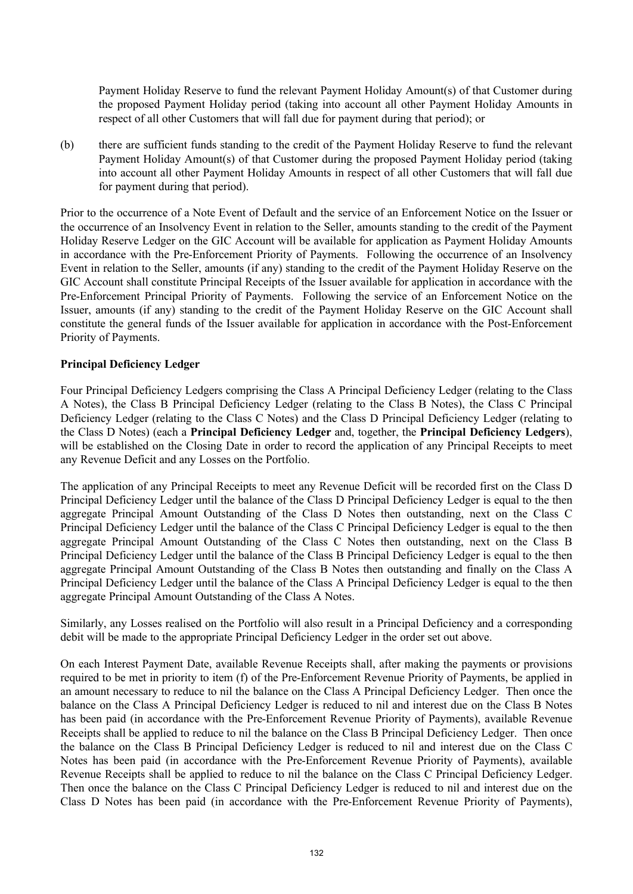Payment Holiday Reserve to fund the relevant Payment Holiday Amount(s) of that Customer during the proposed Payment Holiday period (taking into account all other Payment Holiday Amounts in respect of all other Customers that will fall due for payment during that period); or

(b) there are sufficient funds standing to the credit of the Payment Holiday Reserve to fund the relevant Payment Holiday Amount(s) of that Customer during the proposed Payment Holiday period (taking into account all other Payment Holiday Amounts in respect of all other Customers that will fall due for payment during that period).

Prior to the occurrence of a Note Event of Default and the service of an Enforcement Notice on the Issuer or the occurrence of an Insolvency Event in relation to the Seller, amounts standing to the credit of the Payment Holiday Reserve Ledger on the GIC Account will be available for application as Payment Holiday Amounts in accordance with the Pre-Enforcement Priority of Payments. Following the occurrence of an Insolvency Event in relation to the Seller, amounts (if any) standing to the credit of the Payment Holiday Reserve on the GIC Account shall constitute Principal Receipts of the Issuer available for application in accordance with the Pre-Enforcement Principal Priority of Payments. Following the service of an Enforcement Notice on the Issuer, amounts (if any) standing to the credit of the Payment Holiday Reserve on the GIC Account shall constitute the general funds of the Issuer available for application in accordance with the Post-Enforcement Priority of Payments.

## **Principal Deficiency Ledger**

Four Principal Deficiency Ledgers comprising the Class A Principal Deficiency Ledger (relating to the Class A Notes), the Class B Principal Deficiency Ledger (relating to the Class B Notes), the Class C Principal Deficiency Ledger (relating to the Class C Notes) and the Class D Principal Deficiency Ledger (relating to the Class D Notes) (each a **Principal Deficiency Ledger** and, together, the **Principal Deficiency Ledgers**), will be established on the Closing Date in order to record the application of any Principal Receipts to meet any Revenue Deficit and any Losses on the Portfolio.

The application of any Principal Receipts to meet any Revenue Deficit will be recorded first on the Class D Principal Deficiency Ledger until the balance of the Class D Principal Deficiency Ledger is equal to the then aggregate Principal Amount Outstanding of the Class D Notes then outstanding, next on the Class C Principal Deficiency Ledger until the balance of the Class C Principal Deficiency Ledger is equal to the then aggregate Principal Amount Outstanding of the Class C Notes then outstanding, next on the Class B Principal Deficiency Ledger until the balance of the Class B Principal Deficiency Ledger is equal to the then aggregate Principal Amount Outstanding of the Class B Notes then outstanding and finally on the Class A Principal Deficiency Ledger until the balance of the Class A Principal Deficiency Ledger is equal to the then aggregate Principal Amount Outstanding of the Class A Notes.

Similarly, any Losses realised on the Portfolio will also result in a Principal Deficiency and a corresponding debit will be made to the appropriate Principal Deficiency Ledger in the order set out above.

On each Interest Payment Date, available Revenue Receipts shall, after making the payments or provisions required to be met in priority to item (f) of the Pre-Enforcement Revenue Priority of Payments, be applied in an amount necessary to reduce to nil the balance on the Class A Principal Deficiency Ledger. Then once the balance on the Class A Principal Deficiency Ledger is reduced to nil and interest due on the Class B Notes has been paid (in accordance with the Pre-Enforcement Revenue Priority of Payments), available Revenue Receipts shall be applied to reduce to nil the balance on the Class B Principal Deficiency Ledger. Then once the balance on the Class B Principal Deficiency Ledger is reduced to nil and interest due on the Class C Notes has been paid (in accordance with the Pre-Enforcement Revenue Priority of Payments), available Revenue Receipts shall be applied to reduce to nil the balance on the Class C Principal Deficiency Ledger. Then once the balance on the Class C Principal Deficiency Ledger is reduced to nil and interest due on the Class D Notes has been paid (in accordance with the Pre-Enforcement Revenue Priority of Payments),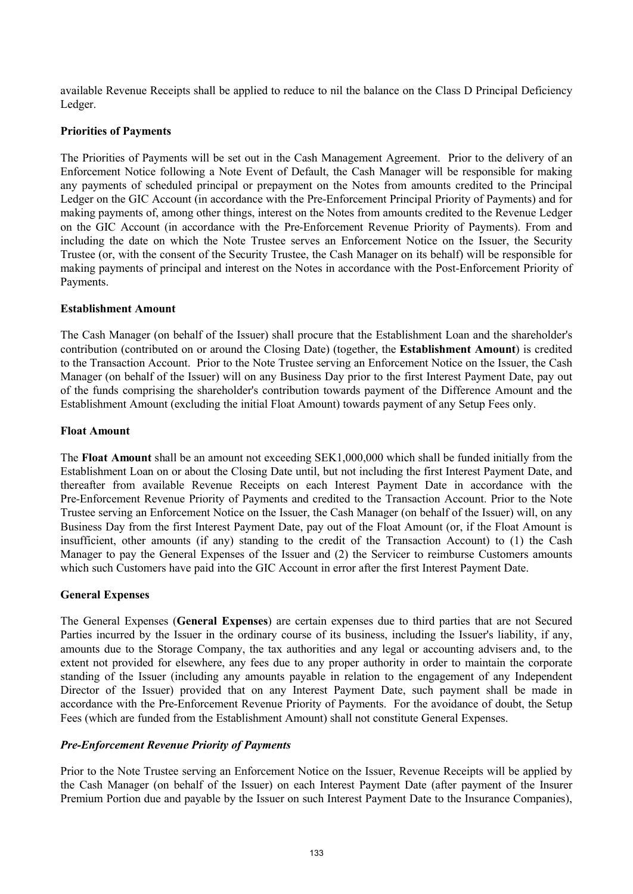available Revenue Receipts shall be applied to reduce to nil the balance on the Class D Principal Deficiency Ledger.

### **Priorities of Payments**

The Priorities of Payments will be set out in the Cash Management Agreement. Prior to the delivery of an Enforcement Notice following a Note Event of Default, the Cash Manager will be responsible for making any payments of scheduled principal or prepayment on the Notes from amounts credited to the Principal Ledger on the GIC Account (in accordance with the Pre-Enforcement Principal Priority of Payments) and for making payments of, among other things, interest on the Notes from amounts credited to the Revenue Ledger on the GIC Account (in accordance with the Pre-Enforcement Revenue Priority of Payments). From and including the date on which the Note Trustee serves an Enforcement Notice on the Issuer, the Security Trustee (or, with the consent of the Security Trustee, the Cash Manager on its behalf) will be responsible for making payments of principal and interest on the Notes in accordance with the Post-Enforcement Priority of Payments.

## **Establishment Amount**

The Cash Manager (on behalf of the Issuer) shall procure that the Establishment Loan and the shareholder's contribution (contributed on or around the Closing Date) (together, the **Establishment Amount**) is credited to the Transaction Account. Prior to the Note Trustee serving an Enforcement Notice on the Issuer, the Cash Manager (on behalf of the Issuer) will on any Business Day prior to the first Interest Payment Date, pay out of the funds comprising the shareholder's contribution towards payment of the Difference Amount and the Establishment Amount (excluding the initial Float Amount) towards payment of any Setup Fees only.

## **Float Amount**

The **Float Amount** shall be an amount not exceeding SEK1,000,000 which shall be funded initially from the Establishment Loan on or about the Closing Date until, but not including the first Interest Payment Date, and thereafter from available Revenue Receipts on each Interest Payment Date in accordance with the Pre-Enforcement Revenue Priority of Payments and credited to the Transaction Account. Prior to the Note Trustee serving an Enforcement Notice on the Issuer, the Cash Manager (on behalf of the Issuer) will, on any Business Day from the first Interest Payment Date, pay out of the Float Amount (or, if the Float Amount is insufficient, other amounts (if any) standing to the credit of the Transaction Account) to (1) the Cash Manager to pay the General Expenses of the Issuer and (2) the Servicer to reimburse Customers amounts which such Customers have paid into the GIC Account in error after the first Interest Payment Date.

# **General Expenses**

The General Expenses (**General Expenses**) are certain expenses due to third parties that are not Secured Parties incurred by the Issuer in the ordinary course of its business, including the Issuer's liability, if any, amounts due to the Storage Company, the tax authorities and any legal or accounting advisers and, to the extent not provided for elsewhere, any fees due to any proper authority in order to maintain the corporate standing of the Issuer (including any amounts payable in relation to the engagement of any Independent Director of the Issuer) provided that on any Interest Payment Date, such payment shall be made in accordance with the Pre-Enforcement Revenue Priority of Payments. For the avoidance of doubt, the Setup Fees (which are funded from the Establishment Amount) shall not constitute General Expenses.

# *Pre-Enforcement Revenue Priority of Payments*

Prior to the Note Trustee serving an Enforcement Notice on the Issuer, Revenue Receipts will be applied by the Cash Manager (on behalf of the Issuer) on each Interest Payment Date (after payment of the Insurer Premium Portion due and payable by the Issuer on such Interest Payment Date to the Insurance Companies),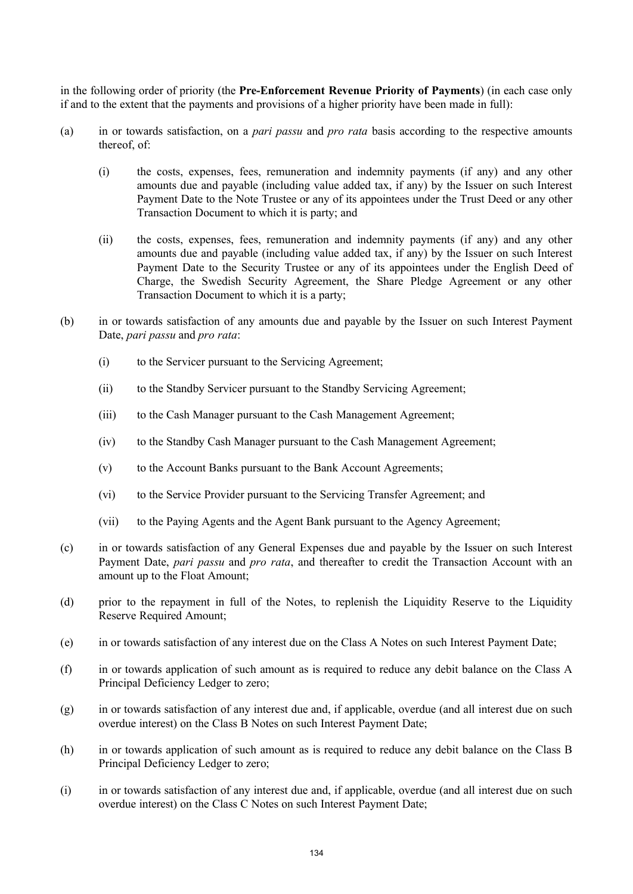in the following order of priority (the **Pre-Enforcement Revenue Priority of Payments**) (in each case only if and to the extent that the payments and provisions of a higher priority have been made in full):

- (a) in or towards satisfaction, on a *pari passu* and *pro rata* basis according to the respective amounts thereof, of:
	- (i) the costs, expenses, fees, remuneration and indemnity payments (if any) and any other amounts due and payable (including value added tax, if any) by the Issuer on such Interest Payment Date to the Note Trustee or any of its appointees under the Trust Deed or any other Transaction Document to which it is party; and
	- (ii) the costs, expenses, fees, remuneration and indemnity payments (if any) and any other amounts due and payable (including value added tax, if any) by the Issuer on such Interest Payment Date to the Security Trustee or any of its appointees under the English Deed of Charge, the Swedish Security Agreement, the Share Pledge Agreement or any other Transaction Document to which it is a party;
- (b) in or towards satisfaction of any amounts due and payable by the Issuer on such Interest Payment Date, *pari passu* and *pro rata*:
	- (i) to the Servicer pursuant to the Servicing Agreement;
	- (ii) to the Standby Servicer pursuant to the Standby Servicing Agreement;
	- (iii) to the Cash Manager pursuant to the Cash Management Agreement;
	- (iv) to the Standby Cash Manager pursuant to the Cash Management Agreement;
	- (v) to the Account Banks pursuant to the Bank Account Agreements;
	- (vi) to the Service Provider pursuant to the Servicing Transfer Agreement; and
	- (vii) to the Paying Agents and the Agent Bank pursuant to the Agency Agreement;
- (c) in or towards satisfaction of any General Expenses due and payable by the Issuer on such Interest Payment Date, *pari passu* and *pro rata*, and thereafter to credit the Transaction Account with an amount up to the Float Amount;
- (d) prior to the repayment in full of the Notes, to replenish the Liquidity Reserve to the Liquidity Reserve Required Amount;
- (e) in or towards satisfaction of any interest due on the Class A Notes on such Interest Payment Date;
- (f) in or towards application of such amount as is required to reduce any debit balance on the Class A Principal Deficiency Ledger to zero;
- (g) in or towards satisfaction of any interest due and, if applicable, overdue (and all interest due on such overdue interest) on the Class B Notes on such Interest Payment Date;
- (h) in or towards application of such amount as is required to reduce any debit balance on the Class B Principal Deficiency Ledger to zero;
- (i) in or towards satisfaction of any interest due and, if applicable, overdue (and all interest due on such overdue interest) on the Class C Notes on such Interest Payment Date;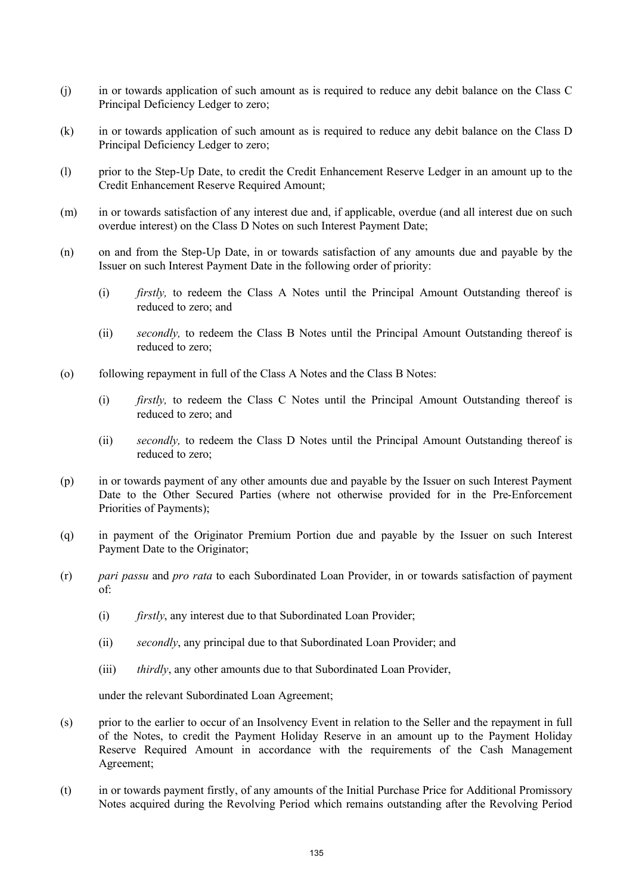- (j) in or towards application of such amount as is required to reduce any debit balance on the Class C Principal Deficiency Ledger to zero;
- (k) in or towards application of such amount as is required to reduce any debit balance on the Class D Principal Deficiency Ledger to zero;
- (l) prior to the Step-Up Date, to credit the Credit Enhancement Reserve Ledger in an amount up to the Credit Enhancement Reserve Required Amount;
- (m) in or towards satisfaction of any interest due and, if applicable, overdue (and all interest due on such overdue interest) on the Class D Notes on such Interest Payment Date;
- (n) on and from the Step-Up Date, in or towards satisfaction of any amounts due and payable by the Issuer on such Interest Payment Date in the following order of priority:
	- (i) *firstly,* to redeem the Class A Notes until the Principal Amount Outstanding thereof is reduced to zero; and
	- (ii) *secondly,* to redeem the Class B Notes until the Principal Amount Outstanding thereof is reduced to zero;
- (o) following repayment in full of the Class A Notes and the Class B Notes:
	- (i) *firstly,* to redeem the Class C Notes until the Principal Amount Outstanding thereof is reduced to zero; and
	- (ii) *secondly,* to redeem the Class D Notes until the Principal Amount Outstanding thereof is reduced to zero;
- (p) in or towards payment of any other amounts due and payable by the Issuer on such Interest Payment Date to the Other Secured Parties (where not otherwise provided for in the Pre-Enforcement Priorities of Payments);
- (q) in payment of the Originator Premium Portion due and payable by the Issuer on such Interest Payment Date to the Originator;
- (r) *pari passu* and *pro rata* to each Subordinated Loan Provider, in or towards satisfaction of payment of:
	- (i) *firstly*, any interest due to that Subordinated Loan Provider;
	- (ii) *secondly*, any principal due to that Subordinated Loan Provider; and
	- (iii) *thirdly*, any other amounts due to that Subordinated Loan Provider,

under the relevant Subordinated Loan Agreement;

- (s) prior to the earlier to occur of an Insolvency Event in relation to the Seller and the repayment in full of the Notes, to credit the Payment Holiday Reserve in an amount up to the Payment Holiday Reserve Required Amount in accordance with the requirements of the Cash Management Agreement;
- (t) in or towards payment firstly, of any amounts of the Initial Purchase Price for Additional Promissory Notes acquired during the Revolving Period which remains outstanding after the Revolving Period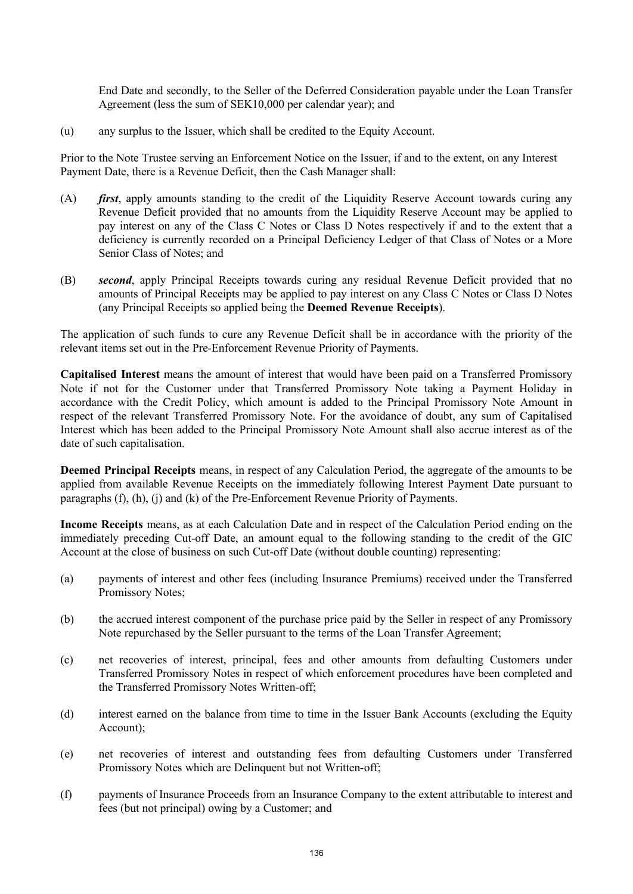End Date and secondly, to the Seller of the Deferred Consideration payable under the Loan Transfer Agreement (less the sum of SEK10,000 per calendar year); and

(u) any surplus to the Issuer, which shall be credited to the Equity Account.

Prior to the Note Trustee serving an Enforcement Notice on the Issuer, if and to the extent, on any Interest Payment Date, there is a Revenue Deficit, then the Cash Manager shall:

- (A) *first*, apply amounts standing to the credit of the Liquidity Reserve Account towards curing any Revenue Deficit provided that no amounts from the Liquidity Reserve Account may be applied to pay interest on any of the Class C Notes or Class D Notes respectively if and to the extent that a deficiency is currently recorded on a Principal Deficiency Ledger of that Class of Notes or a More Senior Class of Notes; and
- (B) *second*, apply Principal Receipts towards curing any residual Revenue Deficit provided that no amounts of Principal Receipts may be applied to pay interest on any Class C Notes or Class D Notes (any Principal Receipts so applied being the **Deemed Revenue Receipts**).

The application of such funds to cure any Revenue Deficit shall be in accordance with the priority of the relevant items set out in the Pre-Enforcement Revenue Priority of Payments.

**Capitalised Interest** means the amount of interest that would have been paid on a Transferred Promissory Note if not for the Customer under that Transferred Promissory Note taking a Payment Holiday in accordance with the Credit Policy, which amount is added to the Principal Promissory Note Amount in respect of the relevant Transferred Promissory Note. For the avoidance of doubt, any sum of Capitalised Interest which has been added to the Principal Promissory Note Amount shall also accrue interest as of the date of such capitalisation.

**Deemed Principal Receipts** means, in respect of any Calculation Period, the aggregate of the amounts to be applied from available Revenue Receipts on the immediately following Interest Payment Date pursuant to paragraphs (f), (h), (j) and (k) of the Pre-Enforcement Revenue Priority of Payments.

**Income Receipts** means, as at each Calculation Date and in respect of the Calculation Period ending on the immediately preceding Cut-off Date, an amount equal to the following standing to the credit of the GIC Account at the close of business on such Cut-off Date (without double counting) representing:

- (a) payments of interest and other fees (including Insurance Premiums) received under the Transferred Promissory Notes;
- (b) the accrued interest component of the purchase price paid by the Seller in respect of any Promissory Note repurchased by the Seller pursuant to the terms of the Loan Transfer Agreement;
- (c) net recoveries of interest, principal, fees and other amounts from defaulting Customers under Transferred Promissory Notes in respect of which enforcement procedures have been completed and the Transferred Promissory Notes Written-off;
- (d) interest earned on the balance from time to time in the Issuer Bank Accounts (excluding the Equity Account);
- (e) net recoveries of interest and outstanding fees from defaulting Customers under Transferred Promissory Notes which are Delinquent but not Written-off;
- (f) payments of Insurance Proceeds from an Insurance Company to the extent attributable to interest and fees (but not principal) owing by a Customer; and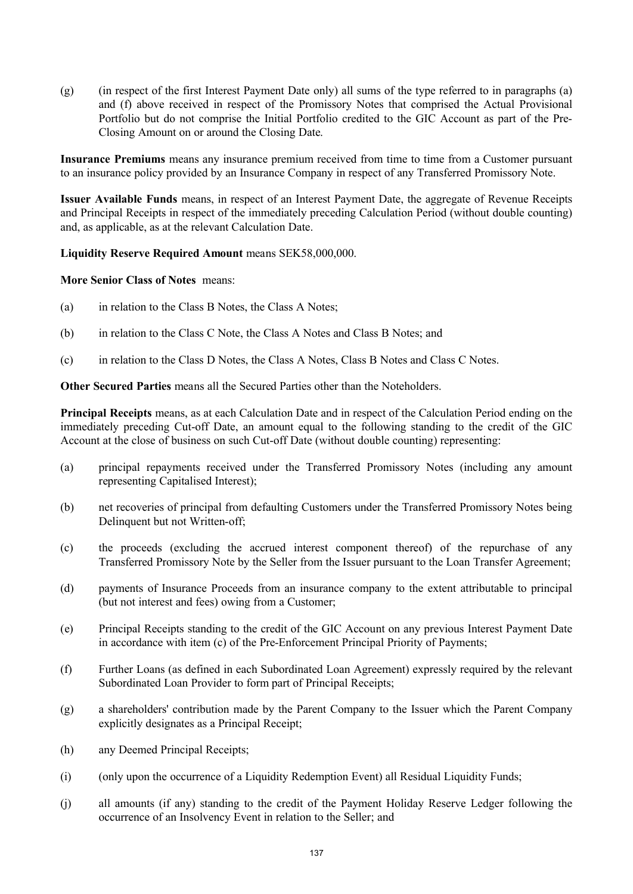(g) (in respect of the first Interest Payment Date only) all sums of the type referred to in paragraphs (a) and (f) above received in respect of the Promissory Notes that comprised the Actual Provisional Portfolio but do not comprise the Initial Portfolio credited to the GIC Account as part of the Pre-Closing Amount on or around the Closing Date.

**Insurance Premiums** means any insurance premium received from time to time from a Customer pursuant to an insurance policy provided by an Insurance Company in respect of any Transferred Promissory Note.

**Issuer Available Funds** means, in respect of an Interest Payment Date, the aggregate of Revenue Receipts and Principal Receipts in respect of the immediately preceding Calculation Period (without double counting) and, as applicable, as at the relevant Calculation Date.

## **Liquidity Reserve Required Amount** means SEK58,000,000.

**More Senior Class of Notes** means:

- (a) in relation to the Class B Notes, the Class A Notes;
- (b) in relation to the Class C Note, the Class A Notes and Class B Notes; and
- (c) in relation to the Class D Notes, the Class A Notes, Class B Notes and Class C Notes.

**Other Secured Parties** means all the Secured Parties other than the Noteholders.

**Principal Receipts** means, as at each Calculation Date and in respect of the Calculation Period ending on the immediately preceding Cut-off Date, an amount equal to the following standing to the credit of the GIC Account at the close of business on such Cut-off Date (without double counting) representing:

- (a) principal repayments received under the Transferred Promissory Notes (including any amount representing Capitalised Interest);
- (b) net recoveries of principal from defaulting Customers under the Transferred Promissory Notes being Delinquent but not Written-off;
- (c) the proceeds (excluding the accrued interest component thereof) of the repurchase of any Transferred Promissory Note by the Seller from the Issuer pursuant to the Loan Transfer Agreement;
- (d) payments of Insurance Proceeds from an insurance company to the extent attributable to principal (but not interest and fees) owing from a Customer;
- (e) Principal Receipts standing to the credit of the GIC Account on any previous Interest Payment Date in accordance with item (c) of the Pre-Enforcement Principal Priority of Payments;
- (f) Further Loans (as defined in each Subordinated Loan Agreement) expressly required by the relevant Subordinated Loan Provider to form part of Principal Receipts;
- (g) a shareholders' contribution made by the Parent Company to the Issuer which the Parent Company explicitly designates as a Principal Receipt;
- (h) any Deemed Principal Receipts;
- (i) (only upon the occurrence of a Liquidity Redemption Event) all Residual Liquidity Funds;
- (j) all amounts (if any) standing to the credit of the Payment Holiday Reserve Ledger following the occurrence of an Insolvency Event in relation to the Seller; and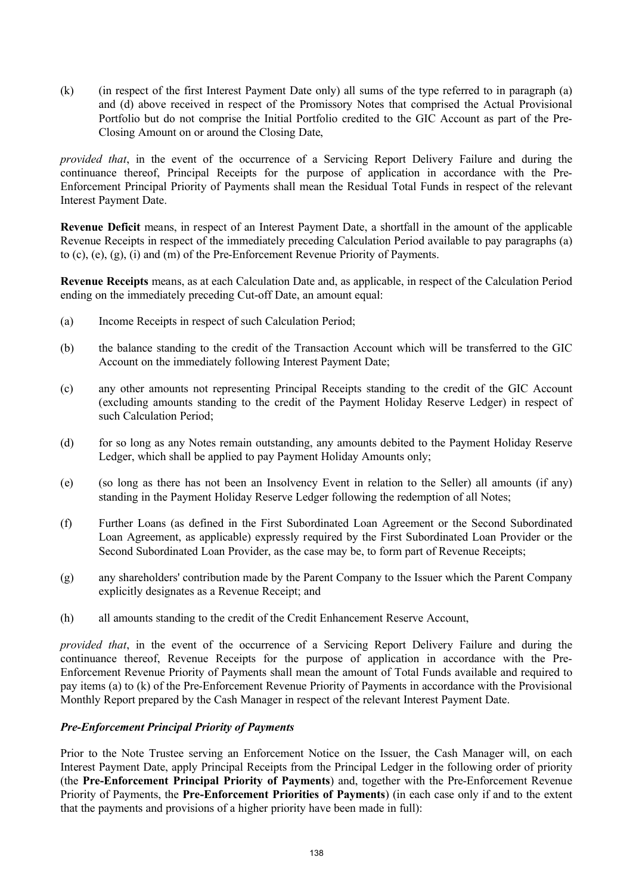(k) (in respect of the first Interest Payment Date only) all sums of the type referred to in paragraph (a) and (d) above received in respect of the Promissory Notes that comprised the Actual Provisional Portfolio but do not comprise the Initial Portfolio credited to the GIC Account as part of the Pre-Closing Amount on or around the Closing Date,

*provided that*, in the event of the occurrence of a Servicing Report Delivery Failure and during the continuance thereof, Principal Receipts for the purpose of application in accordance with the Pre-Enforcement Principal Priority of Payments shall mean the Residual Total Funds in respect of the relevant Interest Payment Date.

**Revenue Deficit** means, in respect of an Interest Payment Date, a shortfall in the amount of the applicable Revenue Receipts in respect of the immediately preceding Calculation Period available to pay paragraphs (a) to (c), (e), (g), (i) and (m) of the Pre-Enforcement Revenue Priority of Payments.

**Revenue Receipts** means, as at each Calculation Date and, as applicable, in respect of the Calculation Period ending on the immediately preceding Cut-off Date, an amount equal:

- (a) Income Receipts in respect of such Calculation Period;
- (b) the balance standing to the credit of the Transaction Account which will be transferred to the GIC Account on the immediately following Interest Payment Date;
- (c) any other amounts not representing Principal Receipts standing to the credit of the GIC Account (excluding amounts standing to the credit of the Payment Holiday Reserve Ledger) in respect of such Calculation Period;
- (d) for so long as any Notes remain outstanding, any amounts debited to the Payment Holiday Reserve Ledger, which shall be applied to pay Payment Holiday Amounts only;
- (e) (so long as there has not been an Insolvency Event in relation to the Seller) all amounts (if any) standing in the Payment Holiday Reserve Ledger following the redemption of all Notes;
- (f) Further Loans (as defined in the First Subordinated Loan Agreement or the Second Subordinated Loan Agreement, as applicable) expressly required by the First Subordinated Loan Provider or the Second Subordinated Loan Provider, as the case may be, to form part of Revenue Receipts;
- (g) any shareholders' contribution made by the Parent Company to the Issuer which the Parent Company explicitly designates as a Revenue Receipt; and
- (h) all amounts standing to the credit of the Credit Enhancement Reserve Account,

*provided that*, in the event of the occurrence of a Servicing Report Delivery Failure and during the continuance thereof, Revenue Receipts for the purpose of application in accordance with the Pre-Enforcement Revenue Priority of Payments shall mean the amount of Total Funds available and required to pay items (a) to (k) of the Pre-Enforcement Revenue Priority of Payments in accordance with the Provisional Monthly Report prepared by the Cash Manager in respect of the relevant Interest Payment Date.

### *Pre-Enforcement Principal Priority of Payments*

Prior to the Note Trustee serving an Enforcement Notice on the Issuer, the Cash Manager will, on each Interest Payment Date, apply Principal Receipts from the Principal Ledger in the following order of priority (the **Pre-Enforcement Principal Priority of Payments**) and, together with the Pre-Enforcement Revenue Priority of Payments, the **Pre-Enforcement Priorities of Payments**) (in each case only if and to the extent that the payments and provisions of a higher priority have been made in full):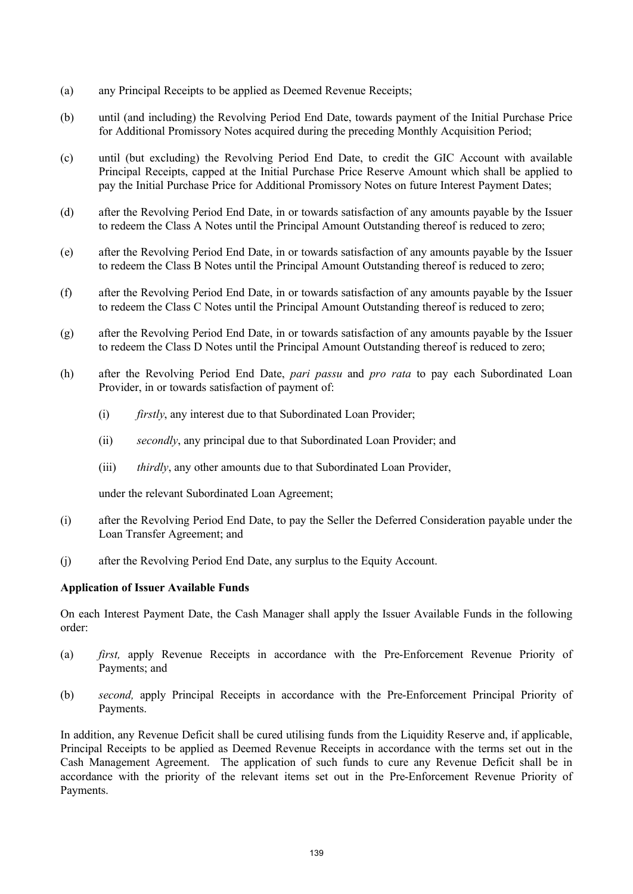- (a) any Principal Receipts to be applied as Deemed Revenue Receipts;
- (b) until (and including) the Revolving Period End Date, towards payment of the Initial Purchase Price for Additional Promissory Notes acquired during the preceding Monthly Acquisition Period;
- (c) until (but excluding) the Revolving Period End Date, to credit the GIC Account with available Principal Receipts, capped at the Initial Purchase Price Reserve Amount which shall be applied to pay the Initial Purchase Price for Additional Promissory Notes on future Interest Payment Dates;
- (d) after the Revolving Period End Date, in or towards satisfaction of any amounts payable by the Issuer to redeem the Class A Notes until the Principal Amount Outstanding thereof is reduced to zero;
- (e) after the Revolving Period End Date, in or towards satisfaction of any amounts payable by the Issuer to redeem the Class B Notes until the Principal Amount Outstanding thereof is reduced to zero;
- (f) after the Revolving Period End Date, in or towards satisfaction of any amounts payable by the Issuer to redeem the Class C Notes until the Principal Amount Outstanding thereof is reduced to zero;
- (g) after the Revolving Period End Date, in or towards satisfaction of any amounts payable by the Issuer to redeem the Class D Notes until the Principal Amount Outstanding thereof is reduced to zero;
- (h) after the Revolving Period End Date, *pari passu* and *pro rata* to pay each Subordinated Loan Provider, in or towards satisfaction of payment of:
	- (i) *firstly*, any interest due to that Subordinated Loan Provider;
	- (ii) *secondly*, any principal due to that Subordinated Loan Provider; and
	- (iii) *thirdly*, any other amounts due to that Subordinated Loan Provider,

under the relevant Subordinated Loan Agreement;

- (i) after the Revolving Period End Date, to pay the Seller the Deferred Consideration payable under the Loan Transfer Agreement; and
- (j) after the Revolving Period End Date, any surplus to the Equity Account.

### **Application of Issuer Available Funds**

On each Interest Payment Date, the Cash Manager shall apply the Issuer Available Funds in the following order:

- (a) *first,* apply Revenue Receipts in accordance with the Pre-Enforcement Revenue Priority of Payments; and
- (b) *second,* apply Principal Receipts in accordance with the Pre-Enforcement Principal Priority of Payments.

In addition, any Revenue Deficit shall be cured utilising funds from the Liquidity Reserve and, if applicable, Principal Receipts to be applied as Deemed Revenue Receipts in accordance with the terms set out in the Cash Management Agreement. The application of such funds to cure any Revenue Deficit shall be in accordance with the priority of the relevant items set out in the Pre-Enforcement Revenue Priority of Payments.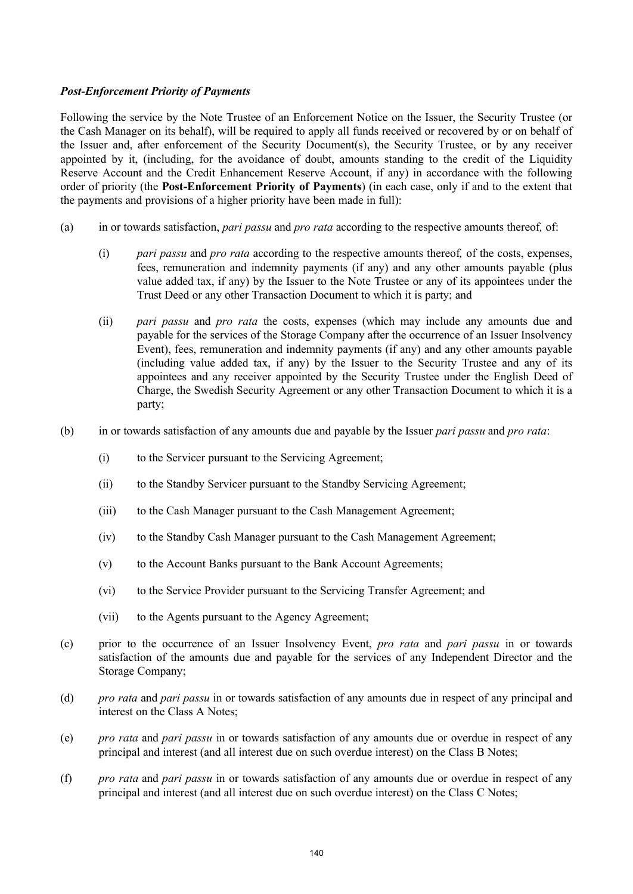## *Post-Enforcement Priority of Payments*

Following the service by the Note Trustee of an Enforcement Notice on the Issuer, the Security Trustee (or the Cash Manager on its behalf), will be required to apply all funds received or recovered by or on behalf of the Issuer and, after enforcement of the Security Document(s), the Security Trustee, or by any receiver appointed by it, (including, for the avoidance of doubt, amounts standing to the credit of the Liquidity Reserve Account and the Credit Enhancement Reserve Account, if any) in accordance with the following order of priority (the **Post-Enforcement Priority of Payments**) (in each case, only if and to the extent that the payments and provisions of a higher priority have been made in full):

- (a) in or towards satisfaction, *pari passu* and *pro rata* according to the respective amounts thereof*,* of:
	- (i) *pari passu* and *pro rata* according to the respective amounts thereof*,* of the costs, expenses, fees, remuneration and indemnity payments (if any) and any other amounts payable (plus value added tax, if any) by the Issuer to the Note Trustee or any of its appointees under the Trust Deed or any other Transaction Document to which it is party; and
	- (ii) *pari passu* and *pro rata* the costs, expenses (which may include any amounts due and payable for the services of the Storage Company after the occurrence of an Issuer Insolvency Event), fees, remuneration and indemnity payments (if any) and any other amounts payable (including value added tax, if any) by the Issuer to the Security Trustee and any of its appointees and any receiver appointed by the Security Trustee under the English Deed of Charge, the Swedish Security Agreement or any other Transaction Document to which it is a party;
- (b) in or towards satisfaction of any amounts due and payable by the Issuer *pari passu* and *pro rata*:
	- (i) to the Servicer pursuant to the Servicing Agreement;
	- (ii) to the Standby Servicer pursuant to the Standby Servicing Agreement;
	- (iii) to the Cash Manager pursuant to the Cash Management Agreement;
	- (iv) to the Standby Cash Manager pursuant to the Cash Management Agreement;
	- (v) to the Account Banks pursuant to the Bank Account Agreements;
	- (vi) to the Service Provider pursuant to the Servicing Transfer Agreement; and
	- (vii) to the Agents pursuant to the Agency Agreement;
- (c) prior to the occurrence of an Issuer Insolvency Event, *pro rata* and *pari passu* in or towards satisfaction of the amounts due and payable for the services of any Independent Director and the Storage Company;
- (d) *pro rata* and *pari passu* in or towards satisfaction of any amounts due in respect of any principal and interest on the Class A Notes;
- (e) *pro rata* and *pari passu* in or towards satisfaction of any amounts due or overdue in respect of any principal and interest (and all interest due on such overdue interest) on the Class B Notes;
- (f) *pro rata* and *pari passu* in or towards satisfaction of any amounts due or overdue in respect of any principal and interest (and all interest due on such overdue interest) on the Class C Notes;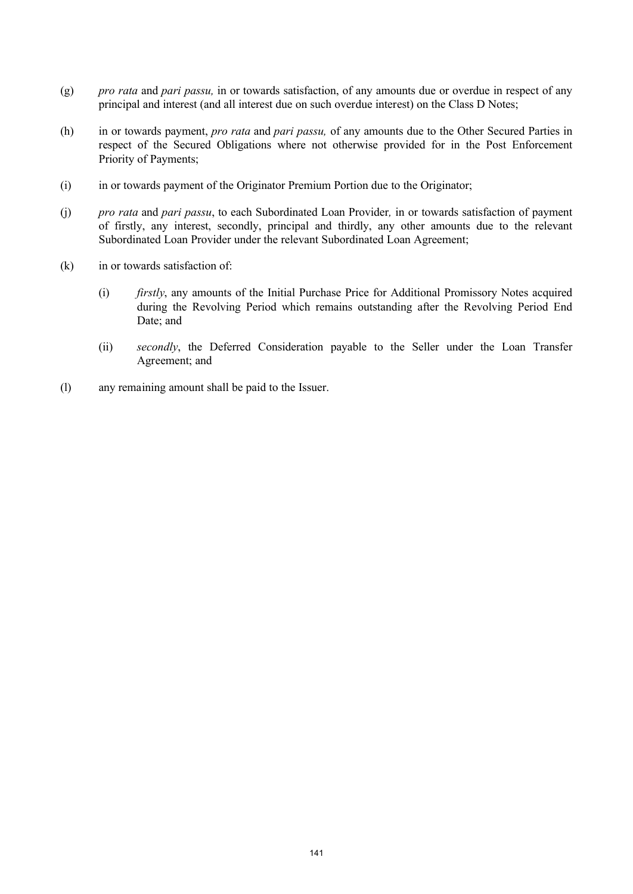- (g) *pro rata* and *pari passu,* in or towards satisfaction, of any amounts due or overdue in respect of any principal and interest (and all interest due on such overdue interest) on the Class D Notes;
- (h) in or towards payment, *pro rata* and *pari passu,* of any amounts due to the Other Secured Parties in respect of the Secured Obligations where not otherwise provided for in the Post Enforcement Priority of Payments;
- (i) in or towards payment of the Originator Premium Portion due to the Originator;
- (j) *pro rata* and *pari passu*, to each Subordinated Loan Provider*,* in or towards satisfaction of payment of firstly, any interest, secondly, principal and thirdly, any other amounts due to the relevant Subordinated Loan Provider under the relevant Subordinated Loan Agreement;
- (k) in or towards satisfaction of:
	- (i) *firstly*, any amounts of the Initial Purchase Price for Additional Promissory Notes acquired during the Revolving Period which remains outstanding after the Revolving Period End Date; and
	- (ii) *secondly*, the Deferred Consideration payable to the Seller under the Loan Transfer Agreement; and
- (l) any remaining amount shall be paid to the Issuer.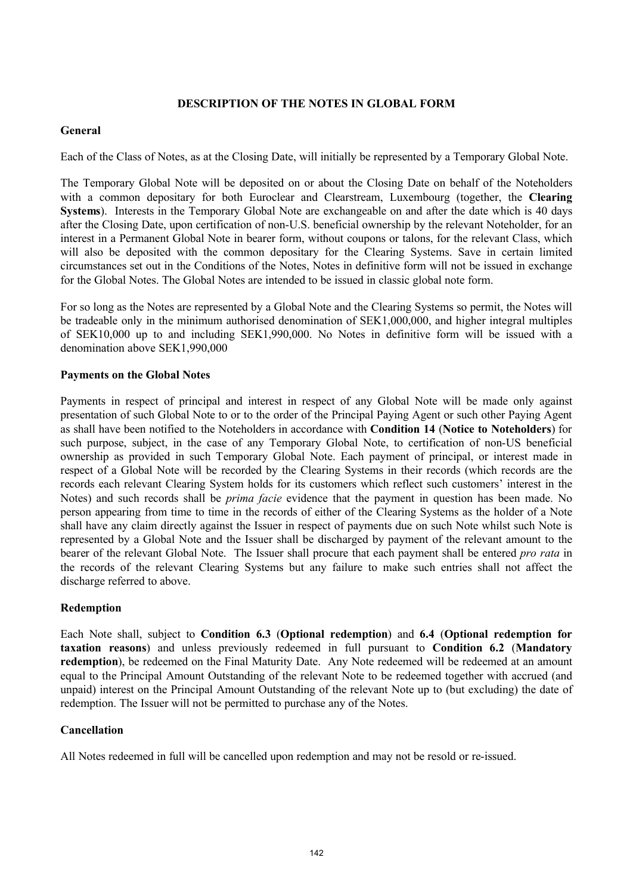# **DESCRIPTION OF THE NOTES IN GLOBAL FORM**

## **General**

Each of the Class of Notes, as at the Closing Date, will initially be represented by a Temporary Global Note.

The Temporary Global Note will be deposited on or about the Closing Date on behalf of the Noteholders with a common depositary for both Euroclear and Clearstream, Luxembourg (together, the **Clearing Systems**). Interests in the Temporary Global Note are exchangeable on and after the date which is 40 days after the Closing Date, upon certification of non-U.S. beneficial ownership by the relevant Noteholder, for an interest in a Permanent Global Note in bearer form, without coupons or talons, for the relevant Class, which will also be deposited with the common depositary for the Clearing Systems. Save in certain limited circumstances set out in the Conditions of the Notes, Notes in definitive form will not be issued in exchange for the Global Notes. The Global Notes are intended to be issued in classic global note form.

For so long as the Notes are represented by a Global Note and the Clearing Systems so permit, the Notes will be tradeable only in the minimum authorised denomination of SEK1,000,000, and higher integral multiples of SEK10,000 up to and including SEK1,990,000. No Notes in definitive form will be issued with a denomination above SEK1,990,000

## **Payments on the Global Notes**

Payments in respect of principal and interest in respect of any Global Note will be made only against presentation of such Global Note to or to the order of the Principal Paying Agent or such other Paying Agent as shall have been notified to the Noteholders in accordance with **Condition 14** (**Notice to Noteholders**) for such purpose, subject, in the case of any Temporary Global Note, to certification of non-US beneficial ownership as provided in such Temporary Global Note. Each payment of principal, or interest made in respect of a Global Note will be recorded by the Clearing Systems in their records (which records are the records each relevant Clearing System holds for its customers which reflect such customers' interest in the Notes) and such records shall be *prima facie* evidence that the payment in question has been made. No person appearing from time to time in the records of either of the Clearing Systems as the holder of a Note shall have any claim directly against the Issuer in respect of payments due on such Note whilst such Note is represented by a Global Note and the Issuer shall be discharged by payment of the relevant amount to the bearer of the relevant Global Note. The Issuer shall procure that each payment shall be entered *pro rata* in the records of the relevant Clearing Systems but any failure to make such entries shall not affect the discharge referred to above.

### **Redemption**

Each Note shall, subject to **Condition 6.3** (**Optional redemption**) and **6.4** (**Optional redemption for taxation reasons**) and unless previously redeemed in full pursuant to **Condition 6.2** (**Mandatory redemption**), be redeemed on the Final Maturity Date. Any Note redeemed will be redeemed at an amount equal to the Principal Amount Outstanding of the relevant Note to be redeemed together with accrued (and unpaid) interest on the Principal Amount Outstanding of the relevant Note up to (but excluding) the date of redemption. The Issuer will not be permitted to purchase any of the Notes.

# **Cancellation**

All Notes redeemed in full will be cancelled upon redemption and may not be resold or re-issued.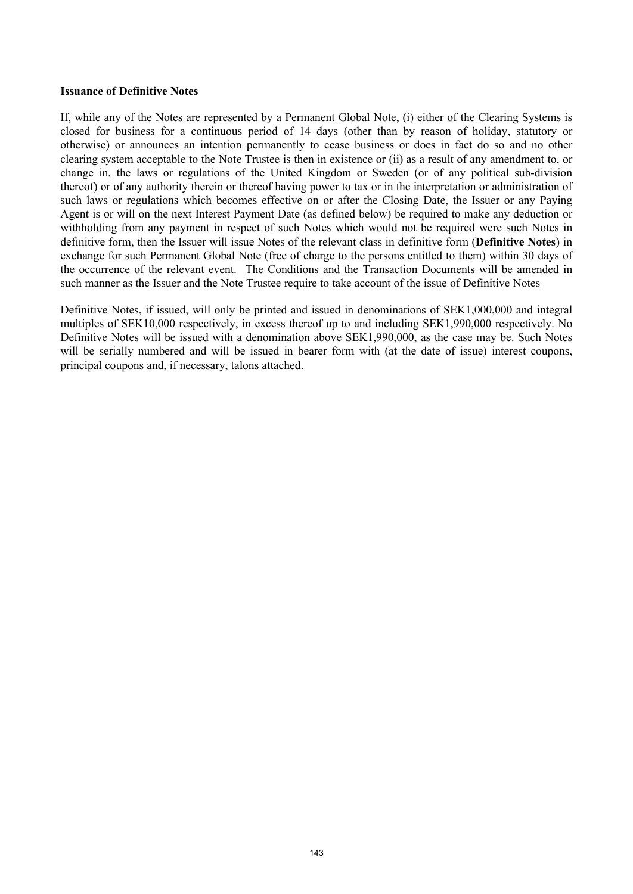#### **Issuance of Definitive Notes**

If, while any of the Notes are represented by a Permanent Global Note, (i) either of the Clearing Systems is closed for business for a continuous period of 14 days (other than by reason of holiday, statutory or otherwise) or announces an intention permanently to cease business or does in fact do so and no other clearing system acceptable to the Note Trustee is then in existence or (ii) as a result of any amendment to, or change in, the laws or regulations of the United Kingdom or Sweden (or of any political sub-division thereof) or of any authority therein or thereof having power to tax or in the interpretation or administration of such laws or regulations which becomes effective on or after the Closing Date, the Issuer or any Paying Agent is or will on the next Interest Payment Date (as defined below) be required to make any deduction or withholding from any payment in respect of such Notes which would not be required were such Notes in definitive form, then the Issuer will issue Notes of the relevant class in definitive form (**Definitive Notes**) in exchange for such Permanent Global Note (free of charge to the persons entitled to them) within 30 days of the occurrence of the relevant event. The Conditions and the Transaction Documents will be amended in such manner as the Issuer and the Note Trustee require to take account of the issue of Definitive Notes

Definitive Notes, if issued, will only be printed and issued in denominations of SEK1,000,000 and integral multiples of SEK10,000 respectively, in excess thereof up to and including SEK1,990,000 respectively. No Definitive Notes will be issued with a denomination above SEK1,990,000, as the case may be. Such Notes will be serially numbered and will be issued in bearer form with (at the date of issue) interest coupons, principal coupons and, if necessary, talons attached.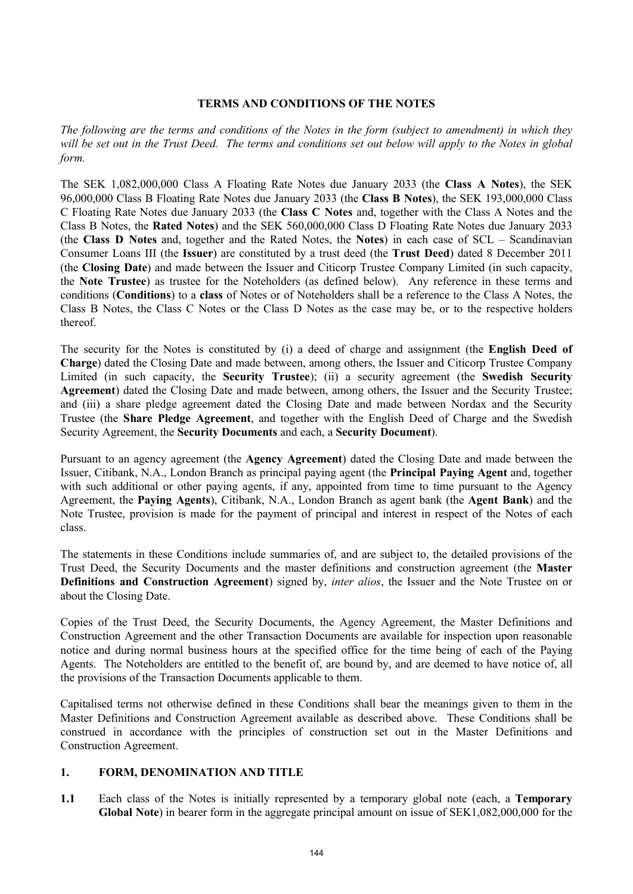#### **TERMS AND CONDITIONS OF THE NOTES**

*The following are the terms and conditions of the Notes in the form (subject to amendment) in which they*  will be set out in the Trust Deed. The terms and conditions set out below will apply to the Notes in global *form.*

The SEK 1,082,000,000 Class A Floating Rate Notes due January 2033 (the **Class A Notes**), the SEK 96,000,000 Class B Floating Rate Notes due January 2033 (the **Class B Notes**), the SEK 193,000,000 Class C Floating Rate Notes due January 2033 (the **Class C Notes** and, together with the Class A Notes and the Class B Notes, the **Rated Notes**) and the SEK 560,000,000 Class D Floating Rate Notes due January 2033 (the **Class D Notes** and, together and the Rated Notes, the **Notes**) in each case of SCL – Scandinavian Consumer Loans III (the **Issuer**) are constituted by a trust deed (the **Trust Deed**) dated 8 December 2011 (the **Closing Date**) and made between the Issuer and Citicorp Trustee Company Limited (in such capacity, the **Note Trustee**) as trustee for the Noteholders (as defined below). Any reference in these terms and conditions (**Conditions**) to a **class** of Notes or of Noteholders shall be a reference to the Class A Notes, the Class B Notes, the Class C Notes or the Class D Notes as the case may be, or to the respective holders thereof.

The security for the Notes is constituted by (i) a deed of charge and assignment (the **English Deed of Charge**) dated the Closing Date and made between, among others, the Issuer and Citicorp Trustee Company Limited (in such capacity, the **Security Trustee**); (ii) a security agreement (the **Swedish Security Agreement**) dated the Closing Date and made between, among others, the Issuer and the Security Trustee; and (iii) a share pledge agreement dated the Closing Date and made between Nordax and the Security Trustee (the **Share Pledge Agreement**, and together with the English Deed of Charge and the Swedish Security Agreement, the **Security Documents** and each, a **Security Document**).

Pursuant to an agency agreement (the **Agency Agreement**) dated the Closing Date and made between the Issuer, Citibank, N.A., London Branch as principal paying agent (the **Principal Paying Agent** and, together with such additional or other paying agents, if any, appointed from time to time pursuant to the Agency Agreement, the **Paying Agents**), Citibank, N.A., London Branch as agent bank (the **Agent Bank**) and the Note Trustee, provision is made for the payment of principal and interest in respect of the Notes of each class.

The statements in these Conditions include summaries of, and are subject to, the detailed provisions of the Trust Deed, the Security Documents and the master definitions and construction agreement (the **Master Definitions and Construction Agreement**) signed by, *inter alios*, the Issuer and the Note Trustee on or about the Closing Date.

Copies of the Trust Deed, the Security Documents, the Agency Agreement, the Master Definitions and Construction Agreement and the other Transaction Documents are available for inspection upon reasonable notice and during normal business hours at the specified office for the time being of each of the Paying Agents. The Noteholders are entitled to the benefit of, are bound by, and are deemed to have notice of, all the provisions of the Transaction Documents applicable to them.

Capitalised terms not otherwise defined in these Conditions shall bear the meanings given to them in the Master Definitions and Construction Agreement available as described above. These Conditions shall be construed in accordance with the principles of construction set out in the Master Definitions and Construction Agreement.

### **1. FORM, DENOMINATION AND TITLE**

**1.1** Each class of the Notes is initially represented by a temporary global note (each, a **Temporary Global Note**) in bearer form in the aggregate principal amount on issue of SEK1,082,000,000 for the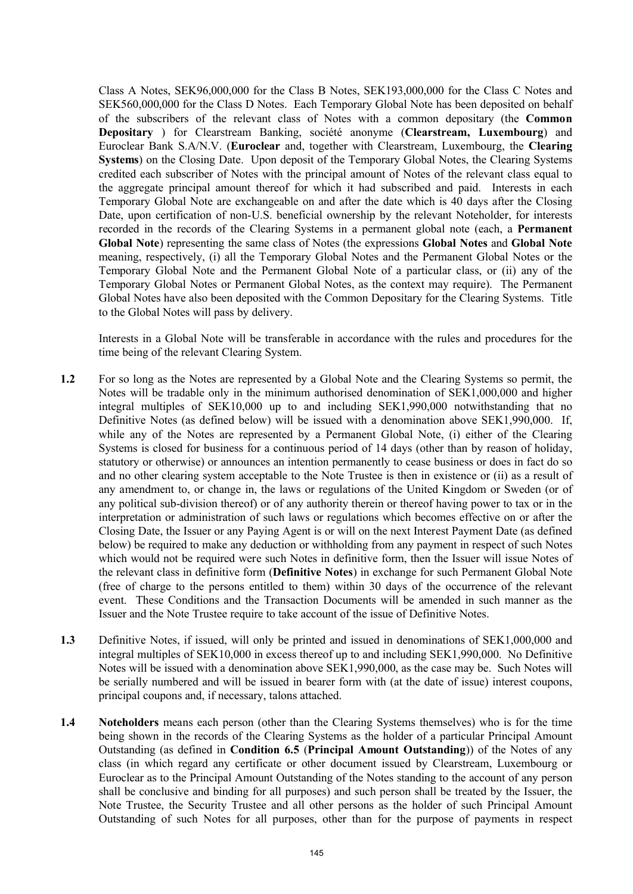Class A Notes, SEK96,000,000 for the Class B Notes, SEK193,000,000 for the Class C Notes and SEK560,000,000 for the Class D Notes. Each Temporary Global Note has been deposited on behalf of the subscribers of the relevant class of Notes with a common depositary (the **Common Depositary** ) for Clearstream Banking, société anonyme (**Clearstream, Luxembourg**) and Euroclear Bank S.A/N.V. (**Euroclear** and, together with Clearstream, Luxembourg, the **Clearing Systems**) on the Closing Date. Upon deposit of the Temporary Global Notes, the Clearing Systems credited each subscriber of Notes with the principal amount of Notes of the relevant class equal to the aggregate principal amount thereof for which it had subscribed and paid. Interests in each Temporary Global Note are exchangeable on and after the date which is 40 days after the Closing Date, upon certification of non-U.S. beneficial ownership by the relevant Noteholder, for interests recorded in the records of the Clearing Systems in a permanent global note (each, a **Permanent Global Note**) representing the same class of Notes (the expressions **Global Notes** and **Global Note** meaning, respectively, (i) all the Temporary Global Notes and the Permanent Global Notes or the Temporary Global Note and the Permanent Global Note of a particular class, or (ii) any of the Temporary Global Notes or Permanent Global Notes, as the context may require). The Permanent Global Notes have also been deposited with the Common Depositary for the Clearing Systems. Title to the Global Notes will pass by delivery.

Interests in a Global Note will be transferable in accordance with the rules and procedures for the time being of the relevant Clearing System.

- **1.2** For so long as the Notes are represented by a Global Note and the Clearing Systems so permit, the Notes will be tradable only in the minimum authorised denomination of SEK1,000,000 and higher integral multiples of SEK10,000 up to and including SEK1,990,000 notwithstanding that no Definitive Notes (as defined below) will be issued with a denomination above SEK1,990,000. If, while any of the Notes are represented by a Permanent Global Note, (i) either of the Clearing Systems is closed for business for a continuous period of 14 days (other than by reason of holiday, statutory or otherwise) or announces an intention permanently to cease business or does in fact do so and no other clearing system acceptable to the Note Trustee is then in existence or (ii) as a result of any amendment to, or change in, the laws or regulations of the United Kingdom or Sweden (or of any political sub-division thereof) or of any authority therein or thereof having power to tax or in the interpretation or administration of such laws or regulations which becomes effective on or after the Closing Date, the Issuer or any Paying Agent is or will on the next Interest Payment Date (as defined below) be required to make any deduction or withholding from any payment in respect of such Notes which would not be required were such Notes in definitive form, then the Issuer will issue Notes of the relevant class in definitive form (**Definitive Notes**) in exchange for such Permanent Global Note (free of charge to the persons entitled to them) within 30 days of the occurrence of the relevant event. These Conditions and the Transaction Documents will be amended in such manner as the Issuer and the Note Trustee require to take account of the issue of Definitive Notes.
- **1.3** Definitive Notes, if issued, will only be printed and issued in denominations of SEK1,000,000 and integral multiples of SEK10,000 in excess thereof up to and including SEK1,990,000. No Definitive Notes will be issued with a denomination above SEK1,990,000, as the case may be. Such Notes will be serially numbered and will be issued in bearer form with (at the date of issue) interest coupons, principal coupons and, if necessary, talons attached.
- **1.4 Noteholders** means each person (other than the Clearing Systems themselves) who is for the time being shown in the records of the Clearing Systems as the holder of a particular Principal Amount Outstanding (as defined in **Condition 6.5** (**Principal Amount Outstanding**)) of the Notes of any class (in which regard any certificate or other document issued by Clearstream, Luxembourg or Euroclear as to the Principal Amount Outstanding of the Notes standing to the account of any person shall be conclusive and binding for all purposes) and such person shall be treated by the Issuer, the Note Trustee, the Security Trustee and all other persons as the holder of such Principal Amount Outstanding of such Notes for all purposes, other than for the purpose of payments in respect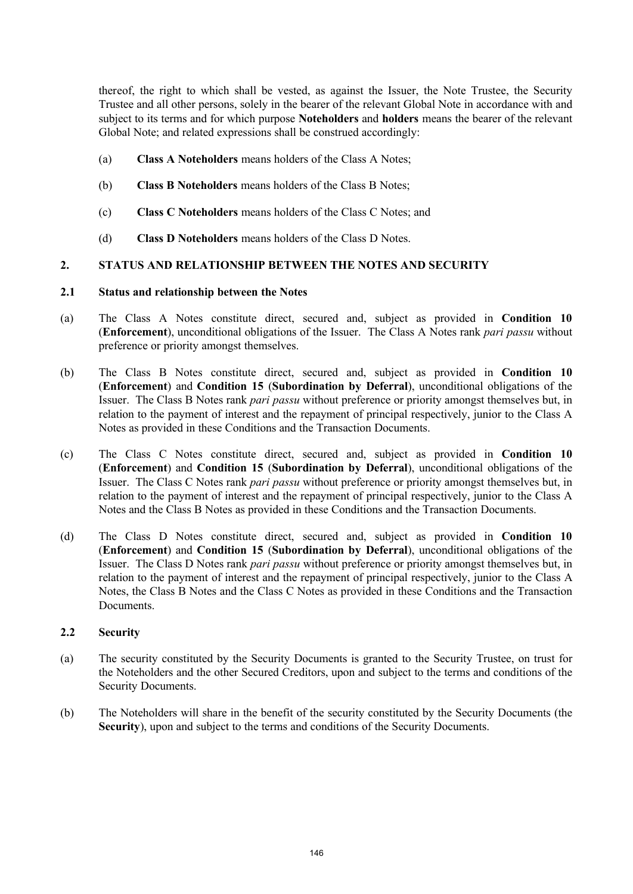thereof, the right to which shall be vested, as against the Issuer, the Note Trustee, the Security Trustee and all other persons, solely in the bearer of the relevant Global Note in accordance with and subject to its terms and for which purpose **Noteholders** and **holders** means the bearer of the relevant Global Note; and related expressions shall be construed accordingly:

- (a) **Class A Noteholders** means holders of the Class A Notes;
- (b) **Class B Noteholders** means holders of the Class B Notes;
- (c) **Class C Noteholders** means holders of the Class C Notes; and
- (d) **Class D Noteholders** means holders of the Class D Notes.

## **2. STATUS AND RELATIONSHIP BETWEEN THE NOTES AND SECURITY**

### **2.1 Status and relationship between the Notes**

- (a) The Class A Notes constitute direct, secured and, subject as provided in **Condition 10** (**Enforcement**), unconditional obligations of the Issuer. The Class A Notes rank *pari passu* without preference or priority amongst themselves.
- (b) The Class B Notes constitute direct, secured and, subject as provided in **Condition 10** (**Enforcement**) and **Condition 15** (**Subordination by Deferral**), unconditional obligations of the Issuer. The Class B Notes rank *pari passu* without preference or priority amongst themselves but, in relation to the payment of interest and the repayment of principal respectively, junior to the Class A Notes as provided in these Conditions and the Transaction Documents.
- (c) The Class C Notes constitute direct, secured and, subject as provided in **Condition 10** (**Enforcement**) and **Condition 15** (**Subordination by Deferral**), unconditional obligations of the Issuer. The Class C Notes rank *pari passu* without preference or priority amongst themselves but, in relation to the payment of interest and the repayment of principal respectively, junior to the Class A Notes and the Class B Notes as provided in these Conditions and the Transaction Documents.
- (d) The Class D Notes constitute direct, secured and, subject as provided in **Condition 10** (**Enforcement**) and **Condition 15** (**Subordination by Deferral**), unconditional obligations of the Issuer. The Class D Notes rank *pari passu* without preference or priority amongst themselves but, in relation to the payment of interest and the repayment of principal respectively, junior to the Class A Notes, the Class B Notes and the Class C Notes as provided in these Conditions and the Transaction Documents.

### **2.2 Security**

- (a) The security constituted by the Security Documents is granted to the Security Trustee, on trust for the Noteholders and the other Secured Creditors, upon and subject to the terms and conditions of the Security Documents.
- (b) The Noteholders will share in the benefit of the security constituted by the Security Documents (the **Security**), upon and subject to the terms and conditions of the Security Documents.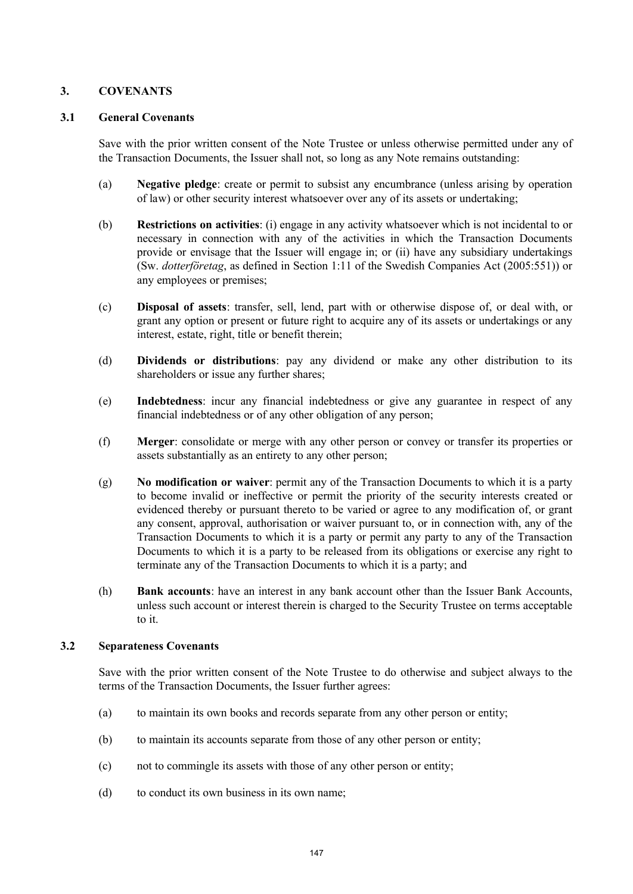## **3. COVENANTS**

### **3.1 General Covenants**

Save with the prior written consent of the Note Trustee or unless otherwise permitted under any of the Transaction Documents, the Issuer shall not, so long as any Note remains outstanding:

- (a) **Negative pledge**: create or permit to subsist any encumbrance (unless arising by operation of law) or other security interest whatsoever over any of its assets or undertaking;
- (b) **Restrictions on activities**: (i) engage in any activity whatsoever which is not incidental to or necessary in connection with any of the activities in which the Transaction Documents provide or envisage that the Issuer will engage in; or (ii) have any subsidiary undertakings (Sw. *dotterföretag*, as defined in Section 1:11 of the Swedish Companies Act (2005:551)) or any employees or premises;
- (c) **Disposal of assets**: transfer, sell, lend, part with or otherwise dispose of, or deal with, or grant any option or present or future right to acquire any of its assets or undertakings or any interest, estate, right, title or benefit therein;
- (d) **Dividends or distributions**: pay any dividend or make any other distribution to its shareholders or issue any further shares;
- (e) **Indebtedness**: incur any financial indebtedness or give any guarantee in respect of any financial indebtedness or of any other obligation of any person;
- (f) **Merger**: consolidate or merge with any other person or convey or transfer its properties or assets substantially as an entirety to any other person;
- (g) **No modification or waiver**: permit any of the Transaction Documents to which it is a party to become invalid or ineffective or permit the priority of the security interests created or evidenced thereby or pursuant thereto to be varied or agree to any modification of, or grant any consent, approval, authorisation or waiver pursuant to, or in connection with, any of the Transaction Documents to which it is a party or permit any party to any of the Transaction Documents to which it is a party to be released from its obligations or exercise any right to terminate any of the Transaction Documents to which it is a party; and
- (h) **Bank accounts**: have an interest in any bank account other than the Issuer Bank Accounts, unless such account or interest therein is charged to the Security Trustee on terms acceptable to it.

### **3.2 Separateness Covenants**

Save with the prior written consent of the Note Trustee to do otherwise and subject always to the terms of the Transaction Documents, the Issuer further agrees:

- (a) to maintain its own books and records separate from any other person or entity;
- (b) to maintain its accounts separate from those of any other person or entity;
- (c) not to commingle its assets with those of any other person or entity;
- (d) to conduct its own business in its own name;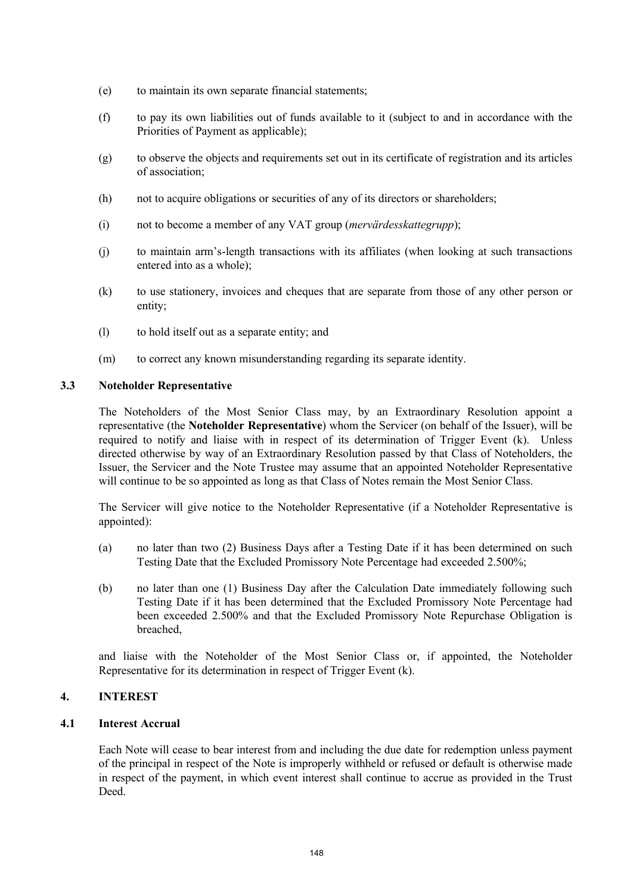- (e) to maintain its own separate financial statements;
- (f) to pay its own liabilities out of funds available to it (subject to and in accordance with the Priorities of Payment as applicable);
- (g) to observe the objects and requirements set out in its certificate of registration and its articles of association;
- (h) not to acquire obligations or securities of any of its directors or shareholders;
- (i) not to become a member of any VAT group (*mervärdesskattegrupp*);
- (j) to maintain arm's-length transactions with its affiliates (when looking at such transactions entered into as a whole);
- (k) to use stationery, invoices and cheques that are separate from those of any other person or entity;
- (l) to hold itself out as a separate entity; and
- (m) to correct any known misunderstanding regarding its separate identity.

## **3.3 Noteholder Representative**

The Noteholders of the Most Senior Class may, by an Extraordinary Resolution appoint a representative (the **Noteholder Representative**) whom the Servicer (on behalf of the Issuer), will be required to notify and liaise with in respect of its determination of Trigger Event (k). Unless directed otherwise by way of an Extraordinary Resolution passed by that Class of Noteholders, the Issuer, the Servicer and the Note Trustee may assume that an appointed Noteholder Representative will continue to be so appointed as long as that Class of Notes remain the Most Senior Class.

The Servicer will give notice to the Noteholder Representative (if a Noteholder Representative is appointed):

- (a) no later than two (2) Business Days after a Testing Date if it has been determined on such Testing Date that the Excluded Promissory Note Percentage had exceeded 2.500%;
- (b) no later than one (1) Business Day after the Calculation Date immediately following such Testing Date if it has been determined that the Excluded Promissory Note Percentage had been exceeded 2.500% and that the Excluded Promissory Note Repurchase Obligation is breached,

and liaise with the Noteholder of the Most Senior Class or, if appointed, the Noteholder Representative for its determination in respect of Trigger Event (k).

## **4. INTEREST**

### **4.1 Interest Accrual**

Each Note will cease to bear interest from and including the due date for redemption unless payment of the principal in respect of the Note is improperly withheld or refused or default is otherwise made in respect of the payment, in which event interest shall continue to accrue as provided in the Trust Deed.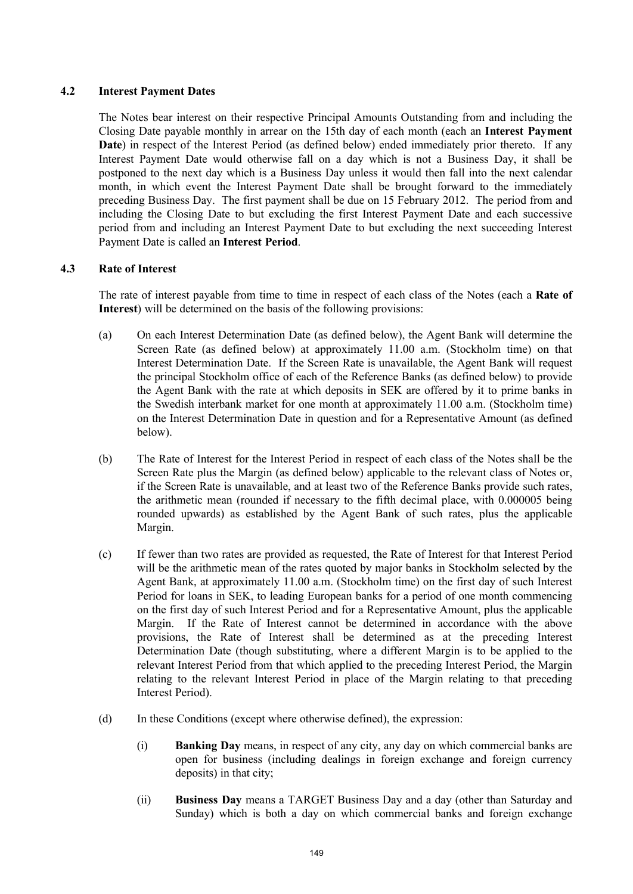## **4.2 Interest Payment Dates**

The Notes bear interest on their respective Principal Amounts Outstanding from and including the Closing Date payable monthly in arrear on the 15th day of each month (each an **Interest Payment Date**) in respect of the Interest Period (as defined below) ended immediately prior thereto. If any Interest Payment Date would otherwise fall on a day which is not a Business Day, it shall be postponed to the next day which is a Business Day unless it would then fall into the next calendar month, in which event the Interest Payment Date shall be brought forward to the immediately preceding Business Day. The first payment shall be due on 15 February 2012. The period from and including the Closing Date to but excluding the first Interest Payment Date and each successive period from and including an Interest Payment Date to but excluding the next succeeding Interest Payment Date is called an **Interest Period**.

## **4.3 Rate of Interest**

The rate of interest payable from time to time in respect of each class of the Notes (each a **Rate of Interest**) will be determined on the basis of the following provisions:

- (a) On each Interest Determination Date (as defined below), the Agent Bank will determine the Screen Rate (as defined below) at approximately 11.00 a.m. (Stockholm time) on that Interest Determination Date. If the Screen Rate is unavailable, the Agent Bank will request the principal Stockholm office of each of the Reference Banks (as defined below) to provide the Agent Bank with the rate at which deposits in SEK are offered by it to prime banks in the Swedish interbank market for one month at approximately 11.00 a.m. (Stockholm time) on the Interest Determination Date in question and for a Representative Amount (as defined below).
- (b) The Rate of Interest for the Interest Period in respect of each class of the Notes shall be the Screen Rate plus the Margin (as defined below) applicable to the relevant class of Notes or, if the Screen Rate is unavailable, and at least two of the Reference Banks provide such rates, the arithmetic mean (rounded if necessary to the fifth decimal place, with 0.000005 being rounded upwards) as established by the Agent Bank of such rates, plus the applicable Margin.
- (c) If fewer than two rates are provided as requested, the Rate of Interest for that Interest Period will be the arithmetic mean of the rates quoted by major banks in Stockholm selected by the Agent Bank, at approximately 11.00 a.m. (Stockholm time) on the first day of such Interest Period for loans in SEK, to leading European banks for a period of one month commencing on the first day of such Interest Period and for a Representative Amount, plus the applicable Margin. If the Rate of Interest cannot be determined in accordance with the above provisions, the Rate of Interest shall be determined as at the preceding Interest Determination Date (though substituting, where a different Margin is to be applied to the relevant Interest Period from that which applied to the preceding Interest Period, the Margin relating to the relevant Interest Period in place of the Margin relating to that preceding Interest Period).
- (d) In these Conditions (except where otherwise defined), the expression:
	- (i) **Banking Day** means, in respect of any city, any day on which commercial banks are open for business (including dealings in foreign exchange and foreign currency deposits) in that city;
	- (ii) **Business Day** means a TARGET Business Day and a day (other than Saturday and Sunday) which is both a day on which commercial banks and foreign exchange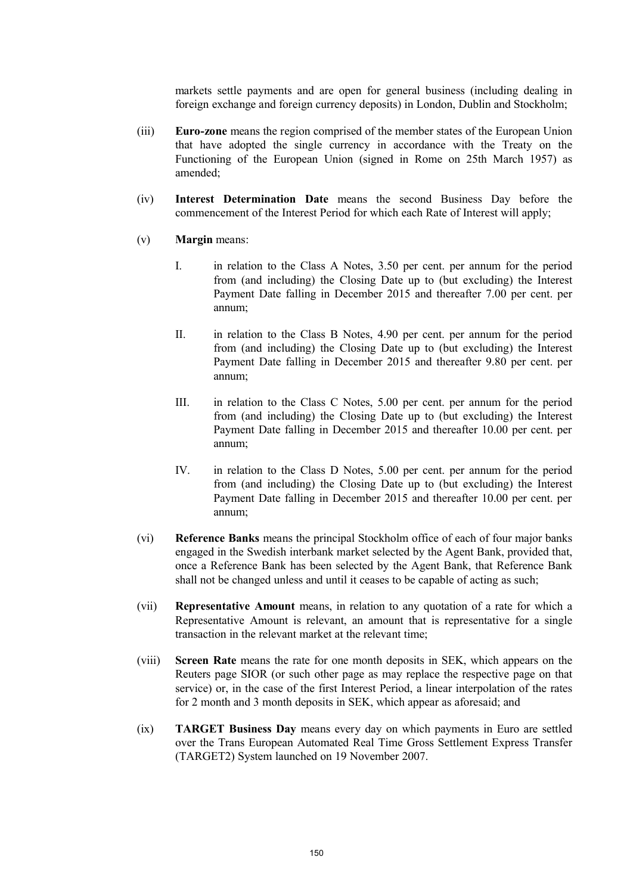markets settle payments and are open for general business (including dealing in foreign exchange and foreign currency deposits) in London, Dublin and Stockholm;

- (iii) **Euro-zone** means the region comprised of the member states of the European Union that have adopted the single currency in accordance with the Treaty on the Functioning of the European Union (signed in Rome on 25th March 1957) as amended;
- (iv) **Interest Determination Date** means the second Business Day before the commencement of the Interest Period for which each Rate of Interest will apply;
- (v) **Margin** means:
	- I. in relation to the Class A Notes, 3.50 per cent. per annum for the period from (and including) the Closing Date up to (but excluding) the Interest Payment Date falling in December 2015 and thereafter 7.00 per cent. per annum;
	- II. in relation to the Class B Notes, 4.90 per cent. per annum for the period from (and including) the Closing Date up to (but excluding) the Interest Payment Date falling in December 2015 and thereafter 9.80 per cent. per annum;
	- III. in relation to the Class C Notes, 5.00 per cent. per annum for the period from (and including) the Closing Date up to (but excluding) the Interest Payment Date falling in December 2015 and thereafter 10.00 per cent. per annum;
	- IV. in relation to the Class D Notes, 5.00 per cent. per annum for the period from (and including) the Closing Date up to (but excluding) the Interest Payment Date falling in December 2015 and thereafter 10.00 per cent. per annum;
- (vi) **Reference Banks** means the principal Stockholm office of each of four major banks engaged in the Swedish interbank market selected by the Agent Bank, provided that, once a Reference Bank has been selected by the Agent Bank, that Reference Bank shall not be changed unless and until it ceases to be capable of acting as such;
- (vii) **Representative Amount** means, in relation to any quotation of a rate for which a Representative Amount is relevant, an amount that is representative for a single transaction in the relevant market at the relevant time;
- (viii) **Screen Rate** means the rate for one month deposits in SEK, which appears on the Reuters page SIOR (or such other page as may replace the respective page on that service) or, in the case of the first Interest Period, a linear interpolation of the rates for 2 month and 3 month deposits in SEK, which appear as aforesaid; and
- (ix) **TARGET Business Day** means every day on which payments in Euro are settled over the Trans European Automated Real Time Gross Settlement Express Transfer (TARGET2) System launched on 19 November 2007.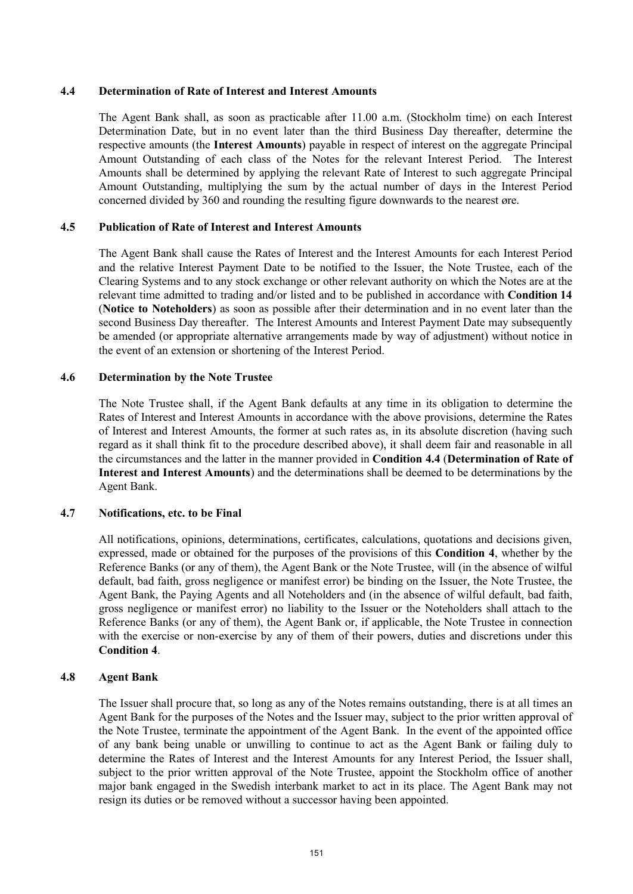#### **4.4 Determination of Rate of Interest and Interest Amounts**

The Agent Bank shall, as soon as practicable after 11.00 a.m. (Stockholm time) on each Interest Determination Date, but in no event later than the third Business Day thereafter, determine the respective amounts (the **Interest Amounts**) payable in respect of interest on the aggregate Principal Amount Outstanding of each class of the Notes for the relevant Interest Period. The Interest Amounts shall be determined by applying the relevant Rate of Interest to such aggregate Principal Amount Outstanding, multiplying the sum by the actual number of days in the Interest Period concerned divided by 360 and rounding the resulting figure downwards to the nearest øre.

## **4.5 Publication of Rate of Interest and Interest Amounts**

The Agent Bank shall cause the Rates of Interest and the Interest Amounts for each Interest Period and the relative Interest Payment Date to be notified to the Issuer, the Note Trustee, each of the Clearing Systems and to any stock exchange or other relevant authority on which the Notes are at the relevant time admitted to trading and/or listed and to be published in accordance with **Condition 14** (**Notice to Noteholders**) as soon as possible after their determination and in no event later than the second Business Day thereafter. The Interest Amounts and Interest Payment Date may subsequently be amended (or appropriate alternative arrangements made by way of adjustment) without notice in the event of an extension or shortening of the Interest Period.

#### **4.6 Determination by the Note Trustee**

The Note Trustee shall, if the Agent Bank defaults at any time in its obligation to determine the Rates of Interest and Interest Amounts in accordance with the above provisions, determine the Rates of Interest and Interest Amounts, the former at such rates as, in its absolute discretion (having such regard as it shall think fit to the procedure described above), it shall deem fair and reasonable in all the circumstances and the latter in the manner provided in **Condition 4.4** (**Determination of Rate of Interest and Interest Amounts**) and the determinations shall be deemed to be determinations by the Agent Bank.

### **4.7 Notifications, etc. to be Final**

All notifications, opinions, determinations, certificates, calculations, quotations and decisions given, expressed, made or obtained for the purposes of the provisions of this **Condition 4**, whether by the Reference Banks (or any of them), the Agent Bank or the Note Trustee, will (in the absence of wilful default, bad faith, gross negligence or manifest error) be binding on the Issuer, the Note Trustee, the Agent Bank, the Paying Agents and all Noteholders and (in the absence of wilful default, bad faith, gross negligence or manifest error) no liability to the Issuer or the Noteholders shall attach to the Reference Banks (or any of them), the Agent Bank or, if applicable, the Note Trustee in connection with the exercise or non-exercise by any of them of their powers, duties and discretions under this **Condition 4**.

#### **4.8 Agent Bank**

The Issuer shall procure that, so long as any of the Notes remains outstanding, there is at all times an Agent Bank for the purposes of the Notes and the Issuer may, subject to the prior written approval of the Note Trustee, terminate the appointment of the Agent Bank. In the event of the appointed office of any bank being unable or unwilling to continue to act as the Agent Bank or failing duly to determine the Rates of Interest and the Interest Amounts for any Interest Period, the Issuer shall, subject to the prior written approval of the Note Trustee, appoint the Stockholm office of another major bank engaged in the Swedish interbank market to act in its place. The Agent Bank may not resign its duties or be removed without a successor having been appointed.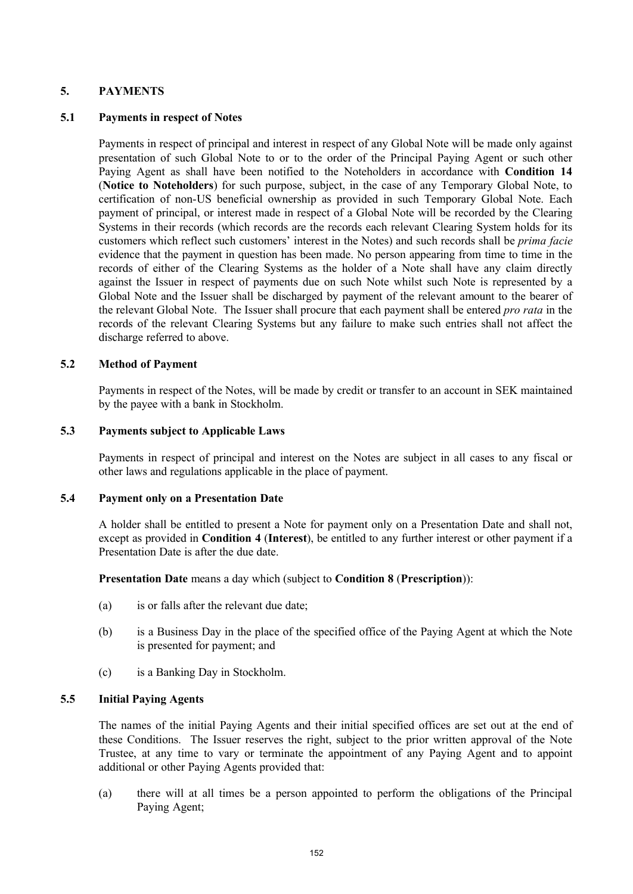## **5. PAYMENTS**

### **5.1 Payments in respect of Notes**

Payments in respect of principal and interest in respect of any Global Note will be made only against presentation of such Global Note to or to the order of the Principal Paying Agent or such other Paying Agent as shall have been notified to the Noteholders in accordance with **Condition 14** (**Notice to Noteholders**) for such purpose, subject, in the case of any Temporary Global Note, to certification of non-US beneficial ownership as provided in such Temporary Global Note. Each payment of principal, or interest made in respect of a Global Note will be recorded by the Clearing Systems in their records (which records are the records each relevant Clearing System holds for its customers which reflect such customers' interest in the Notes) and such records shall be *prima facie* evidence that the payment in question has been made. No person appearing from time to time in the records of either of the Clearing Systems as the holder of a Note shall have any claim directly against the Issuer in respect of payments due on such Note whilst such Note is represented by a Global Note and the Issuer shall be discharged by payment of the relevant amount to the bearer of the relevant Global Note. The Issuer shall procure that each payment shall be entered *pro rata* in the records of the relevant Clearing Systems but any failure to make such entries shall not affect the discharge referred to above.

### **5.2 Method of Payment**

Payments in respect of the Notes, will be made by credit or transfer to an account in SEK maintained by the payee with a bank in Stockholm.

### **5.3 Payments subject to Applicable Laws**

Payments in respect of principal and interest on the Notes are subject in all cases to any fiscal or other laws and regulations applicable in the place of payment.

### **5.4 Payment only on a Presentation Date**

A holder shall be entitled to present a Note for payment only on a Presentation Date and shall not, except as provided in **Condition 4** (**Interest**), be entitled to any further interest or other payment if a Presentation Date is after the due date.

**Presentation Date** means a day which (subject to **Condition 8** (**Prescription**)):

- (a) is or falls after the relevant due date;
- (b) is a Business Day in the place of the specified office of the Paying Agent at which the Note is presented for payment; and
- (c) is a Banking Day in Stockholm.

## **5.5 Initial Paying Agents**

The names of the initial Paying Agents and their initial specified offices are set out at the end of these Conditions. The Issuer reserves the right, subject to the prior written approval of the Note Trustee, at any time to vary or terminate the appointment of any Paying Agent and to appoint additional or other Paying Agents provided that:

(a) there will at all times be a person appointed to perform the obligations of the Principal Paying Agent;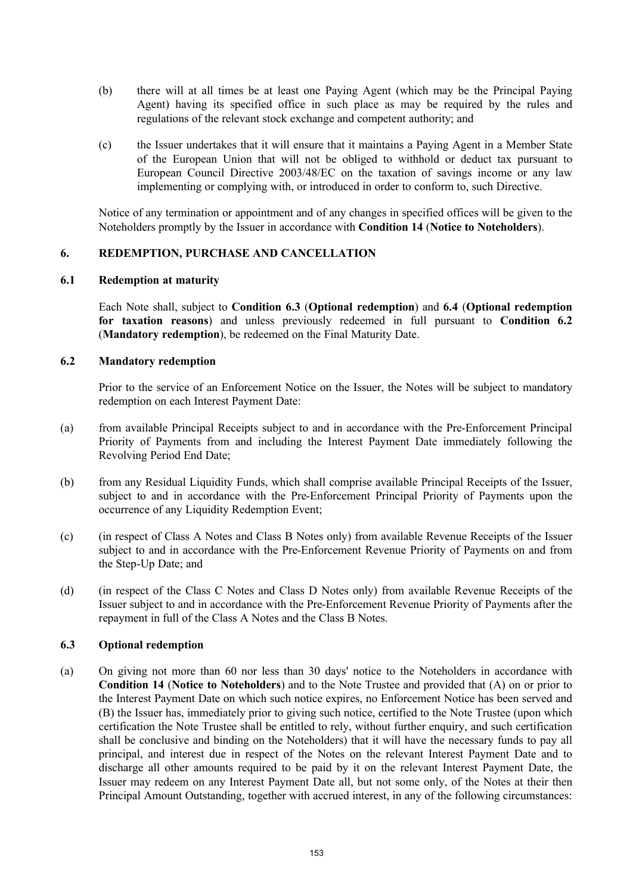- (b) there will at all times be at least one Paying Agent (which may be the Principal Paying Agent) having its specified office in such place as may be required by the rules and regulations of the relevant stock exchange and competent authority; and
- (c) the Issuer undertakes that it will ensure that it maintains a Paying Agent in a Member State of the European Union that will not be obliged to withhold or deduct tax pursuant to European Council Directive 2003/48/EC on the taxation of savings income or any law implementing or complying with, or introduced in order to conform to, such Directive.

Notice of any termination or appointment and of any changes in specified offices will be given to the Noteholders promptly by the Issuer in accordance with **Condition 14** (**Notice to Noteholders**).

## **6. REDEMPTION, PURCHASE AND CANCELLATION**

#### **6.1 Redemption at maturity**

Each Note shall, subject to **Condition 6.3** (**Optional redemption**) and **6.4** (**Optional redemption for taxation reasons**) and unless previously redeemed in full pursuant to **Condition 6.2** (**Mandatory redemption**), be redeemed on the Final Maturity Date.

### **6.2 Mandatory redemption**

Prior to the service of an Enforcement Notice on the Issuer, the Notes will be subject to mandatory redemption on each Interest Payment Date:

- (a) from available Principal Receipts subject to and in accordance with the Pre-Enforcement Principal Priority of Payments from and including the Interest Payment Date immediately following the Revolving Period End Date;
- (b) from any Residual Liquidity Funds, which shall comprise available Principal Receipts of the Issuer, subject to and in accordance with the Pre-Enforcement Principal Priority of Payments upon the occurrence of any Liquidity Redemption Event;
- (c) (in respect of Class A Notes and Class B Notes only) from available Revenue Receipts of the Issuer subject to and in accordance with the Pre-Enforcement Revenue Priority of Payments on and from the Step-Up Date; and
- (d) (in respect of the Class C Notes and Class D Notes only) from available Revenue Receipts of the Issuer subject to and in accordance with the Pre-Enforcement Revenue Priority of Payments after the repayment in full of the Class A Notes and the Class B Notes.

### **6.3 Optional redemption**

(a) On giving not more than 60 nor less than 30 days' notice to the Noteholders in accordance with **Condition 14** (**Notice to Noteholders**) and to the Note Trustee and provided that (A) on or prior to the Interest Payment Date on which such notice expires, no Enforcement Notice has been served and (B) the Issuer has, immediately prior to giving such notice, certified to the Note Trustee (upon which certification the Note Trustee shall be entitled to rely, without further enquiry, and such certification shall be conclusive and binding on the Noteholders) that it will have the necessary funds to pay all principal, and interest due in respect of the Notes on the relevant Interest Payment Date and to discharge all other amounts required to be paid by it on the relevant Interest Payment Date, the Issuer may redeem on any Interest Payment Date all, but not some only, of the Notes at their then Principal Amount Outstanding, together with accrued interest, in any of the following circumstances: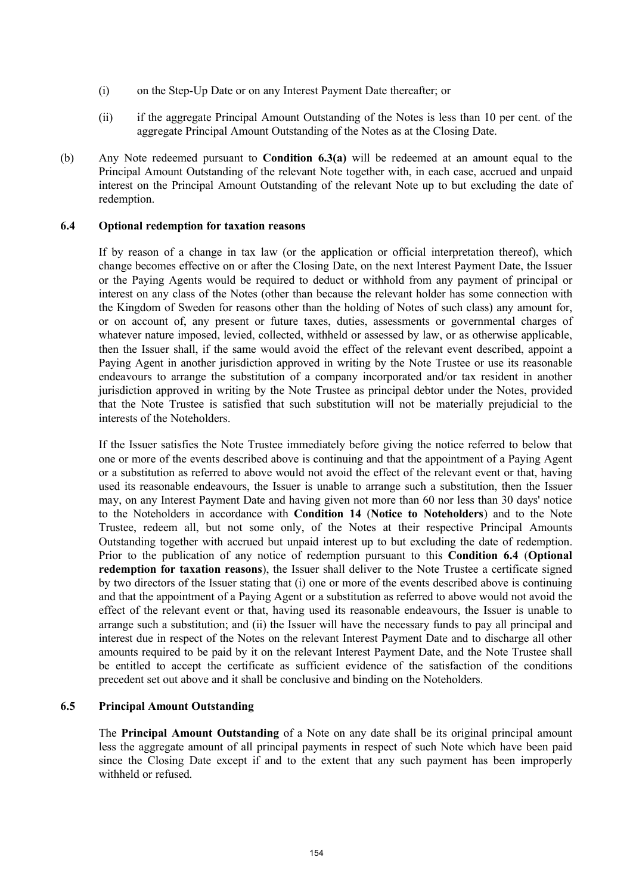- (i) on the Step-Up Date or on any Interest Payment Date thereafter; or
- (ii) if the aggregate Principal Amount Outstanding of the Notes is less than 10 per cent. of the aggregate Principal Amount Outstanding of the Notes as at the Closing Date.
- (b) Any Note redeemed pursuant to **Condition 6.3(a)** will be redeemed at an amount equal to the Principal Amount Outstanding of the relevant Note together with, in each case, accrued and unpaid interest on the Principal Amount Outstanding of the relevant Note up to but excluding the date of redemption.

#### **6.4 Optional redemption for taxation reasons**

If by reason of a change in tax law (or the application or official interpretation thereof), which change becomes effective on or after the Closing Date, on the next Interest Payment Date, the Issuer or the Paying Agents would be required to deduct or withhold from any payment of principal or interest on any class of the Notes (other than because the relevant holder has some connection with the Kingdom of Sweden for reasons other than the holding of Notes of such class) any amount for, or on account of, any present or future taxes, duties, assessments or governmental charges of whatever nature imposed, levied, collected, withheld or assessed by law, or as otherwise applicable, then the Issuer shall, if the same would avoid the effect of the relevant event described, appoint a Paying Agent in another jurisdiction approved in writing by the Note Trustee or use its reasonable endeavours to arrange the substitution of a company incorporated and/or tax resident in another jurisdiction approved in writing by the Note Trustee as principal debtor under the Notes, provided that the Note Trustee is satisfied that such substitution will not be materially prejudicial to the interests of the Noteholders.

If the Issuer satisfies the Note Trustee immediately before giving the notice referred to below that one or more of the events described above is continuing and that the appointment of a Paying Agent or a substitution as referred to above would not avoid the effect of the relevant event or that, having used its reasonable endeavours, the Issuer is unable to arrange such a substitution, then the Issuer may, on any Interest Payment Date and having given not more than 60 nor less than 30 days' notice to the Noteholders in accordance with **Condition 14** (**Notice to Noteholders**) and to the Note Trustee, redeem all, but not some only, of the Notes at their respective Principal Amounts Outstanding together with accrued but unpaid interest up to but excluding the date of redemption. Prior to the publication of any notice of redemption pursuant to this **Condition 6.4** (**Optional redemption for taxation reasons**), the Issuer shall deliver to the Note Trustee a certificate signed by two directors of the Issuer stating that (i) one or more of the events described above is continuing and that the appointment of a Paying Agent or a substitution as referred to above would not avoid the effect of the relevant event or that, having used its reasonable endeavours, the Issuer is unable to arrange such a substitution; and (ii) the Issuer will have the necessary funds to pay all principal and interest due in respect of the Notes on the relevant Interest Payment Date and to discharge all other amounts required to be paid by it on the relevant Interest Payment Date, and the Note Trustee shall be entitled to accept the certificate as sufficient evidence of the satisfaction of the conditions precedent set out above and it shall be conclusive and binding on the Noteholders.

### **6.5 Principal Amount Outstanding**

The **Principal Amount Outstanding** of a Note on any date shall be its original principal amount less the aggregate amount of all principal payments in respect of such Note which have been paid since the Closing Date except if and to the extent that any such payment has been improperly withheld or refused.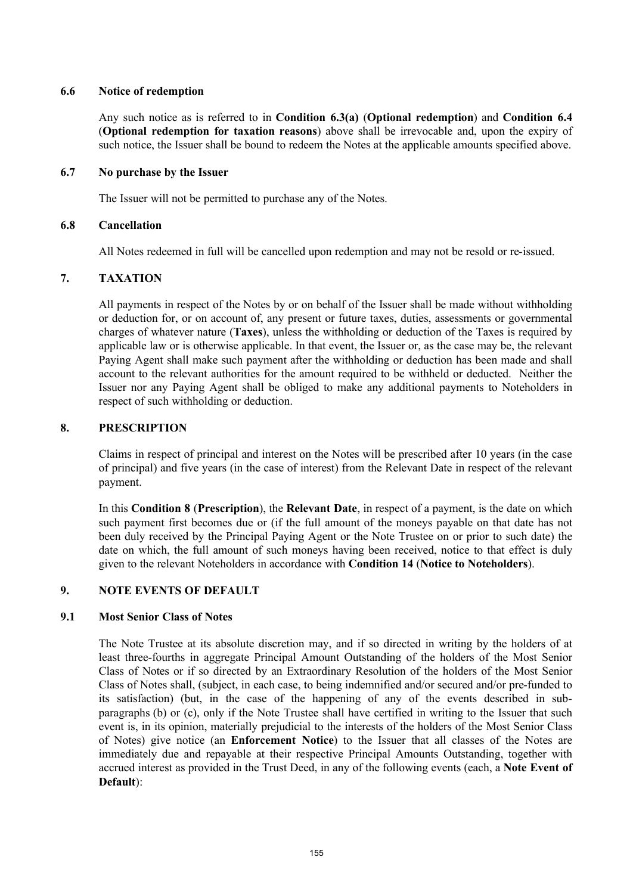### **6.6 Notice of redemption**

Any such notice as is referred to in **Condition 6.3(a)** (**Optional redemption**) and **Condition 6.4** (**Optional redemption for taxation reasons**) above shall be irrevocable and, upon the expiry of such notice, the Issuer shall be bound to redeem the Notes at the applicable amounts specified above.

### **6.7 No purchase by the Issuer**

The Issuer will not be permitted to purchase any of the Notes.

## **6.8 Cancellation**

All Notes redeemed in full will be cancelled upon redemption and may not be resold or re-issued.

## **7. TAXATION**

All payments in respect of the Notes by or on behalf of the Issuer shall be made without withholding or deduction for, or on account of, any present or future taxes, duties, assessments or governmental charges of whatever nature (**Taxes**), unless the withholding or deduction of the Taxes is required by applicable law or is otherwise applicable. In that event, the Issuer or, as the case may be, the relevant Paying Agent shall make such payment after the withholding or deduction has been made and shall account to the relevant authorities for the amount required to be withheld or deducted. Neither the Issuer nor any Paying Agent shall be obliged to make any additional payments to Noteholders in respect of such withholding or deduction.

## **8. PRESCRIPTION**

Claims in respect of principal and interest on the Notes will be prescribed after 10 years (in the case of principal) and five years (in the case of interest) from the Relevant Date in respect of the relevant payment.

In this **Condition 8** (**Prescription**), the **Relevant Date**, in respect of a payment, is the date on which such payment first becomes due or (if the full amount of the moneys payable on that date has not been duly received by the Principal Paying Agent or the Note Trustee on or prior to such date) the date on which, the full amount of such moneys having been received, notice to that effect is duly given to the relevant Noteholders in accordance with **Condition 14** (**Notice to Noteholders**).

## **9. NOTE EVENTS OF DEFAULT**

### **9.1 Most Senior Class of Notes**

The Note Trustee at its absolute discretion may, and if so directed in writing by the holders of at least three-fourths in aggregate Principal Amount Outstanding of the holders of the Most Senior Class of Notes or if so directed by an Extraordinary Resolution of the holders of the Most Senior Class of Notes shall, (subject, in each case, to being indemnified and/or secured and/or pre-funded to its satisfaction) (but, in the case of the happening of any of the events described in subparagraphs (b) or (c), only if the Note Trustee shall have certified in writing to the Issuer that such event is, in its opinion, materially prejudicial to the interests of the holders of the Most Senior Class of Notes) give notice (an **Enforcement Notice**) to the Issuer that all classes of the Notes are immediately due and repayable at their respective Principal Amounts Outstanding, together with accrued interest as provided in the Trust Deed, in any of the following events (each, a **Note Event of Default**):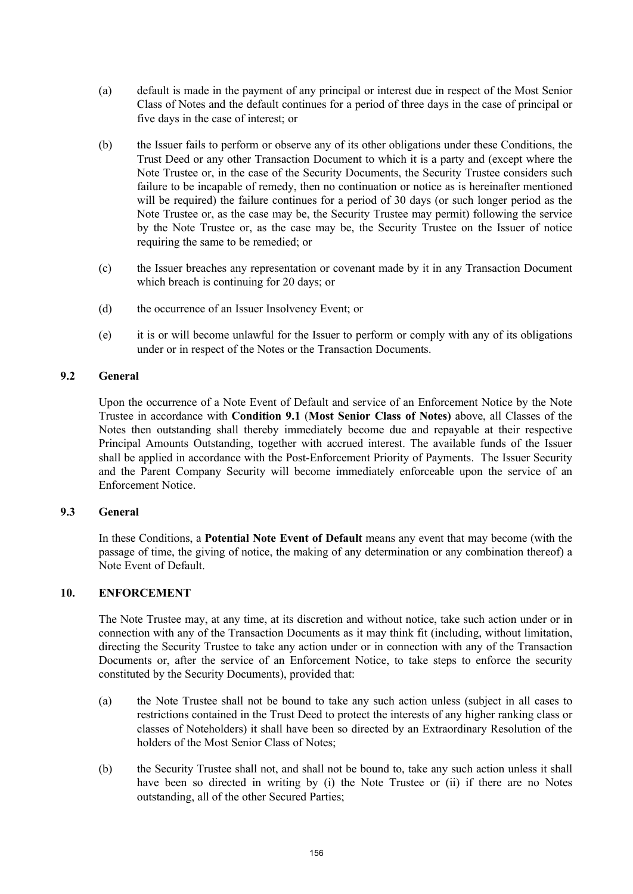- (a) default is made in the payment of any principal or interest due in respect of the Most Senior Class of Notes and the default continues for a period of three days in the case of principal or five days in the case of interest; or
- (b) the Issuer fails to perform or observe any of its other obligations under these Conditions, the Trust Deed or any other Transaction Document to which it is a party and (except where the Note Trustee or, in the case of the Security Documents, the Security Trustee considers such failure to be incapable of remedy, then no continuation or notice as is hereinafter mentioned will be required) the failure continues for a period of 30 days (or such longer period as the Note Trustee or, as the case may be, the Security Trustee may permit) following the service by the Note Trustee or, as the case may be, the Security Trustee on the Issuer of notice requiring the same to be remedied; or
- (c) the Issuer breaches any representation or covenant made by it in any Transaction Document which breach is continuing for 20 days; or
- (d) the occurrence of an Issuer Insolvency Event; or
- (e) it is or will become unlawful for the Issuer to perform or comply with any of its obligations under or in respect of the Notes or the Transaction Documents.

## **9.2 General**

Upon the occurrence of a Note Event of Default and service of an Enforcement Notice by the Note Trustee in accordance with **Condition 9.1** (**Most Senior Class of Notes)** above, all Classes of the Notes then outstanding shall thereby immediately become due and repayable at their respective Principal Amounts Outstanding, together with accrued interest. The available funds of the Issuer shall be applied in accordance with the Post-Enforcement Priority of Payments. The Issuer Security and the Parent Company Security will become immediately enforceable upon the service of an Enforcement Notice.

### **9.3 General**

In these Conditions, a **Potential Note Event of Default** means any event that may become (with the passage of time, the giving of notice, the making of any determination or any combination thereof) a Note Event of Default.

### **10. ENFORCEMENT**

The Note Trustee may, at any time, at its discretion and without notice, take such action under or in connection with any of the Transaction Documents as it may think fit (including, without limitation, directing the Security Trustee to take any action under or in connection with any of the Transaction Documents or, after the service of an Enforcement Notice, to take steps to enforce the security constituted by the Security Documents), provided that:

- (a) the Note Trustee shall not be bound to take any such action unless (subject in all cases to restrictions contained in the Trust Deed to protect the interests of any higher ranking class or classes of Noteholders) it shall have been so directed by an Extraordinary Resolution of the holders of the Most Senior Class of Notes;
- (b) the Security Trustee shall not, and shall not be bound to, take any such action unless it shall have been so directed in writing by (i) the Note Trustee or (ii) if there are no Notes outstanding, all of the other Secured Parties;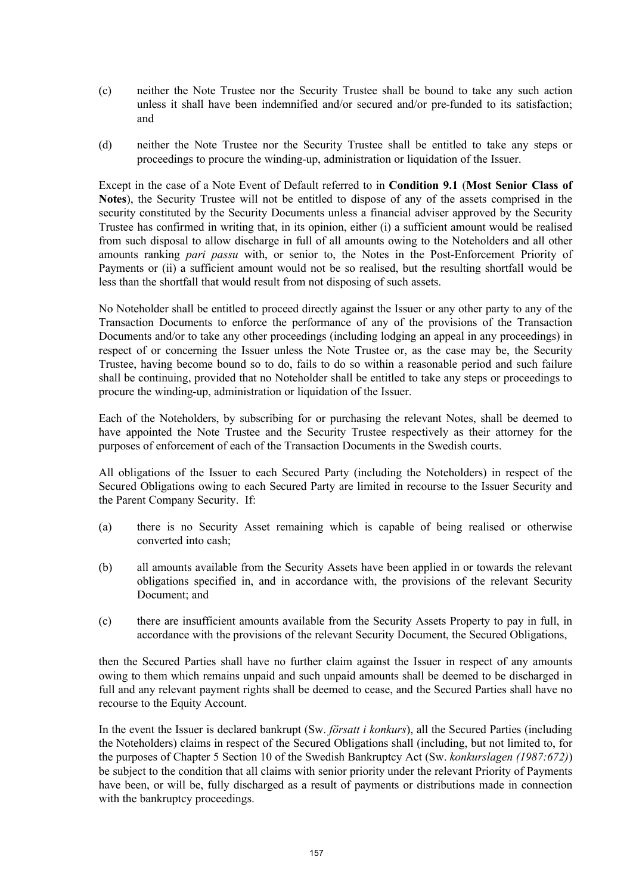- (c) neither the Note Trustee nor the Security Trustee shall be bound to take any such action unless it shall have been indemnified and/or secured and/or pre-funded to its satisfaction; and
- (d) neither the Note Trustee nor the Security Trustee shall be entitled to take any steps or proceedings to procure the winding-up, administration or liquidation of the Issuer.

Except in the case of a Note Event of Default referred to in **Condition 9.1** (**Most Senior Class of Notes**), the Security Trustee will not be entitled to dispose of any of the assets comprised in the security constituted by the Security Documents unless a financial adviser approved by the Security Trustee has confirmed in writing that, in its opinion, either (i) a sufficient amount would be realised from such disposal to allow discharge in full of all amounts owing to the Noteholders and all other amounts ranking *pari passu* with, or senior to, the Notes in the Post-Enforcement Priority of Payments or (ii) a sufficient amount would not be so realised, but the resulting shortfall would be less than the shortfall that would result from not disposing of such assets.

No Noteholder shall be entitled to proceed directly against the Issuer or any other party to any of the Transaction Documents to enforce the performance of any of the provisions of the Transaction Documents and/or to take any other proceedings (including lodging an appeal in any proceedings) in respect of or concerning the Issuer unless the Note Trustee or, as the case may be, the Security Trustee, having become bound so to do, fails to do so within a reasonable period and such failure shall be continuing, provided that no Noteholder shall be entitled to take any steps or proceedings to procure the winding-up, administration or liquidation of the Issuer.

Each of the Noteholders, by subscribing for or purchasing the relevant Notes, shall be deemed to have appointed the Note Trustee and the Security Trustee respectively as their attorney for the purposes of enforcement of each of the Transaction Documents in the Swedish courts.

All obligations of the Issuer to each Secured Party (including the Noteholders) in respect of the Secured Obligations owing to each Secured Party are limited in recourse to the Issuer Security and the Parent Company Security. If:

- (a) there is no Security Asset remaining which is capable of being realised or otherwise converted into cash;
- (b) all amounts available from the Security Assets have been applied in or towards the relevant obligations specified in, and in accordance with, the provisions of the relevant Security Document; and
- (c) there are insufficient amounts available from the Security Assets Property to pay in full, in accordance with the provisions of the relevant Security Document, the Secured Obligations,

then the Secured Parties shall have no further claim against the Issuer in respect of any amounts owing to them which remains unpaid and such unpaid amounts shall be deemed to be discharged in full and any relevant payment rights shall be deemed to cease, and the Secured Parties shall have no recourse to the Equity Account.

In the event the Issuer is declared bankrupt (Sw. *försatt i konkurs*), all the Secured Parties (including the Noteholders) claims in respect of the Secured Obligations shall (including, but not limited to, for the purposes of Chapter 5 Section 10 of the Swedish Bankruptcy Act (Sw. *konkurslagen (1987:672)*) be subject to the condition that all claims with senior priority under the relevant Priority of Payments have been, or will be, fully discharged as a result of payments or distributions made in connection with the bankruptcy proceedings.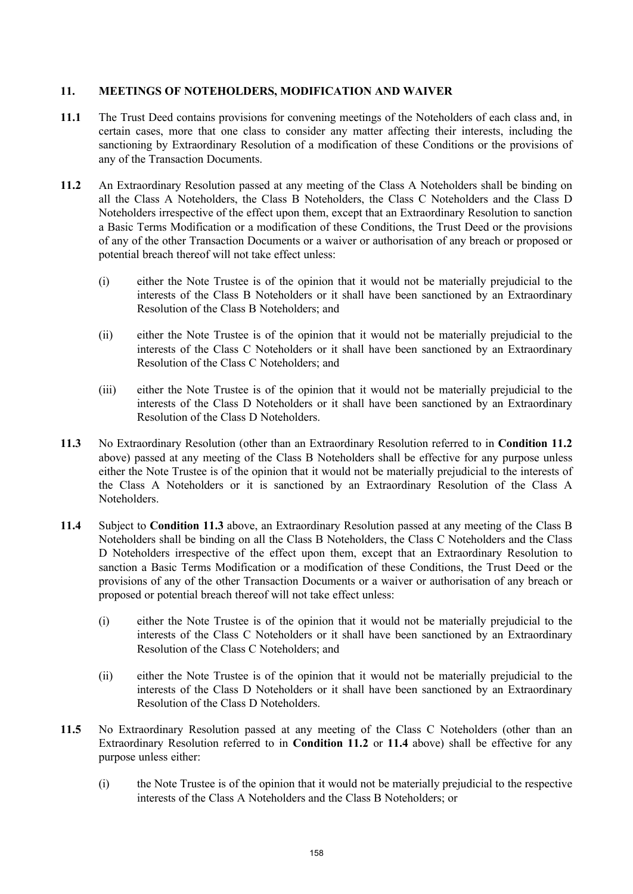## **11. MEETINGS OF NOTEHOLDERS, MODIFICATION AND WAIVER**

- **11.1** The Trust Deed contains provisions for convening meetings of the Noteholders of each class and, in certain cases, more that one class to consider any matter affecting their interests, including the sanctioning by Extraordinary Resolution of a modification of these Conditions or the provisions of any of the Transaction Documents.
- **11.2** An Extraordinary Resolution passed at any meeting of the Class A Noteholders shall be binding on all the Class A Noteholders, the Class B Noteholders, the Class C Noteholders and the Class D Noteholders irrespective of the effect upon them, except that an Extraordinary Resolution to sanction a Basic Terms Modification or a modification of these Conditions, the Trust Deed or the provisions of any of the other Transaction Documents or a waiver or authorisation of any breach or proposed or potential breach thereof will not take effect unless:
	- (i) either the Note Trustee is of the opinion that it would not be materially prejudicial to the interests of the Class B Noteholders or it shall have been sanctioned by an Extraordinary Resolution of the Class B Noteholders; and
	- (ii) either the Note Trustee is of the opinion that it would not be materially prejudicial to the interests of the Class C Noteholders or it shall have been sanctioned by an Extraordinary Resolution of the Class C Noteholders; and
	- (iii) either the Note Trustee is of the opinion that it would not be materially prejudicial to the interests of the Class D Noteholders or it shall have been sanctioned by an Extraordinary Resolution of the Class D Noteholders.
- **11.3** No Extraordinary Resolution (other than an Extraordinary Resolution referred to in **Condition 11.2** above) passed at any meeting of the Class B Noteholders shall be effective for any purpose unless either the Note Trustee is of the opinion that it would not be materially prejudicial to the interests of the Class A Noteholders or it is sanctioned by an Extraordinary Resolution of the Class A Noteholders.
- **11.4** Subject to **Condition 11.3** above, an Extraordinary Resolution passed at any meeting of the Class B Noteholders shall be binding on all the Class B Noteholders, the Class C Noteholders and the Class D Noteholders irrespective of the effect upon them, except that an Extraordinary Resolution to sanction a Basic Terms Modification or a modification of these Conditions, the Trust Deed or the provisions of any of the other Transaction Documents or a waiver or authorisation of any breach or proposed or potential breach thereof will not take effect unless:
	- (i) either the Note Trustee is of the opinion that it would not be materially prejudicial to the interests of the Class C Noteholders or it shall have been sanctioned by an Extraordinary Resolution of the Class C Noteholders; and
	- (ii) either the Note Trustee is of the opinion that it would not be materially prejudicial to the interests of the Class D Noteholders or it shall have been sanctioned by an Extraordinary Resolution of the Class D Noteholders.
- **11.5** No Extraordinary Resolution passed at any meeting of the Class C Noteholders (other than an Extraordinary Resolution referred to in **Condition 11.2** or **11.4** above) shall be effective for any purpose unless either:
	- (i) the Note Trustee is of the opinion that it would not be materially prejudicial to the respective interests of the Class A Noteholders and the Class B Noteholders; or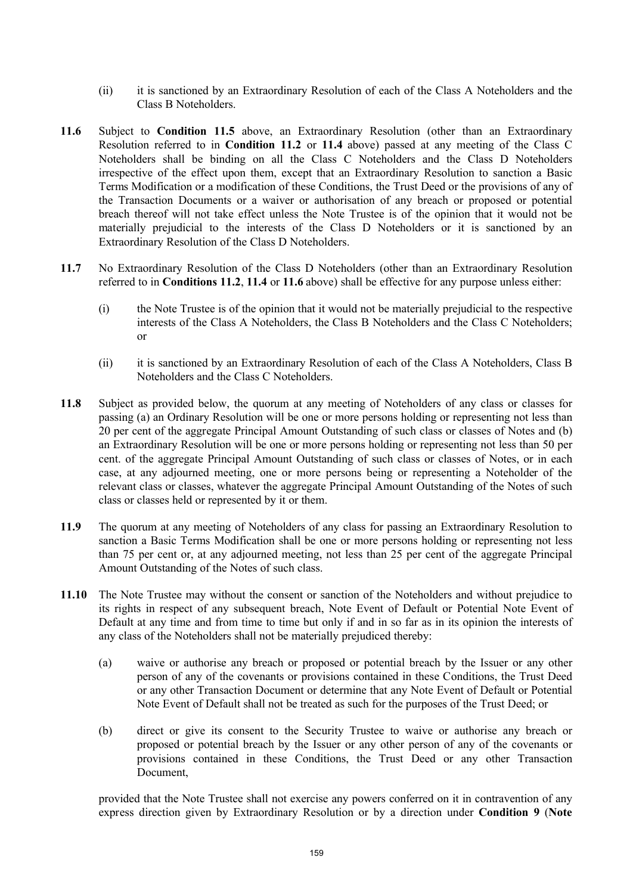- (ii) it is sanctioned by an Extraordinary Resolution of each of the Class A Noteholders and the Class B Noteholders.
- **11.6** Subject to **Condition 11.5** above, an Extraordinary Resolution (other than an Extraordinary Resolution referred to in **Condition 11.2** or **11.4** above) passed at any meeting of the Class C Noteholders shall be binding on all the Class C Noteholders and the Class D Noteholders irrespective of the effect upon them, except that an Extraordinary Resolution to sanction a Basic Terms Modification or a modification of these Conditions, the Trust Deed or the provisions of any of the Transaction Documents or a waiver or authorisation of any breach or proposed or potential breach thereof will not take effect unless the Note Trustee is of the opinion that it would not be materially prejudicial to the interests of the Class D Noteholders or it is sanctioned by an Extraordinary Resolution of the Class D Noteholders.
- **11.7** No Extraordinary Resolution of the Class D Noteholders (other than an Extraordinary Resolution referred to in **Conditions 11.2**, **11.4** or **11.6** above) shall be effective for any purpose unless either:
	- (i) the Note Trustee is of the opinion that it would not be materially prejudicial to the respective interests of the Class A Noteholders, the Class B Noteholders and the Class C Noteholders; or
	- (ii) it is sanctioned by an Extraordinary Resolution of each of the Class A Noteholders, Class B Noteholders and the Class C Noteholders.
- **11.8** Subject as provided below, the quorum at any meeting of Noteholders of any class or classes for passing (a) an Ordinary Resolution will be one or more persons holding or representing not less than 20 per cent of the aggregate Principal Amount Outstanding of such class or classes of Notes and (b) an Extraordinary Resolution will be one or more persons holding or representing not less than 50 per cent. of the aggregate Principal Amount Outstanding of such class or classes of Notes, or in each case, at any adjourned meeting, one or more persons being or representing a Noteholder of the relevant class or classes, whatever the aggregate Principal Amount Outstanding of the Notes of such class or classes held or represented by it or them.
- **11.9** The quorum at any meeting of Noteholders of any class for passing an Extraordinary Resolution to sanction a Basic Terms Modification shall be one or more persons holding or representing not less than 75 per cent or, at any adjourned meeting, not less than 25 per cent of the aggregate Principal Amount Outstanding of the Notes of such class.
- **11.10** The Note Trustee may without the consent or sanction of the Noteholders and without prejudice to its rights in respect of any subsequent breach, Note Event of Default or Potential Note Event of Default at any time and from time to time but only if and in so far as in its opinion the interests of any class of the Noteholders shall not be materially prejudiced thereby:
	- (a) waive or authorise any breach or proposed or potential breach by the Issuer or any other person of any of the covenants or provisions contained in these Conditions, the Trust Deed or any other Transaction Document or determine that any Note Event of Default or Potential Note Event of Default shall not be treated as such for the purposes of the Trust Deed; or
	- (b) direct or give its consent to the Security Trustee to waive or authorise any breach or proposed or potential breach by the Issuer or any other person of any of the covenants or provisions contained in these Conditions, the Trust Deed or any other Transaction Document,

provided that the Note Trustee shall not exercise any powers conferred on it in contravention of any express direction given by Extraordinary Resolution or by a direction under **Condition 9** (**Note**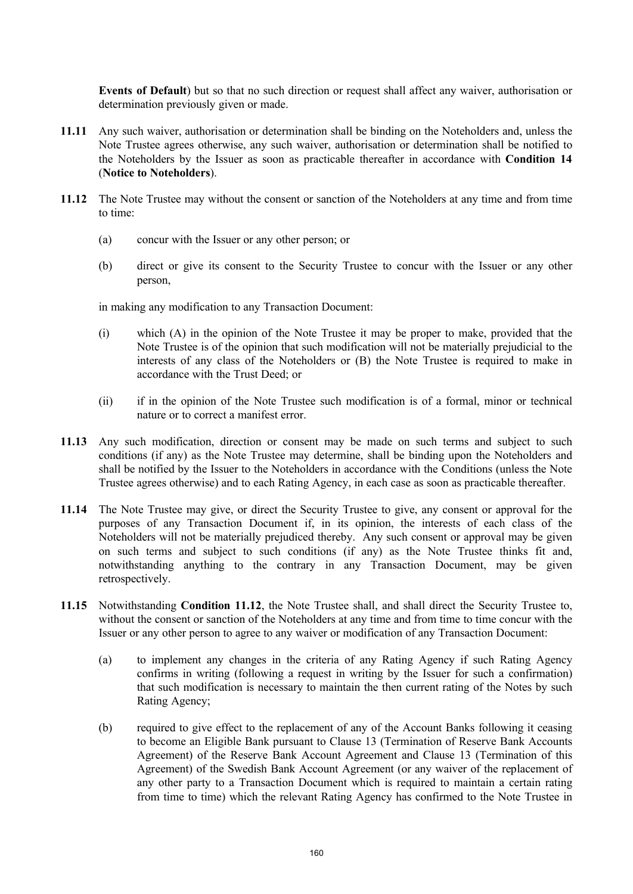**Events of Default**) but so that no such direction or request shall affect any waiver, authorisation or determination previously given or made.

- **11.11** Any such waiver, authorisation or determination shall be binding on the Noteholders and, unless the Note Trustee agrees otherwise, any such waiver, authorisation or determination shall be notified to the Noteholders by the Issuer as soon as practicable thereafter in accordance with **Condition 14** (**Notice to Noteholders**).
- **11.12** The Note Trustee may without the consent or sanction of the Noteholders at any time and from time to time:
	- (a) concur with the Issuer or any other person; or
	- (b) direct or give its consent to the Security Trustee to concur with the Issuer or any other person,

in making any modification to any Transaction Document:

- (i) which (A) in the opinion of the Note Trustee it may be proper to make, provided that the Note Trustee is of the opinion that such modification will not be materially prejudicial to the interests of any class of the Noteholders or (B) the Note Trustee is required to make in accordance with the Trust Deed; or
- (ii) if in the opinion of the Note Trustee such modification is of a formal, minor or technical nature or to correct a manifest error.
- **11.13** Any such modification, direction or consent may be made on such terms and subject to such conditions (if any) as the Note Trustee may determine, shall be binding upon the Noteholders and shall be notified by the Issuer to the Noteholders in accordance with the Conditions (unless the Note Trustee agrees otherwise) and to each Rating Agency, in each case as soon as practicable thereafter.
- **11.14** The Note Trustee may give, or direct the Security Trustee to give, any consent or approval for the purposes of any Transaction Document if, in its opinion, the interests of each class of the Noteholders will not be materially prejudiced thereby. Any such consent or approval may be given on such terms and subject to such conditions (if any) as the Note Trustee thinks fit and, notwithstanding anything to the contrary in any Transaction Document, may be given retrospectively.
- **11.15** Notwithstanding **Condition 11.12**, the Note Trustee shall, and shall direct the Security Trustee to, without the consent or sanction of the Noteholders at any time and from time to time concur with the Issuer or any other person to agree to any waiver or modification of any Transaction Document:
	- (a) to implement any changes in the criteria of any Rating Agency if such Rating Agency confirms in writing (following a request in writing by the Issuer for such a confirmation) that such modification is necessary to maintain the then current rating of the Notes by such Rating Agency;
	- (b) required to give effect to the replacement of any of the Account Banks following it ceasing to become an Eligible Bank pursuant to Clause 13 (Termination of Reserve Bank Accounts Agreement) of the Reserve Bank Account Agreement and Clause 13 (Termination of this Agreement) of the Swedish Bank Account Agreement (or any waiver of the replacement of any other party to a Transaction Document which is required to maintain a certain rating from time to time) which the relevant Rating Agency has confirmed to the Note Trustee in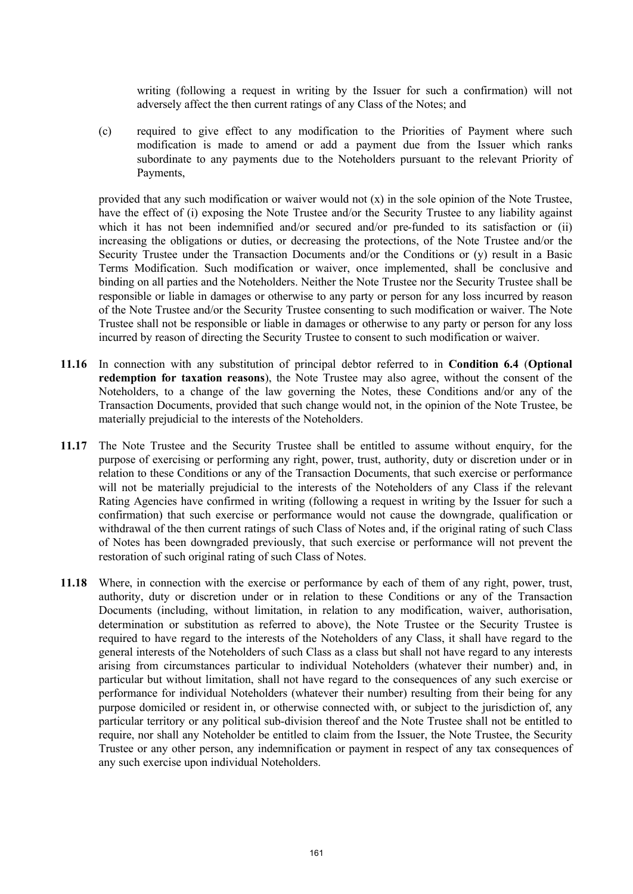writing (following a request in writing by the Issuer for such a confirmation) will not adversely affect the then current ratings of any Class of the Notes; and

(c) required to give effect to any modification to the Priorities of Payment where such modification is made to amend or add a payment due from the Issuer which ranks subordinate to any payments due to the Noteholders pursuant to the relevant Priority of Payments,

provided that any such modification or waiver would not (x) in the sole opinion of the Note Trustee, have the effect of (i) exposing the Note Trustee and/or the Security Trustee to any liability against which it has not been indemnified and/or secured and/or pre-funded to its satisfaction or (ii) increasing the obligations or duties, or decreasing the protections, of the Note Trustee and/or the Security Trustee under the Transaction Documents and/or the Conditions or (y) result in a Basic Terms Modification. Such modification or waiver, once implemented, shall be conclusive and binding on all parties and the Noteholders. Neither the Note Trustee nor the Security Trustee shall be responsible or liable in damages or otherwise to any party or person for any loss incurred by reason of the Note Trustee and/or the Security Trustee consenting to such modification or waiver. The Note Trustee shall not be responsible or liable in damages or otherwise to any party or person for any loss incurred by reason of directing the Security Trustee to consent to such modification or waiver.

- **11.16** In connection with any substitution of principal debtor referred to in **Condition 6.4** (**Optional redemption for taxation reasons**), the Note Trustee may also agree, without the consent of the Noteholders, to a change of the law governing the Notes, these Conditions and/or any of the Transaction Documents, provided that such change would not, in the opinion of the Note Trustee, be materially prejudicial to the interests of the Noteholders.
- **11.17** The Note Trustee and the Security Trustee shall be entitled to assume without enquiry, for the purpose of exercising or performing any right, power, trust, authority, duty or discretion under or in relation to these Conditions or any of the Transaction Documents, that such exercise or performance will not be materially prejudicial to the interests of the Noteholders of any Class if the relevant Rating Agencies have confirmed in writing (following a request in writing by the Issuer for such a confirmation) that such exercise or performance would not cause the downgrade, qualification or withdrawal of the then current ratings of such Class of Notes and, if the original rating of such Class of Notes has been downgraded previously, that such exercise or performance will not prevent the restoration of such original rating of such Class of Notes.
- **11.18** Where, in connection with the exercise or performance by each of them of any right, power, trust, authority, duty or discretion under or in relation to these Conditions or any of the Transaction Documents (including, without limitation, in relation to any modification, waiver, authorisation, determination or substitution as referred to above), the Note Trustee or the Security Trustee is required to have regard to the interests of the Noteholders of any Class, it shall have regard to the general interests of the Noteholders of such Class as a class but shall not have regard to any interests arising from circumstances particular to individual Noteholders (whatever their number) and, in particular but without limitation, shall not have regard to the consequences of any such exercise or performance for individual Noteholders (whatever their number) resulting from their being for any purpose domiciled or resident in, or otherwise connected with, or subject to the jurisdiction of, any particular territory or any political sub-division thereof and the Note Trustee shall not be entitled to require, nor shall any Noteholder be entitled to claim from the Issuer, the Note Trustee, the Security Trustee or any other person, any indemnification or payment in respect of any tax consequences of any such exercise upon individual Noteholders.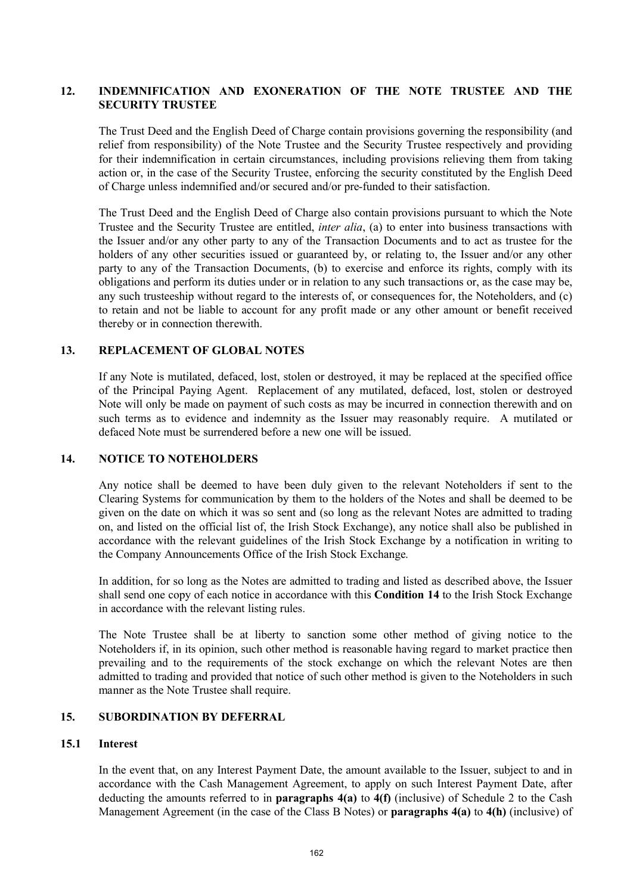## **12. INDEMNIFICATION AND EXONERATION OF THE NOTE TRUSTEE AND THE SECURITY TRUSTEE**

The Trust Deed and the English Deed of Charge contain provisions governing the responsibility (and relief from responsibility) of the Note Trustee and the Security Trustee respectively and providing for their indemnification in certain circumstances, including provisions relieving them from taking action or, in the case of the Security Trustee, enforcing the security constituted by the English Deed of Charge unless indemnified and/or secured and/or pre-funded to their satisfaction.

The Trust Deed and the English Deed of Charge also contain provisions pursuant to which the Note Trustee and the Security Trustee are entitled, *inter alia*, (a) to enter into business transactions with the Issuer and/or any other party to any of the Transaction Documents and to act as trustee for the holders of any other securities issued or guaranteed by, or relating to, the Issuer and/or any other party to any of the Transaction Documents, (b) to exercise and enforce its rights, comply with its obligations and perform its duties under or in relation to any such transactions or, as the case may be, any such trusteeship without regard to the interests of, or consequences for, the Noteholders, and (c) to retain and not be liable to account for any profit made or any other amount or benefit received thereby or in connection therewith.

### **13. REPLACEMENT OF GLOBAL NOTES**

If any Note is mutilated, defaced, lost, stolen or destroyed, it may be replaced at the specified office of the Principal Paying Agent. Replacement of any mutilated, defaced, lost, stolen or destroyed Note will only be made on payment of such costs as may be incurred in connection therewith and on such terms as to evidence and indemnity as the Issuer may reasonably require. A mutilated or defaced Note must be surrendered before a new one will be issued.

#### **14. NOTICE TO NOTEHOLDERS**

Any notice shall be deemed to have been duly given to the relevant Noteholders if sent to the Clearing Systems for communication by them to the holders of the Notes and shall be deemed to be given on the date on which it was so sent and (so long as the relevant Notes are admitted to trading on, and listed on the official list of, the Irish Stock Exchange), any notice shall also be published in accordance with the relevant guidelines of the Irish Stock Exchange by a notification in writing to the Company Announcements Office of the Irish Stock Exchange.

In addition, for so long as the Notes are admitted to trading and listed as described above, the Issuer shall send one copy of each notice in accordance with this **Condition 14** to the Irish Stock Exchange in accordance with the relevant listing rules.

The Note Trustee shall be at liberty to sanction some other method of giving notice to the Noteholders if, in its opinion, such other method is reasonable having regard to market practice then prevailing and to the requirements of the stock exchange on which the relevant Notes are then admitted to trading and provided that notice of such other method is given to the Noteholders in such manner as the Note Trustee shall require.

## **15. SUBORDINATION BY DEFERRAL**

#### **15.1 Interest**

In the event that, on any Interest Payment Date, the amount available to the Issuer, subject to and in accordance with the Cash Management Agreement, to apply on such Interest Payment Date, after deducting the amounts referred to in **paragraphs 4(a)** to **4(f)** (inclusive) of Schedule 2 to the Cash Management Agreement (in the case of the Class B Notes) or **paragraphs 4(a)** to **4(h)** (inclusive) of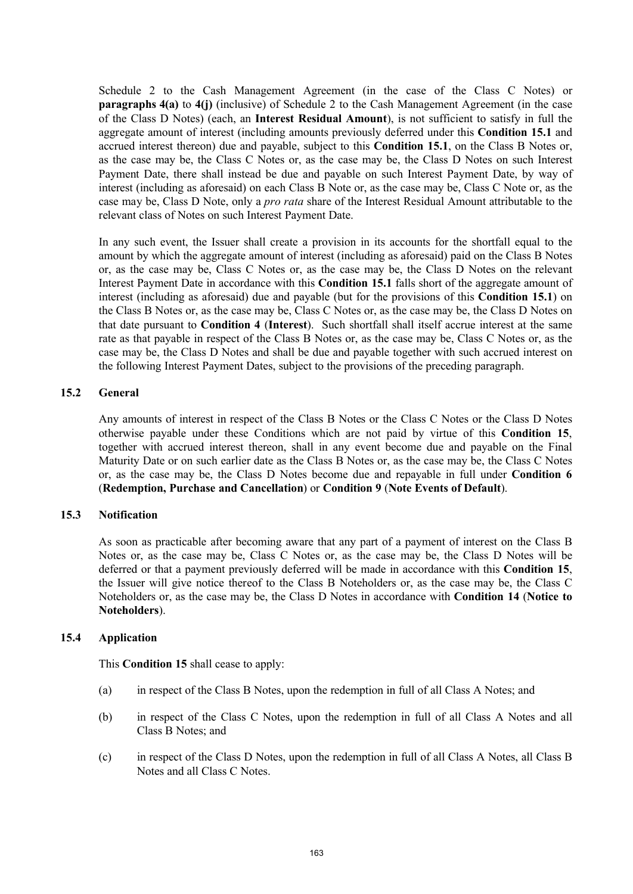Schedule 2 to the Cash Management Agreement (in the case of the Class C Notes) or **paragraphs 4(a)** to **4(j)** (inclusive) of Schedule 2 to the Cash Management Agreement (in the case of the Class D Notes) (each, an **Interest Residual Amount**), is not sufficient to satisfy in full the aggregate amount of interest (including amounts previously deferred under this **Condition 15.1** and accrued interest thereon) due and payable, subject to this **Condition 15.1**, on the Class B Notes or, as the case may be, the Class C Notes or, as the case may be, the Class D Notes on such Interest Payment Date, there shall instead be due and payable on such Interest Payment Date, by way of interest (including as aforesaid) on each Class B Note or, as the case may be, Class C Note or, as the case may be, Class D Note, only a *pro rata* share of the Interest Residual Amount attributable to the relevant class of Notes on such Interest Payment Date.

In any such event, the Issuer shall create a provision in its accounts for the shortfall equal to the amount by which the aggregate amount of interest (including as aforesaid) paid on the Class B Notes or, as the case may be, Class C Notes or, as the case may be, the Class D Notes on the relevant Interest Payment Date in accordance with this **Condition 15.1** falls short of the aggregate amount of interest (including as aforesaid) due and payable (but for the provisions of this **Condition 15.1**) on the Class B Notes or, as the case may be, Class C Notes or, as the case may be, the Class D Notes on that date pursuant to **Condition 4** (**Interest**). Such shortfall shall itself accrue interest at the same rate as that payable in respect of the Class B Notes or, as the case may be, Class C Notes or, as the case may be, the Class D Notes and shall be due and payable together with such accrued interest on the following Interest Payment Dates, subject to the provisions of the preceding paragraph.

### **15.2 General**

Any amounts of interest in respect of the Class B Notes or the Class C Notes or the Class D Notes otherwise payable under these Conditions which are not paid by virtue of this **Condition 15**, together with accrued interest thereon, shall in any event become due and payable on the Final Maturity Date or on such earlier date as the Class B Notes or, as the case may be, the Class C Notes or, as the case may be, the Class D Notes become due and repayable in full under **Condition 6** (**Redemption, Purchase and Cancellation**) or **Condition 9** (**Note Events of Default**).

## **15.3 Notification**

As soon as practicable after becoming aware that any part of a payment of interest on the Class B Notes or, as the case may be, Class C Notes or, as the case may be, the Class D Notes will be deferred or that a payment previously deferred will be made in accordance with this **Condition 15**, the Issuer will give notice thereof to the Class B Noteholders or, as the case may be, the Class C Noteholders or, as the case may be, the Class D Notes in accordance with **Condition 14** (**Notice to Noteholders**).

### **15.4 Application**

This **Condition 15** shall cease to apply:

- (a) in respect of the Class B Notes, upon the redemption in full of all Class A Notes; and
- (b) in respect of the Class C Notes, upon the redemption in full of all Class A Notes and all Class B Notes; and
- (c) in respect of the Class D Notes, upon the redemption in full of all Class A Notes, all Class B Notes and all Class C Notes.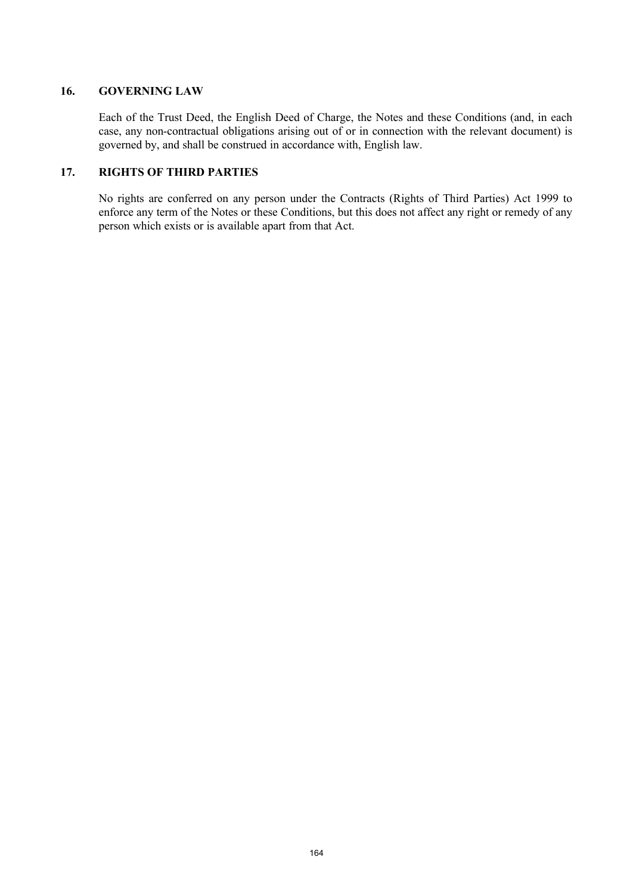## **16. GOVERNING LAW**

Each of the Trust Deed, the English Deed of Charge, the Notes and these Conditions (and, in each case, any non-contractual obligations arising out of or in connection with the relevant document) is governed by, and shall be construed in accordance with, English law.

## **17. RIGHTS OF THIRD PARTIES**

No rights are conferred on any person under the Contracts (Rights of Third Parties) Act 1999 to enforce any term of the Notes or these Conditions, but this does not affect any right or remedy of any person which exists or is available apart from that Act.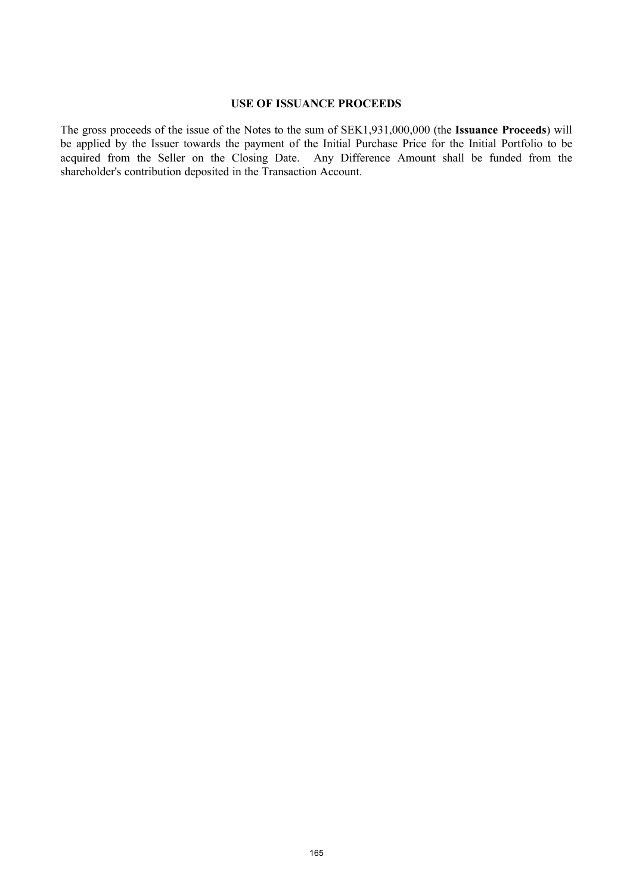### **USE OF ISSUANCE PROCEEDS**

The gross proceeds of the issue of the Notes to the sum of SEK1,931,000,000 (the **Issuance Proceeds**) will be applied by the Issuer towards the payment of the Initial Purchase Price for the Initial Portfolio to be acquired from the Seller on the Closing Date. Any Difference Amount shall be funded from the shareholder's contribution deposited in the Transaction Account.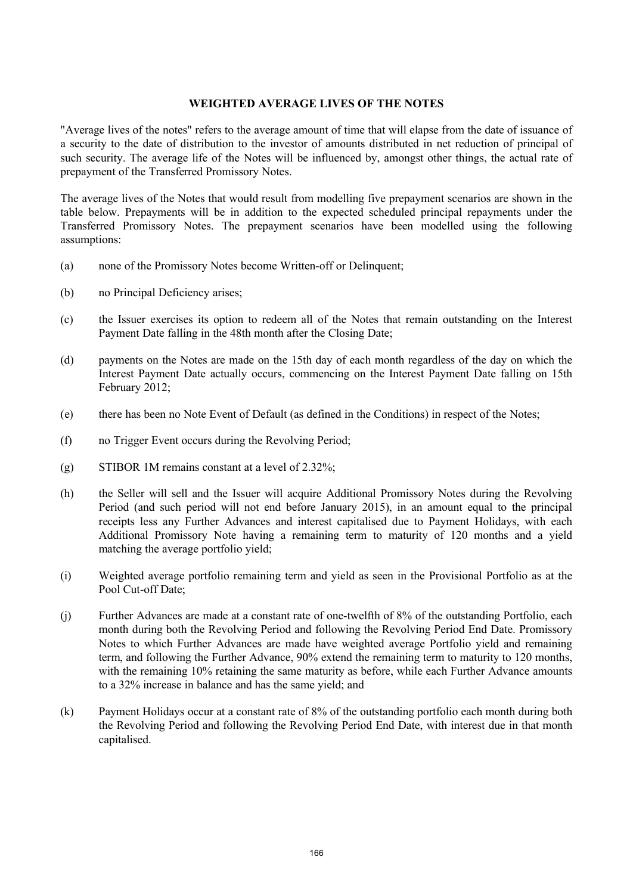### **WEIGHTED AVERAGE LIVES OF THE NOTES**

"Average lives of the notes" refers to the average amount of time that will elapse from the date of issuance of a security to the date of distribution to the investor of amounts distributed in net reduction of principal of such security. The average life of the Notes will be influenced by, amongst other things, the actual rate of prepayment of the Transferred Promissory Notes.

The average lives of the Notes that would result from modelling five prepayment scenarios are shown in the table below. Prepayments will be in addition to the expected scheduled principal repayments under the Transferred Promissory Notes. The prepayment scenarios have been modelled using the following assumptions:

- (a) none of the Promissory Notes become Written-off or Delinquent;
- (b) no Principal Deficiency arises;
- (c) the Issuer exercises its option to redeem all of the Notes that remain outstanding on the Interest Payment Date falling in the 48th month after the Closing Date;
- (d) payments on the Notes are made on the 15th day of each month regardless of the day on which the Interest Payment Date actually occurs, commencing on the Interest Payment Date falling on 15th February 2012;
- (e) there has been no Note Event of Default (as defined in the Conditions) in respect of the Notes;
- (f) no Trigger Event occurs during the Revolving Period;
- (g) STIBOR 1M remains constant at a level of 2.32%;
- (h) the Seller will sell and the Issuer will acquire Additional Promissory Notes during the Revolving Period (and such period will not end before January 2015), in an amount equal to the principal receipts less any Further Advances and interest capitalised due to Payment Holidays, with each Additional Promissory Note having a remaining term to maturity of 120 months and a yield matching the average portfolio yield;
- (i) Weighted average portfolio remaining term and yield as seen in the Provisional Portfolio as at the Pool Cut-off Date;
- (j) Further Advances are made at a constant rate of one-twelfth of 8% of the outstanding Portfolio, each month during both the Revolving Period and following the Revolving Period End Date. Promissory Notes to which Further Advances are made have weighted average Portfolio yield and remaining term, and following the Further Advance, 90% extend the remaining term to maturity to 120 months, with the remaining 10% retaining the same maturity as before, while each Further Advance amounts to a 32% increase in balance and has the same yield; and
- (k) Payment Holidays occur at a constant rate of 8% of the outstanding portfolio each month during both the Revolving Period and following the Revolving Period End Date, with interest due in that month capitalised.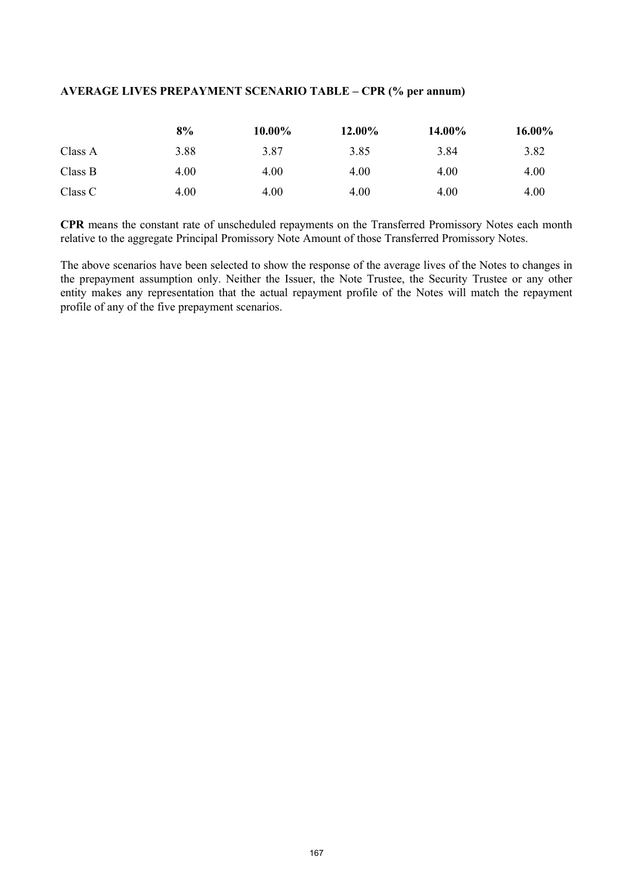## **AVERAGE LIVES PREPAYMENT SCENARIO TABLE – CPR (% per annum)**

|         | 8%   | 10.00% | 12.00% | 14.00% | 16.00% |
|---------|------|--------|--------|--------|--------|
| Class A | 3.88 | 3.87   | 3.85   | 3.84   | 3.82   |
| Class B | 4.00 | 4.00   | 4.00   | 4.00   | 4.00   |
| Class C | 4.00 | 4.00   | 4.00   | 4.00   | 4.00   |

**CPR** means the constant rate of unscheduled repayments on the Transferred Promissory Notes each month relative to the aggregate Principal Promissory Note Amount of those Transferred Promissory Notes.

The above scenarios have been selected to show the response of the average lives of the Notes to changes in the prepayment assumption only. Neither the Issuer, the Note Trustee, the Security Trustee or any other entity makes any representation that the actual repayment profile of the Notes will match the repayment profile of any of the five prepayment scenarios.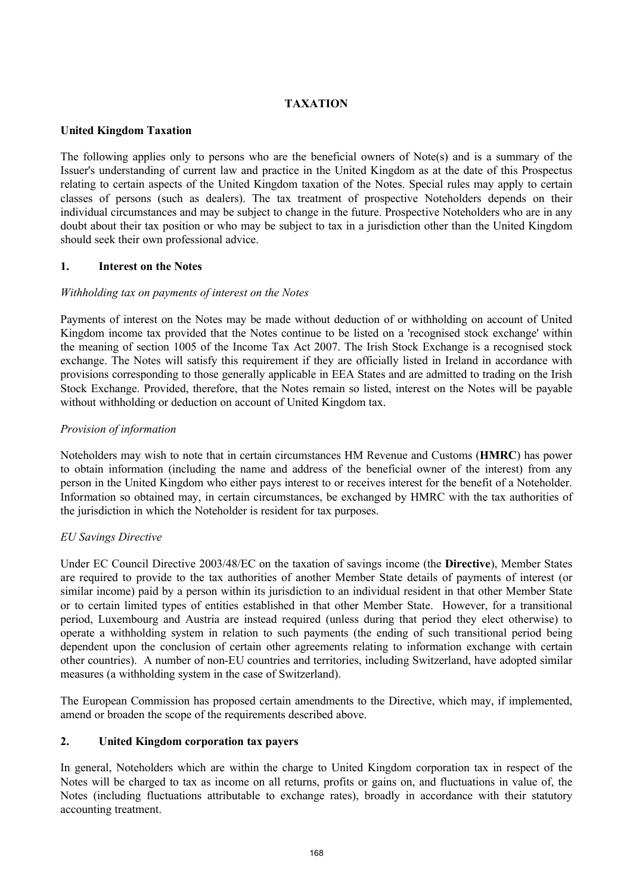## **TAXATION**

## **United Kingdom Taxation**

The following applies only to persons who are the beneficial owners of Note(s) and is a summary of the Issuer's understanding of current law and practice in the United Kingdom as at the date of this Prospectus relating to certain aspects of the United Kingdom taxation of the Notes. Special rules may apply to certain classes of persons (such as dealers). The tax treatment of prospective Noteholders depends on their individual circumstances and may be subject to change in the future. Prospective Noteholders who are in any doubt about their tax position or who may be subject to tax in a jurisdiction other than the United Kingdom should seek their own professional advice.

## **1. Interest on the Notes**

## *Withholding tax on payments of interest on the Notes*

Payments of interest on the Notes may be made without deduction of or withholding on account of United Kingdom income tax provided that the Notes continue to be listed on a 'recognised stock exchange' within the meaning of section 1005 of the Income Tax Act 2007. The Irish Stock Exchange is a recognised stock exchange. The Notes will satisfy this requirement if they are officially listed in Ireland in accordance with provisions corresponding to those generally applicable in EEA States and are admitted to trading on the Irish Stock Exchange. Provided, therefore, that the Notes remain so listed, interest on the Notes will be payable without withholding or deduction on account of United Kingdom tax.

# *Provision of information*

Noteholders may wish to note that in certain circumstances HM Revenue and Customs (**HMRC**) has power to obtain information (including the name and address of the beneficial owner of the interest) from any person in the United Kingdom who either pays interest to or receives interest for the benefit of a Noteholder. Information so obtained may, in certain circumstances, be exchanged by HMRC with the tax authorities of the jurisdiction in which the Noteholder is resident for tax purposes.

# *EU Savings Directive*

Under EC Council Directive 2003/48/EC on the taxation of savings income (the **Directive**), Member States are required to provide to the tax authorities of another Member State details of payments of interest (or similar income) paid by a person within its jurisdiction to an individual resident in that other Member State or to certain limited types of entities established in that other Member State. However, for a transitional period, Luxembourg and Austria are instead required (unless during that period they elect otherwise) to operate a withholding system in relation to such payments (the ending of such transitional period being dependent upon the conclusion of certain other agreements relating to information exchange with certain other countries). A number of non-EU countries and territories, including Switzerland, have adopted similar measures (a withholding system in the case of Switzerland).

The European Commission has proposed certain amendments to the Directive, which may, if implemented, amend or broaden the scope of the requirements described above.

# **2. United Kingdom corporation tax payers**

In general, Noteholders which are within the charge to United Kingdom corporation tax in respect of the Notes will be charged to tax as income on all returns, profits or gains on, and fluctuations in value of, the Notes (including fluctuations attributable to exchange rates), broadly in accordance with their statutory accounting treatment.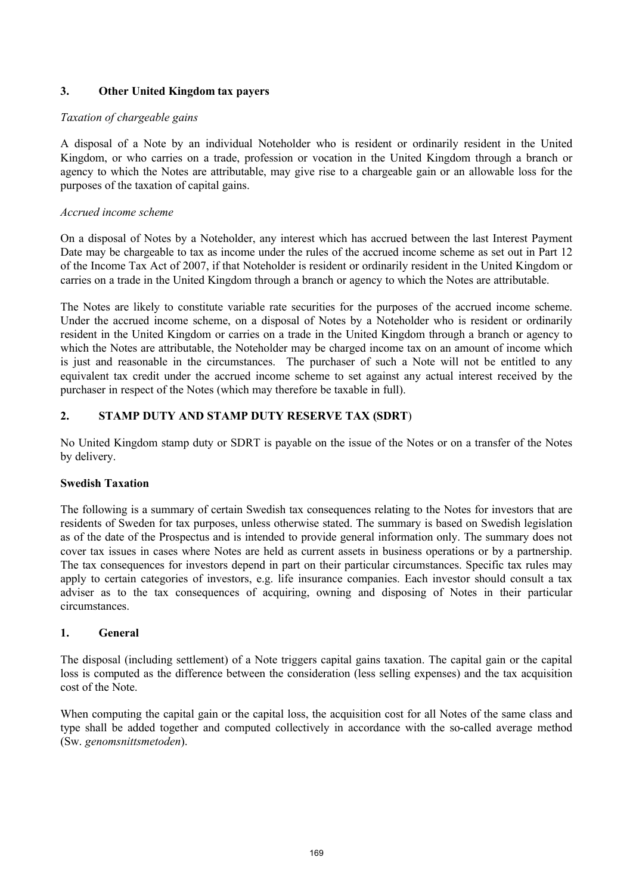## **3. Other United Kingdom tax payers**

## *Taxation of chargeable gains*

A disposal of a Note by an individual Noteholder who is resident or ordinarily resident in the United Kingdom, or who carries on a trade, profession or vocation in the United Kingdom through a branch or agency to which the Notes are attributable, may give rise to a chargeable gain or an allowable loss for the purposes of the taxation of capital gains.

## *Accrued income scheme*

On a disposal of Notes by a Noteholder, any interest which has accrued between the last Interest Payment Date may be chargeable to tax as income under the rules of the accrued income scheme as set out in Part 12 of the Income Tax Act of 2007, if that Noteholder is resident or ordinarily resident in the United Kingdom or carries on a trade in the United Kingdom through a branch or agency to which the Notes are attributable.

The Notes are likely to constitute variable rate securities for the purposes of the accrued income scheme. Under the accrued income scheme, on a disposal of Notes by a Noteholder who is resident or ordinarily resident in the United Kingdom or carries on a trade in the United Kingdom through a branch or agency to which the Notes are attributable, the Noteholder may be charged income tax on an amount of income which is just and reasonable in the circumstances. The purchaser of such a Note will not be entitled to any equivalent tax credit under the accrued income scheme to set against any actual interest received by the purchaser in respect of the Notes (which may therefore be taxable in full).

## **2. STAMP DUTY AND STAMP DUTY RESERVE TAX (SDRT**)

No United Kingdom stamp duty or SDRT is payable on the issue of the Notes or on a transfer of the Notes by delivery.

## **Swedish Taxation**

The following is a summary of certain Swedish tax consequences relating to the Notes for investors that are residents of Sweden for tax purposes, unless otherwise stated. The summary is based on Swedish legislation as of the date of the Prospectus and is intended to provide general information only. The summary does not cover tax issues in cases where Notes are held as current assets in business operations or by a partnership. The tax consequences for investors depend in part on their particular circumstances. Specific tax rules may apply to certain categories of investors, e.g. life insurance companies. Each investor should consult a tax adviser as to the tax consequences of acquiring, owning and disposing of Notes in their particular circumstances.

## **1. General**

The disposal (including settlement) of a Note triggers capital gains taxation. The capital gain or the capital loss is computed as the difference between the consideration (less selling expenses) and the tax acquisition cost of the Note.

When computing the capital gain or the capital loss, the acquisition cost for all Notes of the same class and type shall be added together and computed collectively in accordance with the so-called average method (Sw. *genomsnittsmetoden*).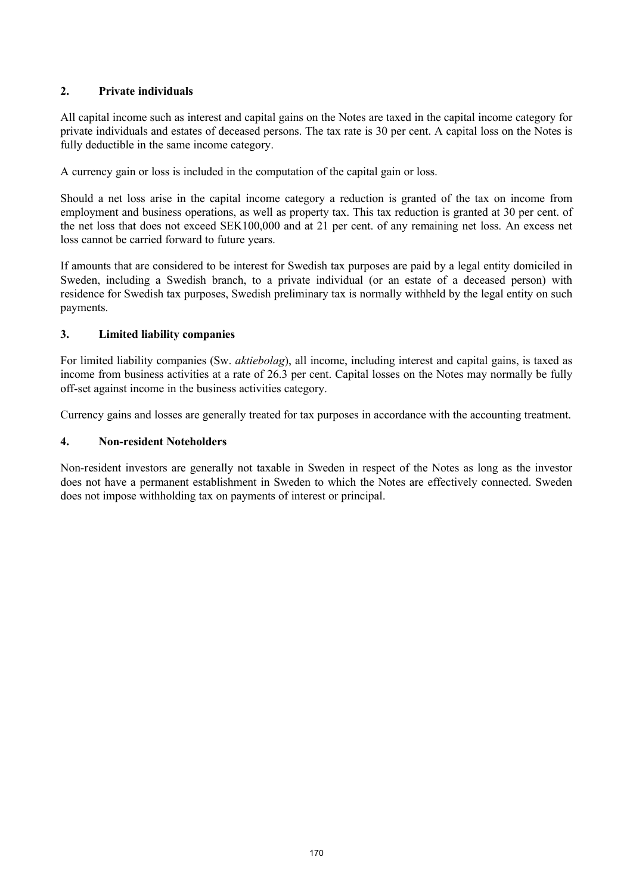# **2. Private individuals**

All capital income such as interest and capital gains on the Notes are taxed in the capital income category for private individuals and estates of deceased persons. The tax rate is 30 per cent. A capital loss on the Notes is fully deductible in the same income category.

A currency gain or loss is included in the computation of the capital gain or loss.

Should a net loss arise in the capital income category a reduction is granted of the tax on income from employment and business operations, as well as property tax. This tax reduction is granted at 30 per cent. of the net loss that does not exceed SEK100,000 and at 21 per cent. of any remaining net loss. An excess net loss cannot be carried forward to future years.

If amounts that are considered to be interest for Swedish tax purposes are paid by a legal entity domiciled in Sweden, including a Swedish branch, to a private individual (or an estate of a deceased person) with residence for Swedish tax purposes, Swedish preliminary tax is normally withheld by the legal entity on such payments.

## **3. Limited liability companies**

For limited liability companies (Sw. *aktiebolag*), all income, including interest and capital gains, is taxed as income from business activities at a rate of 26.3 per cent. Capital losses on the Notes may normally be fully off-set against income in the business activities category.

Currency gains and losses are generally treated for tax purposes in accordance with the accounting treatment.

## **4. Non-resident Noteholders**

Non-resident investors are generally not taxable in Sweden in respect of the Notes as long as the investor does not have a permanent establishment in Sweden to which the Notes are effectively connected. Sweden does not impose withholding tax on payments of interest or principal.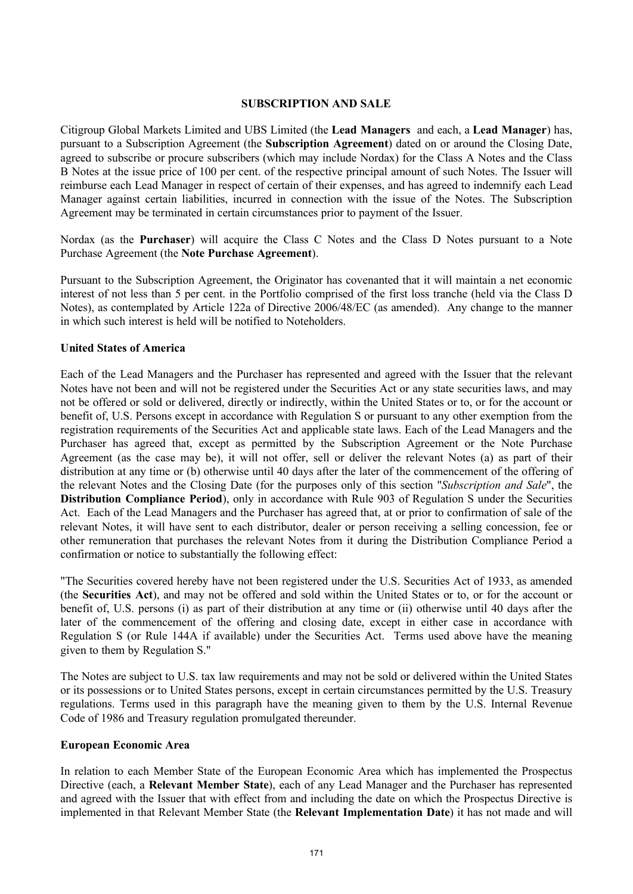### **SUBSCRIPTION AND SALE**

Citigroup Global Markets Limited and UBS Limited (the **Lead Managers** and each, a **Lead Manager**) has, pursuant to a Subscription Agreement (the **Subscription Agreement**) dated on or around the Closing Date, agreed to subscribe or procure subscribers (which may include Nordax) for the Class A Notes and the Class B Notes at the issue price of 100 per cent. of the respective principal amount of such Notes. The Issuer will reimburse each Lead Manager in respect of certain of their expenses, and has agreed to indemnify each Lead Manager against certain liabilities, incurred in connection with the issue of the Notes. The Subscription Agreement may be terminated in certain circumstances prior to payment of the Issuer.

Nordax (as the **Purchaser**) will acquire the Class C Notes and the Class D Notes pursuant to a Note Purchase Agreement (the **Note Purchase Agreement**).

Pursuant to the Subscription Agreement, the Originator has covenanted that it will maintain a net economic interest of not less than 5 per cent. in the Portfolio comprised of the first loss tranche (held via the Class D Notes), as contemplated by Article 122a of Directive 2006/48/EC (as amended). Any change to the manner in which such interest is held will be notified to Noteholders.

### **United States of America**

Each of the Lead Managers and the Purchaser has represented and agreed with the Issuer that the relevant Notes have not been and will not be registered under the Securities Act or any state securities laws, and may not be offered or sold or delivered, directly or indirectly, within the United States or to, or for the account or benefit of, U.S. Persons except in accordance with Regulation S or pursuant to any other exemption from the registration requirements of the Securities Act and applicable state laws. Each of the Lead Managers and the Purchaser has agreed that, except as permitted by the Subscription Agreement or the Note Purchase Agreement (as the case may be), it will not offer, sell or deliver the relevant Notes (a) as part of their distribution at any time or (b) otherwise until 40 days after the later of the commencement of the offering of the relevant Notes and the Closing Date (for the purposes only of this section "*Subscription and Sale*", the **Distribution Compliance Period**), only in accordance with Rule 903 of Regulation S under the Securities Act. Each of the Lead Managers and the Purchaser has agreed that, at or prior to confirmation of sale of the relevant Notes, it will have sent to each distributor, dealer or person receiving a selling concession, fee or other remuneration that purchases the relevant Notes from it during the Distribution Compliance Period a confirmation or notice to substantially the following effect:

"The Securities covered hereby have not been registered under the U.S. Securities Act of 1933, as amended (the **Securities Act**), and may not be offered and sold within the United States or to, or for the account or benefit of, U.S. persons (i) as part of their distribution at any time or (ii) otherwise until 40 days after the later of the commencement of the offering and closing date, except in either case in accordance with Regulation S (or Rule 144A if available) under the Securities Act. Terms used above have the meaning given to them by Regulation S."

The Notes are subject to U.S. tax law requirements and may not be sold or delivered within the United States or its possessions or to United States persons, except in certain circumstances permitted by the U.S. Treasury regulations. Terms used in this paragraph have the meaning given to them by the U.S. Internal Revenue Code of 1986 and Treasury regulation promulgated thereunder.

### **European Economic Area**

In relation to each Member State of the European Economic Area which has implemented the Prospectus Directive (each, a **Relevant Member State**), each of any Lead Manager and the Purchaser has represented and agreed with the Issuer that with effect from and including the date on which the Prospectus Directive is implemented in that Relevant Member State (the **Relevant Implementation Date**) it has not made and will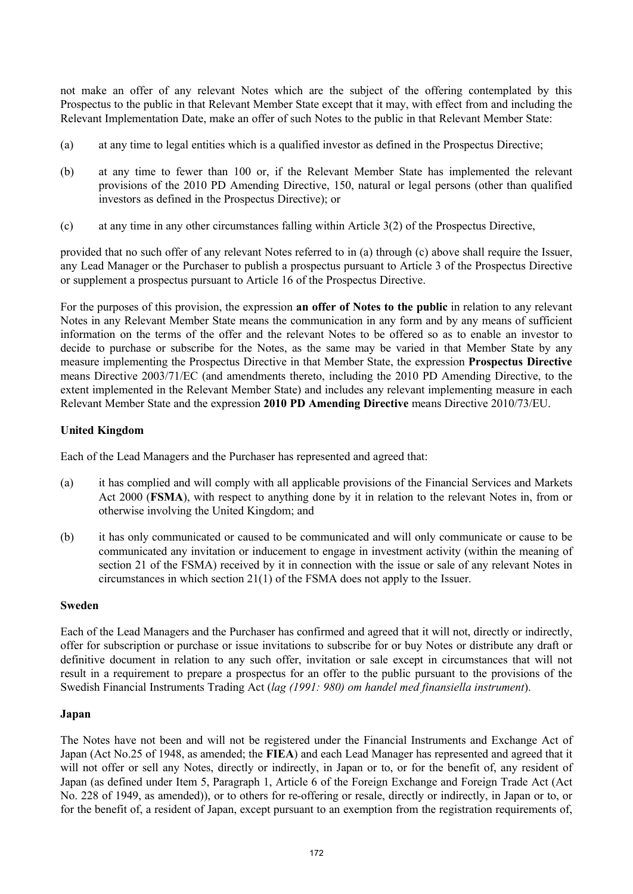not make an offer of any relevant Notes which are the subject of the offering contemplated by this Prospectus to the public in that Relevant Member State except that it may, with effect from and including the Relevant Implementation Date, make an offer of such Notes to the public in that Relevant Member State:

- (a) at any time to legal entities which is a qualified investor as defined in the Prospectus Directive;
- (b) at any time to fewer than 100 or, if the Relevant Member State has implemented the relevant provisions of the 2010 PD Amending Directive, 150, natural or legal persons (other than qualified investors as defined in the Prospectus Directive); or
- (c) at any time in any other circumstances falling within Article 3(2) of the Prospectus Directive,

provided that no such offer of any relevant Notes referred to in (a) through (c) above shall require the Issuer, any Lead Manager or the Purchaser to publish a prospectus pursuant to Article 3 of the Prospectus Directive or supplement a prospectus pursuant to Article 16 of the Prospectus Directive.

For the purposes of this provision, the expression **an offer of Notes to the public** in relation to any relevant Notes in any Relevant Member State means the communication in any form and by any means of sufficient information on the terms of the offer and the relevant Notes to be offered so as to enable an investor to decide to purchase or subscribe for the Notes, as the same may be varied in that Member State by any measure implementing the Prospectus Directive in that Member State, the expression **Prospectus Directive** means Directive 2003/71/EC (and amendments thereto, including the 2010 PD Amending Directive, to the extent implemented in the Relevant Member State) and includes any relevant implementing measure in each Relevant Member State and the expression **2010 PD Amending Directive** means Directive 2010/73/EU.

## **United Kingdom**

Each of the Lead Managers and the Purchaser has represented and agreed that:

- (a) it has complied and will comply with all applicable provisions of the Financial Services and Markets Act 2000 (**FSMA**), with respect to anything done by it in relation to the relevant Notes in, from or otherwise involving the United Kingdom; and
- (b) it has only communicated or caused to be communicated and will only communicate or cause to be communicated any invitation or inducement to engage in investment activity (within the meaning of section 21 of the FSMA) received by it in connection with the issue or sale of any relevant Notes in circumstances in which section 21(1) of the FSMA does not apply to the Issuer.

## **Sweden**

Each of the Lead Managers and the Purchaser has confirmed and agreed that it will not, directly or indirectly, offer for subscription or purchase or issue invitations to subscribe for or buy Notes or distribute any draft or definitive document in relation to any such offer, invitation or sale except in circumstances that will not result in a requirement to prepare a prospectus for an offer to the public pursuant to the provisions of the Swedish Financial Instruments Trading Act (*lag (1991: 980) om handel med finansiella instrument*).

### **Japan**

The Notes have not been and will not be registered under the Financial Instruments and Exchange Act of Japan (Act No.25 of 1948, as amended; the **FIEA**) and each Lead Manager has represented and agreed that it will not offer or sell any Notes, directly or indirectly, in Japan or to, or for the benefit of, any resident of Japan (as defined under Item 5, Paragraph 1, Article 6 of the Foreign Exchange and Foreign Trade Act (Act No. 228 of 1949, as amended)), or to others for re-offering or resale, directly or indirectly, in Japan or to, or for the benefit of, a resident of Japan, except pursuant to an exemption from the registration requirements of,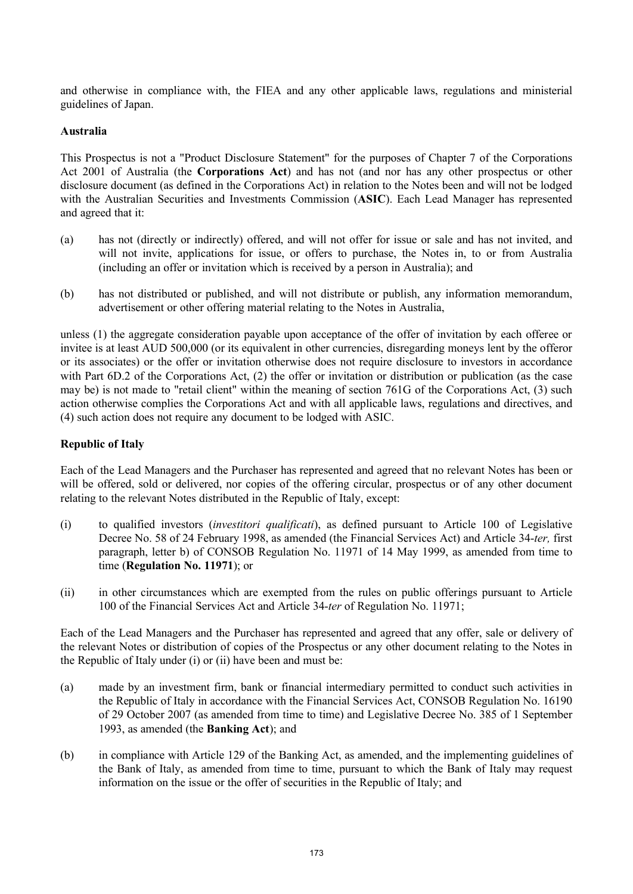and otherwise in compliance with, the FIEA and any other applicable laws, regulations and ministerial guidelines of Japan.

#### **Australia**

This Prospectus is not a "Product Disclosure Statement" for the purposes of Chapter 7 of the Corporations Act 2001 of Australia (the **Corporations Act**) and has not (and nor has any other prospectus or other disclosure document (as defined in the Corporations Act) in relation to the Notes been and will not be lodged with the Australian Securities and Investments Commission (**ASIC**). Each Lead Manager has represented and agreed that it:

- (a) has not (directly or indirectly) offered, and will not offer for issue or sale and has not invited, and will not invite, applications for issue, or offers to purchase, the Notes in, to or from Australia (including an offer or invitation which is received by a person in Australia); and
- (b) has not distributed or published, and will not distribute or publish, any information memorandum, advertisement or other offering material relating to the Notes in Australia,

unless (1) the aggregate consideration payable upon acceptance of the offer of invitation by each offeree or invitee is at least AUD 500,000 (or its equivalent in other currencies, disregarding moneys lent by the offeror or its associates) or the offer or invitation otherwise does not require disclosure to investors in accordance with Part 6D.2 of the Corporations Act. (2) the offer or invitation or distribution or publication (as the case may be) is not made to "retail client" within the meaning of section 761G of the Corporations Act, (3) such action otherwise complies the Corporations Act and with all applicable laws, regulations and directives, and (4) such action does not require any document to be lodged with ASIC.

### **Republic of Italy**

Each of the Lead Managers and the Purchaser has represented and agreed that no relevant Notes has been or will be offered, sold or delivered, nor copies of the offering circular, prospectus or of any other document relating to the relevant Notes distributed in the Republic of Italy, except:

- (i) to qualified investors (*investitori qualificati*), as defined pursuant to Article 100 of Legislative Decree No. 58 of 24 February 1998, as amended (the Financial Services Act) and Article 34-*ter,* first paragraph, letter b) of CONSOB Regulation No. 11971 of 14 May 1999, as amended from time to time (**Regulation No. 11971**); or
- (ii) in other circumstances which are exempted from the rules on public offerings pursuant to Article 100 of the Financial Services Act and Article 34-*ter* of Regulation No. 11971;

Each of the Lead Managers and the Purchaser has represented and agreed that any offer, sale or delivery of the relevant Notes or distribution of copies of the Prospectus or any other document relating to the Notes in the Republic of Italy under (i) or (ii) have been and must be:

- (a) made by an investment firm, bank or financial intermediary permitted to conduct such activities in the Republic of Italy in accordance with the Financial Services Act, CONSOB Regulation No. 16190 of 29 October 2007 (as amended from time to time) and Legislative Decree No. 385 of 1 September 1993, as amended (the **Banking Act**); and
- (b) in compliance with Article 129 of the Banking Act, as amended, and the implementing guidelines of the Bank of Italy, as amended from time to time, pursuant to which the Bank of Italy may request information on the issue or the offer of securities in the Republic of Italy; and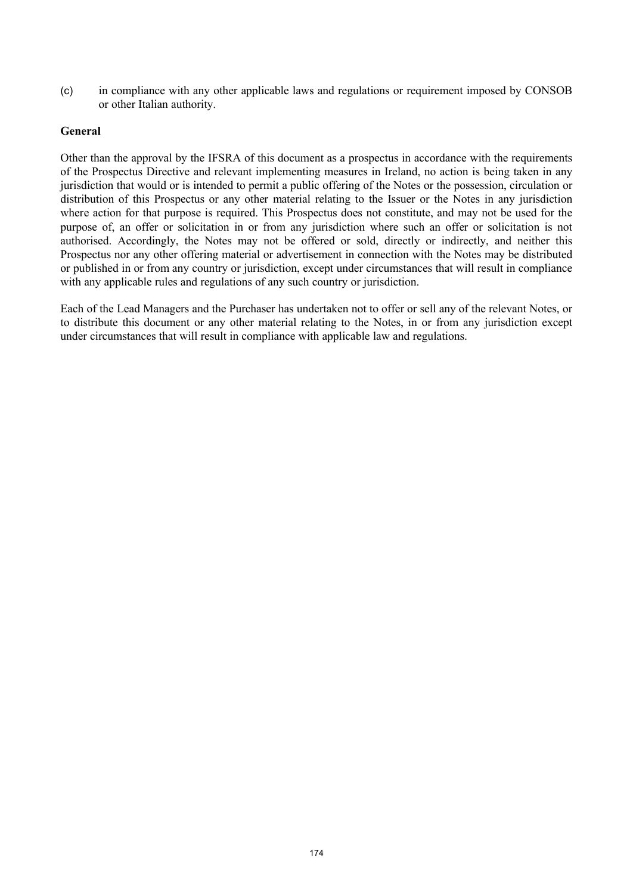(c) in compliance with any other applicable laws and regulations or requirement imposed by CONSOB or other Italian authority.

## **General**

Other than the approval by the IFSRA of this document as a prospectus in accordance with the requirements of the Prospectus Directive and relevant implementing measures in Ireland, no action is being taken in any jurisdiction that would or is intended to permit a public offering of the Notes or the possession, circulation or distribution of this Prospectus or any other material relating to the Issuer or the Notes in any jurisdiction where action for that purpose is required. This Prospectus does not constitute, and may not be used for the purpose of, an offer or solicitation in or from any jurisdiction where such an offer or solicitation is not authorised. Accordingly, the Notes may not be offered or sold, directly or indirectly, and neither this Prospectus nor any other offering material or advertisement in connection with the Notes may be distributed or published in or from any country or jurisdiction, except under circumstances that will result in compliance with any applicable rules and regulations of any such country or jurisdiction.

Each of the Lead Managers and the Purchaser has undertaken not to offer or sell any of the relevant Notes, or to distribute this document or any other material relating to the Notes, in or from any jurisdiction except under circumstances that will result in compliance with applicable law and regulations.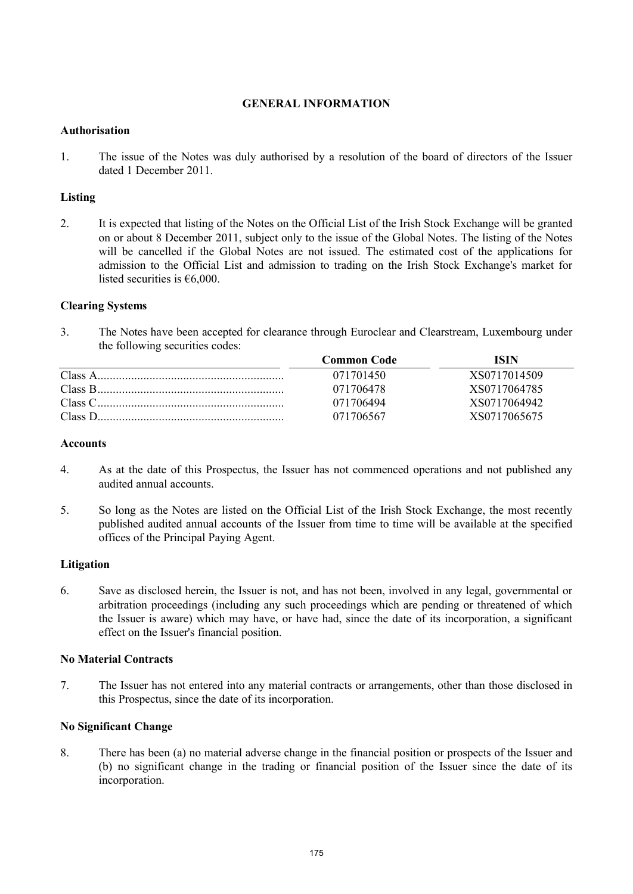## **GENERAL INFORMATION**

### **Authorisation**

1. The issue of the Notes was duly authorised by a resolution of the board of directors of the Issuer dated 1 December 2011

## **Listing**

2. It is expected that listing of the Notes on the Official List of the Irish Stock Exchange will be granted on or about 8 December 2011, subject only to the issue of the Global Notes. The listing of the Notes will be cancelled if the Global Notes are not issued. The estimated cost of the applications for admission to the Official List and admission to trading on the Irish Stock Exchange's market for listed securities is  $€6,000$ .

## **Clearing Systems**

3. The Notes have been accepted for clearance through Euroclear and Clearstream, Luxembourg under the following securities codes:

|         | <b>Common Code</b> | ISIN         |
|---------|--------------------|--------------|
|         | 071701450          | XS0717014509 |
|         | 071706478          | XS0717064785 |
|         | 071706494          | XS0717064942 |
| Class D | 071706567          | XS0717065675 |

### **Accounts**

- 4. As at the date of this Prospectus, the Issuer has not commenced operations and not published any audited annual accounts.
- 5. So long as the Notes are listed on the Official List of the Irish Stock Exchange, the most recently published audited annual accounts of the Issuer from time to time will be available at the specified offices of the Principal Paying Agent.

### **Litigation**

6. Save as disclosed herein, the Issuer is not, and has not been, involved in any legal, governmental or arbitration proceedings (including any such proceedings which are pending or threatened of which the Issuer is aware) which may have, or have had, since the date of its incorporation, a significant effect on the Issuer's financial position.

### **No Material Contracts**

7. The Issuer has not entered into any material contracts or arrangements, other than those disclosed in this Prospectus, since the date of its incorporation.

## **No Significant Change**

8. There has been (a) no material adverse change in the financial position or prospects of the Issuer and (b) no significant change in the trading or financial position of the Issuer since the date of its incorporation.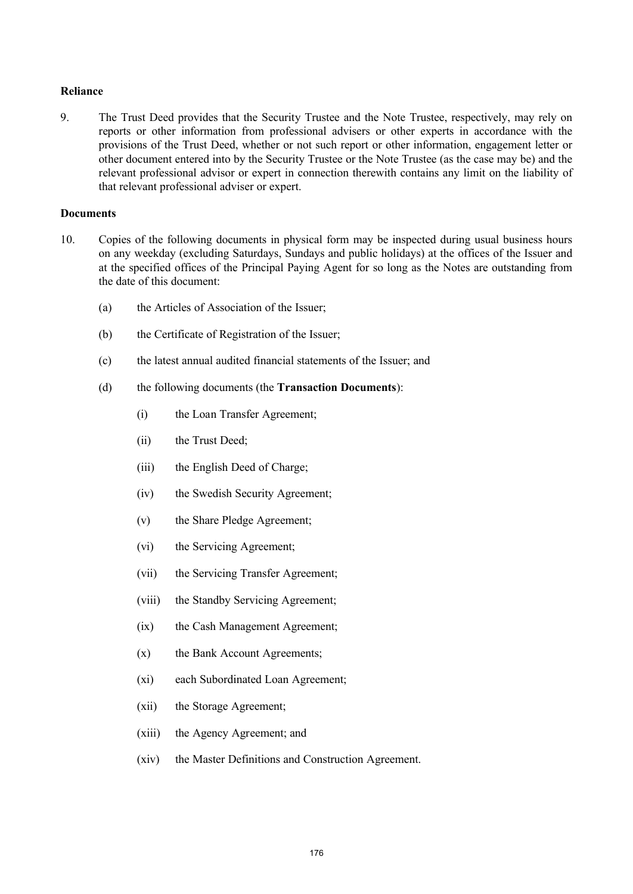### **Reliance**

9. The Trust Deed provides that the Security Trustee and the Note Trustee, respectively, may rely on reports or other information from professional advisers or other experts in accordance with the provisions of the Trust Deed, whether or not such report or other information, engagement letter or other document entered into by the Security Trustee or the Note Trustee (as the case may be) and the relevant professional advisor or expert in connection therewith contains any limit on the liability of that relevant professional adviser or expert.

#### **Documents**

- 10. Copies of the following documents in physical form may be inspected during usual business hours on any weekday (excluding Saturdays, Sundays and public holidays) at the offices of the Issuer and at the specified offices of the Principal Paying Agent for so long as the Notes are outstanding from the date of this document:
	- (a) the Articles of Association of the Issuer;
	- (b) the Certificate of Registration of the Issuer;
	- (c) the latest annual audited financial statements of the Issuer; and
	- (d) the following documents (the **Transaction Documents**):
		- (i) the Loan Transfer Agreement;
		- (ii) the Trust Deed;
		- (iii) the English Deed of Charge;
		- (iv) the Swedish Security Agreement;
		- (v) the Share Pledge Agreement;
		- (vi) the Servicing Agreement;
		- (vii) the Servicing Transfer Agreement;
		- (viii) the Standby Servicing Agreement;
		- (ix) the Cash Management Agreement;
		- (x) the Bank Account Agreements;
		- (xi) each Subordinated Loan Agreement;
		- (xii) the Storage Agreement;
		- (xiii) the Agency Agreement; and
		- (xiv) the Master Definitions and Construction Agreement.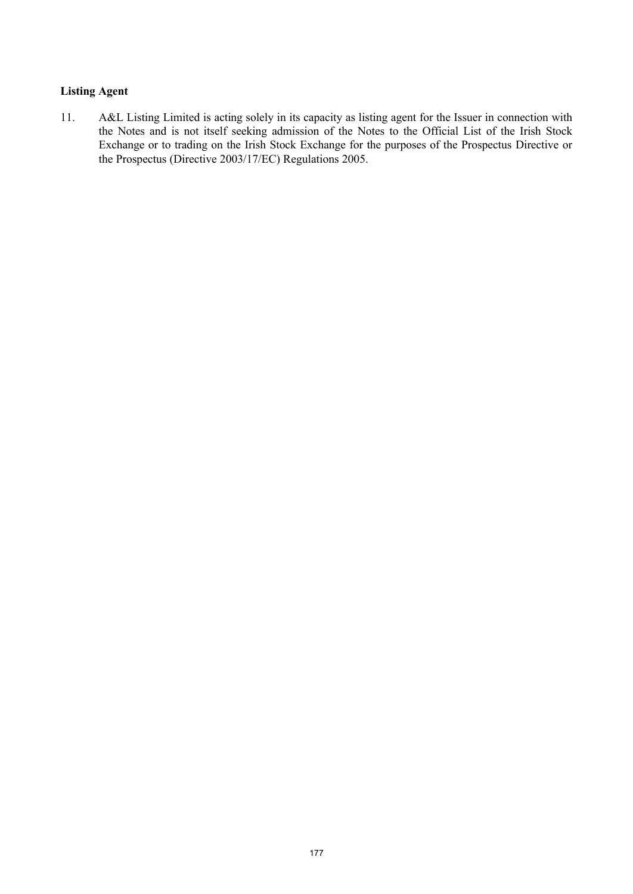## **Listing Agent**

11. A&L Listing Limited is acting solely in its capacity as listing agent for the Issuer in connection with the Notes and is not itself seeking admission of the Notes to the Official List of the Irish Stock Exchange or to trading on the Irish Stock Exchange for the purposes of the Prospectus Directive or the Prospectus (Directive 2003/17/EC) Regulations 2005.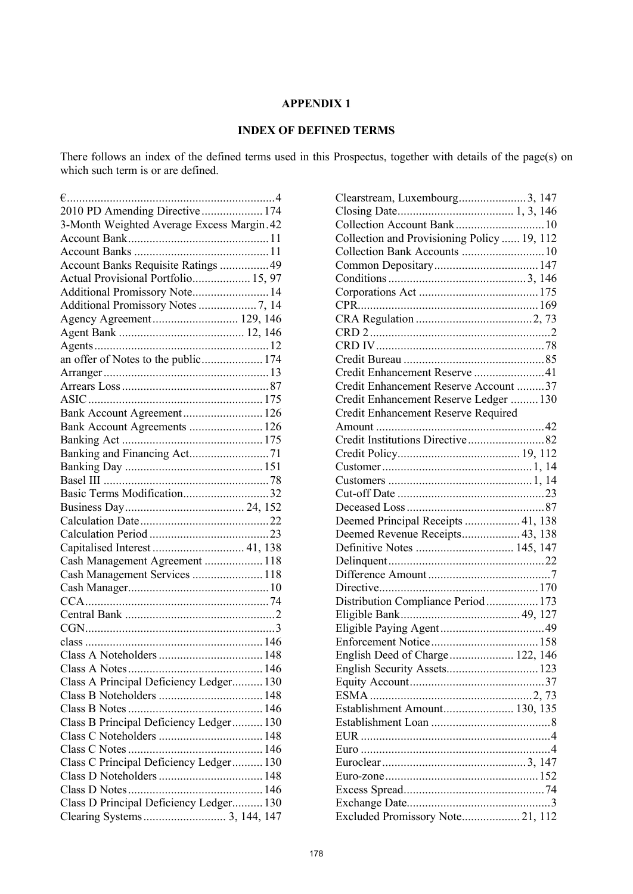# **APPENDIX 1**

# **INDEX OF DEFINED TERMS**

There follows an index of the defined terms used in this Prospectus, together with details of the page(s) on which such term is or are defined.

| 2010 PD Amending Directive  174            |  |
|--------------------------------------------|--|
| 3-Month Weighted Average Excess Margin. 42 |  |
|                                            |  |
|                                            |  |
| Account Banks Requisite Ratings  49        |  |
| Actual Provisional Portfolio 15, 97        |  |
| Additional Promissory Note 14              |  |
|                                            |  |
| Agency Agreement 129, 146                  |  |
|                                            |  |
|                                            |  |
| an offer of Notes to the public 174        |  |
|                                            |  |
|                                            |  |
|                                            |  |
| Bank Account Agreement 126                 |  |
| Bank Account Agreements  126               |  |
|                                            |  |
| Banking and Financing Act71                |  |
|                                            |  |
|                                            |  |
| Basic Terms Modification32                 |  |
|                                            |  |
|                                            |  |
|                                            |  |
| Capitalised Interest  41, 138              |  |
| Cash Management Agreement  118             |  |
| Cash Management Services  118              |  |
|                                            |  |
|                                            |  |
|                                            |  |
|                                            |  |
|                                            |  |
|                                            |  |
| <b>Class A Notes</b>                       |  |
| Class A Principal Deficiency Ledger 130    |  |
|                                            |  |
|                                            |  |
| Class B Principal Deficiency Ledger 130    |  |
|                                            |  |
|                                            |  |
| Class C Principal Deficiency Ledger 130    |  |
|                                            |  |
|                                            |  |
| Class D Principal Deficiency Ledger 130    |  |
|                                            |  |

| Clearstream, Luxembourg3, 147               |  |   |
|---------------------------------------------|--|---|
|                                             |  |   |
|                                             |  |   |
| Collection and Provisioning Policy  19, 112 |  |   |
|                                             |  |   |
|                                             |  |   |
|                                             |  |   |
|                                             |  |   |
|                                             |  |   |
|                                             |  |   |
|                                             |  |   |
|                                             |  |   |
|                                             |  |   |
| Credit Enhancement Reserve 41               |  |   |
| Credit Enhancement Reserve Account 37       |  |   |
| Credit Enhancement Reserve Ledger  130      |  |   |
| Credit Enhancement Reserve Required         |  |   |
|                                             |  |   |
| Credit Institutions Directive82             |  |   |
|                                             |  |   |
|                                             |  |   |
|                                             |  |   |
|                                             |  |   |
|                                             |  |   |
| Deemed Principal Receipts  41, 138          |  |   |
| Deemed Revenue Receipts 43, 138             |  |   |
|                                             |  |   |
|                                             |  |   |
|                                             |  |   |
|                                             |  |   |
| Distribution Compliance Period  173         |  |   |
|                                             |  |   |
|                                             |  |   |
|                                             |  |   |
| English Deed of Charge 122, 146             |  |   |
|                                             |  |   |
|                                             |  |   |
|                                             |  |   |
| Establishment Amount 130, 135               |  |   |
|                                             |  |   |
|                                             |  |   |
|                                             |  | 4 |
|                                             |  |   |
|                                             |  |   |
|                                             |  |   |
|                                             |  | 3 |
| Excluded Promissory Note 21, 112            |  |   |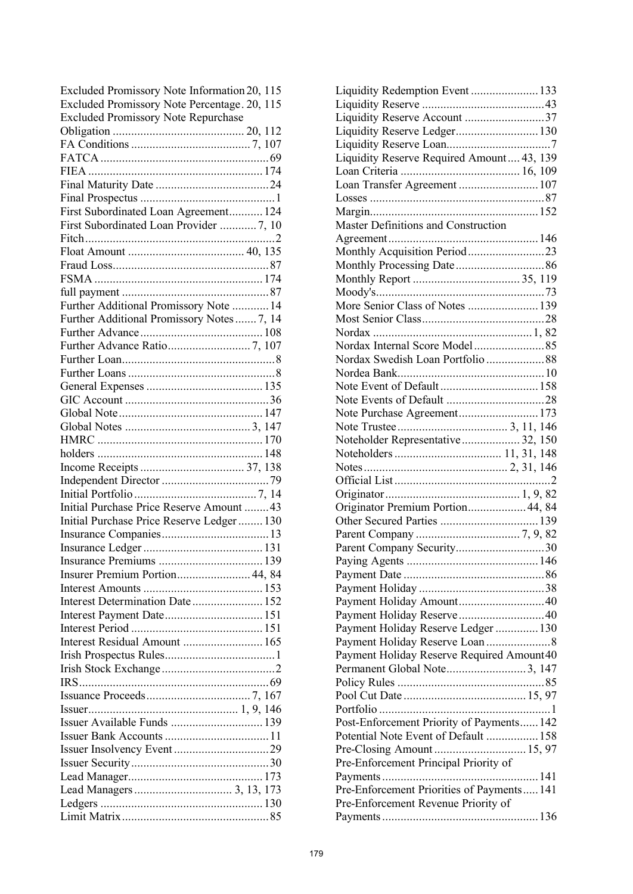| Excluded Promissory Note Information 20, 115 |  |
|----------------------------------------------|--|
| Excluded Promissory Note Percentage. 20, 115 |  |
| <b>Excluded Promissory Note Repurchase</b>   |  |
|                                              |  |
|                                              |  |
|                                              |  |
|                                              |  |
|                                              |  |
|                                              |  |
|                                              |  |
| First Subordinated Loan Agreement 124        |  |
| First Subordinated Loan Provider  7, 10      |  |
|                                              |  |
|                                              |  |
|                                              |  |
|                                              |  |
|                                              |  |
| Further Additional Promissory Note  14       |  |
| Further Additional Promissory Notes  7, 14   |  |
|                                              |  |
|                                              |  |
|                                              |  |
|                                              |  |
|                                              |  |
|                                              |  |
|                                              |  |
|                                              |  |
|                                              |  |
|                                              |  |
|                                              |  |
|                                              |  |
|                                              |  |
|                                              |  |
|                                              |  |
| Initial Purchase Price Reserve Amount  43    |  |
|                                              |  |
| Initial Purchase Price Reserve Ledger 130    |  |
|                                              |  |
|                                              |  |
|                                              |  |
| Insurer Premium Portion 44, 84               |  |
|                                              |  |
| Interest Determination Date 152              |  |
|                                              |  |
|                                              |  |
| Interest Residual Amount  165                |  |
|                                              |  |
|                                              |  |
|                                              |  |
|                                              |  |
|                                              |  |
| Issuer Available Funds  139                  |  |
|                                              |  |
|                                              |  |
|                                              |  |
|                                              |  |
|                                              |  |
|                                              |  |
|                                              |  |

| Liquidity Redemption Event  133            |  |
|--------------------------------------------|--|
|                                            |  |
| Liquidity Reserve Account 37               |  |
|                                            |  |
|                                            |  |
| Liquidity Reserve Required Amount 43, 139  |  |
|                                            |  |
| Loan Transfer Agreement  107               |  |
|                                            |  |
|                                            |  |
| Master Definitions and Construction        |  |
|                                            |  |
| Monthly Acquisition Period23               |  |
|                                            |  |
|                                            |  |
|                                            |  |
| More Senior Class of Notes  139            |  |
|                                            |  |
|                                            |  |
|                                            |  |
|                                            |  |
|                                            |  |
|                                            |  |
|                                            |  |
| Note Purchase Agreement 173                |  |
|                                            |  |
| Noteholder Representative 32, 150          |  |
|                                            |  |
|                                            |  |
|                                            |  |
|                                            |  |
| Originator Premium Portion 44, 84          |  |
|                                            |  |
|                                            |  |
| Parent Company Security30                  |  |
|                                            |  |
|                                            |  |
|                                            |  |
|                                            |  |
|                                            |  |
| Payment Holiday Reserve Ledger  130        |  |
|                                            |  |
| Payment Holiday Reserve Required Amount40  |  |
|                                            |  |
|                                            |  |
|                                            |  |
|                                            |  |
| Post-Enforcement Priority of Payments 142  |  |
| Potential Note Event of Default  158       |  |
|                                            |  |
| Pre-Enforcement Principal Priority of      |  |
|                                            |  |
| Pre-Enforcement Priorities of Payments 141 |  |
| Pre-Enforcement Revenue Priority of        |  |
|                                            |  |
|                                            |  |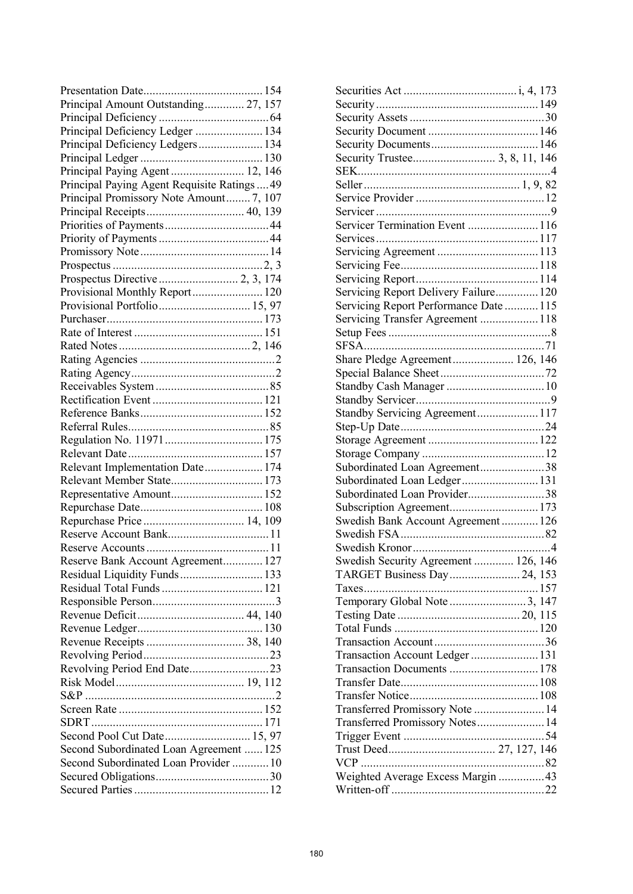| Principal Amount Outstanding 27, 157         |
|----------------------------------------------|
|                                              |
| Principal Deficiency Ledger  134             |
| Principal Deficiency Ledgers 134             |
|                                              |
|                                              |
| Principal Paying Agent Requisite Ratings  49 |
| Principal Promissory Note Amount 7, 107      |
|                                              |
|                                              |
|                                              |
|                                              |
|                                              |
|                                              |
|                                              |
| Provisional Monthly Report 120               |
| Provisional Portfolio 15, 97                 |
|                                              |
|                                              |
|                                              |
|                                              |
|                                              |
|                                              |
|                                              |
|                                              |
|                                              |
|                                              |
|                                              |
| Relevant Implementation Date 174             |
| Relevant Member State 173                    |
|                                              |
| Representative Amount 152                    |
|                                              |
|                                              |
|                                              |
|                                              |
| Reserve Bank Account Agreement 127           |
| Residual Liquidity Funds  133                |
|                                              |
|                                              |
|                                              |
|                                              |
|                                              |
|                                              |
| Revolving Period End Date23                  |
|                                              |
|                                              |
|                                              |
|                                              |
| Second Pool Cut Date 15, 97                  |
| Second Subordinated Loan Agreement  125      |
|                                              |
| Second Subordinated Loan Provider  10        |
|                                              |
|                                              |

| Servicer Termination Event  116        |  |
|----------------------------------------|--|
|                                        |  |
|                                        |  |
|                                        |  |
|                                        |  |
| Servicing Report Delivery Failure 120  |  |
| Servicing Report Performance Date  115 |  |
| Servicing Transfer Agreement 118       |  |
|                                        |  |
|                                        |  |
|                                        |  |
| Share Pledge Agreement 126, 146        |  |
|                                        |  |
|                                        |  |
|                                        |  |
| Standby Servicing Agreement 117        |  |
|                                        |  |
|                                        |  |
|                                        |  |
| Subordinated Loan Agreement38          |  |
| Subordinated Loan Ledger131            |  |
| Subordinated Loan Provider38           |  |
|                                        |  |
| Swedish Bank Account Agreement 126     |  |
|                                        |  |
|                                        |  |
| Swedish Security Agreement  126, 146   |  |
| TARGET Business Day 24, 153            |  |
|                                        |  |
| Temporary Global Note 3, 147           |  |
|                                        |  |
|                                        |  |
|                                        |  |
| Transaction Account Ledger 131         |  |
| Transaction Documents  178             |  |
|                                        |  |
|                                        |  |
| Transferred Promissory Note  14        |  |
|                                        |  |
| Transferred Promissory Notes 14        |  |
|                                        |  |
|                                        |  |
|                                        |  |
| Weighted Average Excess Margin 43      |  |
|                                        |  |